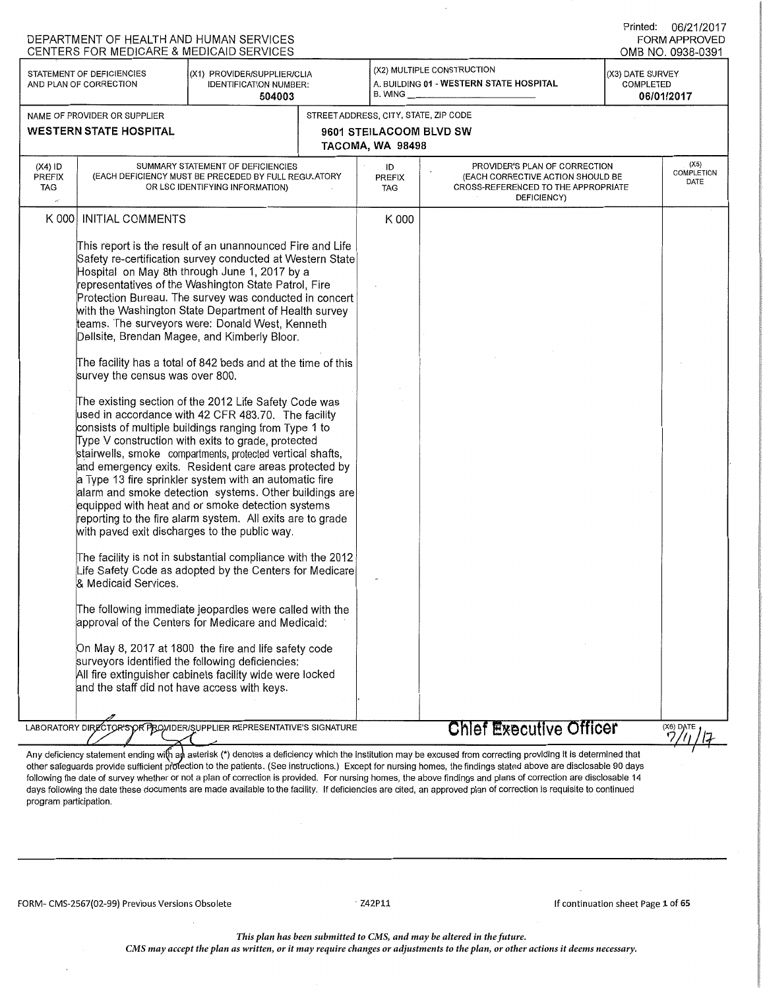| (X2) MULTIPLE CONSTRUCTION<br>STATEMENT OF DEFICIENCIES<br>(X1) PROVIDER/SUPPLIER/CLIA<br>(X3) DATE SURVEY<br>A. BUILDING 01 - WESTERN STATE HOSPITAL<br>AND PLAN OF CORRECTION<br><b>IDENTIFICATION NUMBER:</b><br>COMPLETED<br>$B.$ WING $\_$<br>504003<br>06/01/2017<br>STREET ADDRESS, CITY, STATE, ZIP CODE<br>NAME OF PROVIDER OR SUPPLIER<br><b>WESTERN STATE HOSPITAL</b><br>9601 STEILACOOM BLVD SW<br>TACOMA, WA 98498<br>$(X4)$ ID<br>(X5)<br>SUMMARY STATEMENT OF DEFICIENCIES<br>PROVIDER'S PLAN OF CORRECTION<br>ID<br><b>COMPLETION</b><br><b>PREFIX</b><br>(EACH DEFICIENCY MUST BE PRECEDED BY FULL REGULATORY<br><b>PREFIX</b><br>(EACH CORRECTIVE ACTION SHOULD BE<br>DATE<br>TAG<br>OR LSC IDENTIFYING INFORMATION)<br><b>CROSS-REFERENCED TO THE APPROPRIATE</b><br><b>TAG</b><br>DEFICIENCY)<br><b>INITIAL COMMENTS</b><br>K 000<br>K 000<br>This report is the result of an unannounced Fire and Life<br>Safety re-certification survey conducted at Western State<br>Hospital on May 8th through June 1, 2017 by a<br>representatives of the Washington State Patrol, Fire<br>Protection Bureau. The survey was conducted in concert<br>with the Washington State Department of Health survey<br>teams. The surveyors were: Donald West, Kenneth<br>Dellsite, Brendan Magee, and Kimberly Bloor.<br>The facility has a total of 842 beds and at the time of this<br>survey the census was over 800.<br>The existing section of the 2012 Life Safety Code was<br>used in accordance with 42 CFR 483.70. The facility<br>consists of multiple buildings ranging from Type 1 to<br>Type V construction with exits to grade, protected<br>stairwells, smoke compartments, protected vertical shafts,<br>and emergency exits. Resident care areas protected by<br>a Type 13 fire sprinkler system with an automatic fire<br>alarm and smoke detection systems. Other buildings are<br>equipped with heat and or smoke detection systems<br>reporting to the fire alarm system. All exits are to grade<br>with paved exit discharges to the public way.<br>The facility is not in substantial compliance with the 2012<br>life Safety Code as adopted by the Centers for Medicare<br>& Medicaid Services.<br>The following immediate jeopardies were called with the<br>approval of the Centers for Medicare and Medicaid:<br>On May 8, 2017 at 1800 the fire and life safety code<br>surveyors identified the following deficiencies:<br>All fire extinguisher cabinets facility wide were locked<br>and the staff did not have access with keys.<br>LABORATORY DIRECTOR'S OR PROVIDER/SUPPLIER REPRESENTATIVE'S SIGNATURE<br><b>Chlef Executive Officer</b><br>(X6) DATE<br>Any deficiency statement ending with an asterisk (*) denotes a deficiency which the institution may be excused from correcting providing it is determined that | DEPARTMENT OF HEALTH AND HUMAN SERVICES<br>CENTERS FOR MEDICARE & MEDICAID SERVICES |  |  | Printed: 06/21/2017<br><b>FORM APPROVED</b><br>OMB NO. 0938-0391 |
|----------------------------------------------------------------------------------------------------------------------------------------------------------------------------------------------------------------------------------------------------------------------------------------------------------------------------------------------------------------------------------------------------------------------------------------------------------------------------------------------------------------------------------------------------------------------------------------------------------------------------------------------------------------------------------------------------------------------------------------------------------------------------------------------------------------------------------------------------------------------------------------------------------------------------------------------------------------------------------------------------------------------------------------------------------------------------------------------------------------------------------------------------------------------------------------------------------------------------------------------------------------------------------------------------------------------------------------------------------------------------------------------------------------------------------------------------------------------------------------------------------------------------------------------------------------------------------------------------------------------------------------------------------------------------------------------------------------------------------------------------------------------------------------------------------------------------------------------------------------------------------------------------------------------------------------------------------------------------------------------------------------------------------------------------------------------------------------------------------------------------------------------------------------------------------------------------------------------------------------------------------------------------------------------------------------------------------------------------------------------------------------------------------------------------------------------------------------------------------------------------------------------------------------------------------------------------------------------------------------------------------------------------------------------------------------------------------------------------------------------------------------------------------------------------------------------------------------------------------------|-------------------------------------------------------------------------------------|--|--|------------------------------------------------------------------|
|                                                                                                                                                                                                                                                                                                                                                                                                                                                                                                                                                                                                                                                                                                                                                                                                                                                                                                                                                                                                                                                                                                                                                                                                                                                                                                                                                                                                                                                                                                                                                                                                                                                                                                                                                                                                                                                                                                                                                                                                                                                                                                                                                                                                                                                                                                                                                                                                                                                                                                                                                                                                                                                                                                                                                                                                                                                                |                                                                                     |  |  |                                                                  |
|                                                                                                                                                                                                                                                                                                                                                                                                                                                                                                                                                                                                                                                                                                                                                                                                                                                                                                                                                                                                                                                                                                                                                                                                                                                                                                                                                                                                                                                                                                                                                                                                                                                                                                                                                                                                                                                                                                                                                                                                                                                                                                                                                                                                                                                                                                                                                                                                                                                                                                                                                                                                                                                                                                                                                                                                                                                                |                                                                                     |  |  |                                                                  |
|                                                                                                                                                                                                                                                                                                                                                                                                                                                                                                                                                                                                                                                                                                                                                                                                                                                                                                                                                                                                                                                                                                                                                                                                                                                                                                                                                                                                                                                                                                                                                                                                                                                                                                                                                                                                                                                                                                                                                                                                                                                                                                                                                                                                                                                                                                                                                                                                                                                                                                                                                                                                                                                                                                                                                                                                                                                                |                                                                                     |  |  |                                                                  |
|                                                                                                                                                                                                                                                                                                                                                                                                                                                                                                                                                                                                                                                                                                                                                                                                                                                                                                                                                                                                                                                                                                                                                                                                                                                                                                                                                                                                                                                                                                                                                                                                                                                                                                                                                                                                                                                                                                                                                                                                                                                                                                                                                                                                                                                                                                                                                                                                                                                                                                                                                                                                                                                                                                                                                                                                                                                                |                                                                                     |  |  |                                                                  |
|                                                                                                                                                                                                                                                                                                                                                                                                                                                                                                                                                                                                                                                                                                                                                                                                                                                                                                                                                                                                                                                                                                                                                                                                                                                                                                                                                                                                                                                                                                                                                                                                                                                                                                                                                                                                                                                                                                                                                                                                                                                                                                                                                                                                                                                                                                                                                                                                                                                                                                                                                                                                                                                                                                                                                                                                                                                                |                                                                                     |  |  |                                                                  |
|                                                                                                                                                                                                                                                                                                                                                                                                                                                                                                                                                                                                                                                                                                                                                                                                                                                                                                                                                                                                                                                                                                                                                                                                                                                                                                                                                                                                                                                                                                                                                                                                                                                                                                                                                                                                                                                                                                                                                                                                                                                                                                                                                                                                                                                                                                                                                                                                                                                                                                                                                                                                                                                                                                                                                                                                                                                                |                                                                                     |  |  |                                                                  |
|                                                                                                                                                                                                                                                                                                                                                                                                                                                                                                                                                                                                                                                                                                                                                                                                                                                                                                                                                                                                                                                                                                                                                                                                                                                                                                                                                                                                                                                                                                                                                                                                                                                                                                                                                                                                                                                                                                                                                                                                                                                                                                                                                                                                                                                                                                                                                                                                                                                                                                                                                                                                                                                                                                                                                                                                                                                                |                                                                                     |  |  |                                                                  |
|                                                                                                                                                                                                                                                                                                                                                                                                                                                                                                                                                                                                                                                                                                                                                                                                                                                                                                                                                                                                                                                                                                                                                                                                                                                                                                                                                                                                                                                                                                                                                                                                                                                                                                                                                                                                                                                                                                                                                                                                                                                                                                                                                                                                                                                                                                                                                                                                                                                                                                                                                                                                                                                                                                                                                                                                                                                                |                                                                                     |  |  |                                                                  |

other safeguards provide sufficient profection to the patients. (See instructions.) Except for nursing homes, the findings stated above are disclosable 90 days following the date of survey whether or not a plan of correction is provided. For nursing homes, the above findings and plans of correction are disclosable 14 days following the date these documents are made available to the facility. If deficiencies are cited, an approved plan of correction is requisite to continued program participation.

FORM- CMS-2567(02-99) Previous Versions Obsolete

 $\cdot$  Z42P11

If continuation sheet Page 1 of 65

*This plan has been submitted to CMS, and may be altered in the future.* 

*CMS may accept the plan as written, or it may require changes or adjustments to the plan, or other actions it deems necessary.*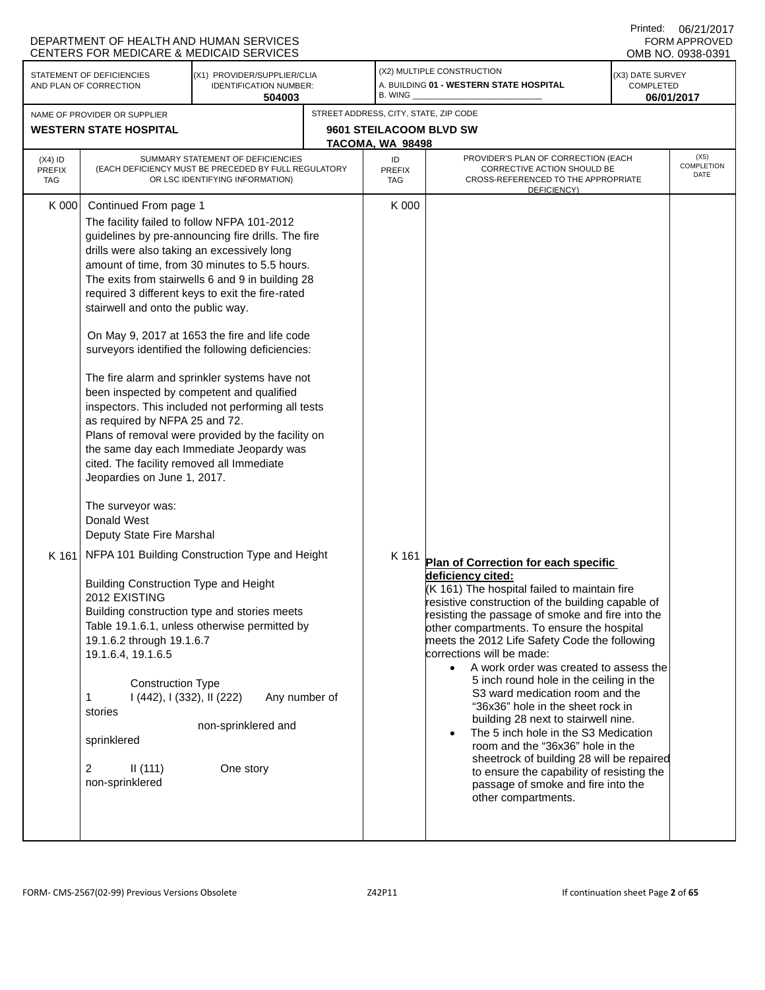|                                          |                                                                                                                                                                                                                                                                                                                                                                                                                                                                                                                                           | DEPARTMENT OF HEALTH AND HUMAN SERVICES<br><b>CENTERS FOR MEDICARE &amp; MEDICAID SERVICES</b>                                                                                                                                                                                                                                                                                                                                                                                                                                                                                                                                                                                                                                                                                                                               |                                                                                      |                                                                                                                                                                                                                                                                                                                                                                                                                                                                                                                                                                                                                                                                                                                                                                                                    | Printed:                                    | 06/21/2017<br>FORM APPROVED<br>OMB NO. 0938-0391 |
|------------------------------------------|-------------------------------------------------------------------------------------------------------------------------------------------------------------------------------------------------------------------------------------------------------------------------------------------------------------------------------------------------------------------------------------------------------------------------------------------------------------------------------------------------------------------------------------------|------------------------------------------------------------------------------------------------------------------------------------------------------------------------------------------------------------------------------------------------------------------------------------------------------------------------------------------------------------------------------------------------------------------------------------------------------------------------------------------------------------------------------------------------------------------------------------------------------------------------------------------------------------------------------------------------------------------------------------------------------------------------------------------------------------------------------|--------------------------------------------------------------------------------------|----------------------------------------------------------------------------------------------------------------------------------------------------------------------------------------------------------------------------------------------------------------------------------------------------------------------------------------------------------------------------------------------------------------------------------------------------------------------------------------------------------------------------------------------------------------------------------------------------------------------------------------------------------------------------------------------------------------------------------------------------------------------------------------------------|---------------------------------------------|--------------------------------------------------|
|                                          | STATEMENT OF DEFICIENCIES<br>AND PLAN OF CORRECTION                                                                                                                                                                                                                                                                                                                                                                                                                                                                                       | (X1) PROVIDER/SUPPLIER/CLIA<br>IDENTIFICATION NUMBER:<br>504003                                                                                                                                                                                                                                                                                                                                                                                                                                                                                                                                                                                                                                                                                                                                                              | B. WING                                                                              | (X2) MULTIPLE CONSTRUCTION<br>A. BUILDING 01 - WESTERN STATE HOSPITAL                                                                                                                                                                                                                                                                                                                                                                                                                                                                                                                                                                                                                                                                                                                              | (X3) DATE SURVEY<br>COMPLETED<br>06/01/2017 |                                                  |
|                                          | NAME OF PROVIDER OR SUPPLIER<br><b>WESTERN STATE HOSPITAL</b>                                                                                                                                                                                                                                                                                                                                                                                                                                                                             |                                                                                                                                                                                                                                                                                                                                                                                                                                                                                                                                                                                                                                                                                                                                                                                                                              | STREET ADDRESS, CITY, STATE, ZIP CODE<br>9601 STEILACOOM BLVD SW<br>TACOMA, WA 98498 |                                                                                                                                                                                                                                                                                                                                                                                                                                                                                                                                                                                                                                                                                                                                                                                                    |                                             |                                                  |
| $(X4)$ ID<br><b>PREFIX</b><br><b>TAG</b> |                                                                                                                                                                                                                                                                                                                                                                                                                                                                                                                                           | SUMMARY STATEMENT OF DEFICIENCIES<br>(EACH DEFICIENCY MUST BE PRECEDED BY FULL REGULATORY<br>OR LSC IDENTIFYING INFORMATION)                                                                                                                                                                                                                                                                                                                                                                                                                                                                                                                                                                                                                                                                                                 | ID<br><b>PREFIX</b><br><b>TAG</b>                                                    | PROVIDER'S PLAN OF CORRECTION (EACH<br>CORRECTIVE ACTION SHOULD BE<br>CROSS-REFERENCED TO THE APPROPRIATE<br>DEFICIENCY)                                                                                                                                                                                                                                                                                                                                                                                                                                                                                                                                                                                                                                                                           |                                             | (X5)<br>COMPLETION<br>DATE                       |
| K 000<br>K 161                           | Continued From page 1<br>drills were also taking an excessively long<br>stairwell and onto the public way.<br>as required by NFPA 25 and 72.<br>cited. The facility removed all Immediate<br>Jeopardies on June 1, 2017.<br>The surveyor was:<br>Donald West<br>Deputy State Fire Marshal<br><b>Building Construction Type and Height</b><br>2012 EXISTING<br>19.1.6.2 through 19.1.6.7<br>19.1.6.4, 19.1.6.5<br><b>Construction Type</b><br>I (442), I (332), II (222)<br>1<br>stories<br>sprinklered<br>2<br>II(111)<br>non-sprinklered | The facility failed to follow NFPA 101-2012<br>guidelines by pre-announcing fire drills. The fire<br>amount of time, from 30 minutes to 5.5 hours.<br>The exits from stairwells 6 and 9 in building 28<br>required 3 different keys to exit the fire-rated<br>On May 9, 2017 at 1653 the fire and life code<br>surveyors identified the following deficiencies:<br>The fire alarm and sprinkler systems have not<br>been inspected by competent and qualified<br>inspectors. This included not performing all tests<br>Plans of removal were provided by the facility on<br>the same day each Immediate Jeopardy was<br>NFPA 101 Building Construction Type and Height<br>Building construction type and stories meets<br>Table 19.1.6.1, unless otherwise permitted by<br>Any number of<br>non-sprinklered and<br>One story | K 000<br>K 161                                                                       | Plan of Correction for each specific<br>deficiency cited:<br>(K 161) The hospital failed to maintain fire<br>resistive construction of the building capable of<br>resisting the passage of smoke and fire into the<br>other compartments. To ensure the hospital<br>meets the 2012 Life Safety Code the following<br>corrections will be made:<br>A work order was created to assess the<br>$\bullet$<br>5 inch round hole in the ceiling in the<br>S3 ward medication room and the<br>"36x36" hole in the sheet rock in<br>building 28 next to stairwell nine.<br>The 5 inch hole in the S3 Medication<br>room and the "36x36" hole in the<br>sheetrock of building 28 will be repaired<br>to ensure the capability of resisting the<br>passage of smoke and fire into the<br>other compartments. |                                             |                                                  |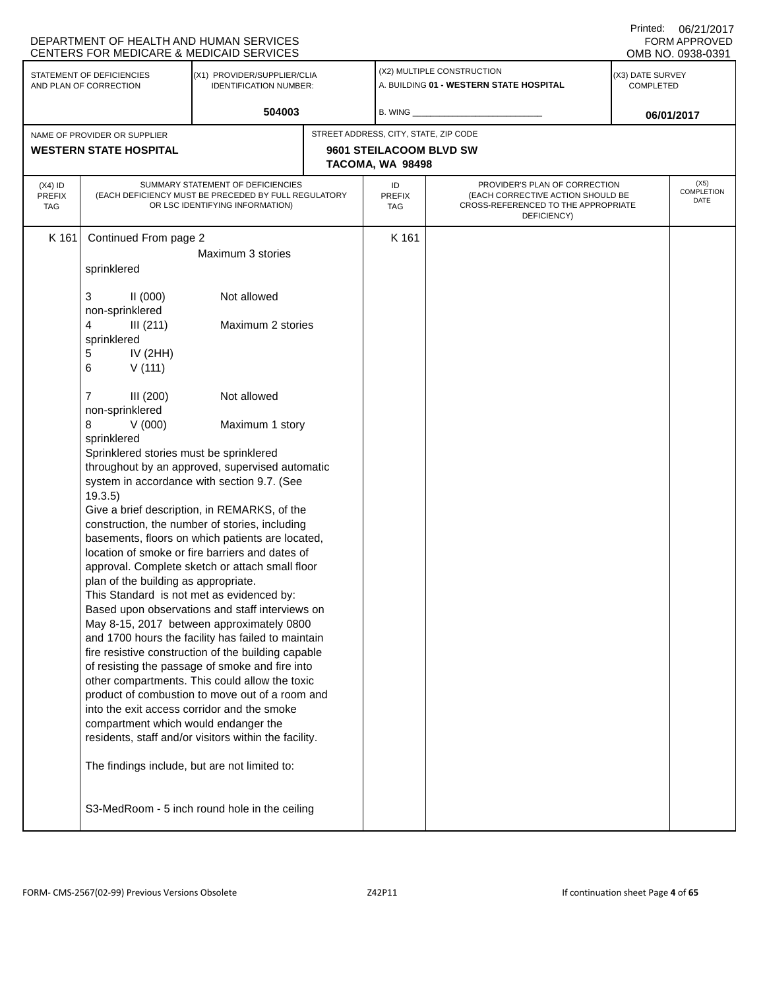|                                          | DEPARTMENT OF HEALTH AND HUMAN SERVICES<br>CENTERS FOR MEDICARE & MEDICAID SERVICES                                                                                                                                                                                                                                                                                                                                                                                                            |                                                                                                                                                                                                                                                                                                                                                                                                                                                                                                                                                                                                                                                                                                                                                                                                                                                                                     |  |                                             |                                                                                                                          | Printed:                             | 06/21/2017<br>FORM APPROVED<br>OMB NO. 0938-0391 |
|------------------------------------------|------------------------------------------------------------------------------------------------------------------------------------------------------------------------------------------------------------------------------------------------------------------------------------------------------------------------------------------------------------------------------------------------------------------------------------------------------------------------------------------------|-------------------------------------------------------------------------------------------------------------------------------------------------------------------------------------------------------------------------------------------------------------------------------------------------------------------------------------------------------------------------------------------------------------------------------------------------------------------------------------------------------------------------------------------------------------------------------------------------------------------------------------------------------------------------------------------------------------------------------------------------------------------------------------------------------------------------------------------------------------------------------------|--|---------------------------------------------|--------------------------------------------------------------------------------------------------------------------------|--------------------------------------|--------------------------------------------------|
|                                          | STATEMENT OF DEFICIENCIES<br>AND PLAN OF CORRECTION                                                                                                                                                                                                                                                                                                                                                                                                                                            | (X1) PROVIDER/SUPPLIER/CLIA<br><b>IDENTIFICATION NUMBER:</b>                                                                                                                                                                                                                                                                                                                                                                                                                                                                                                                                                                                                                                                                                                                                                                                                                        |  |                                             | (X2) MULTIPLE CONSTRUCTION<br>A. BUILDING 01 - WESTERN STATE HOSPITAL                                                    | (X3) DATE SURVEY<br><b>COMPLETED</b> |                                                  |
|                                          |                                                                                                                                                                                                                                                                                                                                                                                                                                                                                                | 504003                                                                                                                                                                                                                                                                                                                                                                                                                                                                                                                                                                                                                                                                                                                                                                                                                                                                              |  | B. WING                                     |                                                                                                                          |                                      | 06/01/2017                                       |
|                                          | NAME OF PROVIDER OR SUPPLIER                                                                                                                                                                                                                                                                                                                                                                                                                                                                   |                                                                                                                                                                                                                                                                                                                                                                                                                                                                                                                                                                                                                                                                                                                                                                                                                                                                                     |  | STREET ADDRESS, CITY, STATE, ZIP CODE       |                                                                                                                          |                                      |                                                  |
|                                          | <b>WESTERN STATE HOSPITAL</b>                                                                                                                                                                                                                                                                                                                                                                                                                                                                  |                                                                                                                                                                                                                                                                                                                                                                                                                                                                                                                                                                                                                                                                                                                                                                                                                                                                                     |  | 9601 STEILACOOM BLVD SW<br>TACOMA, WA 98498 |                                                                                                                          |                                      |                                                  |
| $(X4)$ ID<br><b>PREFIX</b><br><b>TAG</b> |                                                                                                                                                                                                                                                                                                                                                                                                                                                                                                | SUMMARY STATEMENT OF DEFICIENCIES<br>(EACH DEFICIENCY MUST BE PRECEDED BY FULL REGULATORY<br>OR LSC IDENTIFYING INFORMATION)                                                                                                                                                                                                                                                                                                                                                                                                                                                                                                                                                                                                                                                                                                                                                        |  | ID<br>PREFIX<br><b>TAG</b>                  | PROVIDER'S PLAN OF CORRECTION<br>(EACH CORRECTIVE ACTION SHOULD BE<br>CROSS-REFERENCED TO THE APPROPRIATE<br>DEFICIENCY) |                                      | (X5)<br>COMPLETION<br>DATE                       |
| K 161                                    | Continued From page 2<br>sprinklered<br>3<br>II(000)<br>non-sprinklered<br>4<br>III(211)<br>sprinklered<br>5<br>IV $(2HH)$<br>V(111)<br>6<br>III(200)<br>7<br>non-sprinklered<br>8<br>V(000)<br>sprinklered<br>Sprinklered stories must be sprinklered<br>19.3.5)<br>plan of the building as appropriate.<br>This Standard is not met as evidenced by:<br>into the exit access corridor and the smoke<br>compartment which would endanger the<br>The findings include, but are not limited to: | Maximum 3 stories<br>Not allowed<br>Maximum 2 stories<br>Not allowed<br>Maximum 1 story<br>throughout by an approved, supervised automatic<br>system in accordance with section 9.7. (See<br>Give a brief description, in REMARKS, of the<br>construction, the number of stories, including<br>basements, floors on which patients are located,<br>location of smoke or fire barriers and dates of<br>approval. Complete sketch or attach small floor<br>Based upon observations and staff interviews on<br>May 8-15, 2017 between approximately 0800<br>and 1700 hours the facility has failed to maintain<br>fire resistive construction of the building capable<br>of resisting the passage of smoke and fire into<br>other compartments. This could allow the toxic<br>product of combustion to move out of a room and<br>residents, staff and/or visitors within the facility. |  | K 161                                       |                                                                                                                          |                                      |                                                  |
|                                          | S3-MedRoom - 5 inch round hole in the ceiling                                                                                                                                                                                                                                                                                                                                                                                                                                                  |                                                                                                                                                                                                                                                                                                                                                                                                                                                                                                                                                                                                                                                                                                                                                                                                                                                                                     |  |                                             |                                                                                                                          |                                      |                                                  |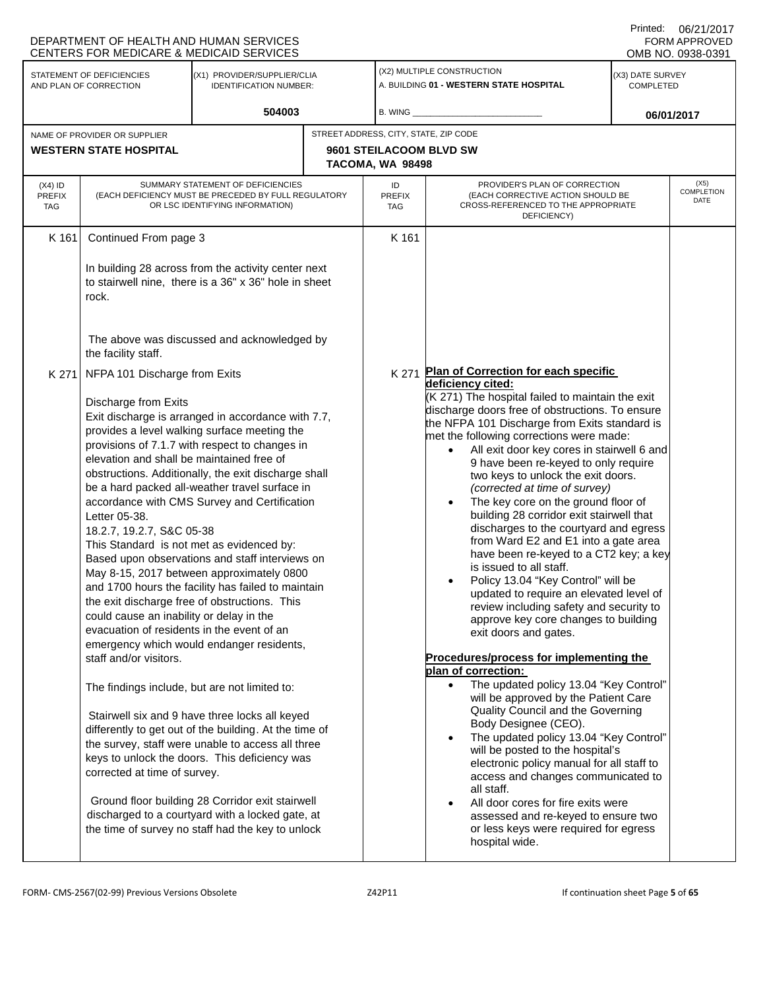|                            | DEPARTMENT OF HEALTH AND HUMAN SERVICES<br>CENTERS FOR MEDICARE & MEDICAID SERVICES                                                                                                                                                                                                                                                                                                                                                                                                                                                                                                                                                                                                                                                                                                                                                                                                                                                                                                                                                                                                                                                                                                                                                                                                                                                                                                                    |                                                                                                                              |       |                                                                                                                                                                                                                                                                                                                                                                                                                                                                                                                                                                                                                                                                                                                                                                                                                                                                                                                                                                                                                                                                                                                                                                                                                                                                                                                                                                                                                                     |                                                                                                                          |                               | UU/Z UZ UU<br><b>FORM APPROVED</b><br>OMB NO. 0938-0391 |  |
|----------------------------|--------------------------------------------------------------------------------------------------------------------------------------------------------------------------------------------------------------------------------------------------------------------------------------------------------------------------------------------------------------------------------------------------------------------------------------------------------------------------------------------------------------------------------------------------------------------------------------------------------------------------------------------------------------------------------------------------------------------------------------------------------------------------------------------------------------------------------------------------------------------------------------------------------------------------------------------------------------------------------------------------------------------------------------------------------------------------------------------------------------------------------------------------------------------------------------------------------------------------------------------------------------------------------------------------------------------------------------------------------------------------------------------------------|------------------------------------------------------------------------------------------------------------------------------|-------|-------------------------------------------------------------------------------------------------------------------------------------------------------------------------------------------------------------------------------------------------------------------------------------------------------------------------------------------------------------------------------------------------------------------------------------------------------------------------------------------------------------------------------------------------------------------------------------------------------------------------------------------------------------------------------------------------------------------------------------------------------------------------------------------------------------------------------------------------------------------------------------------------------------------------------------------------------------------------------------------------------------------------------------------------------------------------------------------------------------------------------------------------------------------------------------------------------------------------------------------------------------------------------------------------------------------------------------------------------------------------------------------------------------------------------------|--------------------------------------------------------------------------------------------------------------------------|-------------------------------|---------------------------------------------------------|--|
|                            | STATEMENT OF DEFICIENCIES<br>AND PLAN OF CORRECTION                                                                                                                                                                                                                                                                                                                                                                                                                                                                                                                                                                                                                                                                                                                                                                                                                                                                                                                                                                                                                                                                                                                                                                                                                                                                                                                                                    | (X1) PROVIDER/SUPPLIER/CLIA<br>IDENTIFICATION NUMBER:                                                                        |       |                                                                                                                                                                                                                                                                                                                                                                                                                                                                                                                                                                                                                                                                                                                                                                                                                                                                                                                                                                                                                                                                                                                                                                                                                                                                                                                                                                                                                                     | (X2) MULTIPLE CONSTRUCTION<br>A. BUILDING 01 - WESTERN STATE HOSPITAL                                                    | (X3) DATE SURVEY<br>COMPLETED |                                                         |  |
|                            |                                                                                                                                                                                                                                                                                                                                                                                                                                                                                                                                                                                                                                                                                                                                                                                                                                                                                                                                                                                                                                                                                                                                                                                                                                                                                                                                                                                                        | 504003                                                                                                                       |       | B. WING                                                                                                                                                                                                                                                                                                                                                                                                                                                                                                                                                                                                                                                                                                                                                                                                                                                                                                                                                                                                                                                                                                                                                                                                                                                                                                                                                                                                                             |                                                                                                                          |                               | 06/01/2017                                              |  |
|                            | NAME OF PROVIDER OR SUPPLIER                                                                                                                                                                                                                                                                                                                                                                                                                                                                                                                                                                                                                                                                                                                                                                                                                                                                                                                                                                                                                                                                                                                                                                                                                                                                                                                                                                           |                                                                                                                              |       | STREET ADDRESS, CITY, STATE, ZIP CODE                                                                                                                                                                                                                                                                                                                                                                                                                                                                                                                                                                                                                                                                                                                                                                                                                                                                                                                                                                                                                                                                                                                                                                                                                                                                                                                                                                                               |                                                                                                                          |                               |                                                         |  |
|                            | <b>WESTERN STATE HOSPITAL</b>                                                                                                                                                                                                                                                                                                                                                                                                                                                                                                                                                                                                                                                                                                                                                                                                                                                                                                                                                                                                                                                                                                                                                                                                                                                                                                                                                                          |                                                                                                                              |       | 9601 STEILACOOM BLVD SW<br>TACOMA, WA 98498                                                                                                                                                                                                                                                                                                                                                                                                                                                                                                                                                                                                                                                                                                                                                                                                                                                                                                                                                                                                                                                                                                                                                                                                                                                                                                                                                                                         |                                                                                                                          |                               |                                                         |  |
| $(X4)$ ID<br>PREFIX<br>TAG |                                                                                                                                                                                                                                                                                                                                                                                                                                                                                                                                                                                                                                                                                                                                                                                                                                                                                                                                                                                                                                                                                                                                                                                                                                                                                                                                                                                                        | SUMMARY STATEMENT OF DEFICIENCIES<br>(EACH DEFICIENCY MUST BE PRECEDED BY FULL REGULATORY<br>OR LSC IDENTIFYING INFORMATION) |       | ID<br><b>PREFIX</b><br>TAG                                                                                                                                                                                                                                                                                                                                                                                                                                                                                                                                                                                                                                                                                                                                                                                                                                                                                                                                                                                                                                                                                                                                                                                                                                                                                                                                                                                                          | PROVIDER'S PLAN OF CORRECTION<br>(EACH CORRECTIVE ACTION SHOULD BE<br>CROSS-REFERENCED TO THE APPROPRIATE<br>DEFICIENCY) | (X5)<br>COMPLETION<br>DATE    |                                                         |  |
| K 161                      | Continued From page 3                                                                                                                                                                                                                                                                                                                                                                                                                                                                                                                                                                                                                                                                                                                                                                                                                                                                                                                                                                                                                                                                                                                                                                                                                                                                                                                                                                                  |                                                                                                                              |       | K 161                                                                                                                                                                                                                                                                                                                                                                                                                                                                                                                                                                                                                                                                                                                                                                                                                                                                                                                                                                                                                                                                                                                                                                                                                                                                                                                                                                                                                               |                                                                                                                          |                               |                                                         |  |
|                            | In building 28 across from the activity center next<br>to stairwell nine, there is a 36" x 36" hole in sheet<br>rock.                                                                                                                                                                                                                                                                                                                                                                                                                                                                                                                                                                                                                                                                                                                                                                                                                                                                                                                                                                                                                                                                                                                                                                                                                                                                                  |                                                                                                                              |       |                                                                                                                                                                                                                                                                                                                                                                                                                                                                                                                                                                                                                                                                                                                                                                                                                                                                                                                                                                                                                                                                                                                                                                                                                                                                                                                                                                                                                                     |                                                                                                                          |                               |                                                         |  |
|                            | the facility staff.                                                                                                                                                                                                                                                                                                                                                                                                                                                                                                                                                                                                                                                                                                                                                                                                                                                                                                                                                                                                                                                                                                                                                                                                                                                                                                                                                                                    |                                                                                                                              |       |                                                                                                                                                                                                                                                                                                                                                                                                                                                                                                                                                                                                                                                                                                                                                                                                                                                                                                                                                                                                                                                                                                                                                                                                                                                                                                                                                                                                                                     |                                                                                                                          |                               |                                                         |  |
| K 271                      | The above was discussed and acknowledged by<br>NFPA 101 Discharge from Exits<br>Discharge from Exits<br>Exit discharge is arranged in accordance with 7.7,<br>provides a level walking surface meeting the<br>provisions of 7.1.7 with respect to changes in<br>elevation and shall be maintained free of<br>obstructions. Additionally, the exit discharge shall<br>be a hard packed all-weather travel surface in<br>accordance with CMS Survey and Certification<br>Letter 05-38.<br>18.2.7, 19.2.7, S&C 05-38<br>This Standard is not met as evidenced by:<br>Based upon observations and staff interviews on<br>May 8-15, 2017 between approximately 0800<br>and 1700 hours the facility has failed to maintain<br>the exit discharge free of obstructions. This<br>could cause an inability or delay in the<br>evacuation of residents in the event of an<br>emergency which would endanger residents,<br>staff and/or visitors.<br>The findings include, but are not limited to:<br>Stairwell six and 9 have three locks all keyed<br>differently to get out of the building. At the time of<br>the survey, staff were unable to access all three<br>keys to unlock the doors. This deficiency was<br>corrected at time of survey.<br>Ground floor building 28 Corridor exit stairwell<br>discharged to a courtyard with a locked gate, at<br>the time of survey no staff had the key to unlock |                                                                                                                              | K 271 | Plan of Correction for each specific<br>deficiency cited:<br>(K 271) The hospital failed to maintain the exit<br>discharge doors free of obstructions. To ensure<br>the NFPA 101 Discharge from Exits standard is<br>met the following corrections were made:<br>All exit door key cores in stairwell 6 and<br>9 have been re-keyed to only require<br>two keys to unlock the exit doors.<br>(corrected at time of survey)<br>The key core on the ground floor of<br>building 28 corridor exit stairwell that<br>discharges to the courtyard and egress<br>from Ward E2 and E1 into a gate area<br>have been re-keyed to a CT2 key; a key<br>is issued to all staff.<br>Policy 13.04 "Key Control" will be<br>updated to require an elevated level of<br>review including safety and security to<br>approve key core changes to building<br>exit doors and gates.<br>Procedures/process for implementing the<br>plan of correction:<br>The updated policy 13.04 "Key Control"<br>$\bullet$<br>will be approved by the Patient Care<br>Quality Council and the Governing<br>Body Designee (CEO).<br>The updated policy 13.04 "Key Control"<br>$\bullet$<br>will be posted to the hospital's<br>electronic policy manual for all staff to<br>access and changes communicated to<br>all staff.<br>All door cores for fire exits were<br>assessed and re-keyed to ensure two<br>or less keys were required for egress<br>hospital wide. |                                                                                                                          |                               |                                                         |  |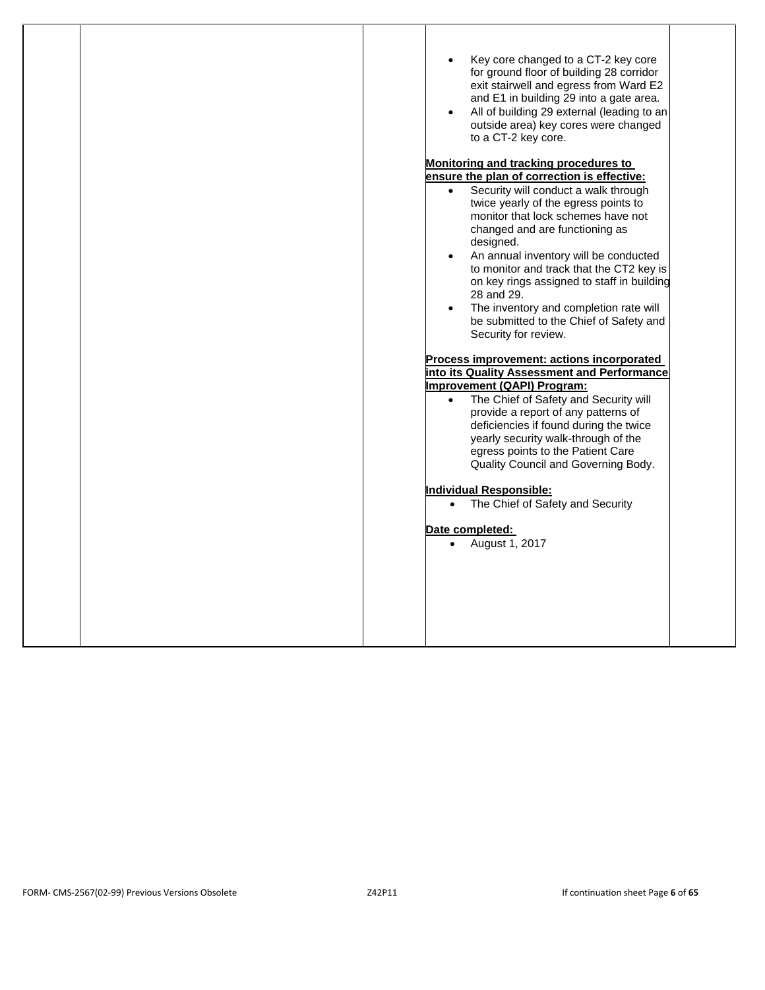| Key core changed to a CT-2 key core                     |
|---------------------------------------------------------|
| for ground floor of building 28 corridor                |
| exit stairwell and egress from Ward E2                  |
| and E1 in building 29 into a gate area.                 |
| All of building 29 external (leading to an<br>$\bullet$ |
| outside area) key cores were changed                    |
|                                                         |
| to a CT-2 key core.                                     |
| Monitoring and tracking procedures to                   |
| ensure the plan of correction is effective:             |
| Security will conduct a walk through<br>$\bullet$       |
| twice yearly of the egress points to                    |
| monitor that lock schemes have not                      |
| changed and are functioning as                          |
| designed.                                               |
| An annual inventory will be conducted                   |
| to monitor and track that the CT2 key is                |
| on key rings assigned to staff in building              |
| 28 and 29.                                              |
|                                                         |
| The inventory and completion rate will                  |
| be submitted to the Chief of Safety and                 |
| Security for review.                                    |
|                                                         |
| Process improvement: actions incorporated               |
| into its Quality Assessment and Performance             |
| Improvement (QAPI) Program:                             |
| The Chief of Safety and Security will                   |
| provide a report of any patterns of                     |
| deficiencies if found during the twice                  |
| yearly security walk-through of the                     |
| egress points to the Patient Care                       |
| Quality Council and Governing Body.                     |
|                                                         |
| <b>Individual Responsible:</b>                          |
| The Chief of Safety and Security<br>$\bullet$           |
| Date completed:                                         |
|                                                         |
| August 1, 2017                                          |
|                                                         |
|                                                         |
|                                                         |
|                                                         |
|                                                         |
|                                                         |
|                                                         |
|                                                         |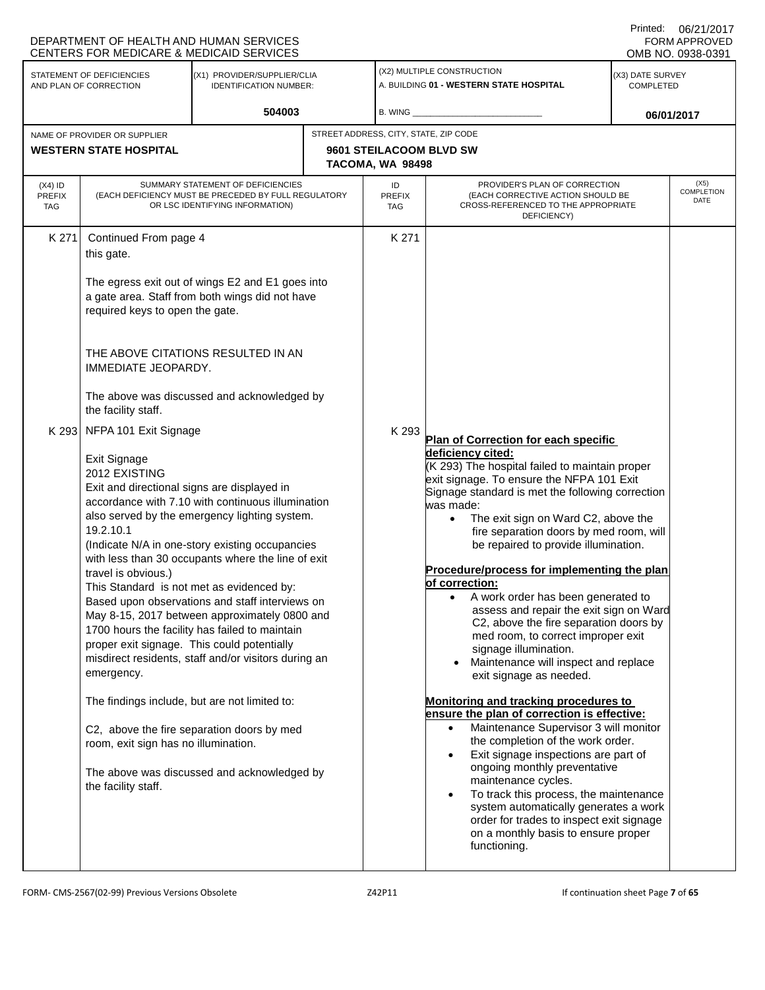|                                          | <b>CENTERS FOR MEDICARE &amp; MEDICAID SERVICES</b>                                                                                                                                                                                                                                                                                                                                                                                                                                                                                                                                                                                                                                                                                                                                                                                                                                                                                          | DEPARTMENT OF HEALTH AND HUMAN SERVICES                                                                                                   |       |                                                                                                                                                                                                                                                                                                                                                                                                                                                                                                                                                                                                                                                                                                                                                                                                                                                                                                                                                                                                                                                                                                                                                                                                               |                                                                                                                          |                               | UU/Z UZ UU<br><b>FORM APPROVED</b><br>OMB NO. 0938-0391 |
|------------------------------------------|----------------------------------------------------------------------------------------------------------------------------------------------------------------------------------------------------------------------------------------------------------------------------------------------------------------------------------------------------------------------------------------------------------------------------------------------------------------------------------------------------------------------------------------------------------------------------------------------------------------------------------------------------------------------------------------------------------------------------------------------------------------------------------------------------------------------------------------------------------------------------------------------------------------------------------------------|-------------------------------------------------------------------------------------------------------------------------------------------|-------|---------------------------------------------------------------------------------------------------------------------------------------------------------------------------------------------------------------------------------------------------------------------------------------------------------------------------------------------------------------------------------------------------------------------------------------------------------------------------------------------------------------------------------------------------------------------------------------------------------------------------------------------------------------------------------------------------------------------------------------------------------------------------------------------------------------------------------------------------------------------------------------------------------------------------------------------------------------------------------------------------------------------------------------------------------------------------------------------------------------------------------------------------------------------------------------------------------------|--------------------------------------------------------------------------------------------------------------------------|-------------------------------|---------------------------------------------------------|
|                                          | STATEMENT OF DEFICIENCIES<br>AND PLAN OF CORRECTION                                                                                                                                                                                                                                                                                                                                                                                                                                                                                                                                                                                                                                                                                                                                                                                                                                                                                          | (X1) PROVIDER/SUPPLIER/CLIA<br><b>IDENTIFICATION NUMBER:</b>                                                                              |       |                                                                                                                                                                                                                                                                                                                                                                                                                                                                                                                                                                                                                                                                                                                                                                                                                                                                                                                                                                                                                                                                                                                                                                                                               | (X2) MULTIPLE CONSTRUCTION<br>A. BUILDING 01 - WESTERN STATE HOSPITAL                                                    | (X3) DATE SURVEY<br>COMPLETED |                                                         |
|                                          |                                                                                                                                                                                                                                                                                                                                                                                                                                                                                                                                                                                                                                                                                                                                                                                                                                                                                                                                              | 504003                                                                                                                                    |       | B. WING                                                                                                                                                                                                                                                                                                                                                                                                                                                                                                                                                                                                                                                                                                                                                                                                                                                                                                                                                                                                                                                                                                                                                                                                       |                                                                                                                          |                               | 06/01/2017                                              |
|                                          | NAME OF PROVIDER OR SUPPLIER<br><b>WESTERN STATE HOSPITAL</b>                                                                                                                                                                                                                                                                                                                                                                                                                                                                                                                                                                                                                                                                                                                                                                                                                                                                                |                                                                                                                                           |       | STREET ADDRESS, CITY, STATE, ZIP CODE<br>9601 STEILACOOM BLVD SW<br>TACOMA, WA 98498                                                                                                                                                                                                                                                                                                                                                                                                                                                                                                                                                                                                                                                                                                                                                                                                                                                                                                                                                                                                                                                                                                                          |                                                                                                                          |                               |                                                         |
| $(X4)$ ID<br><b>PREFIX</b><br><b>TAG</b> |                                                                                                                                                                                                                                                                                                                                                                                                                                                                                                                                                                                                                                                                                                                                                                                                                                                                                                                                              | SUMMARY STATEMENT OF DEFICIENCIES<br>(EACH DEFICIENCY MUST BE PRECEDED BY FULL REGULATORY<br>OR LSC IDENTIFYING INFORMATION)              |       | ID<br><b>PREFIX</b><br>TAG                                                                                                                                                                                                                                                                                                                                                                                                                                                                                                                                                                                                                                                                                                                                                                                                                                                                                                                                                                                                                                                                                                                                                                                    | PROVIDER'S PLAN OF CORRECTION<br>(EACH CORRECTIVE ACTION SHOULD BE<br>CROSS-REFERENCED TO THE APPROPRIATE<br>DEFICIENCY) | (X5)<br>COMPLETION<br>DATE    |                                                         |
| K 271                                    | Continued From page 4<br>this gate.<br>required keys to open the gate.<br>IMMEDIATE JEOPARDY.<br>the facility staff.                                                                                                                                                                                                                                                                                                                                                                                                                                                                                                                                                                                                                                                                                                                                                                                                                         | The egress exit out of wings E2 and E1 goes into<br>a gate area. Staff from both wings did not have<br>THE ABOVE CITATIONS RESULTED IN AN |       | K 271                                                                                                                                                                                                                                                                                                                                                                                                                                                                                                                                                                                                                                                                                                                                                                                                                                                                                                                                                                                                                                                                                                                                                                                                         |                                                                                                                          |                               |                                                         |
| K 293                                    | The above was discussed and acknowledged by<br>NFPA 101 Exit Signage<br>Exit Signage<br>2012 EXISTING<br>Exit and directional signs are displayed in<br>accordance with 7.10 with continuous illumination<br>also served by the emergency lighting system.<br>19.2.10.1<br>(Indicate N/A in one-story existing occupancies<br>with less than 30 occupants where the line of exit<br>travel is obvious.)<br>This Standard is not met as evidenced by:<br>Based upon observations and staff interviews on<br>May 8-15, 2017 between approximately 0800 and<br>1700 hours the facility has failed to maintain<br>proper exit signage. This could potentially<br>misdirect residents, staff and/or visitors during an<br>emergency.<br>The findings include, but are not limited to:<br>C2, above the fire separation doors by med<br>room, exit sign has no illumination.<br>The above was discussed and acknowledged by<br>the facility staff. |                                                                                                                                           | K 293 | Plan of Correction for each specific<br>deficiency cited:<br>(K 293) The hospital failed to maintain proper<br>exit signage. To ensure the NFPA 101 Exit<br>Signage standard is met the following correction<br>was made:<br>The exit sign on Ward C2, above the<br>$\bullet$<br>fire separation doors by med room, will<br>be repaired to provide illumination.<br>Procedure/process for implementing the plan<br>of correction:<br>A work order has been generated to<br>assess and repair the exit sign on Ward<br>C2, above the fire separation doors by<br>med room, to correct improper exit<br>signage illumination.<br>Maintenance will inspect and replace<br>$\bullet$<br>exit signage as needed.<br>Monitoring and tracking procedures to<br>ensure the plan of correction is effective:<br>Maintenance Supervisor 3 will monitor<br>$\bullet$<br>the completion of the work order.<br>Exit signage inspections are part of<br>$\bullet$<br>ongoing monthly preventative<br>maintenance cycles.<br>To track this process, the maintenance<br>$\bullet$<br>system automatically generates a work<br>order for trades to inspect exit signage<br>on a monthly basis to ensure proper<br>functioning. |                                                                                                                          |                               |                                                         |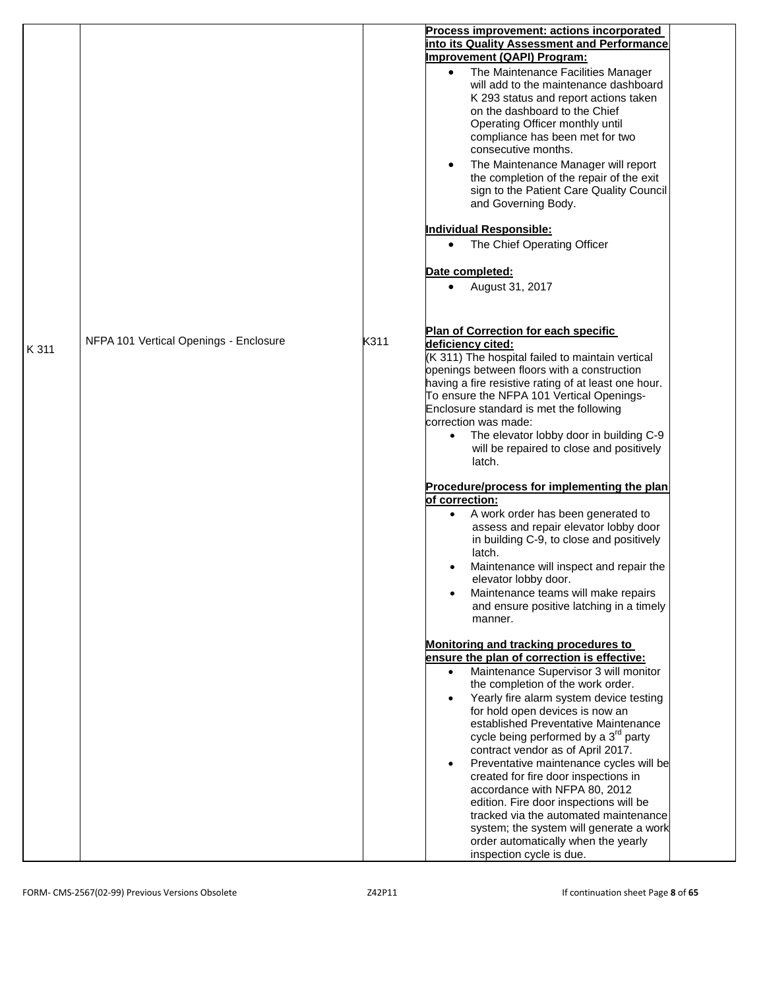|       |                                        |      | Process improvement: actions incorporated<br>into its Quality Assessment and Performance<br>Improvement (QAPI) Program:<br>The Maintenance Facilities Manager<br>$\bullet$<br>will add to the maintenance dashboard<br>K 293 status and report actions taken<br>on the dashboard to the Chief<br>Operating Officer monthly until<br>compliance has been met for two<br>consecutive months.<br>The Maintenance Manager will report<br>$\bullet$<br>the completion of the repair of the exit<br>sign to the Patient Care Quality Council<br>and Governing Body.                                                                                                                                                                                 |
|-------|----------------------------------------|------|-----------------------------------------------------------------------------------------------------------------------------------------------------------------------------------------------------------------------------------------------------------------------------------------------------------------------------------------------------------------------------------------------------------------------------------------------------------------------------------------------------------------------------------------------------------------------------------------------------------------------------------------------------------------------------------------------------------------------------------------------|
|       |                                        |      | <b>Individual Responsible:</b><br>The Chief Operating Officer<br>$\bullet$                                                                                                                                                                                                                                                                                                                                                                                                                                                                                                                                                                                                                                                                    |
|       |                                        |      |                                                                                                                                                                                                                                                                                                                                                                                                                                                                                                                                                                                                                                                                                                                                               |
|       |                                        |      | Date completed:<br>August 31, 2017<br>$\bullet$                                                                                                                                                                                                                                                                                                                                                                                                                                                                                                                                                                                                                                                                                               |
| K 311 | NFPA 101 Vertical Openings - Enclosure | K311 | Plan of Correction for each specific<br>deficiency cited:<br>(K 311) The hospital failed to maintain vertical<br>openings between floors with a construction<br>having a fire resistive rating of at least one hour.<br>To ensure the NFPA 101 Vertical Openings-<br>Enclosure standard is met the following<br>correction was made:<br>The elevator lobby door in building C-9<br>$\bullet$<br>will be repaired to close and positively<br>latch.                                                                                                                                                                                                                                                                                            |
|       |                                        |      | Procedure/process for implementing the plan<br>of correction:<br>A work order has been generated to<br>assess and repair elevator lobby door<br>in building C-9, to close and positively<br>latch.<br>Maintenance will inspect and repair the<br>elevator lobby door.<br>Maintenance teams will make repairs<br>$\bullet$<br>and ensure positive latching in a timely<br>manner.                                                                                                                                                                                                                                                                                                                                                              |
|       |                                        |      | Monitoring and tracking procedures to<br>ensure the plan of correction is effective:<br>Maintenance Supervisor 3 will monitor<br>$\bullet$<br>the completion of the work order.<br>Yearly fire alarm system device testing<br>$\bullet$<br>for hold open devices is now an<br>established Preventative Maintenance<br>cycle being performed by a 3 <sup>rd</sup> party<br>contract vendor as of April 2017.<br>Preventative maintenance cycles will be<br>$\bullet$<br>created for fire door inspections in<br>accordance with NFPA 80, 2012<br>edition. Fire door inspections will be<br>tracked via the automated maintenance<br>system; the system will generate a work<br>order automatically when the yearly<br>inspection cycle is due. |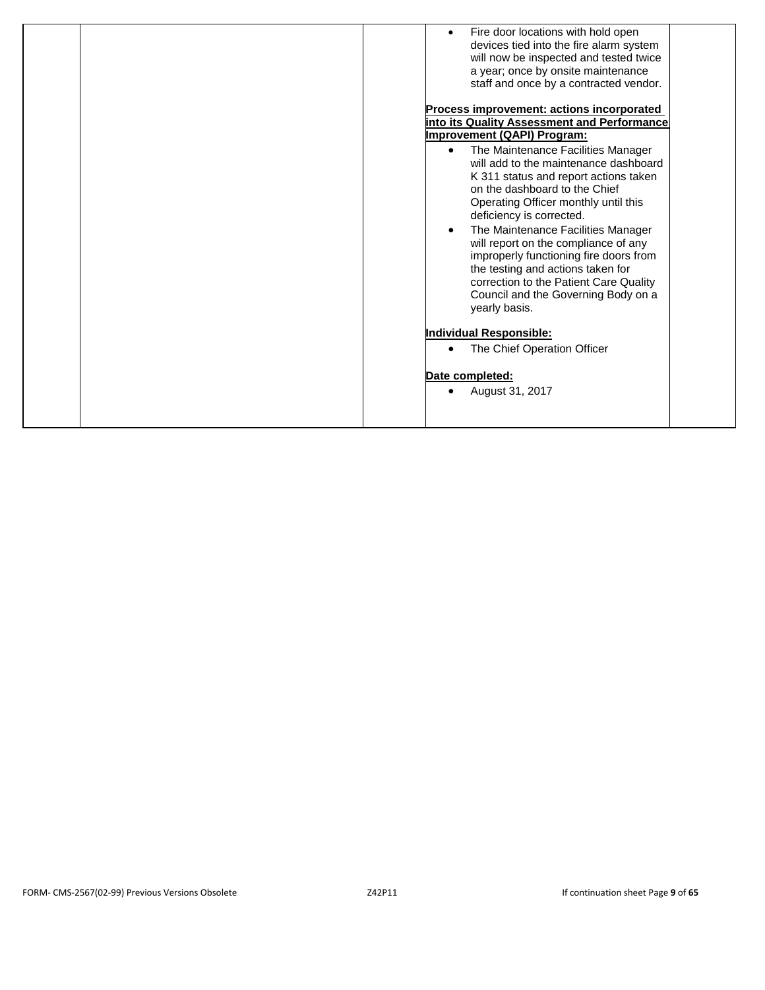| Fire door locations with hold open<br>devices tied into the fire alarm system<br>will now be inspected and tested twice<br>a year; once by onsite maintenance<br>staff and once by a contracted vendor.<br>Process improvement: actions incorporated<br>into its Quality Assessment and Performance<br><b>Improvement (QAPI) Program:</b><br>The Maintenance Facilities Manager<br>$\bullet$<br>will add to the maintenance dashboard<br>K 311 status and report actions taken<br>on the dashboard to the Chief<br>Operating Officer monthly until this<br>deficiency is corrected.<br>The Maintenance Facilities Manager<br>will report on the compliance of any<br>improperly functioning fire doors from<br>the testing and actions taken for<br>correction to the Patient Care Quality |
|--------------------------------------------------------------------------------------------------------------------------------------------------------------------------------------------------------------------------------------------------------------------------------------------------------------------------------------------------------------------------------------------------------------------------------------------------------------------------------------------------------------------------------------------------------------------------------------------------------------------------------------------------------------------------------------------------------------------------------------------------------------------------------------------|
| Council and the Governing Body on a<br>yearly basis.                                                                                                                                                                                                                                                                                                                                                                                                                                                                                                                                                                                                                                                                                                                                       |
| <b>Individual Responsible:</b><br>The Chief Operation Officer                                                                                                                                                                                                                                                                                                                                                                                                                                                                                                                                                                                                                                                                                                                              |
| Date completed:<br>August 31, 2017                                                                                                                                                                                                                                                                                                                                                                                                                                                                                                                                                                                                                                                                                                                                                         |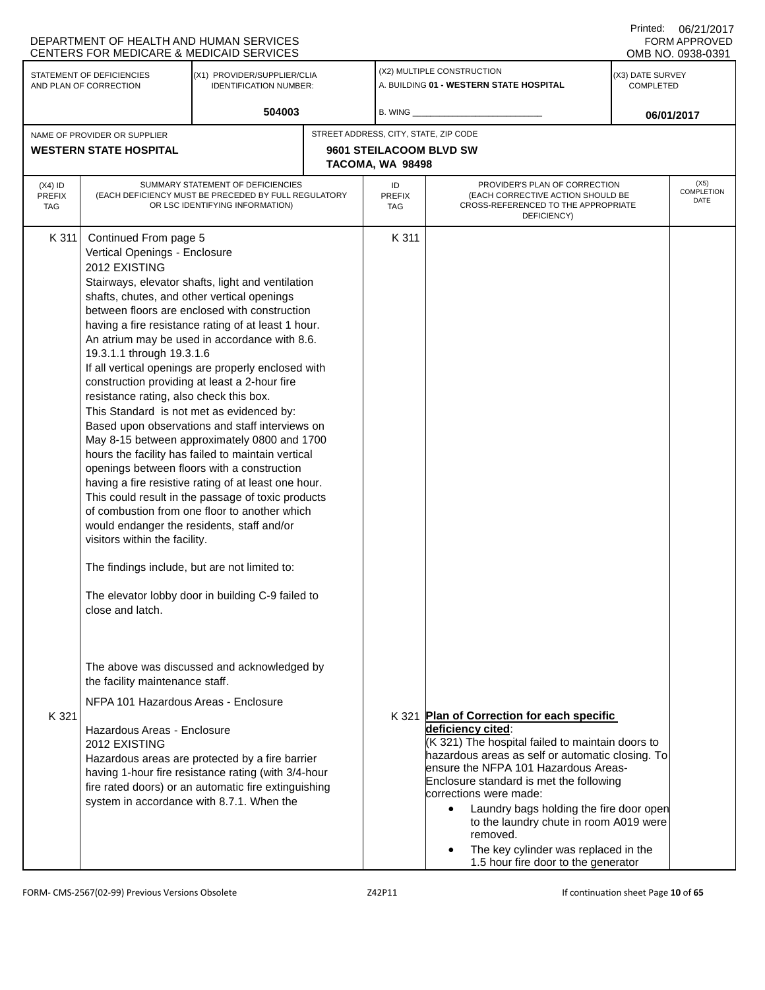|                                          | CENTERS FOR MEDICARE & MEDICAID SERVICES                                                                                                                                                                                                                                                                                                                                                                                                                                                                                                                                                                                                                                                                                                                                                                                                                                                                                                                                                                                                                                                                                                                                                                                                     | DEPARTMENT OF HEALTH AND HUMAN SERVICES                                                                                                                                                                                                                    |       |                                                                                      |                                                                                                                                                                                                                                                                                                                                                                                                                                            | <b>FORM APPROVED</b><br>OMB NO. 0938-0391 |  |  |
|------------------------------------------|----------------------------------------------------------------------------------------------------------------------------------------------------------------------------------------------------------------------------------------------------------------------------------------------------------------------------------------------------------------------------------------------------------------------------------------------------------------------------------------------------------------------------------------------------------------------------------------------------------------------------------------------------------------------------------------------------------------------------------------------------------------------------------------------------------------------------------------------------------------------------------------------------------------------------------------------------------------------------------------------------------------------------------------------------------------------------------------------------------------------------------------------------------------------------------------------------------------------------------------------|------------------------------------------------------------------------------------------------------------------------------------------------------------------------------------------------------------------------------------------------------------|-------|--------------------------------------------------------------------------------------|--------------------------------------------------------------------------------------------------------------------------------------------------------------------------------------------------------------------------------------------------------------------------------------------------------------------------------------------------------------------------------------------------------------------------------------------|-------------------------------------------|--|--|
|                                          | STATEMENT OF DEFICIENCIES<br>AND PLAN OF CORRECTION                                                                                                                                                                                                                                                                                                                                                                                                                                                                                                                                                                                                                                                                                                                                                                                                                                                                                                                                                                                                                                                                                                                                                                                          | (X1) PROVIDER/SUPPLIER/CLIA<br><b>IDENTIFICATION NUMBER:</b>                                                                                                                                                                                               |       |                                                                                      | (X2) MULTIPLE CONSTRUCTION<br>A. BUILDING 01 - WESTERN STATE HOSPITAL                                                                                                                                                                                                                                                                                                                                                                      | (X3) DATE SURVEY<br>COMPLETED             |  |  |
|                                          |                                                                                                                                                                                                                                                                                                                                                                                                                                                                                                                                                                                                                                                                                                                                                                                                                                                                                                                                                                                                                                                                                                                                                                                                                                              | 504003                                                                                                                                                                                                                                                     |       | <b>B. WING</b> ___                                                                   |                                                                                                                                                                                                                                                                                                                                                                                                                                            | 06/01/2017                                |  |  |
|                                          | NAME OF PROVIDER OR SUPPLIER<br><b>WESTERN STATE HOSPITAL</b>                                                                                                                                                                                                                                                                                                                                                                                                                                                                                                                                                                                                                                                                                                                                                                                                                                                                                                                                                                                                                                                                                                                                                                                |                                                                                                                                                                                                                                                            |       | STREET ADDRESS, CITY, STATE, ZIP CODE<br>9601 STEILACOOM BLVD SW<br>TACOMA, WA 98498 |                                                                                                                                                                                                                                                                                                                                                                                                                                            |                                           |  |  |
| $(X4)$ ID<br><b>PREFIX</b><br><b>TAG</b> |                                                                                                                                                                                                                                                                                                                                                                                                                                                                                                                                                                                                                                                                                                                                                                                                                                                                                                                                                                                                                                                                                                                                                                                                                                              | SUMMARY STATEMENT OF DEFICIENCIES                                                                                                                                                                                                                          |       | ID<br><b>PREFIX</b><br><b>TAG</b>                                                    | PROVIDER'S PLAN OF CORRECTION<br>(EACH CORRECTIVE ACTION SHOULD BE<br>CROSS-REFERENCED TO THE APPROPRIATE<br>DEFICIENCY)                                                                                                                                                                                                                                                                                                                   | (X5)<br><b>COMPLETION</b><br>DATE         |  |  |
| K 311                                    | (EACH DEFICIENCY MUST BE PRECEDED BY FULL REGULATORY<br>OR LSC IDENTIFYING INFORMATION)<br>Continued From page 5<br>Vertical Openings - Enclosure<br>2012 EXISTING<br>Stairways, elevator shafts, light and ventilation<br>shafts, chutes, and other vertical openings<br>between floors are enclosed with construction<br>having a fire resistance rating of at least 1 hour.<br>An atrium may be used in accordance with 8.6.<br>19.3.1.1 through 19.3.1.6<br>If all vertical openings are properly enclosed with<br>construction providing at least a 2-hour fire<br>resistance rating, also check this box.<br>This Standard is not met as evidenced by:<br>Based upon observations and staff interviews on<br>May 8-15 between approximately 0800 and 1700<br>hours the facility has failed to maintain vertical<br>openings between floors with a construction<br>having a fire resistive rating of at least one hour.<br>This could result in the passage of toxic products<br>of combustion from one floor to another which<br>would endanger the residents, staff and/or<br>visitors within the facility.<br>The findings include, but are not limited to:<br>The elevator lobby door in building C-9 failed to<br>close and latch. |                                                                                                                                                                                                                                                            | K 311 |                                                                                      |                                                                                                                                                                                                                                                                                                                                                                                                                                            |                                           |  |  |
| K 321                                    | the facility maintenance staff.<br>NFPA 101 Hazardous Areas - Enclosure<br>Hazardous Areas - Enclosure<br>2012 EXISTING                                                                                                                                                                                                                                                                                                                                                                                                                                                                                                                                                                                                                                                                                                                                                                                                                                                                                                                                                                                                                                                                                                                      | The above was discussed and acknowledged by<br>Hazardous areas are protected by a fire barrier<br>having 1-hour fire resistance rating (with 3/4-hour<br>fire rated doors) or an automatic fire extinguishing<br>system in accordance with 8.7.1. When the |       |                                                                                      | K 321 Plan of Correction for each specific<br>deficiency cited:<br>(K 321) The hospital failed to maintain doors to<br>hazardous areas as self or automatic closing. To<br>ensure the NFPA 101 Hazardous Areas-<br>Enclosure standard is met the following<br>corrections were made:<br>Laundry bags holding the fire door open<br>$\bullet$<br>to the laundry chute in room A019 were<br>removed.<br>The key cylinder was replaced in the |                                           |  |  |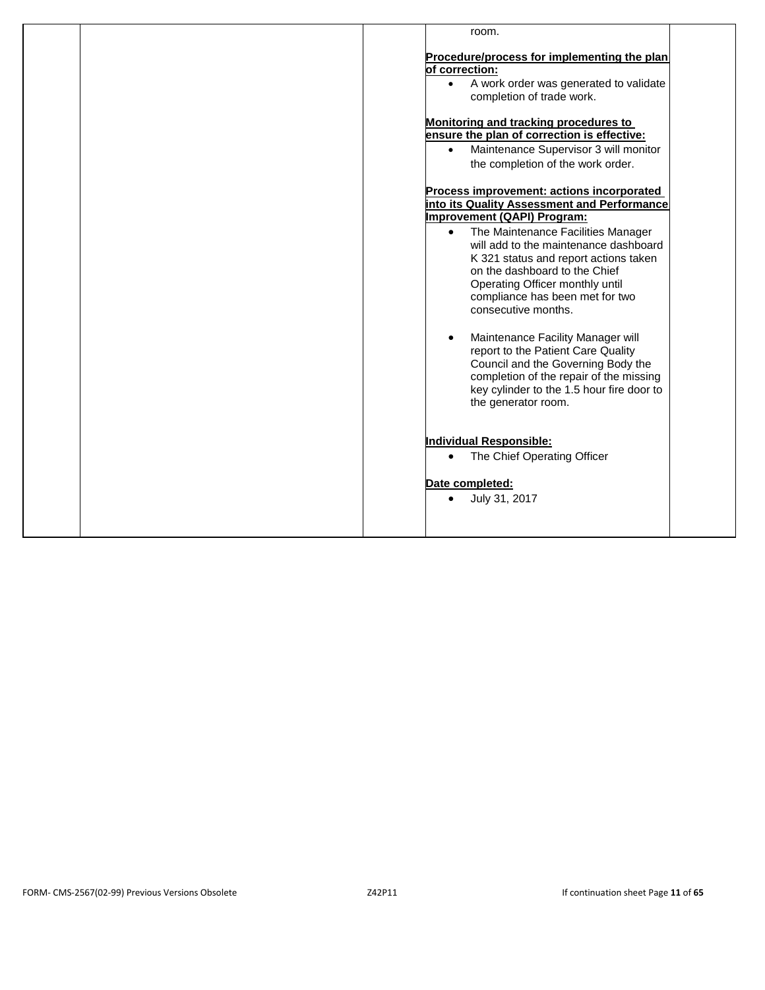| Procedure/process for implementing the plan<br>of correction:<br>A work order was generated to validate<br>$\bullet$<br>completion of trade work.<br>Monitoring and tracking procedures to<br>ensure the plan of correction is effective:<br>Maintenance Supervisor 3 will monitor<br>$\bullet$<br>the completion of the work order.<br>Process improvement: actions incorporated<br>into its Quality Assessment and Performance<br><b>Improvement (QAPI) Program:</b><br>The Maintenance Facilities Manager<br>$\bullet$<br>will add to the maintenance dashboard<br>K 321 status and report actions taken<br>on the dashboard to the Chief<br>Operating Officer monthly until<br>compliance has been met for two<br>consecutive months.<br>Maintenance Facility Manager will<br>$\bullet$<br>report to the Patient Care Quality<br>Council and the Governing Body the<br>completion of the repair of the missing<br>key cylinder to the 1.5 hour fire door to<br>the generator room.<br><b>Individual Responsible:</b><br>The Chief Operating Officer<br>$\bullet$<br>Date completed:<br>July 31, 2017<br>$\bullet$ | room. |
|-----------------------------------------------------------------------------------------------------------------------------------------------------------------------------------------------------------------------------------------------------------------------------------------------------------------------------------------------------------------------------------------------------------------------------------------------------------------------------------------------------------------------------------------------------------------------------------------------------------------------------------------------------------------------------------------------------------------------------------------------------------------------------------------------------------------------------------------------------------------------------------------------------------------------------------------------------------------------------------------------------------------------------------------------------------------------------------------------------------------------|-------|
|                                                                                                                                                                                                                                                                                                                                                                                                                                                                                                                                                                                                                                                                                                                                                                                                                                                                                                                                                                                                                                                                                                                       |       |
|                                                                                                                                                                                                                                                                                                                                                                                                                                                                                                                                                                                                                                                                                                                                                                                                                                                                                                                                                                                                                                                                                                                       |       |
|                                                                                                                                                                                                                                                                                                                                                                                                                                                                                                                                                                                                                                                                                                                                                                                                                                                                                                                                                                                                                                                                                                                       |       |
|                                                                                                                                                                                                                                                                                                                                                                                                                                                                                                                                                                                                                                                                                                                                                                                                                                                                                                                                                                                                                                                                                                                       |       |
|                                                                                                                                                                                                                                                                                                                                                                                                                                                                                                                                                                                                                                                                                                                                                                                                                                                                                                                                                                                                                                                                                                                       |       |
|                                                                                                                                                                                                                                                                                                                                                                                                                                                                                                                                                                                                                                                                                                                                                                                                                                                                                                                                                                                                                                                                                                                       |       |
|                                                                                                                                                                                                                                                                                                                                                                                                                                                                                                                                                                                                                                                                                                                                                                                                                                                                                                                                                                                                                                                                                                                       |       |
|                                                                                                                                                                                                                                                                                                                                                                                                                                                                                                                                                                                                                                                                                                                                                                                                                                                                                                                                                                                                                                                                                                                       |       |
|                                                                                                                                                                                                                                                                                                                                                                                                                                                                                                                                                                                                                                                                                                                                                                                                                                                                                                                                                                                                                                                                                                                       |       |
|                                                                                                                                                                                                                                                                                                                                                                                                                                                                                                                                                                                                                                                                                                                                                                                                                                                                                                                                                                                                                                                                                                                       |       |
|                                                                                                                                                                                                                                                                                                                                                                                                                                                                                                                                                                                                                                                                                                                                                                                                                                                                                                                                                                                                                                                                                                                       |       |
|                                                                                                                                                                                                                                                                                                                                                                                                                                                                                                                                                                                                                                                                                                                                                                                                                                                                                                                                                                                                                                                                                                                       |       |
|                                                                                                                                                                                                                                                                                                                                                                                                                                                                                                                                                                                                                                                                                                                                                                                                                                                                                                                                                                                                                                                                                                                       |       |
|                                                                                                                                                                                                                                                                                                                                                                                                                                                                                                                                                                                                                                                                                                                                                                                                                                                                                                                                                                                                                                                                                                                       |       |
|                                                                                                                                                                                                                                                                                                                                                                                                                                                                                                                                                                                                                                                                                                                                                                                                                                                                                                                                                                                                                                                                                                                       |       |
|                                                                                                                                                                                                                                                                                                                                                                                                                                                                                                                                                                                                                                                                                                                                                                                                                                                                                                                                                                                                                                                                                                                       |       |
|                                                                                                                                                                                                                                                                                                                                                                                                                                                                                                                                                                                                                                                                                                                                                                                                                                                                                                                                                                                                                                                                                                                       |       |
|                                                                                                                                                                                                                                                                                                                                                                                                                                                                                                                                                                                                                                                                                                                                                                                                                                                                                                                                                                                                                                                                                                                       |       |
|                                                                                                                                                                                                                                                                                                                                                                                                                                                                                                                                                                                                                                                                                                                                                                                                                                                                                                                                                                                                                                                                                                                       |       |
|                                                                                                                                                                                                                                                                                                                                                                                                                                                                                                                                                                                                                                                                                                                                                                                                                                                                                                                                                                                                                                                                                                                       |       |
|                                                                                                                                                                                                                                                                                                                                                                                                                                                                                                                                                                                                                                                                                                                                                                                                                                                                                                                                                                                                                                                                                                                       |       |
|                                                                                                                                                                                                                                                                                                                                                                                                                                                                                                                                                                                                                                                                                                                                                                                                                                                                                                                                                                                                                                                                                                                       |       |
|                                                                                                                                                                                                                                                                                                                                                                                                                                                                                                                                                                                                                                                                                                                                                                                                                                                                                                                                                                                                                                                                                                                       |       |
|                                                                                                                                                                                                                                                                                                                                                                                                                                                                                                                                                                                                                                                                                                                                                                                                                                                                                                                                                                                                                                                                                                                       |       |
|                                                                                                                                                                                                                                                                                                                                                                                                                                                                                                                                                                                                                                                                                                                                                                                                                                                                                                                                                                                                                                                                                                                       |       |
|                                                                                                                                                                                                                                                                                                                                                                                                                                                                                                                                                                                                                                                                                                                                                                                                                                                                                                                                                                                                                                                                                                                       |       |
|                                                                                                                                                                                                                                                                                                                                                                                                                                                                                                                                                                                                                                                                                                                                                                                                                                                                                                                                                                                                                                                                                                                       |       |
|                                                                                                                                                                                                                                                                                                                                                                                                                                                                                                                                                                                                                                                                                                                                                                                                                                                                                                                                                                                                                                                                                                                       |       |
|                                                                                                                                                                                                                                                                                                                                                                                                                                                                                                                                                                                                                                                                                                                                                                                                                                                                                                                                                                                                                                                                                                                       |       |
|                                                                                                                                                                                                                                                                                                                                                                                                                                                                                                                                                                                                                                                                                                                                                                                                                                                                                                                                                                                                                                                                                                                       |       |
|                                                                                                                                                                                                                                                                                                                                                                                                                                                                                                                                                                                                                                                                                                                                                                                                                                                                                                                                                                                                                                                                                                                       |       |
|                                                                                                                                                                                                                                                                                                                                                                                                                                                                                                                                                                                                                                                                                                                                                                                                                                                                                                                                                                                                                                                                                                                       |       |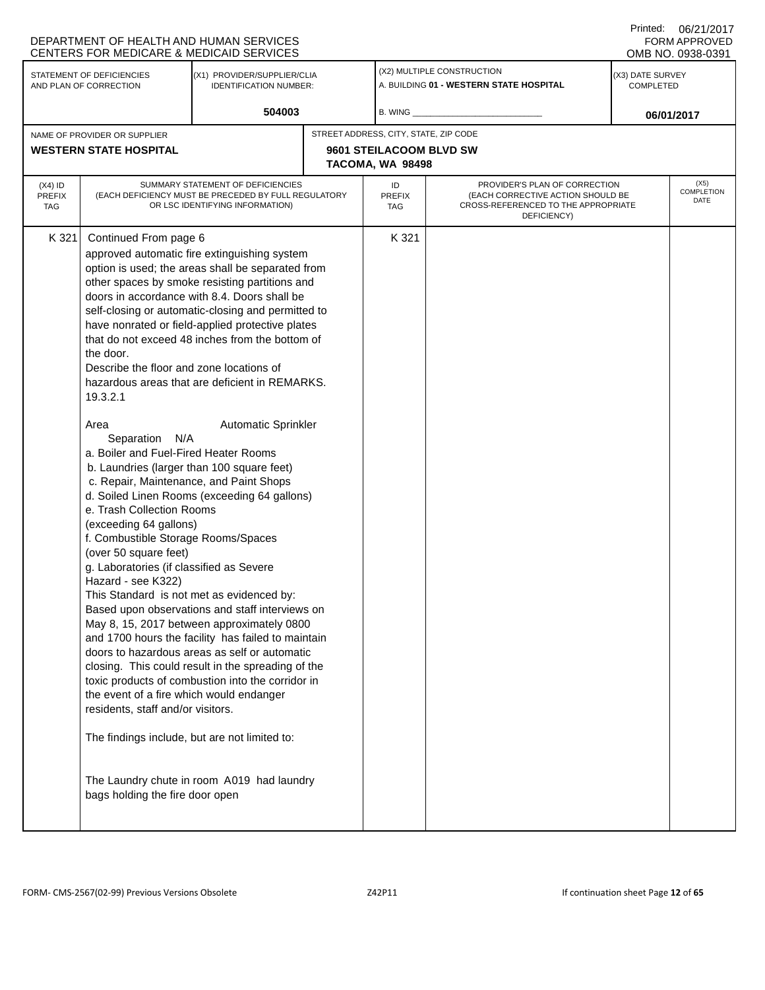|                      |                                                                                       | DEPARTMENT OF HEALTH AND HUMAN SERVICES<br>CENTERS FOR MEDICARE & MEDICAID SERVICES                 |                                       |                                                                                         | Printed:                             | 06/21/2017<br><b>FORM APPROVED</b><br>OMB NO. 0938-0391 |
|----------------------|---------------------------------------------------------------------------------------|-----------------------------------------------------------------------------------------------------|---------------------------------------|-----------------------------------------------------------------------------------------|--------------------------------------|---------------------------------------------------------|
|                      | STATEMENT OF DEFICIENCIES<br>AND PLAN OF CORRECTION                                   | (X1) PROVIDER/SUPPLIER/CLIA<br><b>IDENTIFICATION NUMBER:</b>                                        |                                       | (X2) MULTIPLE CONSTRUCTION<br>A. BUILDING 01 - WESTERN STATE HOSPITAL                   | (X3) DATE SURVEY<br><b>COMPLETED</b> |                                                         |
|                      |                                                                                       | 504003                                                                                              | B. WING _                             |                                                                                         |                                      | 06/01/2017                                              |
|                      | NAME OF PROVIDER OR SUPPLIER                                                          |                                                                                                     | STREET ADDRESS, CITY, STATE, ZIP CODE |                                                                                         |                                      |                                                         |
|                      | <b>WESTERN STATE HOSPITAL</b>                                                         |                                                                                                     | 9601 STEILACOOM BLVD SW               |                                                                                         |                                      |                                                         |
|                      |                                                                                       |                                                                                                     | TACOMA, WA 98498                      |                                                                                         |                                      |                                                         |
| (X4) ID              |                                                                                       | SUMMARY STATEMENT OF DEFICIENCIES                                                                   | ID                                    | PROVIDER'S PLAN OF CORRECTION                                                           |                                      | (X5)<br>COMPLETION                                      |
| <b>PREFIX</b><br>TAG |                                                                                       | (EACH DEFICIENCY MUST BE PRECEDED BY FULL REGULATORY<br>OR LSC IDENTIFYING INFORMATION)             | <b>PREFIX</b><br>TAG                  | (EACH CORRECTIVE ACTION SHOULD BE<br>CROSS-REFERENCED TO THE APPROPRIATE<br>DEFICIENCY) |                                      | DATE                                                    |
| K 321                | Continued From page 6                                                                 |                                                                                                     | K 321                                 |                                                                                         |                                      |                                                         |
|                      |                                                                                       | approved automatic fire extinguishing system                                                        |                                       |                                                                                         |                                      |                                                         |
|                      |                                                                                       | option is used; the areas shall be separated from                                                   |                                       |                                                                                         |                                      |                                                         |
|                      |                                                                                       | other spaces by smoke resisting partitions and                                                      |                                       |                                                                                         |                                      |                                                         |
|                      |                                                                                       | doors in accordance with 8.4. Doors shall be                                                        |                                       |                                                                                         |                                      |                                                         |
|                      |                                                                                       | self-closing or automatic-closing and permitted to                                                  |                                       |                                                                                         |                                      |                                                         |
|                      |                                                                                       | have nonrated or field-applied protective plates<br>that do not exceed 48 inches from the bottom of |                                       |                                                                                         |                                      |                                                         |
|                      | the door.                                                                             |                                                                                                     |                                       |                                                                                         |                                      |                                                         |
|                      | Describe the floor and zone locations of                                              |                                                                                                     |                                       |                                                                                         |                                      |                                                         |
|                      |                                                                                       | hazardous areas that are deficient in REMARKS.                                                      |                                       |                                                                                         |                                      |                                                         |
|                      | 19.3.2.1                                                                              |                                                                                                     |                                       |                                                                                         |                                      |                                                         |
|                      | Area                                                                                  | <b>Automatic Sprinkler</b>                                                                          |                                       |                                                                                         |                                      |                                                         |
|                      | Separation N/A                                                                        |                                                                                                     |                                       |                                                                                         |                                      |                                                         |
|                      | a. Boiler and Fuel-Fired Heater Rooms                                                 |                                                                                                     |                                       |                                                                                         |                                      |                                                         |
|                      | b. Laundries (larger than 100 square feet)<br>c. Repair, Maintenance, and Paint Shops |                                                                                                     |                                       |                                                                                         |                                      |                                                         |
|                      | e. Trash Collection Rooms                                                             | d. Soiled Linen Rooms (exceeding 64 gallons)                                                        |                                       |                                                                                         |                                      |                                                         |
|                      | (exceeding 64 gallons)                                                                |                                                                                                     |                                       |                                                                                         |                                      |                                                         |
|                      | f. Combustible Storage Rooms/Spaces                                                   |                                                                                                     |                                       |                                                                                         |                                      |                                                         |
|                      | (over 50 square feet)                                                                 |                                                                                                     |                                       |                                                                                         |                                      |                                                         |
|                      | g. Laboratories (if classified as Severe                                              |                                                                                                     |                                       |                                                                                         |                                      |                                                         |
|                      | Hazard - see K322)                                                                    |                                                                                                     |                                       |                                                                                         |                                      |                                                         |
|                      | This Standard is not met as evidenced by:                                             |                                                                                                     |                                       |                                                                                         |                                      |                                                         |
|                      |                                                                                       | Based upon observations and staff interviews on                                                     |                                       |                                                                                         |                                      |                                                         |
|                      |                                                                                       | May 8, 15, 2017 between approximately 0800<br>and 1700 hours the facility has failed to maintain    |                                       |                                                                                         |                                      |                                                         |
|                      |                                                                                       | doors to hazardous areas as self or automatic                                                       |                                       |                                                                                         |                                      |                                                         |
|                      |                                                                                       | closing. This could result in the spreading of the                                                  |                                       |                                                                                         |                                      |                                                         |
|                      |                                                                                       | toxic products of combustion into the corridor in                                                   |                                       |                                                                                         |                                      |                                                         |
|                      | the event of a fire which would endanger                                              |                                                                                                     |                                       |                                                                                         |                                      |                                                         |
|                      | residents, staff and/or visitors.                                                     |                                                                                                     |                                       |                                                                                         |                                      |                                                         |
|                      | The findings include, but are not limited to:                                         |                                                                                                     |                                       |                                                                                         |                                      |                                                         |
|                      | bags holding the fire door open                                                       | The Laundry chute in room A019 had laundry                                                          |                                       |                                                                                         |                                      |                                                         |
|                      |                                                                                       |                                                                                                     |                                       |                                                                                         |                                      |                                                         |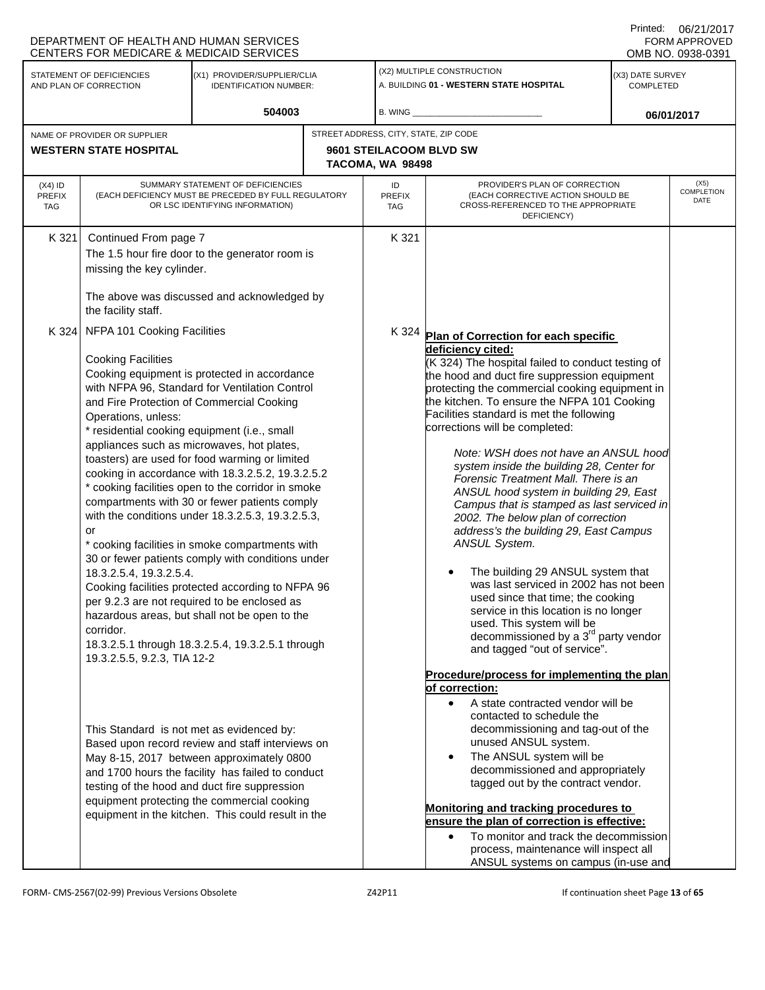|                                                                                                                     | DEPARTMENT OF HEALTH AND HUMAN SERVICES<br>CENTERS FOR MEDICARE & MEDICAID SERVICES                                                                                                                                                                                                                                                                   |                                                                                                                                                                                                                                                                                                                                                                                                                                                                                                                                                                                                                                                                                                                                                                                 |  |                                                                                                                                                                                                                                                                                                                                                                                                                                                                                                                                                             |                                                                                                                                                                                                                                                                                                                                                                                                                                                                                                                                                                                                                                                                                                                                                                                                                                                                                                                                                    | Printed:                             | 06/21/2017<br>FORM APPROVED<br>OMB NO. 0938-0391 |
|---------------------------------------------------------------------------------------------------------------------|-------------------------------------------------------------------------------------------------------------------------------------------------------------------------------------------------------------------------------------------------------------------------------------------------------------------------------------------------------|---------------------------------------------------------------------------------------------------------------------------------------------------------------------------------------------------------------------------------------------------------------------------------------------------------------------------------------------------------------------------------------------------------------------------------------------------------------------------------------------------------------------------------------------------------------------------------------------------------------------------------------------------------------------------------------------------------------------------------------------------------------------------------|--|-------------------------------------------------------------------------------------------------------------------------------------------------------------------------------------------------------------------------------------------------------------------------------------------------------------------------------------------------------------------------------------------------------------------------------------------------------------------------------------------------------------------------------------------------------------|----------------------------------------------------------------------------------------------------------------------------------------------------------------------------------------------------------------------------------------------------------------------------------------------------------------------------------------------------------------------------------------------------------------------------------------------------------------------------------------------------------------------------------------------------------------------------------------------------------------------------------------------------------------------------------------------------------------------------------------------------------------------------------------------------------------------------------------------------------------------------------------------------------------------------------------------------|--------------------------------------|--------------------------------------------------|
| STATEMENT OF DEFICIENCIES<br>(X1) PROVIDER/SUPPLIER/CLIA<br>AND PLAN OF CORRECTION<br><b>IDENTIFICATION NUMBER:</b> |                                                                                                                                                                                                                                                                                                                                                       |                                                                                                                                                                                                                                                                                                                                                                                                                                                                                                                                                                                                                                                                                                                                                                                 |  |                                                                                                                                                                                                                                                                                                                                                                                                                                                                                                                                                             | (X2) MULTIPLE CONSTRUCTION<br>A. BUILDING 01 - WESTERN STATE HOSPITAL                                                                                                                                                                                                                                                                                                                                                                                                                                                                                                                                                                                                                                                                                                                                                                                                                                                                              | (X3) DATE SURVEY<br><b>COMPLETED</b> |                                                  |
|                                                                                                                     |                                                                                                                                                                                                                                                                                                                                                       | 504003                                                                                                                                                                                                                                                                                                                                                                                                                                                                                                                                                                                                                                                                                                                                                                          |  | B. WING                                                                                                                                                                                                                                                                                                                                                                                                                                                                                                                                                     |                                                                                                                                                                                                                                                                                                                                                                                                                                                                                                                                                                                                                                                                                                                                                                                                                                                                                                                                                    |                                      | 06/01/2017                                       |
| NAME OF PROVIDER OR SUPPLIER<br><b>WESTERN STATE HOSPITAL</b>                                                       |                                                                                                                                                                                                                                                                                                                                                       |                                                                                                                                                                                                                                                                                                                                                                                                                                                                                                                                                                                                                                                                                                                                                                                 |  | STREET ADDRESS, CITY, STATE, ZIP CODE<br>9601 STEILACOOM BLVD SW<br>TACOMA, WA 98498                                                                                                                                                                                                                                                                                                                                                                                                                                                                        |                                                                                                                                                                                                                                                                                                                                                                                                                                                                                                                                                                                                                                                                                                                                                                                                                                                                                                                                                    |                                      |                                                  |
| $(X4)$ ID<br><b>PREFIX</b><br>TAG                                                                                   |                                                                                                                                                                                                                                                                                                                                                       | SUMMARY STATEMENT OF DEFICIENCIES<br>(EACH DEFICIENCY MUST BE PRECEDED BY FULL REGULATORY<br>OR LSC IDENTIFYING INFORMATION)                                                                                                                                                                                                                                                                                                                                                                                                                                                                                                                                                                                                                                                    |  | ID<br><b>PREFIX</b><br><b>TAG</b>                                                                                                                                                                                                                                                                                                                                                                                                                                                                                                                           | PROVIDER'S PLAN OF CORRECTION<br>(EACH CORRECTIVE ACTION SHOULD BE<br>CROSS-REFERENCED TO THE APPROPRIATE<br>DEFICIENCY)                                                                                                                                                                                                                                                                                                                                                                                                                                                                                                                                                                                                                                                                                                                                                                                                                           |                                      | (X5)<br>COMPLETION<br>DATE                       |
| K 321                                                                                                               | Continued From page 7<br>missing the key cylinder.<br>the facility staff.                                                                                                                                                                                                                                                                             | The 1.5 hour fire door to the generator room is<br>The above was discussed and acknowledged by                                                                                                                                                                                                                                                                                                                                                                                                                                                                                                                                                                                                                                                                                  |  | K 321                                                                                                                                                                                                                                                                                                                                                                                                                                                                                                                                                       |                                                                                                                                                                                                                                                                                                                                                                                                                                                                                                                                                                                                                                                                                                                                                                                                                                                                                                                                                    |                                      |                                                  |
|                                                                                                                     | K 324 NFPA 101 Cooking Facilities<br><b>Cooking Facilities</b><br>Operations, unless:<br>* residential cooking equipment (i.e., small<br>or<br>18.3.2.5.4, 19.3.2.5.4.<br>corridor.<br>19.3.2.5.5, 9.2.3, TIA 12-2                                                                                                                                    | Cooking equipment is protected in accordance<br>with NFPA 96, Standard for Ventilation Control<br>and Fire Protection of Commercial Cooking<br>appliances such as microwaves, hot plates,<br>toasters) are used for food warming or limited<br>cooking in accordance with 18.3.2.5.2, 19.3.2.5.2<br>* cooking facilities open to the corridor in smoke<br>compartments with 30 or fewer patients comply<br>with the conditions under 18.3.2.5.3, 19.3.2.5.3,<br>* cooking facilities in smoke compartments with<br>30 or fewer patients comply with conditions under<br>Cooking facilities protected according to NFPA 96<br>per 9.2.3 are not required to be enclosed as<br>hazardous areas, but shall not be open to the<br>18.3.2.5.1 through 18.3.2.5.4, 19.3.2.5.1 through |  | K 324                                                                                                                                                                                                                                                                                                                                                                                                                                                                                                                                                       | Plan of Correction for each specific<br>deficiency cited:<br>(K 324) The hospital failed to conduct testing of<br>the hood and duct fire suppression equipment<br>protecting the commercial cooking equipment in<br>the kitchen. To ensure the NFPA 101 Cooking<br>Facilities standard is met the following<br>corrections will be completed:<br>Note: WSH does not have an ANSUL hood<br>system inside the building 28, Center for<br>Forensic Treatment Mall. There is an<br>ANSUL hood system in building 29, East<br>Campus that is stamped as last serviced in<br>2002. The below plan of correction<br>address's the building 29, East Campus<br>ANSUL System.<br>The building 29 ANSUL system that<br>was last serviced in 2002 has not been<br>used since that time; the cooking<br>service in this location is no longer<br>used. This system will be<br>decommissioned by a 3 <sup>rd</sup> party vendor<br>and tagged "out of service". |                                      |                                                  |
|                                                                                                                     | This Standard is not met as evidenced by:<br>Based upon record review and staff interviews on<br>May 8-15, 2017 between approximately 0800<br>and 1700 hours the facility has failed to conduct<br>testing of the hood and duct fire suppression<br>equipment protecting the commercial cooking<br>equipment in the kitchen. This could result in the |                                                                                                                                                                                                                                                                                                                                                                                                                                                                                                                                                                                                                                                                                                                                                                                 |  | Procedure/process for implementing the plan<br>of correction:<br>A state contracted vendor will be<br>$\bullet$<br>contacted to schedule the<br>decommissioning and tag-out of the<br>unused ANSUL system.<br>The ANSUL system will be<br>$\bullet$<br>decommissioned and appropriately<br>tagged out by the contract vendor.<br>Monitoring and tracking procedures to<br>ensure the plan of correction is effective:<br>To monitor and track the decommission<br>$\bullet$<br>process, maintenance will inspect all<br>ANSUL systems on campus (in-use and |                                                                                                                                                                                                                                                                                                                                                                                                                                                                                                                                                                                                                                                                                                                                                                                                                                                                                                                                                    |                                      |                                                  |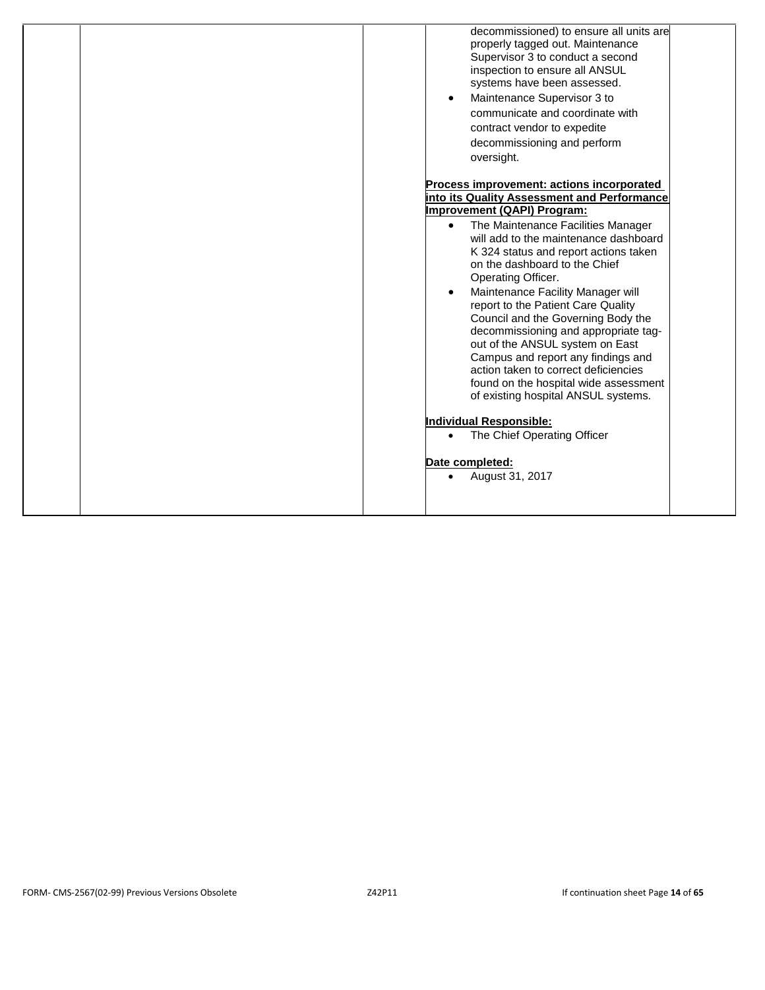| decommissioned) to ensure all units are<br>properly tagged out. Maintenance<br>Supervisor 3 to conduct a second                                                                                                                                                                                                                                                                                                                                                                                                                                                                                                                                                                                                                                                                                                |  |
|----------------------------------------------------------------------------------------------------------------------------------------------------------------------------------------------------------------------------------------------------------------------------------------------------------------------------------------------------------------------------------------------------------------------------------------------------------------------------------------------------------------------------------------------------------------------------------------------------------------------------------------------------------------------------------------------------------------------------------------------------------------------------------------------------------------|--|
| inspection to ensure all ANSUL<br>systems have been assessed.<br>Maintenance Supervisor 3 to<br>$\bullet$<br>communicate and coordinate with<br>contract vendor to expedite<br>decommissioning and perform<br>oversight.                                                                                                                                                                                                                                                                                                                                                                                                                                                                                                                                                                                       |  |
| Process improvement: actions incorporated<br>into its Quality Assessment and Performance<br>Improvement (QAPI) Program:<br>The Maintenance Facilities Manager<br>$\bullet$<br>will add to the maintenance dashboard<br>K 324 status and report actions taken<br>on the dashboard to the Chief<br>Operating Officer.<br>Maintenance Facility Manager will<br>$\bullet$<br>report to the Patient Care Quality<br>Council and the Governing Body the<br>decommissioning and appropriate tag-<br>out of the ANSUL system on East<br>Campus and report any findings and<br>action taken to correct deficiencies<br>found on the hospital wide assessment<br>of existing hospital ANSUL systems.<br><b>Individual Responsible:</b><br>The Chief Operating Officer<br>$\bullet$<br>Date completed:<br>August 31, 2017 |  |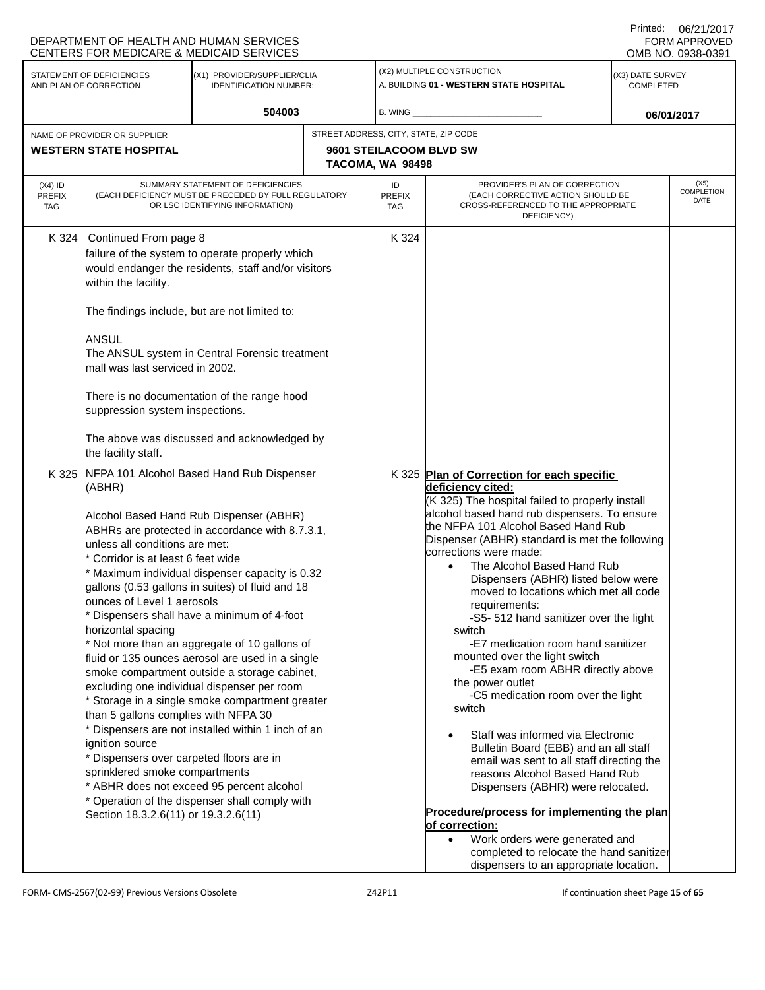|                                                               | DEPARTMENT OF HEALTH AND HUMAN SERVICES<br><b>CENTERS FOR MEDICARE &amp; MEDICAID SERVICES</b>                                                                                                                                                                                                                                                                                                                                                                                                                                                                                                                                                                                                                                                                                                                                                                                                                                                                                                                                   |                                                                                                                                                                                                                                                        |  |                                                                                                                                                                                                                                                                                                                                                                                                                                                                                                                                                                                                                                                                                                                                                                                                                                                                                                                                                                                                                                                     |                                                                                                                          | Printed:                             | 06/21/2017<br><b>FORM APPROVED</b><br>OMB NO. 0938-0391 |
|---------------------------------------------------------------|----------------------------------------------------------------------------------------------------------------------------------------------------------------------------------------------------------------------------------------------------------------------------------------------------------------------------------------------------------------------------------------------------------------------------------------------------------------------------------------------------------------------------------------------------------------------------------------------------------------------------------------------------------------------------------------------------------------------------------------------------------------------------------------------------------------------------------------------------------------------------------------------------------------------------------------------------------------------------------------------------------------------------------|--------------------------------------------------------------------------------------------------------------------------------------------------------------------------------------------------------------------------------------------------------|--|-----------------------------------------------------------------------------------------------------------------------------------------------------------------------------------------------------------------------------------------------------------------------------------------------------------------------------------------------------------------------------------------------------------------------------------------------------------------------------------------------------------------------------------------------------------------------------------------------------------------------------------------------------------------------------------------------------------------------------------------------------------------------------------------------------------------------------------------------------------------------------------------------------------------------------------------------------------------------------------------------------------------------------------------------------|--------------------------------------------------------------------------------------------------------------------------|--------------------------------------|---------------------------------------------------------|
|                                                               | STATEMENT OF DEFICIENCIES<br>AND PLAN OF CORRECTION                                                                                                                                                                                                                                                                                                                                                                                                                                                                                                                                                                                                                                                                                                                                                                                                                                                                                                                                                                              | (X1) PROVIDER/SUPPLIER/CLIA<br><b>IDENTIFICATION NUMBER:</b>                                                                                                                                                                                           |  |                                                                                                                                                                                                                                                                                                                                                                                                                                                                                                                                                                                                                                                                                                                                                                                                                                                                                                                                                                                                                                                     | (X2) MULTIPLE CONSTRUCTION<br>A. BUILDING 01 - WESTERN STATE HOSPITAL                                                    | (X3) DATE SURVEY<br><b>COMPLETED</b> |                                                         |
|                                                               |                                                                                                                                                                                                                                                                                                                                                                                                                                                                                                                                                                                                                                                                                                                                                                                                                                                                                                                                                                                                                                  | 504003                                                                                                                                                                                                                                                 |  | B. WING                                                                                                                                                                                                                                                                                                                                                                                                                                                                                                                                                                                                                                                                                                                                                                                                                                                                                                                                                                                                                                             |                                                                                                                          | 06/01/2017                           |                                                         |
| NAME OF PROVIDER OR SUPPLIER<br><b>WESTERN STATE HOSPITAL</b> |                                                                                                                                                                                                                                                                                                                                                                                                                                                                                                                                                                                                                                                                                                                                                                                                                                                                                                                                                                                                                                  |                                                                                                                                                                                                                                                        |  | STREET ADDRESS, CITY, STATE, ZIP CODE<br>9601 STEILACOOM BLVD SW<br>TACOMA, WA 98498                                                                                                                                                                                                                                                                                                                                                                                                                                                                                                                                                                                                                                                                                                                                                                                                                                                                                                                                                                |                                                                                                                          |                                      |                                                         |
| $(X4)$ ID<br><b>PREFIX</b><br>TAG                             |                                                                                                                                                                                                                                                                                                                                                                                                                                                                                                                                                                                                                                                                                                                                                                                                                                                                                                                                                                                                                                  | SUMMARY STATEMENT OF DEFICIENCIES<br>(EACH DEFICIENCY MUST BE PRECEDED BY FULL REGULATORY<br>OR LSC IDENTIFYING INFORMATION)                                                                                                                           |  | ID<br><b>PREFIX</b><br><b>TAG</b>                                                                                                                                                                                                                                                                                                                                                                                                                                                                                                                                                                                                                                                                                                                                                                                                                                                                                                                                                                                                                   | PROVIDER'S PLAN OF CORRECTION<br>(EACH CORRECTIVE ACTION SHOULD BE<br>CROSS-REFERENCED TO THE APPROPRIATE<br>DEFICIENCY) |                                      | (X5)<br><b>COMPLETION</b><br>DATE                       |
| K 324                                                         | Continued From page 8<br>within the facility.<br>The findings include, but are not limited to:<br><b>ANSUL</b><br>mall was last serviced in 2002.<br>suppression system inspections.<br>the facility staff.                                                                                                                                                                                                                                                                                                                                                                                                                                                                                                                                                                                                                                                                                                                                                                                                                      | failure of the system to operate properly which<br>would endanger the residents, staff and/or visitors<br>The ANSUL system in Central Forensic treatment<br>There is no documentation of the range hood<br>The above was discussed and acknowledged by |  | K 324                                                                                                                                                                                                                                                                                                                                                                                                                                                                                                                                                                                                                                                                                                                                                                                                                                                                                                                                                                                                                                               |                                                                                                                          |                                      |                                                         |
| K 325                                                         | NFPA 101 Alcohol Based Hand Rub Dispenser<br>(ABHR)<br>Alcohol Based Hand Rub Dispenser (ABHR)<br>ABHRs are protected in accordance with 8.7.3.1,<br>unless all conditions are met:<br>* Corridor is at least 6 feet wide<br>* Maximum individual dispenser capacity is 0.32<br>gallons (0.53 gallons in suites) of fluid and 18<br>ounces of Level 1 aerosols<br>* Dispensers shall have a minimum of 4-foot<br>horizontal spacing<br>* Not more than an aggregate of 10 gallons of<br>fluid or 135 ounces aerosol are used in a single<br>smoke compartment outside a storage cabinet,<br>excluding one individual dispenser per room<br>* Storage in a single smoke compartment greater<br>than 5 gallons complies with NFPA 30<br>* Dispensers are not installed within 1 inch of an<br>ignition source<br>* Dispensers over carpeted floors are in<br>sprinklered smoke compartments<br>* ABHR does not exceed 95 percent alcohol<br>* Operation of the dispenser shall comply with<br>Section 18.3.2.6(11) or 19.3.2.6(11) |                                                                                                                                                                                                                                                        |  | K 325 Plan of Correction for each specific<br>deficiency cited:<br>(K 325) The hospital failed to properly install<br>alcohol based hand rub dispensers. To ensure<br>the NFPA 101 Alcohol Based Hand Rub<br>Dispenser (ABHR) standard is met the following<br>corrections were made:<br>The Alcohol Based Hand Rub<br>Dispensers (ABHR) listed below were<br>moved to locations which met all code<br>requirements:<br>-S5- 512 hand sanitizer over the light<br>switch<br>-E7 medication room hand sanitizer<br>mounted over the light switch<br>-E5 exam room ABHR directly above<br>the power outlet<br>-C5 medication room over the light<br>switch<br>Staff was informed via Electronic<br>Bulletin Board (EBB) and an all staff<br>email was sent to all staff directing the<br>reasons Alcohol Based Hand Rub<br>Dispensers (ABHR) were relocated.<br>Procedure/process for implementing the plan<br>of correction:<br>Work orders were generated and<br>completed to relocate the hand sanitizer<br>dispensers to an appropriate location. |                                                                                                                          |                                      |                                                         |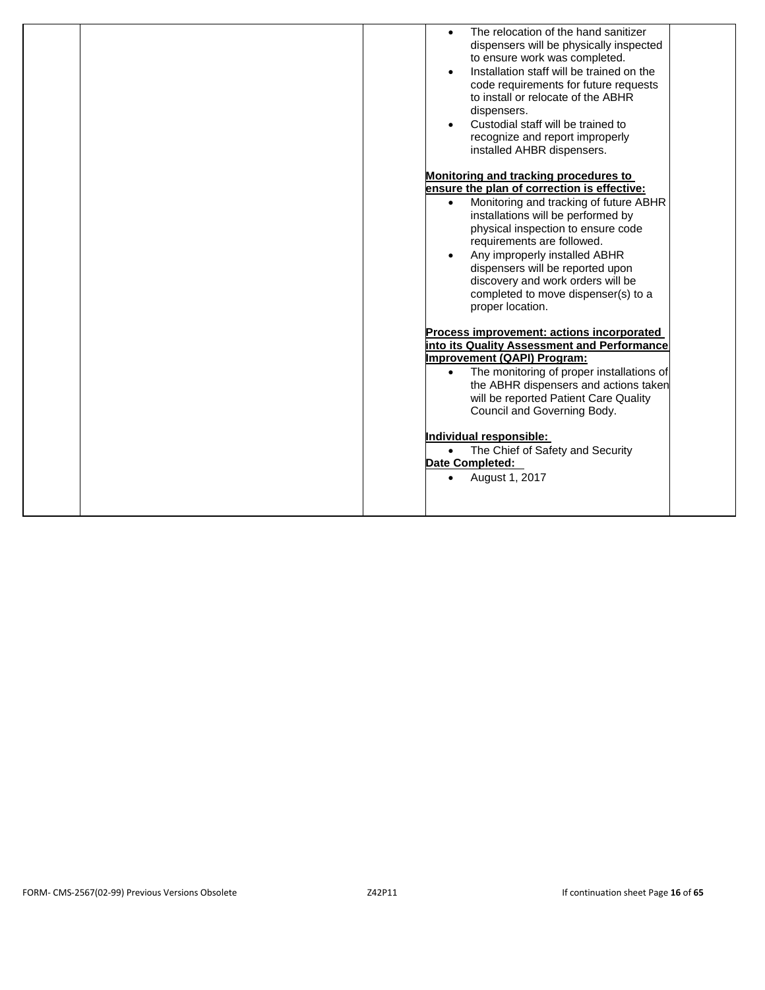| The relocation of the hand sanitizer<br>dispensers will be physically inspected<br>to ensure work was completed.<br>Installation staff will be trained on the<br>code requirements for future requests<br>to install or relocate of the ABHR<br>dispensers.<br>Custodial staff will be trained to<br>recognize and report improperly<br>installed AHBR dispensers. |
|--------------------------------------------------------------------------------------------------------------------------------------------------------------------------------------------------------------------------------------------------------------------------------------------------------------------------------------------------------------------|
|                                                                                                                                                                                                                                                                                                                                                                    |
| Monitoring and tracking procedures to                                                                                                                                                                                                                                                                                                                              |
| ensure the plan of correction is effective:                                                                                                                                                                                                                                                                                                                        |
| Monitoring and tracking of future ABHR<br>installations will be performed by                                                                                                                                                                                                                                                                                       |
| physical inspection to ensure code                                                                                                                                                                                                                                                                                                                                 |
| requirements are followed.                                                                                                                                                                                                                                                                                                                                         |
| Any improperly installed ABHR                                                                                                                                                                                                                                                                                                                                      |
| dispensers will be reported upon                                                                                                                                                                                                                                                                                                                                   |
| discovery and work orders will be                                                                                                                                                                                                                                                                                                                                  |
| completed to move dispenser(s) to a<br>proper location.                                                                                                                                                                                                                                                                                                            |
| Process improvement: actions incorporated                                                                                                                                                                                                                                                                                                                          |
| into its Quality Assessment and Performance                                                                                                                                                                                                                                                                                                                        |
| Improvement (QAPI) Program:                                                                                                                                                                                                                                                                                                                                        |
| The monitoring of proper installations of<br>$\bullet$                                                                                                                                                                                                                                                                                                             |
| the ABHR dispensers and actions taken                                                                                                                                                                                                                                                                                                                              |
| will be reported Patient Care Quality                                                                                                                                                                                                                                                                                                                              |
| Council and Governing Body.                                                                                                                                                                                                                                                                                                                                        |
| Individual responsible:                                                                                                                                                                                                                                                                                                                                            |
| The Chief of Safety and Security<br>$\bullet$                                                                                                                                                                                                                                                                                                                      |
| Date Completed:                                                                                                                                                                                                                                                                                                                                                    |
| August 1, 2017                                                                                                                                                                                                                                                                                                                                                     |
|                                                                                                                                                                                                                                                                                                                                                                    |
|                                                                                                                                                                                                                                                                                                                                                                    |
|                                                                                                                                                                                                                                                                                                                                                                    |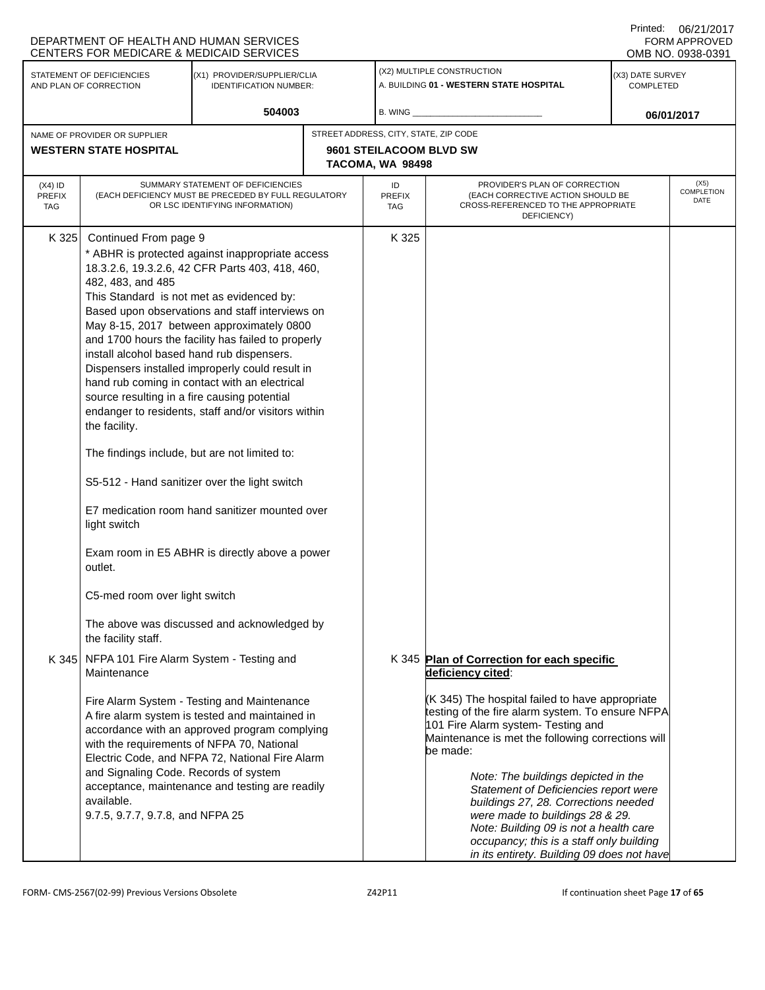| (X2) MULTIPLE CONSTRUCTION<br>STATEMENT OF DEFICIENCIES<br>(X1) PROVIDER/SUPPLIER/CLIA<br>(X3) DATE SURVEY<br>A. BUILDING 01 - WESTERN STATE HOSPITAL<br><b>IDENTIFICATION NUMBER:</b><br><b>COMPLETED</b><br>AND PLAN OF CORRECTION<br>504003<br>$B.$ WING $\_\_$<br>06/01/2017<br>STREET ADDRESS, CITY, STATE, ZIP CODE<br>NAME OF PROVIDER OR SUPPLIER<br><b>WESTERN STATE HOSPITAL</b><br>9601 STEILACOOM BLVD SW<br>TACOMA, WA 98498<br>PROVIDER'S PLAN OF CORRECTION<br>SUMMARY STATEMENT OF DEFICIENCIES<br>ID<br>$(X4)$ ID<br>(EACH DEFICIENCY MUST BE PRECEDED BY FULL REGULATORY<br>(EACH CORRECTIVE ACTION SHOULD BE<br>PREFIX<br><b>PREFIX</b><br>OR LSC IDENTIFYING INFORMATION)<br>CROSS-REFERENCED TO THE APPROPRIATE<br><b>TAG</b><br><b>TAG</b><br>DEFICIENCY)                                                                                                                                                                                                                                                                                                                                                                                                                                                                                                                                                                                                                                                                                                                                                                                                                                                                                                                                                                                                                                                                                                                                                                                                                     | DEPARTMENT OF HEALTH AND HUMAN SERVICES<br>CENTERS FOR MEDICARE & MEDICAID SERVICES |                       |  |  | <b>FORM APPROVED</b><br>OMB NO. 0938-0391 |  |                                   |  |  |
|-----------------------------------------------------------------------------------------------------------------------------------------------------------------------------------------------------------------------------------------------------------------------------------------------------------------------------------------------------------------------------------------------------------------------------------------------------------------------------------------------------------------------------------------------------------------------------------------------------------------------------------------------------------------------------------------------------------------------------------------------------------------------------------------------------------------------------------------------------------------------------------------------------------------------------------------------------------------------------------------------------------------------------------------------------------------------------------------------------------------------------------------------------------------------------------------------------------------------------------------------------------------------------------------------------------------------------------------------------------------------------------------------------------------------------------------------------------------------------------------------------------------------------------------------------------------------------------------------------------------------------------------------------------------------------------------------------------------------------------------------------------------------------------------------------------------------------------------------------------------------------------------------------------------------------------------------------------------------------------------------------|-------------------------------------------------------------------------------------|-----------------------|--|--|-------------------------------------------|--|-----------------------------------|--|--|
|                                                                                                                                                                                                                                                                                                                                                                                                                                                                                                                                                                                                                                                                                                                                                                                                                                                                                                                                                                                                                                                                                                                                                                                                                                                                                                                                                                                                                                                                                                                                                                                                                                                                                                                                                                                                                                                                                                                                                                                                     |                                                                                     |                       |  |  |                                           |  |                                   |  |  |
|                                                                                                                                                                                                                                                                                                                                                                                                                                                                                                                                                                                                                                                                                                                                                                                                                                                                                                                                                                                                                                                                                                                                                                                                                                                                                                                                                                                                                                                                                                                                                                                                                                                                                                                                                                                                                                                                                                                                                                                                     |                                                                                     |                       |  |  |                                           |  |                                   |  |  |
|                                                                                                                                                                                                                                                                                                                                                                                                                                                                                                                                                                                                                                                                                                                                                                                                                                                                                                                                                                                                                                                                                                                                                                                                                                                                                                                                                                                                                                                                                                                                                                                                                                                                                                                                                                                                                                                                                                                                                                                                     |                                                                                     |                       |  |  |                                           |  |                                   |  |  |
|                                                                                                                                                                                                                                                                                                                                                                                                                                                                                                                                                                                                                                                                                                                                                                                                                                                                                                                                                                                                                                                                                                                                                                                                                                                                                                                                                                                                                                                                                                                                                                                                                                                                                                                                                                                                                                                                                                                                                                                                     |                                                                                     |                       |  |  |                                           |  | (X5)<br><b>COMPLETION</b><br>DATE |  |  |
| * ABHR is protected against inappropriate access<br>18.3.2.6, 19.3.2.6, 42 CFR Parts 403, 418, 460,<br>482, 483, and 485<br>This Standard is not met as evidenced by:<br>Based upon observations and staff interviews on<br>May 8-15, 2017 between approximately 0800<br>and 1700 hours the facility has failed to properly<br>install alcohol based hand rub dispensers.<br>Dispensers installed improperly could result in<br>hand rub coming in contact with an electrical<br>source resulting in a fire causing potential<br>endanger to residents, staff and/or visitors within<br>the facility.<br>The findings include, but are not limited to:<br>S5-512 - Hand sanitizer over the light switch<br>E7 medication room hand sanitizer mounted over<br>light switch<br>Exam room in E5 ABHR is directly above a power<br>outlet.<br>C5-med room over light switch<br>The above was discussed and acknowledged by<br>the facility staff.<br>NFPA 101 Fire Alarm System - Testing and<br>K 345<br>K 345 Plan of Correction for each specific<br>deficiency cited:<br>Maintenance<br>(K 345) The hospital failed to have appropriate<br>Fire Alarm System - Testing and Maintenance<br>testing of the fire alarm system. To ensure NFPA<br>A fire alarm system is tested and maintained in<br>101 Fire Alarm system- Testing and<br>accordance with an approved program complying<br>Maintenance is met the following corrections will<br>with the requirements of NFPA 70, National<br>be made:<br>Electric Code, and NFPA 72, National Fire Alarm<br>and Signaling Code. Records of system<br>Note: The buildings depicted in the<br>acceptance, maintenance and testing are readily<br>Statement of Deficiencies report were<br>available.<br>buildings 27, 28. Corrections needed<br>9.7.5, 9.7.7, 9.7.8, and NFPA 25<br>were made to buildings 28 & 29.<br>Note: Building 09 is not a health care<br>occupancy; this is a staff only building<br>in its entirety. Building 09 does not have | K 325                                                                               | Continued From page 9 |  |  | K 325                                     |  |                                   |  |  |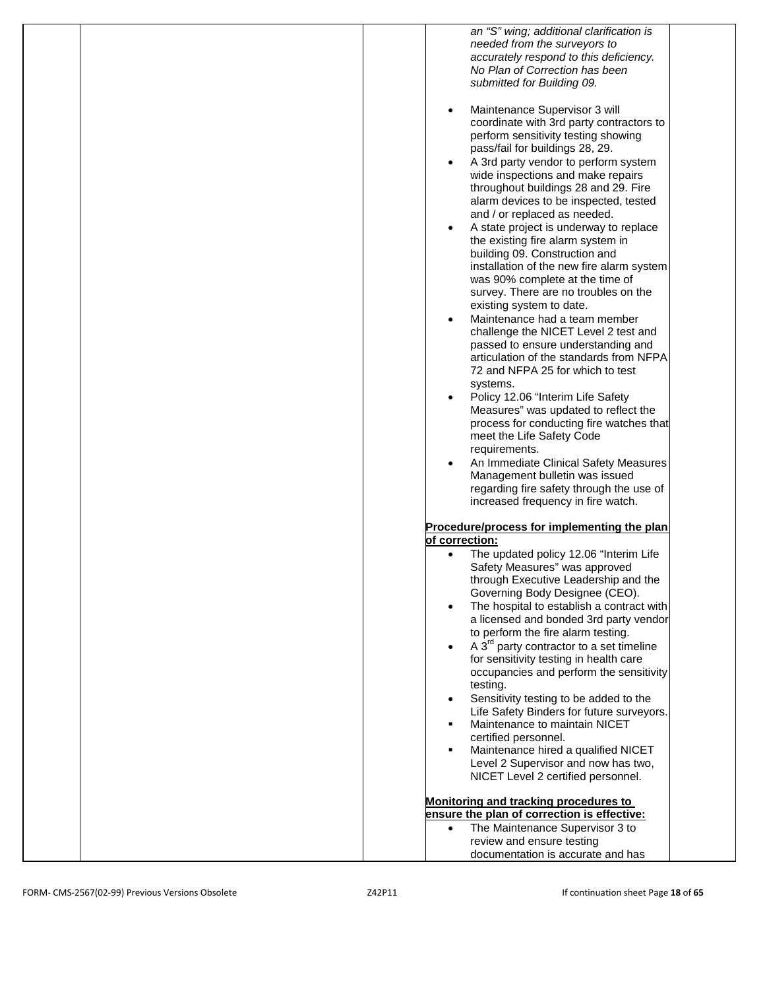| an "S" wing; additional clarification is                          |
|-------------------------------------------------------------------|
| needed from the surveyors to                                      |
| accurately respond to this deficiency.                            |
|                                                                   |
| No Plan of Correction has been                                    |
| submitted for Building 09.                                        |
|                                                                   |
| Maintenance Supervisor 3 will<br>$\bullet$                        |
|                                                                   |
| coordinate with 3rd party contractors to                          |
| perform sensitivity testing showing                               |
| pass/fail for buildings 28, 29.                                   |
| A 3rd party vendor to perform system                              |
|                                                                   |
| wide inspections and make repairs                                 |
| throughout buildings 28 and 29. Fire                              |
| alarm devices to be inspected, tested                             |
| and / or replaced as needed.                                      |
|                                                                   |
| A state project is underway to replace<br>$\bullet$               |
| the existing fire alarm system in                                 |
| building 09. Construction and                                     |
| installation of the new fire alarm system                         |
| was 90% complete at the time of                                   |
|                                                                   |
| survey. There are no troubles on the                              |
| existing system to date.                                          |
| Maintenance had a team member<br>$\bullet$                        |
| challenge the NICET Level 2 test and                              |
|                                                                   |
| passed to ensure understanding and                                |
| articulation of the standards from NFPA                           |
| 72 and NFPA 25 for which to test                                  |
| systems.                                                          |
| Policy 12.06 "Interim Life Safety<br>$\bullet$                    |
|                                                                   |
| Measures" was updated to reflect the                              |
| process for conducting fire watches that                          |
| meet the Life Safety Code                                         |
| requirements.                                                     |
|                                                                   |
| An Immediate Clinical Safety Measures<br>$\bullet$                |
| Management bulletin was issued                                    |
| regarding fire safety through the use of                          |
| increased frequency in fire watch.                                |
|                                                                   |
|                                                                   |
| Procedure/process for implementing the plan                       |
| of correction:                                                    |
| The updated policy 12.06 "Interim Life                            |
| Safety Measures" was approved                                     |
| through Executive Leadership and the                              |
|                                                                   |
| Governing Body Designee (CEO).                                    |
| The hospital to establish a contract with                         |
| a licensed and bonded 3rd party vendor                            |
| to perform the fire alarm testing.                                |
| A 3 <sup>rd</sup> party contractor to a set timeline<br>$\bullet$ |
|                                                                   |
| for sensitivity testing in health care                            |
| occupancies and perform the sensitivity                           |
| testing.                                                          |
| Sensitivity testing to be added to the<br>$\bullet$               |
| Life Safety Binders for future surveyors.                         |
|                                                                   |
| Maintenance to maintain NICET<br>٠                                |
| certified personnel.                                              |
| Maintenance hired a qualified NICET<br>٠                          |
| Level 2 Supervisor and now has two,                               |
| NICET Level 2 certified personnel.                                |
|                                                                   |
|                                                                   |
| Monitoring and tracking procedures to                             |
| ensure the plan of correction is effective:                       |
| The Maintenance Supervisor 3 to<br>$\bullet$                      |
| review and ensure testing                                         |
|                                                                   |
| documentation is accurate and has                                 |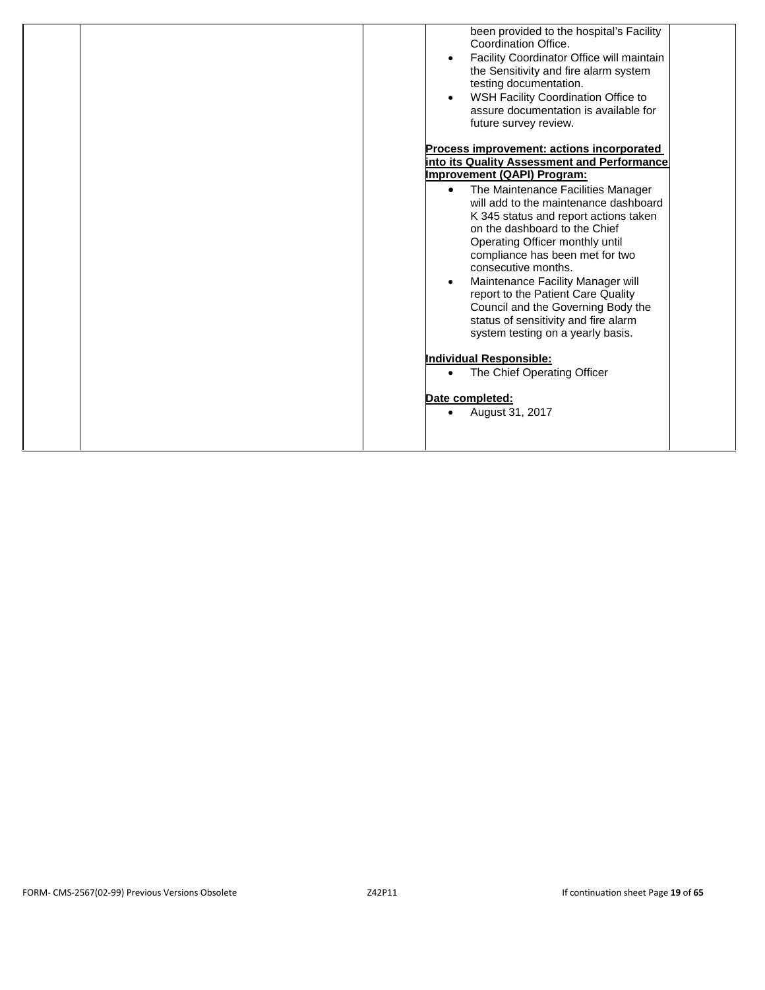| been provided to the hospital's Facility<br>Coordination Office.<br>Facility Coordinator Office will maintain<br>the Sensitivity and fire alarm system<br>testing documentation.<br>WSH Facility Coordination Office to<br>assure documentation is available for<br>future survey review.<br>Process improvement: actions incorporated                                                                                                                        |
|---------------------------------------------------------------------------------------------------------------------------------------------------------------------------------------------------------------------------------------------------------------------------------------------------------------------------------------------------------------------------------------------------------------------------------------------------------------|
|                                                                                                                                                                                                                                                                                                                                                                                                                                                               |
| into its Quality Assessment and Performance                                                                                                                                                                                                                                                                                                                                                                                                                   |
| Improvement (QAPI) Program:                                                                                                                                                                                                                                                                                                                                                                                                                                   |
| The Maintenance Facilities Manager<br>$\bullet$<br>will add to the maintenance dashboard<br>K 345 status and report actions taken<br>on the dashboard to the Chief<br>Operating Officer monthly until<br>compliance has been met for two<br>consecutive months.<br>Maintenance Facility Manager will<br>report to the Patient Care Quality<br>Council and the Governing Body the<br>status of sensitivity and fire alarm<br>system testing on a yearly basis. |
| Individual Responsible:                                                                                                                                                                                                                                                                                                                                                                                                                                       |
|                                                                                                                                                                                                                                                                                                                                                                                                                                                               |
| The Chief Operating Officer                                                                                                                                                                                                                                                                                                                                                                                                                                   |
|                                                                                                                                                                                                                                                                                                                                                                                                                                                               |
| Date completed:                                                                                                                                                                                                                                                                                                                                                                                                                                               |
| August 31, 2017<br>$\bullet$                                                                                                                                                                                                                                                                                                                                                                                                                                  |
|                                                                                                                                                                                                                                                                                                                                                                                                                                                               |
|                                                                                                                                                                                                                                                                                                                                                                                                                                                               |
|                                                                                                                                                                                                                                                                                                                                                                                                                                                               |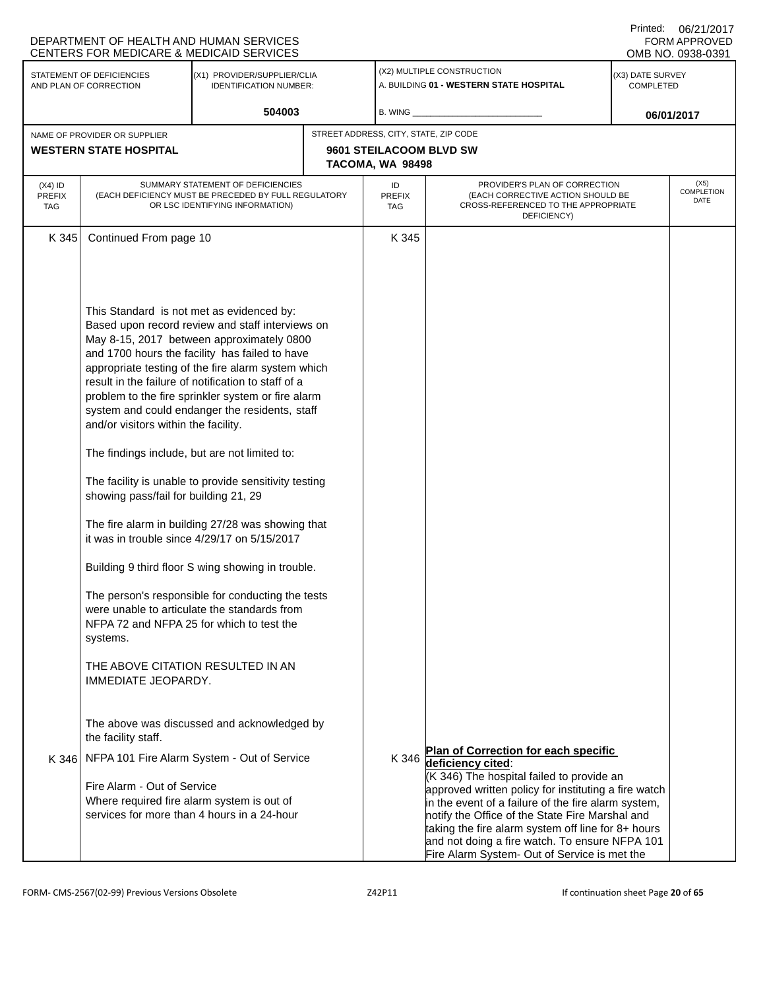|                                          | UU/Z UUU<br>DEPARTMENT OF HEALTH AND HUMAN SERVICES<br><b>FORM APPROVED</b><br>CENTERS FOR MEDICARE & MEDICAID SERVICES<br>OMB NO. 0938-0391                                                                                                        |                                                                                                                                                                                                                                                                                                                                                                                                                                                                                                                                                                                                                                                                                                                                               |  |                            |                                                                                                                                                                                                                                                                                                                                                                                                                                        |                               |                            |  |
|------------------------------------------|-----------------------------------------------------------------------------------------------------------------------------------------------------------------------------------------------------------------------------------------------------|-----------------------------------------------------------------------------------------------------------------------------------------------------------------------------------------------------------------------------------------------------------------------------------------------------------------------------------------------------------------------------------------------------------------------------------------------------------------------------------------------------------------------------------------------------------------------------------------------------------------------------------------------------------------------------------------------------------------------------------------------|--|----------------------------|----------------------------------------------------------------------------------------------------------------------------------------------------------------------------------------------------------------------------------------------------------------------------------------------------------------------------------------------------------------------------------------------------------------------------------------|-------------------------------|----------------------------|--|
|                                          | STATEMENT OF DEFICIENCIES<br>AND PLAN OF CORRECTION                                                                                                                                                                                                 | (X1) PROVIDER/SUPPLIER/CLIA<br><b>IDENTIFICATION NUMBER:</b>                                                                                                                                                                                                                                                                                                                                                                                                                                                                                                                                                                                                                                                                                  |  |                            | (X2) MULTIPLE CONSTRUCTION<br>A. BUILDING 01 - WESTERN STATE HOSPITAL                                                                                                                                                                                                                                                                                                                                                                  | (X3) DATE SURVEY<br>COMPLETED |                            |  |
|                                          |                                                                                                                                                                                                                                                     | 504003                                                                                                                                                                                                                                                                                                                                                                                                                                                                                                                                                                                                                                                                                                                                        |  | <b>B. WING</b>             |                                                                                                                                                                                                                                                                                                                                                                                                                                        | 06/01/2017                    |                            |  |
|                                          | NAME OF PROVIDER OR SUPPLIER                                                                                                                                                                                                                        |                                                                                                                                                                                                                                                                                                                                                                                                                                                                                                                                                                                                                                                                                                                                               |  |                            | STREET ADDRESS, CITY, STATE, ZIP CODE                                                                                                                                                                                                                                                                                                                                                                                                  |                               |                            |  |
|                                          | <b>WESTERN STATE HOSPITAL</b>                                                                                                                                                                                                                       |                                                                                                                                                                                                                                                                                                                                                                                                                                                                                                                                                                                                                                                                                                                                               |  | TACOMA, WA 98498           | 9601 STEILACOOM BLVD SW                                                                                                                                                                                                                                                                                                                                                                                                                |                               |                            |  |
| $(X4)$ ID<br><b>PREFIX</b><br><b>TAG</b> | SUMMARY STATEMENT OF DEFICIENCIES<br>(EACH DEFICIENCY MUST BE PRECEDED BY FULL REGULATORY<br>OR LSC IDENTIFYING INFORMATION)                                                                                                                        |                                                                                                                                                                                                                                                                                                                                                                                                                                                                                                                                                                                                                                                                                                                                               |  | ID<br><b>PREFIX</b><br>TAG | PROVIDER'S PLAN OF CORRECTION<br>(EACH CORRECTIVE ACTION SHOULD BE<br>CROSS-REFERENCED TO THE APPROPRIATE<br>DEFICIENCY)                                                                                                                                                                                                                                                                                                               |                               | (X5)<br>COMPLETION<br>DATE |  |
| K 345                                    | Continued From page 10                                                                                                                                                                                                                              |                                                                                                                                                                                                                                                                                                                                                                                                                                                                                                                                                                                                                                                                                                                                               |  | K 345                      |                                                                                                                                                                                                                                                                                                                                                                                                                                        |                               |                            |  |
|                                          | This Standard is not met as evidenced by:<br>and/or visitors within the facility.<br>The findings include, but are not limited to:<br>showing pass/fail for building 21, 29<br>systems.<br>THE ABOVE CITATION RESULTED IN AN<br>IMMEDIATE JEOPARDY. | Based upon record review and staff interviews on<br>May 8-15, 2017 between approximately 0800<br>and 1700 hours the facility has failed to have<br>appropriate testing of the fire alarm system which<br>result in the failure of notification to staff of a<br>problem to the fire sprinkler system or fire alarm<br>system and could endanger the residents, staff<br>The facility is unable to provide sensitivity testing<br>The fire alarm in building 27/28 was showing that<br>it was in trouble since $4/29/17$ on $5/15/2017$<br>Building 9 third floor S wing showing in trouble.<br>The person's responsible for conducting the tests<br>were unable to articulate the standards from<br>NFPA 72 and NFPA 25 for which to test the |  |                            |                                                                                                                                                                                                                                                                                                                                                                                                                                        |                               |                            |  |
|                                          | the facility staff.                                                                                                                                                                                                                                 | The above was discussed and acknowledged by                                                                                                                                                                                                                                                                                                                                                                                                                                                                                                                                                                                                                                                                                                   |  |                            |                                                                                                                                                                                                                                                                                                                                                                                                                                        |                               |                            |  |
|                                          | Fire Alarm - Out of Service<br>Where required fire alarm system is out of                                                                                                                                                                           | K 346 NFPA 101 Fire Alarm System - Out of Service<br>services for more than 4 hours in a 24-hour                                                                                                                                                                                                                                                                                                                                                                                                                                                                                                                                                                                                                                              |  |                            | Plan of Correction for each specific<br>K 346 deficiency cited:<br>(K 346) The hospital failed to provide an<br>approved written policy for instituting a fire watch<br>in the event of a failure of the fire alarm system,<br>notify the Office of the State Fire Marshal and<br>taking the fire alarm system off line for 8+ hours<br>and not doing a fire watch. To ensure NFPA 101<br>Fire Alarm System- Out of Service is met the |                               |                            |  |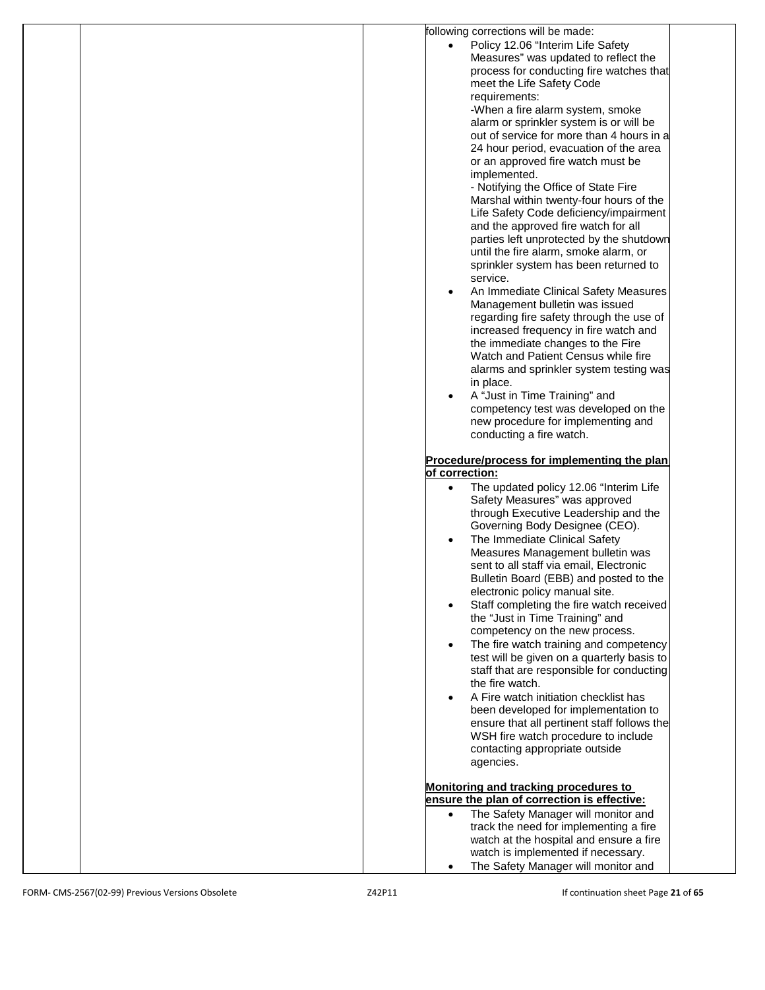| following corrections will be made:              |
|--------------------------------------------------|
|                                                  |
| Policy 12.06 "Interim Life Safety                |
| Measures" was updated to reflect the             |
| process for conducting fire watches that         |
| meet the Life Safety Code                        |
| requirements:                                    |
| -When a fire alarm system, smoke                 |
| alarm or sprinkler system is or will be          |
|                                                  |
| out of service for more than 4 hours in a        |
| 24 hour period, evacuation of the area           |
| or an approved fire watch must be                |
| implemented.                                     |
| - Notifying the Office of State Fire             |
| Marshal within twenty-four hours of the          |
| Life Safety Code deficiency/impairment           |
|                                                  |
| and the approved fire watch for all              |
| parties left unprotected by the shutdown         |
| until the fire alarm, smoke alarm, or            |
| sprinkler system has been returned to            |
| service.                                         |
| An Immediate Clinical Safety Measures            |
| Management bulletin was issued                   |
|                                                  |
| regarding fire safety through the use of         |
| increased frequency in fire watch and            |
| the immediate changes to the Fire                |
| Watch and Patient Census while fire              |
| alarms and sprinkler system testing was          |
| in place.                                        |
| A "Just in Time Training" and                    |
| competency test was developed on the             |
|                                                  |
| new procedure for implementing and               |
| conducting a fire watch.                         |
|                                                  |
| Procedure/process for implementing the plan      |
| of correction:                                   |
| The updated policy 12.06 "Interim Life           |
| Safety Measures" was approved                    |
| through Executive Leadership and the             |
| Governing Body Designee (CEO).                   |
|                                                  |
| The Immediate Clinical Safety                    |
| Measures Management bulletin was                 |
| sent to all staff via email, Electronic          |
| Bulletin Board (EBB) and posted to the           |
| electronic policy manual site.                   |
| Staff completing the fire watch received         |
| the "Just in Time Training" and                  |
| competency on the new process.                   |
|                                                  |
| The fire watch training and competency           |
| test will be given on a quarterly basis to       |
| staff that are responsible for conducting        |
| the fire watch.                                  |
| A Fire watch initiation checklist has            |
| been developed for implementation to             |
| ensure that all pertinent staff follows the      |
|                                                  |
| WSH fire watch procedure to include              |
| contacting appropriate outside                   |
| agencies.                                        |
|                                                  |
| Monitoring and tracking procedures to            |
| ensure the plan of correction is effective:      |
| The Safety Manager will monitor and<br>$\bullet$ |
| track the need for implementing a fire           |
|                                                  |
| watch at the hospital and ensure a fire          |
| watch is implemented if necessary.               |
| The Safety Manager will monitor and<br>$\bullet$ |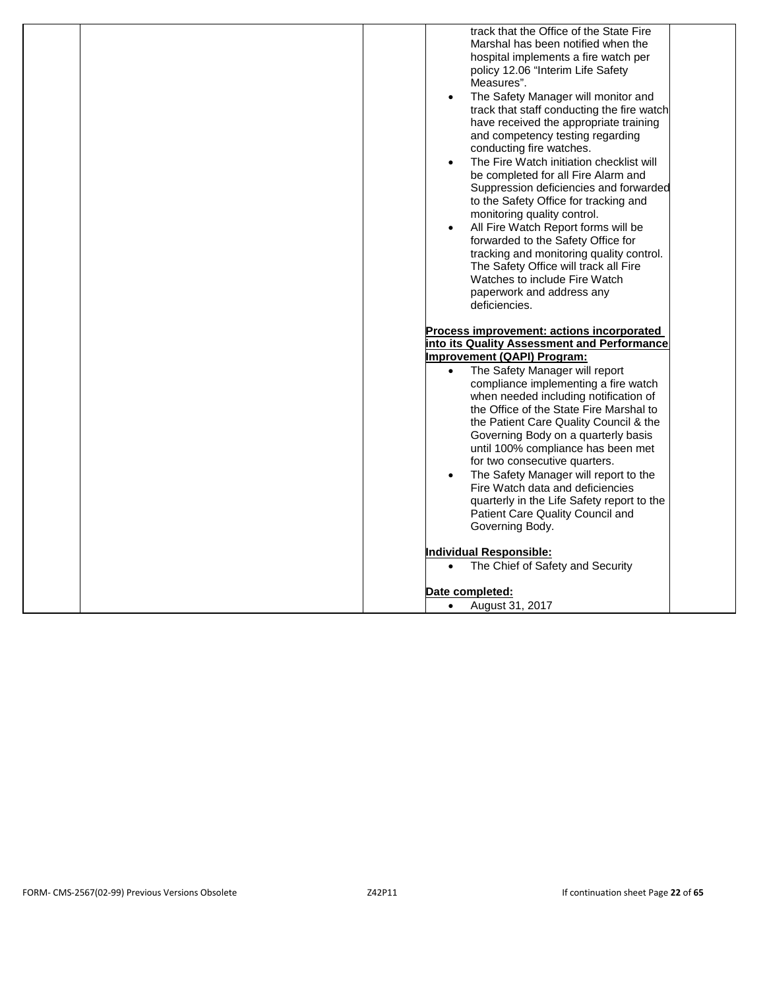| track that the Office of the State Fire<br>Marshal has been notified when the<br>hospital implements a fire watch per<br>policy 12.06 "Interim Life Safety<br>Measures".<br>The Safety Manager will monitor and<br>$\bullet$<br>track that staff conducting the fire watch<br>have received the appropriate training<br>and competency testing regarding<br>conducting fire watches.<br>The Fire Watch initiation checklist will<br>$\bullet$<br>be completed for all Fire Alarm and<br>Suppression deficiencies and forwarded<br>to the Safety Office for tracking and<br>monitoring quality control.<br>All Fire Watch Report forms will be<br>$\bullet$<br>forwarded to the Safety Office for<br>tracking and monitoring quality control.<br>The Safety Office will track all Fire<br>Watches to include Fire Watch<br>paperwork and address any<br>deficiencies. |
|----------------------------------------------------------------------------------------------------------------------------------------------------------------------------------------------------------------------------------------------------------------------------------------------------------------------------------------------------------------------------------------------------------------------------------------------------------------------------------------------------------------------------------------------------------------------------------------------------------------------------------------------------------------------------------------------------------------------------------------------------------------------------------------------------------------------------------------------------------------------|
| Process improvement: actions incorporated<br>into its Quality Assessment and Performance<br>Improvement (QAPI) Program:<br>The Safety Manager will report<br>$\bullet$<br>compliance implementing a fire watch<br>when needed including notification of<br>the Office of the State Fire Marshal to<br>the Patient Care Quality Council & the<br>Governing Body on a quarterly basis<br>until 100% compliance has been met<br>for two consecutive quarters.<br>The Safety Manager will report to the<br>$\bullet$<br>Fire Watch data and deficiencies<br>quarterly in the Life Safety report to the<br>Patient Care Quality Council and<br>Governing Body.<br><b>Individual Responsible:</b>                                                                                                                                                                          |
| The Chief of Safety and Security<br>$\bullet$<br>Date completed:<br>August 31, 2017<br>$\bullet$                                                                                                                                                                                                                                                                                                                                                                                                                                                                                                                                                                                                                                                                                                                                                                     |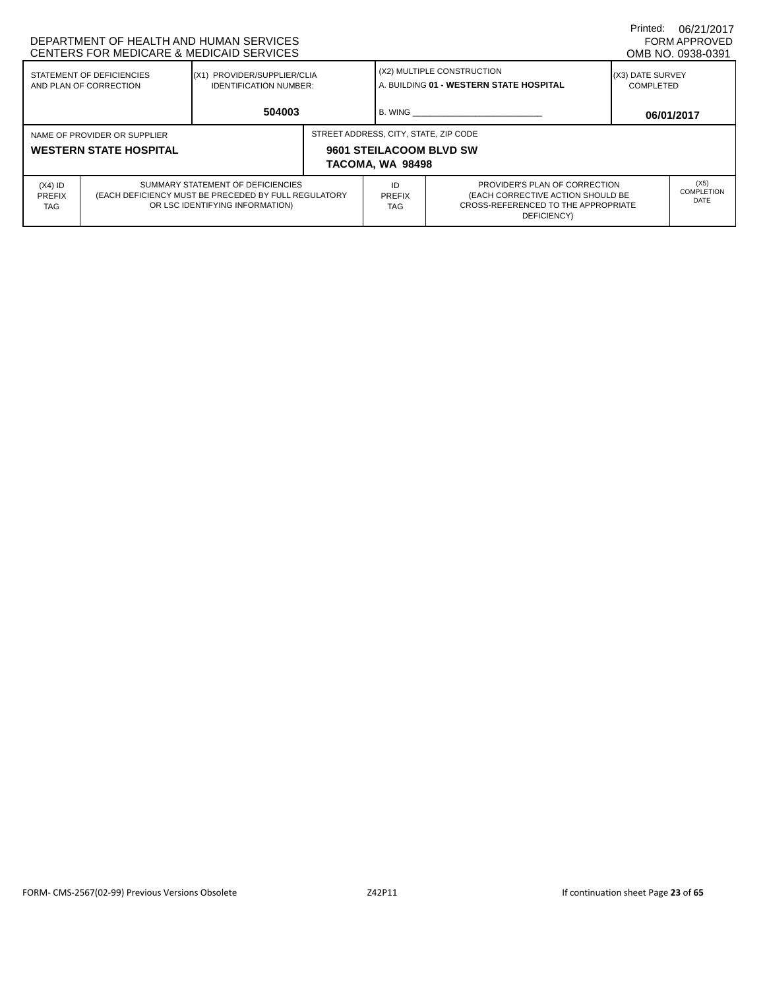| DEPARTMENT OF HEALTH AND HUMAN SERVICES<br>CENTERS FOR MEDICARE & MEDICAID SERVICES                                                                                      |  |  |                                       |                                                                       |                                                                                                                          |                                      | 06/21/2017<br>FORM APPROVED<br>OMB NO. 0938-0391 |
|--------------------------------------------------------------------------------------------------------------------------------------------------------------------------|--|--|---------------------------------------|-----------------------------------------------------------------------|--------------------------------------------------------------------------------------------------------------------------|--------------------------------------|--------------------------------------------------|
| STATEMENT OF DEFICIENCIES<br>(X1) PROVIDER/SUPPLIER/CLIA<br>AND PLAN OF CORRECTION<br><b>IDENTIFICATION NUMBER:</b>                                                      |  |  |                                       | (X2) MULTIPLE CONSTRUCTION<br>A. BUILDING 01 - WESTERN STATE HOSPITAL |                                                                                                                          | (X3) DATE SURVEY<br><b>COMPLETED</b> |                                                  |
| 504003                                                                                                                                                                   |  |  |                                       | B. WING                                                               |                                                                                                                          | 06/01/2017                           |                                                  |
| NAME OF PROVIDER OR SUPPLIER<br><b>WESTERN STATE HOSPITAL</b>                                                                                                            |  |  | STREET ADDRESS, CITY, STATE, ZIP CODE | 9601 STEILACOOM BLVD SW<br>TACOMA, WA 98498                           |                                                                                                                          |                                      |                                                  |
| SUMMARY STATEMENT OF DEFICIENCIES<br>$(X4)$ ID<br>(EACH DEFICIENCY MUST BE PRECEDED BY FULL REGULATORY<br><b>PREFIX</b><br>OR LSC IDENTIFYING INFORMATION)<br><b>TAG</b> |  |  |                                       | ID<br>PREFIX<br><b>TAG</b>                                            | PROVIDER'S PLAN OF CORRECTION<br>(EACH CORRECTIVE ACTION SHOULD BE<br>CROSS-REFERENCED TO THE APPROPRIATE<br>DEFICIENCY) |                                      | (X5)<br>COMPLETION<br><b>DATE</b>                |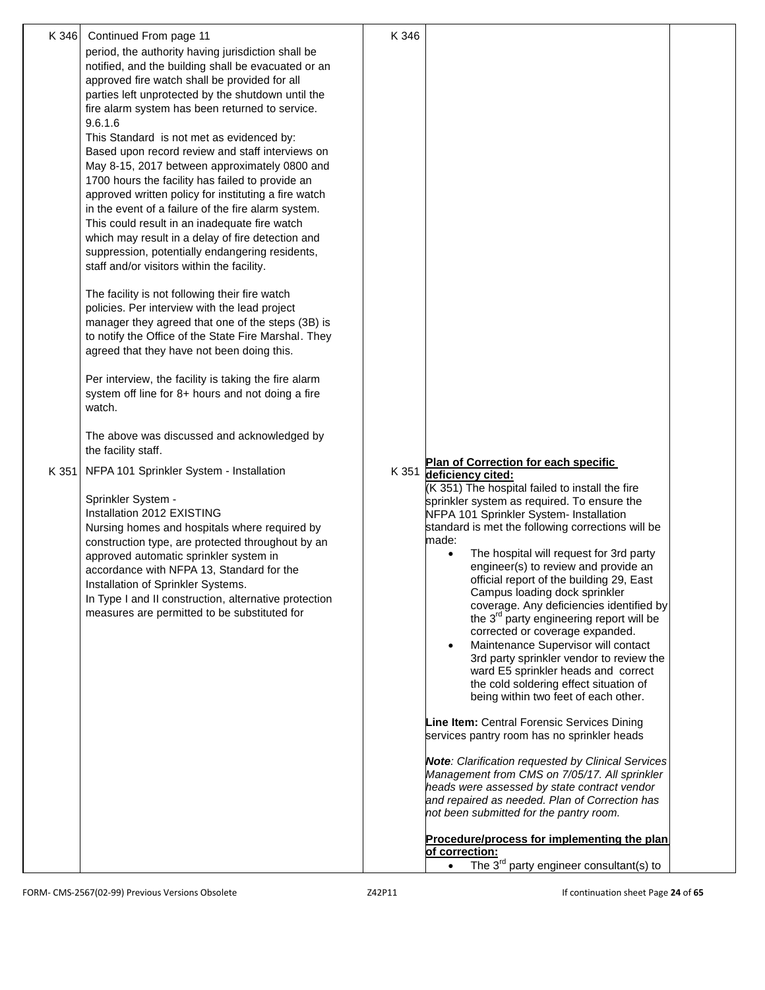| K 346 | Continued From page 11<br>period, the authority having jurisdiction shall be                                                                                    | K 346 |                                                                                                                                           |  |
|-------|-----------------------------------------------------------------------------------------------------------------------------------------------------------------|-------|-------------------------------------------------------------------------------------------------------------------------------------------|--|
|       | notified, and the building shall be evacuated or an<br>approved fire watch shall be provided for all                                                            |       |                                                                                                                                           |  |
|       | parties left unprotected by the shutdown until the<br>fire alarm system has been returned to service.                                                           |       |                                                                                                                                           |  |
|       | 9.6.1.6<br>This Standard is not met as evidenced by:                                                                                                            |       |                                                                                                                                           |  |
|       | Based upon record review and staff interviews on<br>May 8-15, 2017 between approximately 0800 and                                                               |       |                                                                                                                                           |  |
|       | 1700 hours the facility has failed to provide an<br>approved written policy for instituting a fire watch<br>in the event of a failure of the fire alarm system. |       |                                                                                                                                           |  |
|       | This could result in an inadequate fire watch<br>which may result in a delay of fire detection and                                                              |       |                                                                                                                                           |  |
|       | suppression, potentially endangering residents,<br>staff and/or visitors within the facility.                                                                   |       |                                                                                                                                           |  |
|       | The facility is not following their fire watch<br>policies. Per interview with the lead project                                                                 |       |                                                                                                                                           |  |
|       | manager they agreed that one of the steps (3B) is<br>to notify the Office of the State Fire Marshal. They                                                       |       |                                                                                                                                           |  |
|       | agreed that they have not been doing this.                                                                                                                      |       |                                                                                                                                           |  |
|       | Per interview, the facility is taking the fire alarm<br>system off line for 8+ hours and not doing a fire<br>watch.                                             |       |                                                                                                                                           |  |
|       | The above was discussed and acknowledged by<br>the facility staff.                                                                                              |       |                                                                                                                                           |  |
| K 351 | NFPA 101 Sprinkler System - Installation                                                                                                                        |       | Plan of Correction for each specific<br>K 351 deficiency cited:<br>(K 351) The hospital failed to install the fire                        |  |
|       | Sprinkler System -<br>Installation 2012 EXISTING                                                                                                                |       | sprinkler system as required. To ensure the<br>NFPA 101 Sprinkler System- Installation                                                    |  |
|       | Nursing homes and hospitals where required by<br>construction type, are protected throughout by an                                                              |       | standard is met the following corrections will be<br>made:                                                                                |  |
|       | approved automatic sprinkler system in<br>accordance with NFPA 13, Standard for the                                                                             |       | The hospital will request for 3rd party<br>engineer(s) to review and provide an<br>official report of the building 29, East               |  |
|       | Installation of Sprinkler Systems.<br>In Type I and II construction, alternative protection<br>measures are permitted to be substituted for                     |       | Campus loading dock sprinkler<br>coverage. Any deficiencies identified by                                                                 |  |
|       |                                                                                                                                                                 |       | the 3 <sup>rd</sup> party engineering report will be<br>corrected or coverage expanded.<br>Maintenance Supervisor will contact            |  |
|       |                                                                                                                                                                 |       | 3rd party sprinkler vendor to review the<br>ward E5 sprinkler heads and correct                                                           |  |
|       |                                                                                                                                                                 |       | the cold soldering effect situation of<br>being within two feet of each other.                                                            |  |
|       |                                                                                                                                                                 |       | Line Item: Central Forensic Services Dining<br>services pantry room has no sprinkler heads                                                |  |
|       |                                                                                                                                                                 |       | <b>Note:</b> Clarification requested by Clinical Services<br>Management from CMS on 7/05/17. All sprinkler                                |  |
|       |                                                                                                                                                                 |       | heads were assessed by state contract vendor<br>and repaired as needed. Plan of Correction has<br>not been submitted for the pantry room. |  |
|       |                                                                                                                                                                 |       | Procedure/process for implementing the plan<br>of correction:                                                                             |  |
|       |                                                                                                                                                                 |       | The $3^{rd}$ party engineer consultant(s) to<br>$\bullet$                                                                                 |  |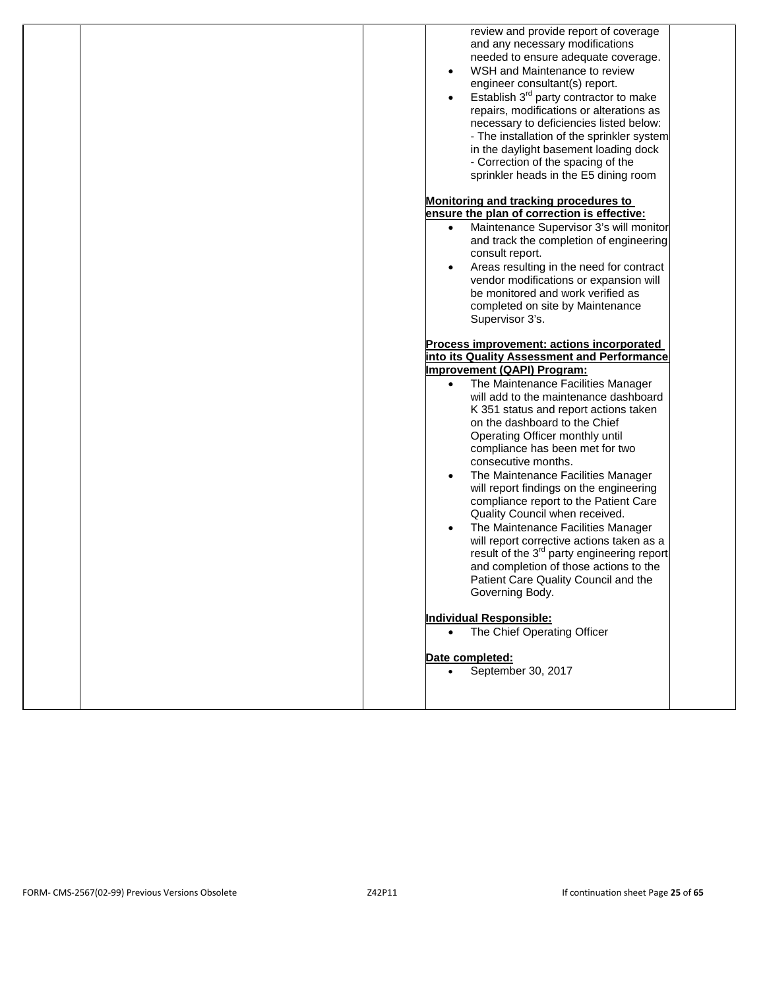| review and provide report of coverage<br>and any necessary modifications    |
|-----------------------------------------------------------------------------|
| needed to ensure adequate coverage.                                         |
| WSH and Maintenance to review<br>$\bullet$                                  |
| engineer consultant(s) report.                                              |
| Establish 3 <sup>rd</sup> party contractor to make<br>$\bullet$             |
| repairs, modifications or alterations as                                    |
| necessary to deficiencies listed below:                                     |
| - The installation of the sprinkler system                                  |
| in the daylight basement loading dock<br>- Correction of the spacing of the |
| sprinkler heads in the E5 dining room                                       |
|                                                                             |
| Monitoring and tracking procedures to                                       |
| ensure the plan of correction is effective:                                 |
| Maintenance Supervisor 3's will monitor<br>$\bullet$                        |
| and track the completion of engineering<br>consult report.                  |
| Areas resulting in the need for contract<br>$\bullet$                       |
| vendor modifications or expansion will                                      |
| be monitored and work verified as                                           |
| completed on site by Maintenance                                            |
| Supervisor 3's.                                                             |
| Process improvement: actions incorporated                                   |
| into its Quality Assessment and Performance                                 |
| Improvement (QAPI) Program:                                                 |
| The Maintenance Facilities Manager                                          |
| will add to the maintenance dashboard                                       |
| K 351 status and report actions taken<br>on the dashboard to the Chief      |
| Operating Officer monthly until                                             |
| compliance has been met for two                                             |
| consecutive months.                                                         |
| The Maintenance Facilities Manager                                          |
| will report findings on the engineering                                     |
| compliance report to the Patient Care<br>Quality Council when received.     |
| The Maintenance Facilities Manager                                          |
| will report corrective actions taken as a                                   |
| result of the 3 <sup>rd</sup> party engineering report                      |
| and completion of those actions to the                                      |
| Patient Care Quality Council and the                                        |
| Governing Body.                                                             |
| <b>Individual Responsible:</b>                                              |
| The Chief Operating Officer                                                 |
|                                                                             |
| Date completed:                                                             |
| September 30, 2017                                                          |
|                                                                             |
|                                                                             |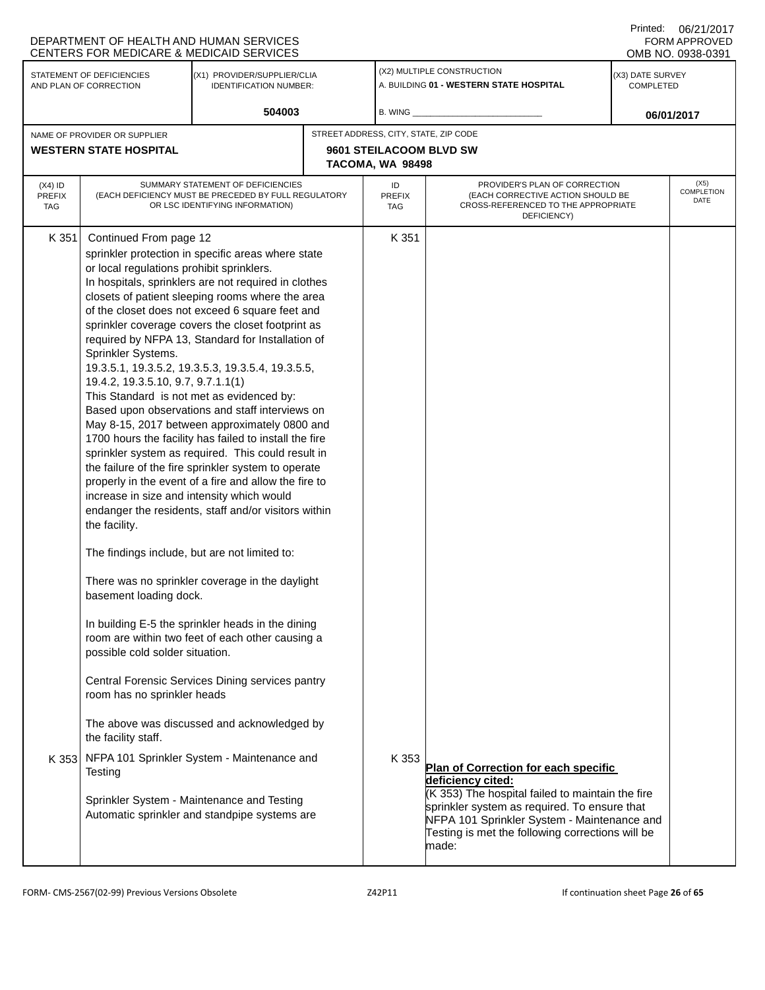|                                          | DEPARTMENT OF HEALTH AND HUMAN SERVICES<br>CENTERS FOR MEDICARE & MEDICAID SERVICES                                                                                                                                                                                                                                                                                                                                        |                                                                                                                                                                                                                                                                                                                                                                                                                                                                                                                                                                                                                                                                                                                                                                                                                                                                                                                                                                                                                                                                                            |                                             |                                                                                                                                                                                                                                   |                               | Printed: 06/21/2017<br>FORM APPROVED<br>OMB NO. 0938-0391 |
|------------------------------------------|----------------------------------------------------------------------------------------------------------------------------------------------------------------------------------------------------------------------------------------------------------------------------------------------------------------------------------------------------------------------------------------------------------------------------|--------------------------------------------------------------------------------------------------------------------------------------------------------------------------------------------------------------------------------------------------------------------------------------------------------------------------------------------------------------------------------------------------------------------------------------------------------------------------------------------------------------------------------------------------------------------------------------------------------------------------------------------------------------------------------------------------------------------------------------------------------------------------------------------------------------------------------------------------------------------------------------------------------------------------------------------------------------------------------------------------------------------------------------------------------------------------------------------|---------------------------------------------|-----------------------------------------------------------------------------------------------------------------------------------------------------------------------------------------------------------------------------------|-------------------------------|-----------------------------------------------------------|
|                                          | STATEMENT OF DEFICIENCIES<br>AND PLAN OF CORRECTION                                                                                                                                                                                                                                                                                                                                                                        | (X1) PROVIDER/SUPPLIER/CLIA<br><b>IDENTIFICATION NUMBER:</b>                                                                                                                                                                                                                                                                                                                                                                                                                                                                                                                                                                                                                                                                                                                                                                                                                                                                                                                                                                                                                               |                                             | (X2) MULTIPLE CONSTRUCTION<br>A. BUILDING 01 - WESTERN STATE HOSPITAL                                                                                                                                                             | (X3) DATE SURVEY<br>COMPLETED |                                                           |
|                                          |                                                                                                                                                                                                                                                                                                                                                                                                                            | 504003                                                                                                                                                                                                                                                                                                                                                                                                                                                                                                                                                                                                                                                                                                                                                                                                                                                                                                                                                                                                                                                                                     | B. WING                                     |                                                                                                                                                                                                                                   |                               | 06/01/2017                                                |
| NAME OF PROVIDER OR SUPPLIER             |                                                                                                                                                                                                                                                                                                                                                                                                                            |                                                                                                                                                                                                                                                                                                                                                                                                                                                                                                                                                                                                                                                                                                                                                                                                                                                                                                                                                                                                                                                                                            | STREET ADDRESS, CITY, STATE, ZIP CODE       |                                                                                                                                                                                                                                   |                               |                                                           |
| <b>WESTERN STATE HOSPITAL</b>            |                                                                                                                                                                                                                                                                                                                                                                                                                            |                                                                                                                                                                                                                                                                                                                                                                                                                                                                                                                                                                                                                                                                                                                                                                                                                                                                                                                                                                                                                                                                                            | 9601 STEILACOOM BLVD SW<br>TACOMA, WA 98498 |                                                                                                                                                                                                                                   |                               |                                                           |
| $(X4)$ ID<br><b>PREFIX</b><br><b>TAG</b> |                                                                                                                                                                                                                                                                                                                                                                                                                            | SUMMARY STATEMENT OF DEFICIENCIES<br>(EACH DEFICIENCY MUST BE PRECEDED BY FULL REGULATORY<br>OR LSC IDENTIFYING INFORMATION)                                                                                                                                                                                                                                                                                                                                                                                                                                                                                                                                                                                                                                                                                                                                                                                                                                                                                                                                                               | ID<br><b>PREFIX</b><br><b>TAG</b>           | PROVIDER'S PLAN OF CORRECTION<br>(EACH CORRECTIVE ACTION SHOULD BE<br>CROSS-REFERENCED TO THE APPROPRIATE<br>DEFICIENCY)                                                                                                          |                               | (X5)<br><b>COMPLETION</b><br>DATE                         |
| K 351<br>K 353                           | Continued From page 12<br>or local regulations prohibit sprinklers.<br>Sprinkler Systems.<br>19.4.2, 19.3.5.10, 9.7, 9.7.1.1(1)<br>This Standard is not met as evidenced by:<br>increase in size and intensity which would<br>the facility.<br>The findings include, but are not limited to:<br>basement loading dock.<br>possible cold solder situation.<br>room has no sprinkler heads<br>the facility staff.<br>Testing | sprinkler protection in specific areas where state<br>In hospitals, sprinklers are not required in clothes<br>closets of patient sleeping rooms where the area<br>of the closet does not exceed 6 square feet and<br>sprinkler coverage covers the closet footprint as<br>required by NFPA 13, Standard for Installation of<br>19.3.5.1, 19.3.5.2, 19.3.5.3, 19.3.5.4, 19.3.5.5,<br>Based upon observations and staff interviews on<br>May 8-15, 2017 between approximately 0800 and<br>1700 hours the facility has failed to install the fire<br>sprinkler system as required. This could result in<br>the failure of the fire sprinkler system to operate<br>properly in the event of a fire and allow the fire to<br>endanger the residents, staff and/or visitors within<br>There was no sprinkler coverage in the daylight<br>In building E-5 the sprinkler heads in the dining<br>room are within two feet of each other causing a<br>Central Forensic Services Dining services pantry<br>The above was discussed and acknowledged by<br>NFPA 101 Sprinkler System - Maintenance and | K 351<br>K 353                              | Plan of Correction for each specific                                                                                                                                                                                              |                               |                                                           |
|                                          |                                                                                                                                                                                                                                                                                                                                                                                                                            | Sprinkler System - Maintenance and Testing<br>Automatic sprinkler and standpipe systems are                                                                                                                                                                                                                                                                                                                                                                                                                                                                                                                                                                                                                                                                                                                                                                                                                                                                                                                                                                                                |                                             | deficiency cited:<br>(K 353) The hospital failed to maintain the fire<br>sprinkler system as required. To ensure that<br>NFPA 101 Sprinkler System - Maintenance and<br>Testing is met the following corrections will be<br>made: |                               |                                                           |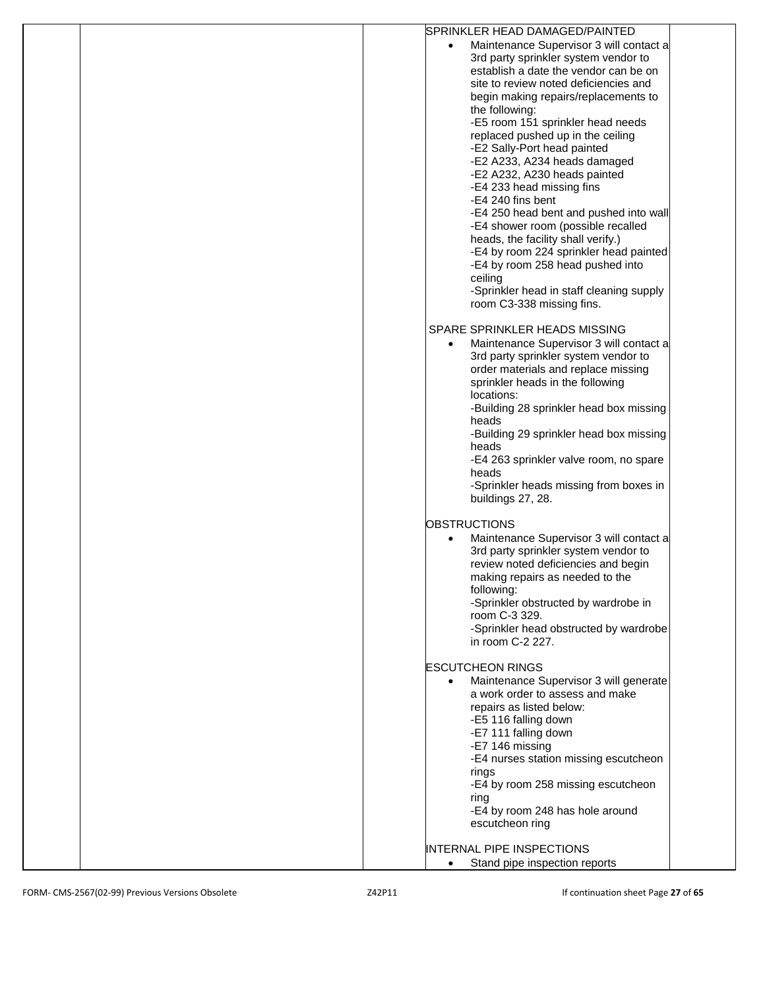| SPRINKLER HEAD DAMAGED/PAINTED                       |
|------------------------------------------------------|
| Maintenance Supervisor 3 will contact a<br>$\bullet$ |
| 3rd party sprinkler system vendor to                 |
| establish a date the vendor can be on                |
| site to review noted deficiencies and                |
| begin making repairs/replacements to                 |
|                                                      |
| the following:                                       |
| -E5 room 151 sprinkler head needs                    |
| replaced pushed up in the ceiling                    |
| -E2 Sally-Port head painted                          |
| -E2 A233, A234 heads damaged                         |
| -E2 A232, A230 heads painted                         |
| -E4 233 head missing fins                            |
| -E4 240 fins bent                                    |
| -E4 250 head bent and pushed into wall               |
|                                                      |
| -E4 shower room (possible recalled                   |
| heads, the facility shall verify.)                   |
| -E4 by room 224 sprinkler head painted               |
| -E4 by room 258 head pushed into                     |
| ceiling                                              |
| -Sprinkler head in staff cleaning supply             |
| room C3-338 missing fins.                            |
|                                                      |
| SPARE SPRINKLER HEADS MISSING                        |
|                                                      |
| Maintenance Supervisor 3 will contact a              |
| 3rd party sprinkler system vendor to                 |
| order materials and replace missing                  |
| sprinkler heads in the following                     |
| locations:                                           |
| -Building 28 sprinkler head box missing              |
| heads                                                |
| -Building 29 sprinkler head box missing              |
| heads                                                |
|                                                      |
| -E4 263 sprinkler valve room, no spare               |
| heads                                                |
| -Sprinkler heads missing from boxes in               |
| buildings 27, 28.                                    |
|                                                      |
| <b>OBSTRUCTIONS</b>                                  |
| Maintenance Supervisor 3 will contact a<br>$\bullet$ |
| 3rd party sprinkler system vendor to                 |
| review noted deficiencies and begin                  |
|                                                      |
| making repairs as needed to the                      |
| following:                                           |
| -Sprinkler obstructed by wardrobe in                 |
| room C-3 329.                                        |
| -Sprinkler head obstructed by wardrobe               |
| in room C-2 227.                                     |
|                                                      |
| <b>ESCUTCHEON RINGS</b>                              |
| Maintenance Supervisor 3 will generate               |
| a work order to assess and make                      |
| repairs as listed below:                             |
|                                                      |
| -E5 116 falling down                                 |
| -E7 111 falling down                                 |
| -E7 146 missing                                      |
| -E4 nurses station missing escutcheon                |
| rings                                                |
| -E4 by room 258 missing escutcheon                   |
| ring                                                 |
| -E4 by room 248 has hole around                      |
|                                                      |
| escutcheon ring                                      |
|                                                      |
| <b>INTERNAL PIPE INSPECTIONS</b>                     |
| Stand pipe inspection reports<br>$\bullet$           |
|                                                      |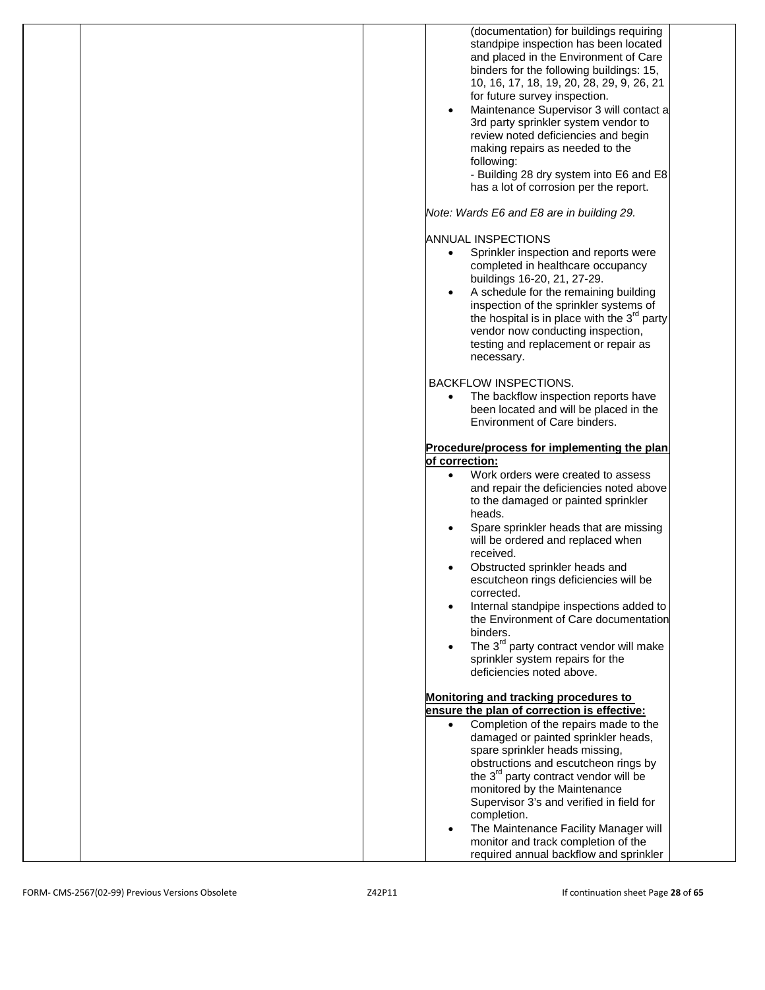| (documentation) for buildings requiring<br>standpipe inspection has been located<br>and placed in the Environment of Care<br>binders for the following buildings: 15,<br>10, 16, 17, 18, 19, 20, 28, 29, 9, 26, 21<br>for future survey inspection.<br>Maintenance Supervisor 3 will contact a<br>3rd party sprinkler system vendor to<br>review noted deficiencies and begin<br>making repairs as needed to the<br>following:<br>- Building 28 dry system into E6 and E8<br>has a lot of corrosion per the report.                                                        |
|----------------------------------------------------------------------------------------------------------------------------------------------------------------------------------------------------------------------------------------------------------------------------------------------------------------------------------------------------------------------------------------------------------------------------------------------------------------------------------------------------------------------------------------------------------------------------|
| Note: Wards E6 and E8 are in building 29.                                                                                                                                                                                                                                                                                                                                                                                                                                                                                                                                  |
| <b>ANNUAL INSPECTIONS</b><br>Sprinkler inspection and reports were<br>$\bullet$<br>completed in healthcare occupancy<br>buildings 16-20, 21, 27-29.<br>A schedule for the remaining building<br>inspection of the sprinkler systems of<br>the hospital is in place with the $3^{rd}$ party<br>vendor now conducting inspection,<br>testing and replacement or repair as<br>necessary.                                                                                                                                                                                      |
| <b>BACKFLOW INSPECTIONS.</b><br>The backflow inspection reports have<br>been located and will be placed in the<br>Environment of Care binders.                                                                                                                                                                                                                                                                                                                                                                                                                             |
| Procedure/process for implementing the plan                                                                                                                                                                                                                                                                                                                                                                                                                                                                                                                                |
| of correction:<br>Work orders were created to assess<br>$\bullet$<br>and repair the deficiencies noted above<br>to the damaged or painted sprinkler<br>heads.<br>Spare sprinkler heads that are missing<br>will be ordered and replaced when<br>received.<br>Obstructed sprinkler heads and<br>escutcheon rings deficiencies will be<br>corrected.<br>Internal standpipe inspections added to<br>the Environment of Care documentation<br>binders.<br>The 3 <sup>rd</sup> party contract vendor will make<br>sprinkler system repairs for the<br>deficiencies noted above. |
| Monitoring and tracking procedures to<br>ensure the plan of correction is effective:<br>Completion of the repairs made to the<br>damaged or painted sprinkler heads,<br>spare sprinkler heads missing,<br>obstructions and escutcheon rings by<br>the 3 <sup>rd</sup> party contract vendor will be<br>monitored by the Maintenance<br>Supervisor 3's and verified in field for<br>completion.<br>The Maintenance Facility Manager will<br>monitor and track completion of the<br>required annual backflow and sprinkler                                                   |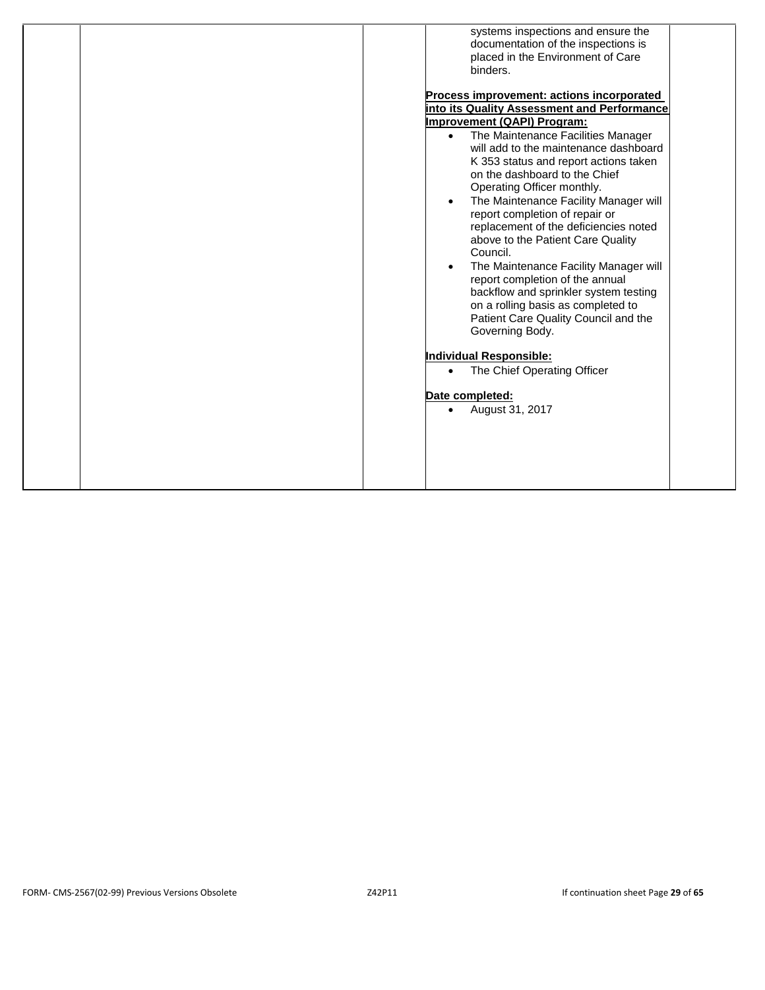| systems inspections and ensure the              |
|-------------------------------------------------|
| documentation of the inspections is             |
| placed in the Environment of Care               |
| binders.                                        |
|                                                 |
| Process improvement: actions incorporated       |
| into its Quality Assessment and Performance     |
| Improvement (QAPI) Program:                     |
| The Maintenance Facilities Manager<br>$\bullet$ |
| will add to the maintenance dashboard           |
| K 353 status and report actions taken           |
| on the dashboard to the Chief                   |
| Operating Officer monthly.                      |
| The Maintenance Facility Manager will           |
|                                                 |
| report completion of repair or                  |
| replacement of the deficiencies noted           |
| above to the Patient Care Quality               |
| Council.                                        |
| The Maintenance Facility Manager will           |
| report completion of the annual                 |
| backflow and sprinkler system testing           |
| on a rolling basis as completed to              |
| Patient Care Quality Council and the            |
|                                                 |
| Governing Body.                                 |
| Individual Responsible:                         |
|                                                 |
| The Chief Operating Officer<br>$\bullet$        |
| Date completed:                                 |
|                                                 |
| August 31, 2017<br>$\bullet$                    |
|                                                 |
|                                                 |
|                                                 |
|                                                 |
|                                                 |
|                                                 |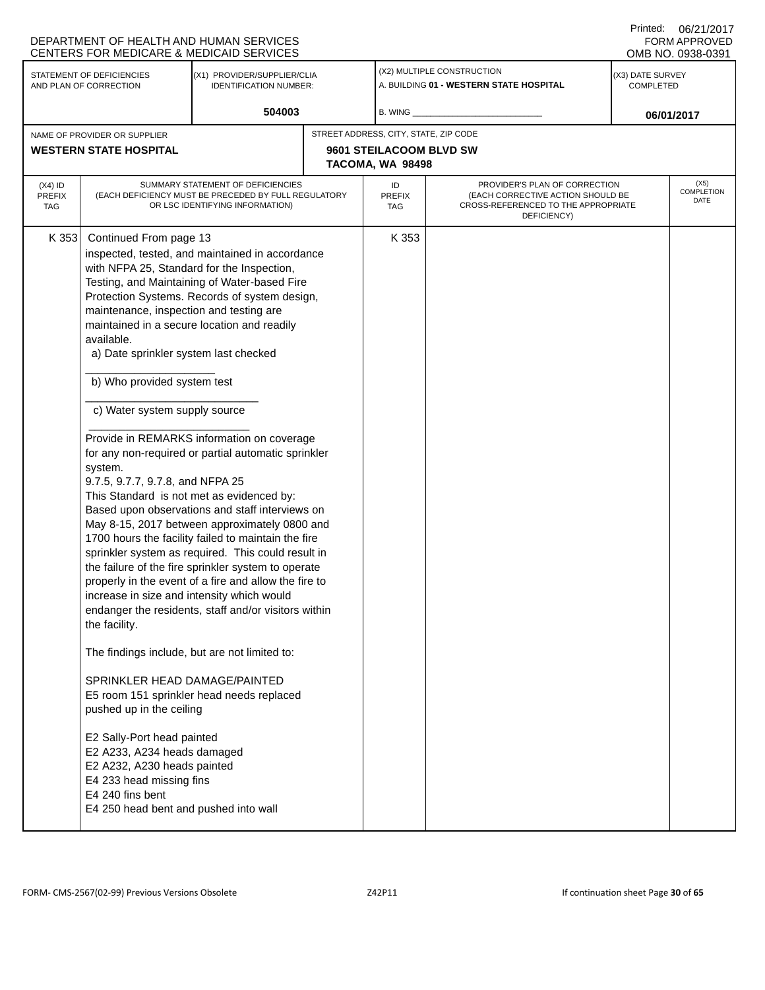|                                 | DEPARTMENT OF HEALTH AND HUMAN SERVICES<br><b>CENTERS FOR MEDICARE &amp; MEDICAID SERVICES</b>                                                                                                                                                                                                                                                                                                                                                                                                                                                                                                                                                                                                                                                      |                                                                                                                                                                                                                                                                                                                                                                                                                                                                                                                                                                                                                                                                                             |                                             |                                                                                                                          | Printed:                      | 06/21/2017<br><b>FORM APPROVED</b><br>OMB NO. 0938-0391 |
|---------------------------------|-----------------------------------------------------------------------------------------------------------------------------------------------------------------------------------------------------------------------------------------------------------------------------------------------------------------------------------------------------------------------------------------------------------------------------------------------------------------------------------------------------------------------------------------------------------------------------------------------------------------------------------------------------------------------------------------------------------------------------------------------------|---------------------------------------------------------------------------------------------------------------------------------------------------------------------------------------------------------------------------------------------------------------------------------------------------------------------------------------------------------------------------------------------------------------------------------------------------------------------------------------------------------------------------------------------------------------------------------------------------------------------------------------------------------------------------------------------|---------------------------------------------|--------------------------------------------------------------------------------------------------------------------------|-------------------------------|---------------------------------------------------------|
|                                 | STATEMENT OF DEFICIENCIES<br>AND PLAN OF CORRECTION                                                                                                                                                                                                                                                                                                                                                                                                                                                                                                                                                                                                                                                                                                 | (X1) PROVIDER/SUPPLIER/CLIA<br><b>IDENTIFICATION NUMBER:</b>                                                                                                                                                                                                                                                                                                                                                                                                                                                                                                                                                                                                                                |                                             | (X2) MULTIPLE CONSTRUCTION<br>A. BUILDING 01 - WESTERN STATE HOSPITAL                                                    | (X3) DATE SURVEY<br>COMPLETED |                                                         |
|                                 |                                                                                                                                                                                                                                                                                                                                                                                                                                                                                                                                                                                                                                                                                                                                                     | 504003                                                                                                                                                                                                                                                                                                                                                                                                                                                                                                                                                                                                                                                                                      | B. WING                                     |                                                                                                                          |                               | 06/01/2017                                              |
|                                 | NAME OF PROVIDER OR SUPPLIER                                                                                                                                                                                                                                                                                                                                                                                                                                                                                                                                                                                                                                                                                                                        |                                                                                                                                                                                                                                                                                                                                                                                                                                                                                                                                                                                                                                                                                             | STREET ADDRESS, CITY, STATE, ZIP CODE       |                                                                                                                          |                               |                                                         |
|                                 | <b>WESTERN STATE HOSPITAL</b>                                                                                                                                                                                                                                                                                                                                                                                                                                                                                                                                                                                                                                                                                                                       |                                                                                                                                                                                                                                                                                                                                                                                                                                                                                                                                                                                                                                                                                             | 9601 STEILACOOM BLVD SW<br>TACOMA, WA 98498 |                                                                                                                          |                               |                                                         |
| (X4) ID<br><b>PREFIX</b><br>TAG |                                                                                                                                                                                                                                                                                                                                                                                                                                                                                                                                                                                                                                                                                                                                                     | SUMMARY STATEMENT OF DEFICIENCIES<br>(EACH DEFICIENCY MUST BE PRECEDED BY FULL REGULATORY<br>OR LSC IDENTIFYING INFORMATION)                                                                                                                                                                                                                                                                                                                                                                                                                                                                                                                                                                | ID<br><b>PREFIX</b><br>TAG                  | PROVIDER'S PLAN OF CORRECTION<br>(EACH CORRECTIVE ACTION SHOULD BE<br>CROSS-REFERENCED TO THE APPROPRIATE<br>DEFICIENCY) |                               | (X5)<br>COMPLETION<br>DATE                              |
| K 353                           | Continued From page 13<br>with NFPA 25, Standard for the Inspection,<br>maintenance, inspection and testing are<br>maintained in a secure location and readily<br>available.<br>a) Date sprinkler system last checked<br>b) Who provided system test<br>c) Water system supply source<br>system.<br>9.7.5, 9.7.7, 9.7.8, and NFPA 25<br>This Standard is not met as evidenced by:<br>increase in size and intensity which would<br>the facility.<br>The findings include, but are not limited to:<br>SPRINKLER HEAD DAMAGE/PAINTED<br>pushed up in the ceiling<br>E2 Sally-Port head painted<br>E2 A233, A234 heads damaged<br>E2 A232, A230 heads painted<br>E4 233 head missing fins<br>E4 240 fins bent<br>E4 250 head bent and pushed into wall | inspected, tested, and maintained in accordance<br>Testing, and Maintaining of Water-based Fire<br>Protection Systems. Records of system design,<br>Provide in REMARKS information on coverage<br>for any non-required or partial automatic sprinkler<br>Based upon observations and staff interviews on<br>May 8-15, 2017 between approximately 0800 and<br>1700 hours the facility failed to maintain the fire<br>sprinkler system as required. This could result in<br>the failure of the fire sprinkler system to operate<br>properly in the event of a fire and allow the fire to<br>endanger the residents, staff and/or visitors within<br>E5 room 151 sprinkler head needs replaced | K 353                                       |                                                                                                                          |                               |                                                         |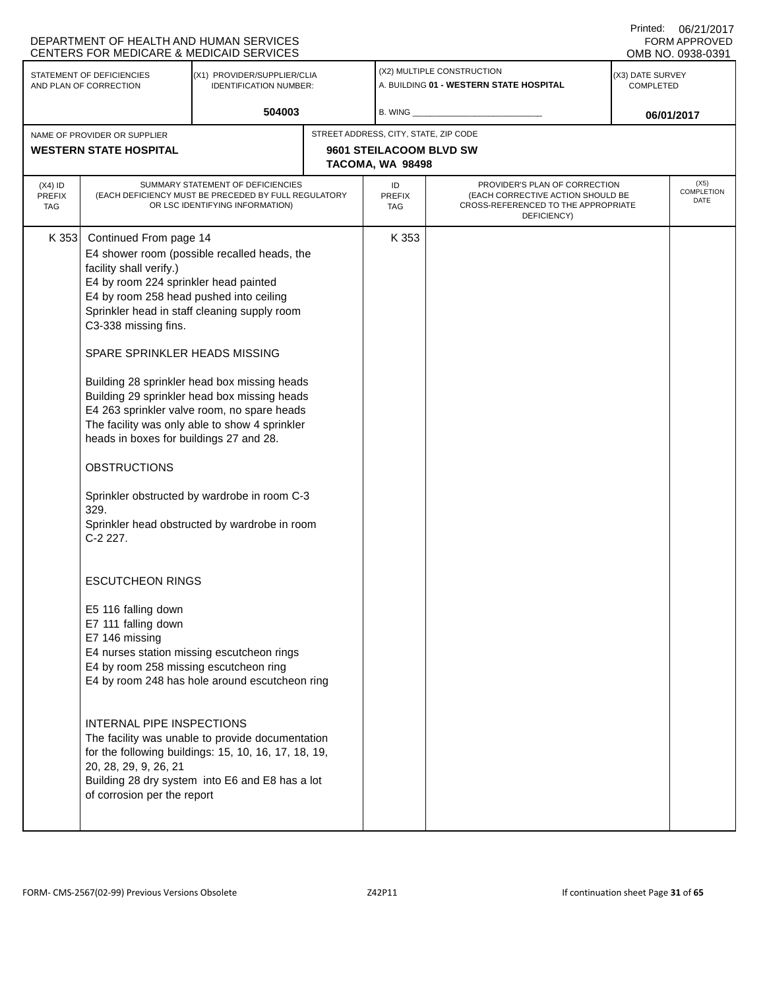|                                                                                                                     | DEPARTMENT OF HEALTH AND HUMAN SERVICES<br><b>CENTERS FOR MEDICARE &amp; MEDICAID SERVICES</b>                                                                                                                                                                                                                                                                                                                                                                                                                        |                                                                                                                                                                                                                                                                                                                                                                                                                                                                                                                                                                                                                                                               |                                                                       |                                                                                                                          |  | 0.411111<br><b>FORM APPROVED</b><br>OMB NO. 0938-0391 |
|---------------------------------------------------------------------------------------------------------------------|-----------------------------------------------------------------------------------------------------------------------------------------------------------------------------------------------------------------------------------------------------------------------------------------------------------------------------------------------------------------------------------------------------------------------------------------------------------------------------------------------------------------------|---------------------------------------------------------------------------------------------------------------------------------------------------------------------------------------------------------------------------------------------------------------------------------------------------------------------------------------------------------------------------------------------------------------------------------------------------------------------------------------------------------------------------------------------------------------------------------------------------------------------------------------------------------------|-----------------------------------------------------------------------|--------------------------------------------------------------------------------------------------------------------------|--|-------------------------------------------------------|
| STATEMENT OF DEFICIENCIES<br>(X1) PROVIDER/SUPPLIER/CLIA<br>AND PLAN OF CORRECTION<br><b>IDENTIFICATION NUMBER:</b> |                                                                                                                                                                                                                                                                                                                                                                                                                                                                                                                       |                                                                                                                                                                                                                                                                                                                                                                                                                                                                                                                                                                                                                                                               | (X2) MULTIPLE CONSTRUCTION<br>A. BUILDING 01 - WESTERN STATE HOSPITAL | (X3) DATE SURVEY<br><b>COMPLETED</b>                                                                                     |  |                                                       |
|                                                                                                                     |                                                                                                                                                                                                                                                                                                                                                                                                                                                                                                                       | 504003                                                                                                                                                                                                                                                                                                                                                                                                                                                                                                                                                                                                                                                        | B. WING _                                                             |                                                                                                                          |  | 06/01/2017                                            |
|                                                                                                                     | NAME OF PROVIDER OR SUPPLIER                                                                                                                                                                                                                                                                                                                                                                                                                                                                                          |                                                                                                                                                                                                                                                                                                                                                                                                                                                                                                                                                                                                                                                               | STREET ADDRESS, CITY, STATE, ZIP CODE                                 |                                                                                                                          |  |                                                       |
|                                                                                                                     | <b>WESTERN STATE HOSPITAL</b>                                                                                                                                                                                                                                                                                                                                                                                                                                                                                         |                                                                                                                                                                                                                                                                                                                                                                                                                                                                                                                                                                                                                                                               | 9601 STEILACOOM BLVD SW<br>TACOMA, WA 98498                           |                                                                                                                          |  |                                                       |
| $(X4)$ ID<br><b>PREFIX</b><br><b>TAG</b>                                                                            |                                                                                                                                                                                                                                                                                                                                                                                                                                                                                                                       | SUMMARY STATEMENT OF DEFICIENCIES<br>(EACH DEFICIENCY MUST BE PRECEDED BY FULL REGULATORY<br>OR LSC IDENTIFYING INFORMATION)                                                                                                                                                                                                                                                                                                                                                                                                                                                                                                                                  | ID<br>PREFIX<br><b>TAG</b>                                            | PROVIDER'S PLAN OF CORRECTION<br>(EACH CORRECTIVE ACTION SHOULD BE<br>CROSS-REFERENCED TO THE APPROPRIATE<br>DEFICIENCY) |  | (X5)<br>COMPLETION<br>DATE                            |
| K 353                                                                                                               | Continued From page 14<br>facility shall verify.)<br>E4 by room 224 sprinkler head painted<br>E4 by room 258 head pushed into ceiling<br>C3-338 missing fins.<br>SPARE SPRINKLER HEADS MISSING<br>heads in boxes for buildings 27 and 28.<br><b>OBSTRUCTIONS</b><br>329.<br>C-2 227.<br><b>ESCUTCHEON RINGS</b><br>E5 116 falling down<br>E7 111 falling down<br>E7 146 missing<br>E4 by room 258 missing escutcheon ring<br><b>INTERNAL PIPE INSPECTIONS</b><br>20, 28, 29, 9, 26, 21<br>of corrosion per the report | E4 shower room (possible recalled heads, the<br>Sprinkler head in staff cleaning supply room<br>Building 28 sprinkler head box missing heads<br>Building 29 sprinkler head box missing heads<br>E4 263 sprinkler valve room, no spare heads<br>The facility was only able to show 4 sprinkler<br>Sprinkler obstructed by wardrobe in room C-3<br>Sprinkler head obstructed by wardrobe in room<br>E4 nurses station missing escutcheon rings<br>E4 by room 248 has hole around escutcheon ring<br>The facility was unable to provide documentation<br>for the following buildings: 15, 10, 16, 17, 18, 19,<br>Building 28 dry system into E6 and E8 has a lot | K 353                                                                 |                                                                                                                          |  |                                                       |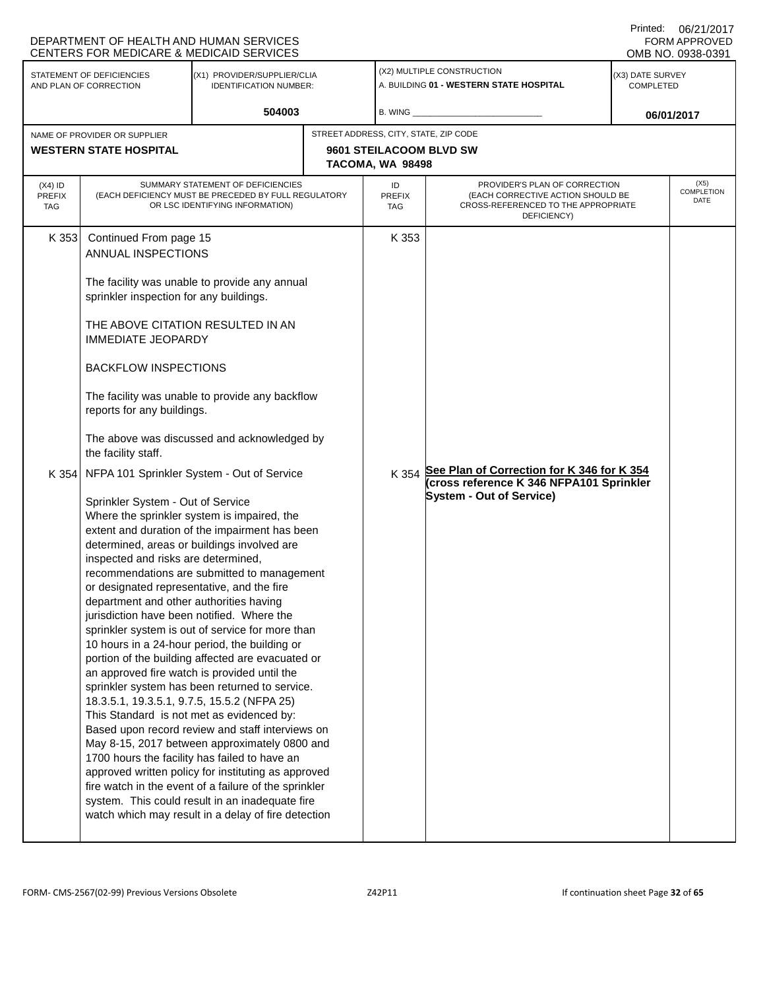|                                                               | DEPARTMENT OF HEALTH AND HUMAN SERVICES<br>CENTERS FOR MEDICARE & MEDICAID SERVICES                                                                                                                                                                                                                                                                                                                                                                                                                                                                                                                          |                                                                                                                                                                                                                                                                                                                                                                                                                                                                                                                                                                                                                                                                                                                                                                                                                       |                                                                                      |                                                                                                                           | Printed:                             | 06/21/2017<br>FORM APPROVED<br>OMB NO. 0938-0391 |
|---------------------------------------------------------------|--------------------------------------------------------------------------------------------------------------------------------------------------------------------------------------------------------------------------------------------------------------------------------------------------------------------------------------------------------------------------------------------------------------------------------------------------------------------------------------------------------------------------------------------------------------------------------------------------------------|-----------------------------------------------------------------------------------------------------------------------------------------------------------------------------------------------------------------------------------------------------------------------------------------------------------------------------------------------------------------------------------------------------------------------------------------------------------------------------------------------------------------------------------------------------------------------------------------------------------------------------------------------------------------------------------------------------------------------------------------------------------------------------------------------------------------------|--------------------------------------------------------------------------------------|---------------------------------------------------------------------------------------------------------------------------|--------------------------------------|--------------------------------------------------|
| STATEMENT OF DEFICIENCIES<br>AND PLAN OF CORRECTION           |                                                                                                                                                                                                                                                                                                                                                                                                                                                                                                                                                                                                              | (X1) PROVIDER/SUPPLIER/CLIA<br><b>IDENTIFICATION NUMBER:</b>                                                                                                                                                                                                                                                                                                                                                                                                                                                                                                                                                                                                                                                                                                                                                          |                                                                                      | (X2) MULTIPLE CONSTRUCTION<br>A. BUILDING 01 - WESTERN STATE HOSPITAL                                                     | (X3) DATE SURVEY<br><b>COMPLETED</b> |                                                  |
|                                                               |                                                                                                                                                                                                                                                                                                                                                                                                                                                                                                                                                                                                              | 504003                                                                                                                                                                                                                                                                                                                                                                                                                                                                                                                                                                                                                                                                                                                                                                                                                | B. WING _                                                                            |                                                                                                                           |                                      | 06/01/2017                                       |
| NAME OF PROVIDER OR SUPPLIER<br><b>WESTERN STATE HOSPITAL</b> |                                                                                                                                                                                                                                                                                                                                                                                                                                                                                                                                                                                                              |                                                                                                                                                                                                                                                                                                                                                                                                                                                                                                                                                                                                                                                                                                                                                                                                                       | STREET ADDRESS, CITY, STATE, ZIP CODE<br>9601 STEILACOOM BLVD SW<br>TACOMA, WA 98498 |                                                                                                                           |                                      |                                                  |
| $(X4)$ ID<br><b>PREFIX</b><br>TAG                             |                                                                                                                                                                                                                                                                                                                                                                                                                                                                                                                                                                                                              | SUMMARY STATEMENT OF DEFICIENCIES<br>(EACH DEFICIENCY MUST BE PRECEDED BY FULL REGULATORY<br>OR LSC IDENTIFYING INFORMATION)                                                                                                                                                                                                                                                                                                                                                                                                                                                                                                                                                                                                                                                                                          | ID<br><b>PREFIX</b><br><b>TAG</b>                                                    | PROVIDER'S PLAN OF CORRECTION<br>(EACH CORRECTIVE ACTION SHOULD BE<br>CROSS-REFERENCED TO THE APPROPRIATE<br>DEFICIENCY)  |                                      | (X5)<br>COMPLETION<br>DATE                       |
| K 353<br>K 354                                                | Continued From page 15<br>ANNUAL INSPECTIONS<br>sprinkler inspection for any buildings.<br>THE ABOVE CITATION RESULTED IN AN<br><b>IMMEDIATE JEOPARDY</b><br><b>BACKFLOW INSPECTIONS</b><br>reports for any buildings.<br>the facility staff.<br>Sprinkler System - Out of Service<br>inspected and risks are determined,<br>or designated representative, and the fire<br>department and other authorities having<br>jurisdiction have been notified. Where the<br>an approved fire watch is provided until the<br>18.3.5.1, 19.3.5.1, 9.7.5, 15.5.2 (NFPA 25)<br>This Standard is not met as evidenced by: | The facility was unable to provide any annual<br>The facility was unable to provide any backflow<br>The above was discussed and acknowledged by<br>NFPA 101 Sprinkler System - Out of Service<br>Where the sprinkler system is impaired, the<br>extent and duration of the impairment has been<br>determined, areas or buildings involved are<br>recommendations are submitted to management<br>sprinkler system is out of service for more than<br>10 hours in a 24-hour period, the building or<br>portion of the building affected are evacuated or<br>sprinkler system has been returned to service.<br>Based upon record review and staff interviews on<br>May 8-15, 2017 between approximately 0800 and<br>1700 hours the facility has failed to have an<br>approved written policy for instituting as approved | K 353<br>K 354                                                                       | See Plan of Correction for K 346 for K 354<br>(cross reference K 346 NFPA101 Sprinkler<br><b>System - Out of Service)</b> |                                      |                                                  |
|                                                               |                                                                                                                                                                                                                                                                                                                                                                                                                                                                                                                                                                                                              | fire watch in the event of a failure of the sprinkler<br>system. This could result in an inadequate fire<br>watch which may result in a delay of fire detection                                                                                                                                                                                                                                                                                                                                                                                                                                                                                                                                                                                                                                                       |                                                                                      |                                                                                                                           |                                      |                                                  |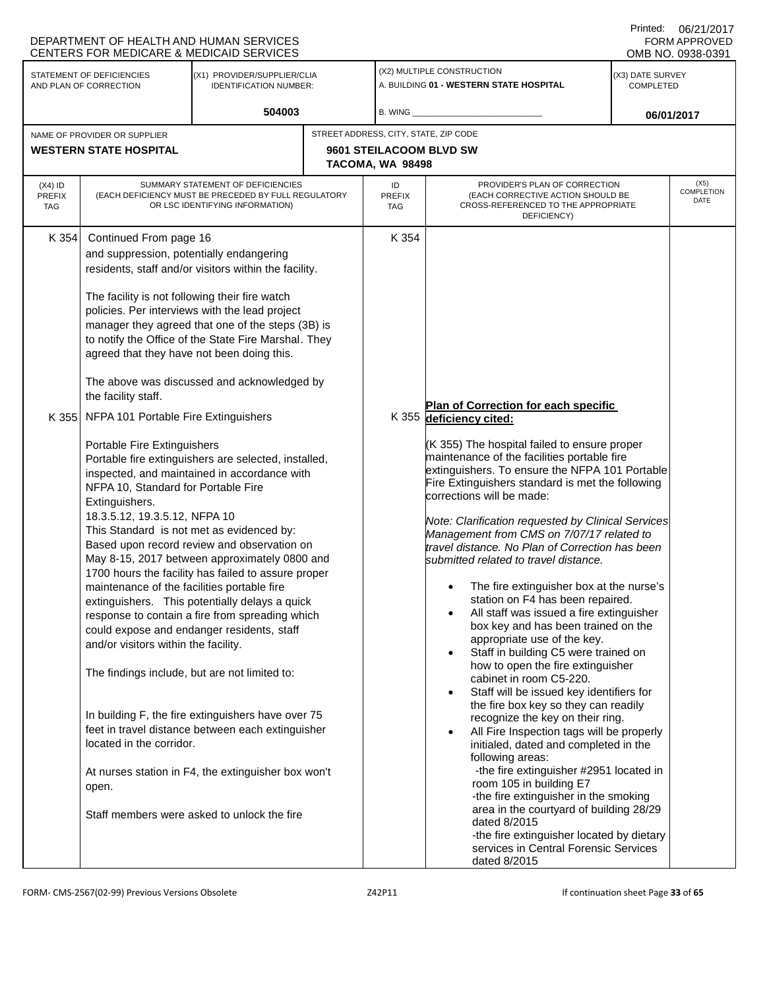|                                   | DEPARTMENT OF HEALTH AND HUMAN SERVICES<br>CENTERS FOR MEDICARE & MEDICAID SERVICES                                                                                                                                                                                                                                                             |                                                                                                                                                                                                                                                                                                                                                                                                                                                                                                                                                                                                                                 |                                             |                                                                                                                                                                                                                                                                                                                                                                                                                                                                                                                                                                                                                                                                                                                                                                                                                                                                                                                                                                                                                                                                                                                                                                                                                                                                                                  | Printed:                             | 06/21/2017<br>FORM APPROVED<br>OMB NO. 0938-0391 |
|-----------------------------------|-------------------------------------------------------------------------------------------------------------------------------------------------------------------------------------------------------------------------------------------------------------------------------------------------------------------------------------------------|---------------------------------------------------------------------------------------------------------------------------------------------------------------------------------------------------------------------------------------------------------------------------------------------------------------------------------------------------------------------------------------------------------------------------------------------------------------------------------------------------------------------------------------------------------------------------------------------------------------------------------|---------------------------------------------|--------------------------------------------------------------------------------------------------------------------------------------------------------------------------------------------------------------------------------------------------------------------------------------------------------------------------------------------------------------------------------------------------------------------------------------------------------------------------------------------------------------------------------------------------------------------------------------------------------------------------------------------------------------------------------------------------------------------------------------------------------------------------------------------------------------------------------------------------------------------------------------------------------------------------------------------------------------------------------------------------------------------------------------------------------------------------------------------------------------------------------------------------------------------------------------------------------------------------------------------------------------------------------------------------|--------------------------------------|--------------------------------------------------|
|                                   | STATEMENT OF DEFICIENCIES<br>AND PLAN OF CORRECTION                                                                                                                                                                                                                                                                                             | (X1) PROVIDER/SUPPLIER/CLIA<br><b>IDENTIFICATION NUMBER:</b>                                                                                                                                                                                                                                                                                                                                                                                                                                                                                                                                                                    |                                             | (X2) MULTIPLE CONSTRUCTION<br>A. BUILDING 01 - WESTERN STATE HOSPITAL                                                                                                                                                                                                                                                                                                                                                                                                                                                                                                                                                                                                                                                                                                                                                                                                                                                                                                                                                                                                                                                                                                                                                                                                                            | (X3) DATE SURVEY<br><b>COMPLETED</b> |                                                  |
|                                   |                                                                                                                                                                                                                                                                                                                                                 | 504003                                                                                                                                                                                                                                                                                                                                                                                                                                                                                                                                                                                                                          | B. WING $_{-}$                              |                                                                                                                                                                                                                                                                                                                                                                                                                                                                                                                                                                                                                                                                                                                                                                                                                                                                                                                                                                                                                                                                                                                                                                                                                                                                                                  |                                      | 06/01/2017                                       |
|                                   | NAME OF PROVIDER OR SUPPLIER                                                                                                                                                                                                                                                                                                                    |                                                                                                                                                                                                                                                                                                                                                                                                                                                                                                                                                                                                                                 | STREET ADDRESS, CITY, STATE, ZIP CODE       |                                                                                                                                                                                                                                                                                                                                                                                                                                                                                                                                                                                                                                                                                                                                                                                                                                                                                                                                                                                                                                                                                                                                                                                                                                                                                                  |                                      |                                                  |
|                                   | <b>WESTERN STATE HOSPITAL</b>                                                                                                                                                                                                                                                                                                                   |                                                                                                                                                                                                                                                                                                                                                                                                                                                                                                                                                                                                                                 | 9601 STEILACOOM BLVD SW<br>TACOMA, WA 98498 |                                                                                                                                                                                                                                                                                                                                                                                                                                                                                                                                                                                                                                                                                                                                                                                                                                                                                                                                                                                                                                                                                                                                                                                                                                                                                                  |                                      |                                                  |
| $(X4)$ ID<br><b>PREFIX</b><br>TAG |                                                                                                                                                                                                                                                                                                                                                 | SUMMARY STATEMENT OF DEFICIENCIES<br>(EACH DEFICIENCY MUST BE PRECEDED BY FULL REGULATORY<br>OR LSC IDENTIFYING INFORMATION)                                                                                                                                                                                                                                                                                                                                                                                                                                                                                                    | ID<br><b>PREFIX</b><br><b>TAG</b>           | PROVIDER'S PLAN OF CORRECTION<br>(EACH CORRECTIVE ACTION SHOULD BE<br>CROSS-REFERENCED TO THE APPROPRIATE<br>DEFICIENCY)                                                                                                                                                                                                                                                                                                                                                                                                                                                                                                                                                                                                                                                                                                                                                                                                                                                                                                                                                                                                                                                                                                                                                                         |                                      | (X5)<br>COMPLETION<br>DATE                       |
| K 354                             | Continued From page 16<br>and suppression, potentially endangering<br>The facility is not following their fire watch<br>agreed that they have not been doing this.                                                                                                                                                                              | residents, staff and/or visitors within the facility.<br>policies. Per interviews with the lead project<br>manager they agreed that one of the steps (3B) is<br>to notify the Office of the State Fire Marshal. They<br>The above was discussed and acknowledged by                                                                                                                                                                                                                                                                                                                                                             | K 354                                       |                                                                                                                                                                                                                                                                                                                                                                                                                                                                                                                                                                                                                                                                                                                                                                                                                                                                                                                                                                                                                                                                                                                                                                                                                                                                                                  |                                      |                                                  |
| K 355                             | the facility staff.<br>NFPA 101 Portable Fire Extinguishers                                                                                                                                                                                                                                                                                     |                                                                                                                                                                                                                                                                                                                                                                                                                                                                                                                                                                                                                                 |                                             | Plan of Correction for each specific<br>K 355 deficiency cited:                                                                                                                                                                                                                                                                                                                                                                                                                                                                                                                                                                                                                                                                                                                                                                                                                                                                                                                                                                                                                                                                                                                                                                                                                                  |                                      |                                                  |
|                                   | Portable Fire Extinguishers<br>NFPA 10, Standard for Portable Fire<br>Extinguishers.<br>18.3.5.12, 19.3.5.12, NFPA 10<br>This Standard is not met as evidenced by:<br>maintenance of the facilities portable fire<br>and/or visitors within the facility.<br>The findings include, but are not limited to:<br>located in the corridor.<br>open. | Portable fire extinguishers are selected, installed,<br>inspected, and maintained in accordance with<br>Based upon record review and observation on<br>May 8-15, 2017 between approximately 0800 and<br>1700 hours the facility has failed to assure proper<br>extinguishers. This potentially delays a quick<br>response to contain a fire from spreading which<br>could expose and endanger residents, staff<br>In building F, the fire extinguishers have over 75<br>feet in travel distance between each extinguisher<br>At nurses station in F4, the extinguisher box won't<br>Staff members were asked to unlock the fire |                                             | (K 355) The hospital failed to ensure proper<br>maintenance of the facilities portable fire<br>extinguishers. To ensure the NFPA 101 Portable<br>Fire Extinguishers standard is met the following<br>corrections will be made:<br>Note: Clarification requested by Clinical Services<br>Management from CMS on 7/07/17 related to<br>travel distance. No Plan of Correction has been<br>submitted related to travel distance.<br>The fire extinguisher box at the nurse's<br>$\bullet$<br>station on F4 has been repaired.<br>All staff was issued a fire extinguisher<br>box key and has been trained on the<br>appropriate use of the key.<br>Staff in building C5 were trained on<br>$\bullet$<br>how to open the fire extinguisher<br>cabinet in room C5-220.<br>Staff will be issued key identifiers for<br>$\bullet$<br>the fire box key so they can readily<br>recognize the key on their ring.<br>All Fire Inspection tags will be properly<br>initialed, dated and completed in the<br>following areas:<br>-the fire extinguisher #2951 located in<br>room 105 in building E7<br>-the fire extinguisher in the smoking<br>area in the courtyard of building 28/29<br>dated 8/2015<br>-the fire extinguisher located by dietary<br>services in Central Forensic Services<br>dated 8/2015 |                                      |                                                  |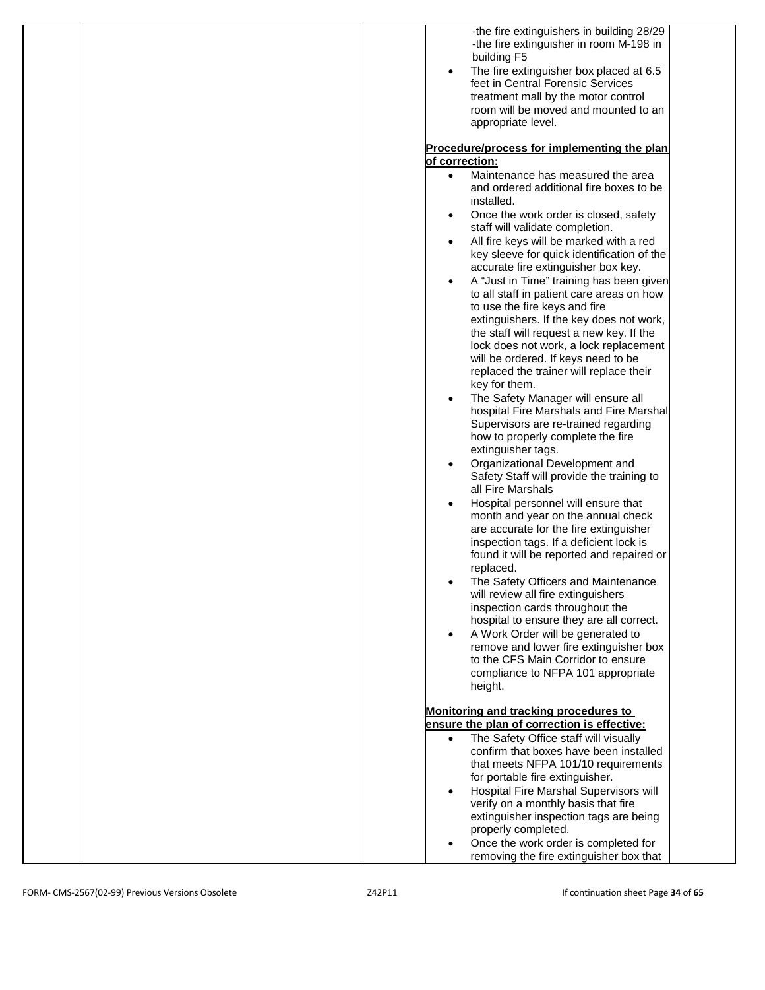| -the fire extinguishers in building 28/29<br>-the fire extinguisher in room M-198 in<br>building F5<br>The fire extinguisher box placed at 6.5<br>feet in Central Forensic Services<br>treatment mall by the motor control<br>room will be moved and mounted to an<br>appropriate level.                                                                                                                                                                                                                                                                                                                                                                                                                                                                                                                                                                                                                                                                                   |
|----------------------------------------------------------------------------------------------------------------------------------------------------------------------------------------------------------------------------------------------------------------------------------------------------------------------------------------------------------------------------------------------------------------------------------------------------------------------------------------------------------------------------------------------------------------------------------------------------------------------------------------------------------------------------------------------------------------------------------------------------------------------------------------------------------------------------------------------------------------------------------------------------------------------------------------------------------------------------|
|                                                                                                                                                                                                                                                                                                                                                                                                                                                                                                                                                                                                                                                                                                                                                                                                                                                                                                                                                                            |
| Procedure/process for implementing the plan                                                                                                                                                                                                                                                                                                                                                                                                                                                                                                                                                                                                                                                                                                                                                                                                                                                                                                                                |
| of correction:                                                                                                                                                                                                                                                                                                                                                                                                                                                                                                                                                                                                                                                                                                                                                                                                                                                                                                                                                             |
| Maintenance has measured the area<br>$\bullet$<br>and ordered additional fire boxes to be<br>installed.<br>Once the work order is closed, safety<br>staff will validate completion.<br>All fire keys will be marked with a red<br>key sleeve for quick identification of the<br>accurate fire extinguisher box key.<br>A "Just in Time" training has been given<br>to all staff in patient care areas on how<br>to use the fire keys and fire<br>extinguishers. If the key does not work,<br>the staff will request a new key. If the<br>lock does not work, a lock replacement<br>will be ordered. If keys need to be<br>replaced the trainer will replace their<br>key for them.<br>The Safety Manager will ensure all<br>hospital Fire Marshals and Fire Marshal<br>Supervisors are re-trained regarding<br>how to properly complete the fire<br>extinguisher tags.<br>Organizational Development and<br>Safety Staff will provide the training to<br>all Fire Marshals |
| Hospital personnel will ensure that<br>month and year on the annual check<br>are accurate for the fire extinguisher<br>inspection tags. If a deficient lock is<br>found it will be reported and repaired or<br>replaced.<br>The Safety Officers and Maintenance<br>will review all fire extinguishers<br>inspection cards throughout the<br>hospital to ensure they are all correct.<br>A Work Order will be generated to<br>remove and lower fire extinguisher box<br>to the CFS Main Corridor to ensure<br>compliance to NFPA 101 appropriate<br>height.                                                                                                                                                                                                                                                                                                                                                                                                                 |
| Monitoring and tracking procedures to                                                                                                                                                                                                                                                                                                                                                                                                                                                                                                                                                                                                                                                                                                                                                                                                                                                                                                                                      |
| ensure the plan of correction is effective:                                                                                                                                                                                                                                                                                                                                                                                                                                                                                                                                                                                                                                                                                                                                                                                                                                                                                                                                |
| The Safety Office staff will visually<br>$\bullet$                                                                                                                                                                                                                                                                                                                                                                                                                                                                                                                                                                                                                                                                                                                                                                                                                                                                                                                         |
| confirm that boxes have been installed<br>that meets NFPA 101/10 requirements                                                                                                                                                                                                                                                                                                                                                                                                                                                                                                                                                                                                                                                                                                                                                                                                                                                                                              |
| for portable fire extinguisher.                                                                                                                                                                                                                                                                                                                                                                                                                                                                                                                                                                                                                                                                                                                                                                                                                                                                                                                                            |
| Hospital Fire Marshal Supervisors will                                                                                                                                                                                                                                                                                                                                                                                                                                                                                                                                                                                                                                                                                                                                                                                                                                                                                                                                     |
| verify on a monthly basis that fire<br>extinguisher inspection tags are being                                                                                                                                                                                                                                                                                                                                                                                                                                                                                                                                                                                                                                                                                                                                                                                                                                                                                              |
| properly completed.                                                                                                                                                                                                                                                                                                                                                                                                                                                                                                                                                                                                                                                                                                                                                                                                                                                                                                                                                        |
| Once the work order is completed for                                                                                                                                                                                                                                                                                                                                                                                                                                                                                                                                                                                                                                                                                                                                                                                                                                                                                                                                       |
| removing the fire extinguisher box that                                                                                                                                                                                                                                                                                                                                                                                                                                                                                                                                                                                                                                                                                                                                                                                                                                                                                                                                    |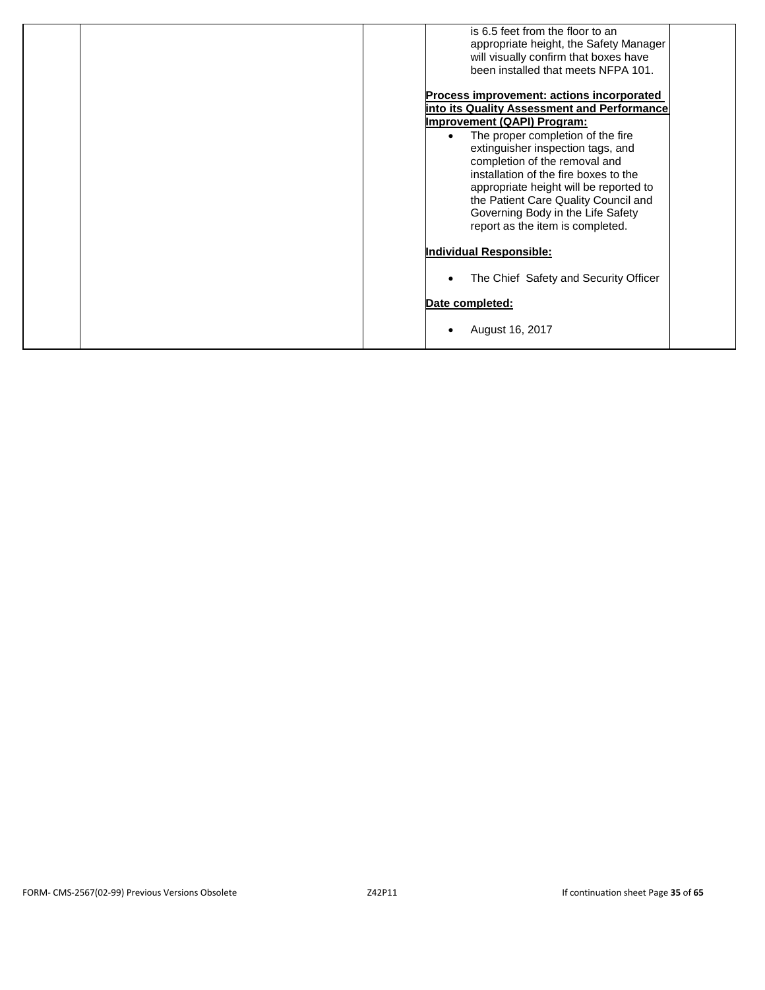| is 6.5 feet from the floor to an<br>appropriate height, the Safety Manager<br>will visually confirm that boxes have<br>been installed that meets NFPA 101.                                                                                                                                                                                                                                                                                    |
|-----------------------------------------------------------------------------------------------------------------------------------------------------------------------------------------------------------------------------------------------------------------------------------------------------------------------------------------------------------------------------------------------------------------------------------------------|
| Process improvement: actions incorporated<br>into its Quality Assessment and Performance<br><b>Improvement (QAPI) Program:</b><br>The proper completion of the fire<br>extinguisher inspection tags, and<br>completion of the removal and<br>installation of the fire boxes to the<br>appropriate height will be reported to<br>the Patient Care Quality Council and<br>Governing Body in the Life Safety<br>report as the item is completed. |
| Individual Responsible:<br>The Chief Safety and Security Officer                                                                                                                                                                                                                                                                                                                                                                              |
| Date completed:<br>August 16, 2017                                                                                                                                                                                                                                                                                                                                                                                                            |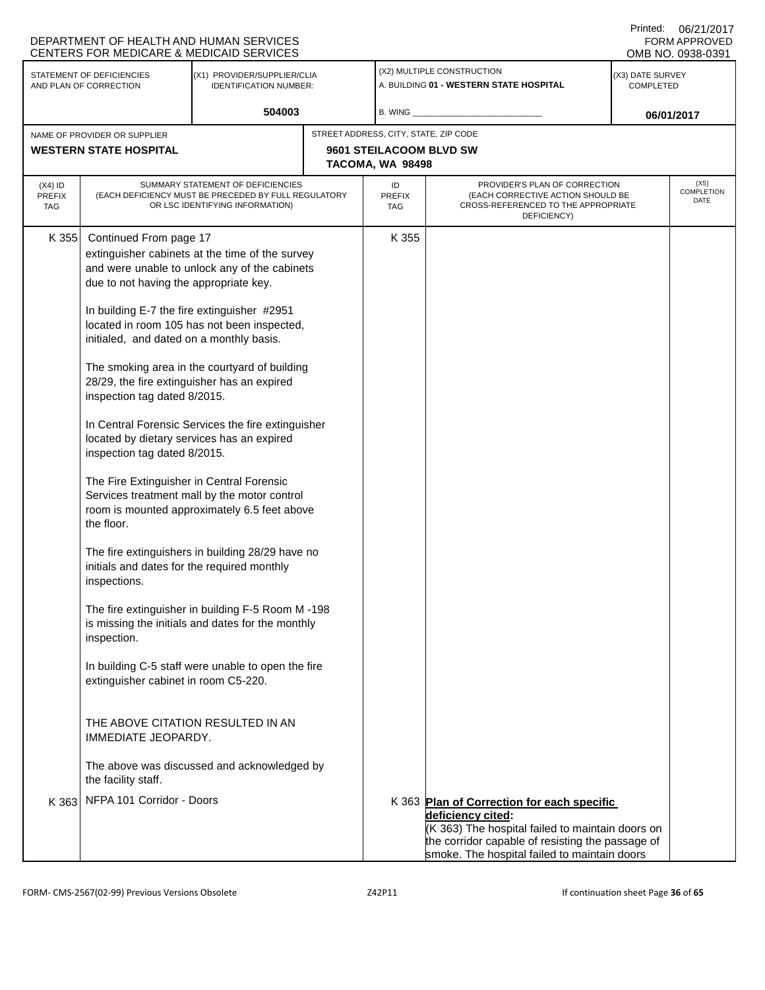|                                                                                                                     | DEPARTMENT OF HEALTH AND HUMAN SERVICES<br><b>CENTERS FOR MEDICARE &amp; MEDICAID SERVICES</b>                                                                                                                                                                                                                                                                                                                                                                                                                                                                        |                                                                                                                                                                                                                                                                                                                                                                                                                                                                                                                                                                                                                          |                                                                                      |                                                                                                                                                                                                                         |  | Printed: 06/21/2017<br>FORM APPROVED<br>OMB NO. 0938-0391 |
|---------------------------------------------------------------------------------------------------------------------|-----------------------------------------------------------------------------------------------------------------------------------------------------------------------------------------------------------------------------------------------------------------------------------------------------------------------------------------------------------------------------------------------------------------------------------------------------------------------------------------------------------------------------------------------------------------------|--------------------------------------------------------------------------------------------------------------------------------------------------------------------------------------------------------------------------------------------------------------------------------------------------------------------------------------------------------------------------------------------------------------------------------------------------------------------------------------------------------------------------------------------------------------------------------------------------------------------------|--------------------------------------------------------------------------------------|-------------------------------------------------------------------------------------------------------------------------------------------------------------------------------------------------------------------------|--|-----------------------------------------------------------|
| STATEMENT OF DEFICIENCIES<br>(X1) PROVIDER/SUPPLIER/CLIA<br>AND PLAN OF CORRECTION<br><b>IDENTIFICATION NUMBER:</b> |                                                                                                                                                                                                                                                                                                                                                                                                                                                                                                                                                                       |                                                                                                                                                                                                                                                                                                                                                                                                                                                                                                                                                                                                                          | (X2) MULTIPLE CONSTRUCTION<br>A. BUILDING 01 - WESTERN STATE HOSPITAL                | (X3) DATE SURVEY<br><b>COMPLETED</b>                                                                                                                                                                                    |  |                                                           |
|                                                                                                                     |                                                                                                                                                                                                                                                                                                                                                                                                                                                                                                                                                                       | 504003                                                                                                                                                                                                                                                                                                                                                                                                                                                                                                                                                                                                                   | $B.$ WING $\_$                                                                       |                                                                                                                                                                                                                         |  | 06/01/2017                                                |
| NAME OF PROVIDER OR SUPPLIER<br><b>WESTERN STATE HOSPITAL</b>                                                       |                                                                                                                                                                                                                                                                                                                                                                                                                                                                                                                                                                       |                                                                                                                                                                                                                                                                                                                                                                                                                                                                                                                                                                                                                          | STREET ADDRESS, CITY, STATE, ZIP CODE<br>9601 STEILACOOM BLVD SW<br>TACOMA, WA 98498 |                                                                                                                                                                                                                         |  |                                                           |
| $(X4)$ ID<br><b>PREFIX</b><br>TAG                                                                                   |                                                                                                                                                                                                                                                                                                                                                                                                                                                                                                                                                                       | SUMMARY STATEMENT OF DEFICIENCIES<br>(EACH DEFICIENCY MUST BE PRECEDED BY FULL REGULATORY<br>OR LSC IDENTIFYING INFORMATION)                                                                                                                                                                                                                                                                                                                                                                                                                                                                                             | ID<br><b>PREFIX</b><br><b>TAG</b>                                                    | PROVIDER'S PLAN OF CORRECTION<br>(EACH CORRECTIVE ACTION SHOULD BE<br>CROSS-REFERENCED TO THE APPROPRIATE<br>DEFICIENCY)                                                                                                |  | (X5)<br><b>COMPLETION</b><br>DATE                         |
| K 355                                                                                                               | Continued From page 17<br>due to not having the appropriate key.<br>In building E-7 the fire extinguisher #2951<br>initialed, and dated on a monthly basis.<br>28/29, the fire extinguisher has an expired<br>inspection tag dated 8/2015.<br>located by dietary services has an expired<br>inspection tag dated 8/2015.<br>The Fire Extinguisher in Central Forensic<br>the floor.<br>initials and dates for the required monthly<br>inspections.<br>inspection.<br>extinguisher cabinet in room C5-220.<br>THE ABOVE CITATION RESULTED IN AN<br>IMMEDIATE JEOPARDY. | extinguisher cabinets at the time of the survey<br>and were unable to unlock any of the cabinets<br>located in room 105 has not been inspected,<br>The smoking area in the courtyard of building<br>In Central Forensic Services the fire extinguisher<br>Services treatment mall by the motor control<br>room is mounted approximately 6.5 feet above<br>The fire extinguishers in building 28/29 have no<br>The fire extinguisher in building F-5 Room M-198<br>is missing the initials and dates for the monthly<br>In building C-5 staff were unable to open the fire<br>The above was discussed and acknowledged by | K 355                                                                                |                                                                                                                                                                                                                         |  |                                                           |
|                                                                                                                     | the facility staff.<br>K 363 NFPA 101 Corridor - Doors                                                                                                                                                                                                                                                                                                                                                                                                                                                                                                                |                                                                                                                                                                                                                                                                                                                                                                                                                                                                                                                                                                                                                          |                                                                                      | K 363 Plan of Correction for each specific<br>deficiency cited:<br>(K 363) The hospital failed to maintain doors on<br>the corridor capable of resisting the passage of<br>smoke. The hospital failed to maintain doors |  |                                                           |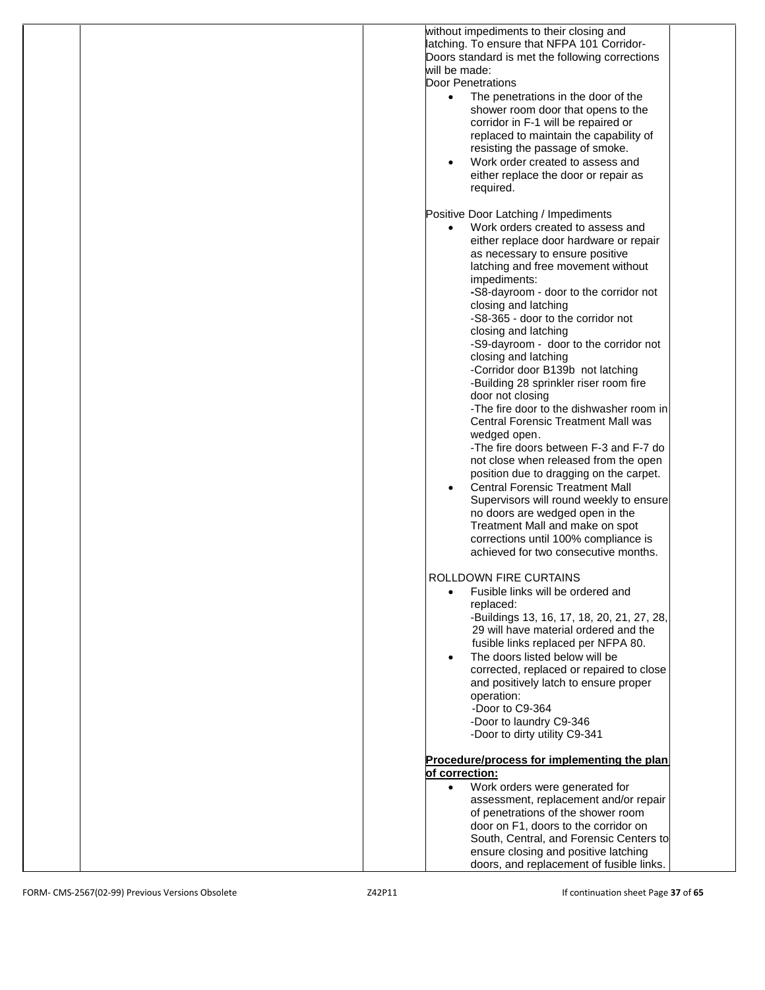| without impediments to their closing and         |
|--------------------------------------------------|
| latching. To ensure that NFPA 101 Corridor-      |
| Doors standard is met the following corrections  |
| will be made:                                    |
|                                                  |
| <b>Door Penetrations</b>                         |
| The penetrations in the door of the<br>$\bullet$ |
| shower room door that opens to the               |
| corridor in F-1 will be repaired or              |
|                                                  |
| replaced to maintain the capability of           |
| resisting the passage of smoke.                  |
| Work order created to assess and                 |
| either replace the door or repair as             |
|                                                  |
| required.                                        |
|                                                  |
| Positive Door Latching / Impediments             |
| Work orders created to assess and<br>$\bullet$   |
| either replace door hardware or repair           |
|                                                  |
| as necessary to ensure positive                  |
| latching and free movement without               |
| impediments:                                     |
| -S8-dayroom - door to the corridor not           |
| closing and latching                             |
|                                                  |
| -S8-365 - door to the corridor not               |
| closing and latching                             |
| -S9-dayroom - door to the corridor not           |
| closing and latching                             |
| -Corridor door B139b not latching                |
|                                                  |
| -Building 28 sprinkler riser room fire           |
| door not closing                                 |
| -The fire door to the dishwasher room in         |
| <b>Central Forensic Treatment Mall was</b>       |
| wedged open.                                     |
|                                                  |
| -The fire doors between F-3 and F-7 do           |
| not close when released from the open            |
| position due to dragging on the carpet.          |
| <b>Central Forensic Treatment Mall</b>           |
| Supervisors will round weekly to ensure          |
|                                                  |
| no doors are wedged open in the                  |
| Treatment Mall and make on spot                  |
| corrections until 100% compliance is             |
| achieved for two consecutive months.             |
|                                                  |
| ROLLDOWN FIRE CURTAINS                           |
|                                                  |
| Fusible links will be ordered and                |
| replaced:                                        |
| -Buildings 13, 16, 17, 18, 20, 21, 27, 28,       |
| 29 will have material ordered and the            |
| fusible links replaced per NFPA 80.              |
|                                                  |
| The doors listed below will be<br>$\bullet$      |
| corrected, replaced or repaired to close         |
| and positively latch to ensure proper            |
| operation:                                       |
|                                                  |
| -Door to C9-364                                  |
| -Door to laundry C9-346                          |
| -Door to dirty utility C9-341                    |
|                                                  |
| Procedure/process for implementing the plan      |
| of correction:                                   |
|                                                  |
| Work orders were generated for<br>$\bullet$      |
| assessment, replacement and/or repair            |
| of penetrations of the shower room               |
| door on F1, doors to the corridor on             |
|                                                  |
| South, Central, and Forensic Centers to          |
| ensure closing and positive latching             |
| doors, and replacement of fusible links.         |
|                                                  |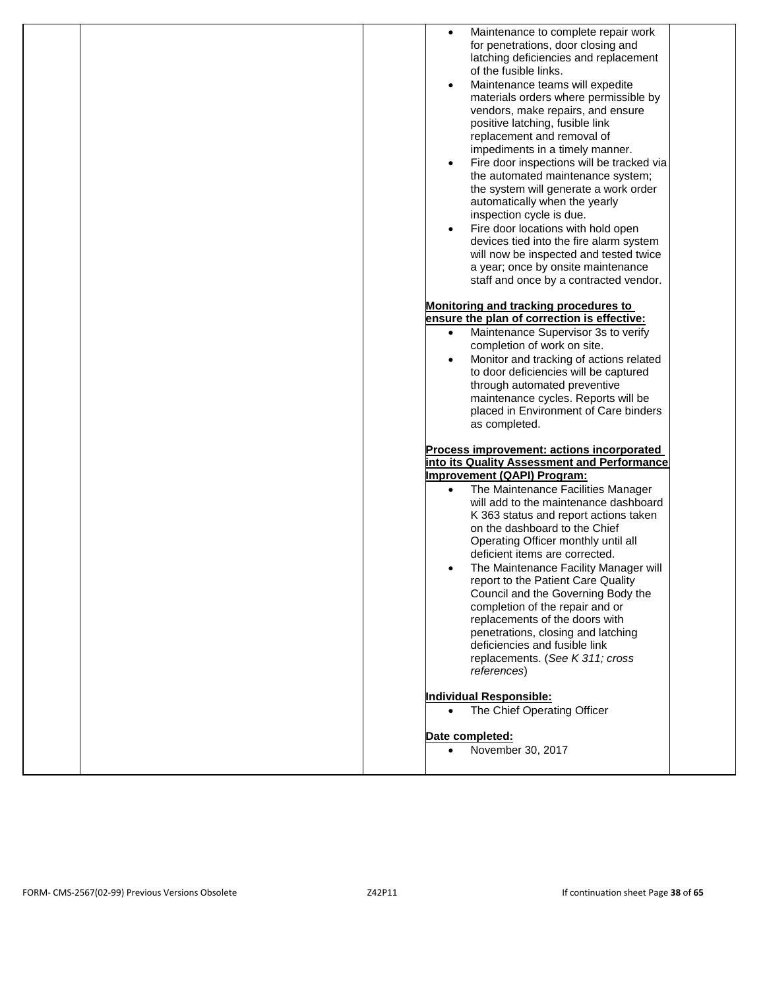| Maintenance to complete repair work<br>$\bullet$<br>for penetrations, door closing and<br>latching deficiencies and replacement<br>of the fusible links.<br>Maintenance teams will expedite<br>$\bullet$<br>materials orders where permissible by<br>vendors, make repairs, and ensure<br>positive latching, fusible link<br>replacement and removal of<br>impediments in a timely manner.<br>Fire door inspections will be tracked via<br>$\bullet$<br>the automated maintenance system;<br>the system will generate a work order<br>automatically when the yearly<br>inspection cycle is due.<br>Fire door locations with hold open<br>$\bullet$<br>devices tied into the fire alarm system<br>will now be inspected and tested twice<br>a year; once by onsite maintenance<br>staff and once by a contracted vendor.<br>Monitoring and tracking procedures to<br>ensure the plan of correction is effective:<br>Maintenance Supervisor 3s to verify<br>$\bullet$<br>completion of work on site.<br>Monitor and tracking of actions related<br>$\bullet$<br>to door deficiencies will be captured<br>through automated preventive<br>maintenance cycles. Reports will be<br>placed in Environment of Care binders |
|---------------------------------------------------------------------------------------------------------------------------------------------------------------------------------------------------------------------------------------------------------------------------------------------------------------------------------------------------------------------------------------------------------------------------------------------------------------------------------------------------------------------------------------------------------------------------------------------------------------------------------------------------------------------------------------------------------------------------------------------------------------------------------------------------------------------------------------------------------------------------------------------------------------------------------------------------------------------------------------------------------------------------------------------------------------------------------------------------------------------------------------------------------------------------------------------------------------------|
| as completed.<br>Process improvement: actions incorporated<br>into its Quality Assessment and Performance<br><b>Improvement (QAPI) Program:</b><br>The Maintenance Facilities Manager<br>$\bullet$<br>will add to the maintenance dashboard<br>K 363 status and report actions taken<br>on the dashboard to the Chief<br>Operating Officer monthly until all<br>deficient items are corrected.<br>The Maintenance Facility Manager will<br>$\bullet$<br>report to the Patient Care Quality<br>Council and the Governing Body the<br>completion of the repair and or<br>replacements of the doors with<br>penetrations, closing and latching<br>deficiencies and fusible link<br>replacements. (See K 311; cross<br>references)<br><b>Individual Responsible:</b><br>The Chief Operating Officer<br>$\bullet$<br>Date completed:<br>November 30, 2017<br>$\bullet$                                                                                                                                                                                                                                                                                                                                                   |
|                                                                                                                                                                                                                                                                                                                                                                                                                                                                                                                                                                                                                                                                                                                                                                                                                                                                                                                                                                                                                                                                                                                                                                                                                     |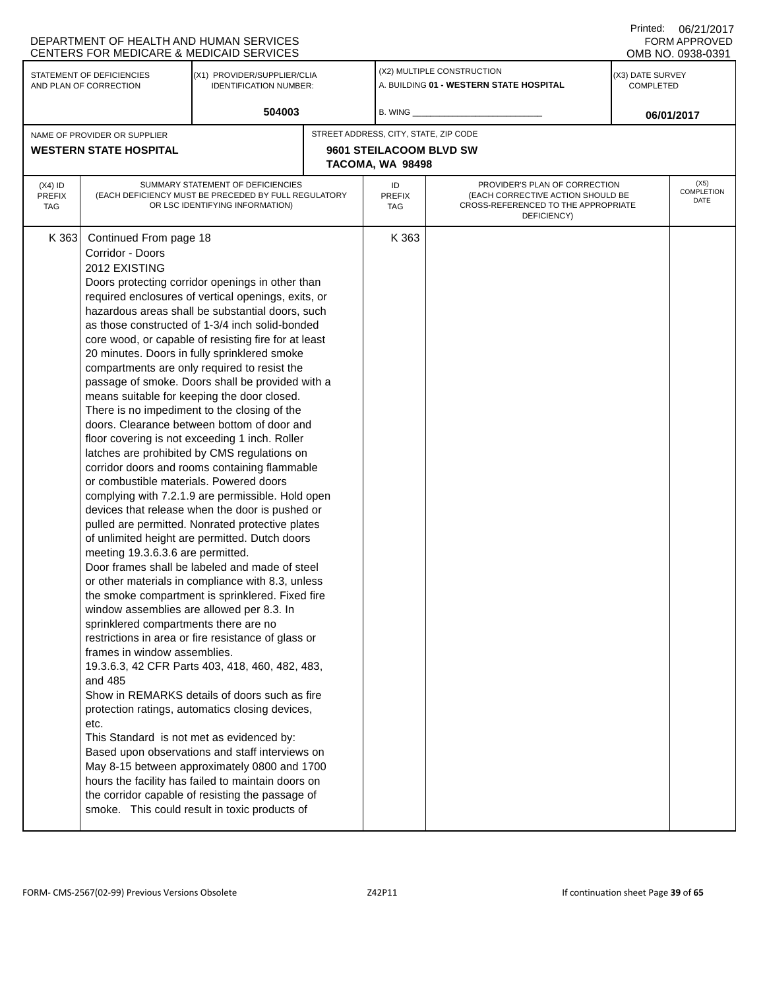|                                                     | DEPARTMENT OF HEALTH AND HUMAN SERVICES<br><b>CENTERS FOR MEDICARE &amp; MEDICAID SERVICES</b>                                                                                                                                                                                                                                    |                                                                                                                                                                                                                                                                                                                                                                                                                                                                                                                                                                                                                                                                                                                                                                                                                                                                                                                                                                                                                                                                                                                                                                                                                                                                                                                                                                                                                                                                                                                                                                                  |  |                                             |                                                                                                                          |                               | 0012112011<br><b>FORM APPROVED</b><br>OMB NO. 0938-0391 |
|-----------------------------------------------------|-----------------------------------------------------------------------------------------------------------------------------------------------------------------------------------------------------------------------------------------------------------------------------------------------------------------------------------|----------------------------------------------------------------------------------------------------------------------------------------------------------------------------------------------------------------------------------------------------------------------------------------------------------------------------------------------------------------------------------------------------------------------------------------------------------------------------------------------------------------------------------------------------------------------------------------------------------------------------------------------------------------------------------------------------------------------------------------------------------------------------------------------------------------------------------------------------------------------------------------------------------------------------------------------------------------------------------------------------------------------------------------------------------------------------------------------------------------------------------------------------------------------------------------------------------------------------------------------------------------------------------------------------------------------------------------------------------------------------------------------------------------------------------------------------------------------------------------------------------------------------------------------------------------------------------|--|---------------------------------------------|--------------------------------------------------------------------------------------------------------------------------|-------------------------------|---------------------------------------------------------|
| STATEMENT OF DEFICIENCIES<br>AND PLAN OF CORRECTION |                                                                                                                                                                                                                                                                                                                                   | (X1) PROVIDER/SUPPLIER/CLIA<br><b>IDENTIFICATION NUMBER:</b>                                                                                                                                                                                                                                                                                                                                                                                                                                                                                                                                                                                                                                                                                                                                                                                                                                                                                                                                                                                                                                                                                                                                                                                                                                                                                                                                                                                                                                                                                                                     |  |                                             | (X2) MULTIPLE CONSTRUCTION<br>A. BUILDING 01 - WESTERN STATE HOSPITAL                                                    | (X3) DATE SURVEY<br>COMPLETED |                                                         |
| 504003                                              |                                                                                                                                                                                                                                                                                                                                   |                                                                                                                                                                                                                                                                                                                                                                                                                                                                                                                                                                                                                                                                                                                                                                                                                                                                                                                                                                                                                                                                                                                                                                                                                                                                                                                                                                                                                                                                                                                                                                                  |  | B. WING _                                   |                                                                                                                          |                               | 06/01/2017                                              |
|                                                     | NAME OF PROVIDER OR SUPPLIER                                                                                                                                                                                                                                                                                                      |                                                                                                                                                                                                                                                                                                                                                                                                                                                                                                                                                                                                                                                                                                                                                                                                                                                                                                                                                                                                                                                                                                                                                                                                                                                                                                                                                                                                                                                                                                                                                                                  |  | STREET ADDRESS, CITY, STATE, ZIP CODE       |                                                                                                                          |                               |                                                         |
|                                                     | <b>WESTERN STATE HOSPITAL</b>                                                                                                                                                                                                                                                                                                     |                                                                                                                                                                                                                                                                                                                                                                                                                                                                                                                                                                                                                                                                                                                                                                                                                                                                                                                                                                                                                                                                                                                                                                                                                                                                                                                                                                                                                                                                                                                                                                                  |  | 9601 STEILACOOM BLVD SW<br>TACOMA, WA 98498 |                                                                                                                          |                               |                                                         |
| $(X4)$ ID<br><b>PREFIX</b><br><b>TAG</b>            |                                                                                                                                                                                                                                                                                                                                   | SUMMARY STATEMENT OF DEFICIENCIES<br>(EACH DEFICIENCY MUST BE PRECEDED BY FULL REGULATORY<br>OR LSC IDENTIFYING INFORMATION)                                                                                                                                                                                                                                                                                                                                                                                                                                                                                                                                                                                                                                                                                                                                                                                                                                                                                                                                                                                                                                                                                                                                                                                                                                                                                                                                                                                                                                                     |  | ID<br><b>PREFIX</b><br>TAG                  | PROVIDER'S PLAN OF CORRECTION<br>(EACH CORRECTIVE ACTION SHOULD BE<br>CROSS-REFERENCED TO THE APPROPRIATE<br>DEFICIENCY) |                               | (X5)<br><b>COMPLETION</b><br>DATE                       |
| K 363                                               | Continued From page 18<br>Corridor - Doors<br>2012 EXISTING<br>or combustible materials. Powered doors<br>meeting 19.3.6.3.6 are permitted.<br>window assemblies are allowed per 8.3. In<br>sprinklered compartments there are no<br>frames in window assemblies.<br>and 485<br>etc.<br>This Standard is not met as evidenced by: | Doors protecting corridor openings in other than<br>required enclosures of vertical openings, exits, or<br>hazardous areas shall be substantial doors, such<br>as those constructed of 1-3/4 inch solid-bonded<br>core wood, or capable of resisting fire for at least<br>20 minutes. Doors in fully sprinklered smoke<br>compartments are only required to resist the<br>passage of smoke. Doors shall be provided with a<br>means suitable for keeping the door closed.<br>There is no impediment to the closing of the<br>doors. Clearance between bottom of door and<br>floor covering is not exceeding 1 inch. Roller<br>latches are prohibited by CMS regulations on<br>corridor doors and rooms containing flammable<br>complying with 7.2.1.9 are permissible. Hold open<br>devices that release when the door is pushed or<br>pulled are permitted. Nonrated protective plates<br>of unlimited height are permitted. Dutch doors<br>Door frames shall be labeled and made of steel<br>or other materials in compliance with 8.3, unless<br>the smoke compartment is sprinklered. Fixed fire<br>restrictions in area or fire resistance of glass or<br>19.3.6.3, 42 CFR Parts 403, 418, 460, 482, 483,<br>Show in REMARKS details of doors such as fire<br>protection ratings, automatics closing devices,<br>Based upon observations and staff interviews on<br>May 8-15 between approximately 0800 and 1700<br>hours the facility has failed to maintain doors on<br>the corridor capable of resisting the passage of<br>smoke. This could result in toxic products of |  | K 363                                       |                                                                                                                          |                               |                                                         |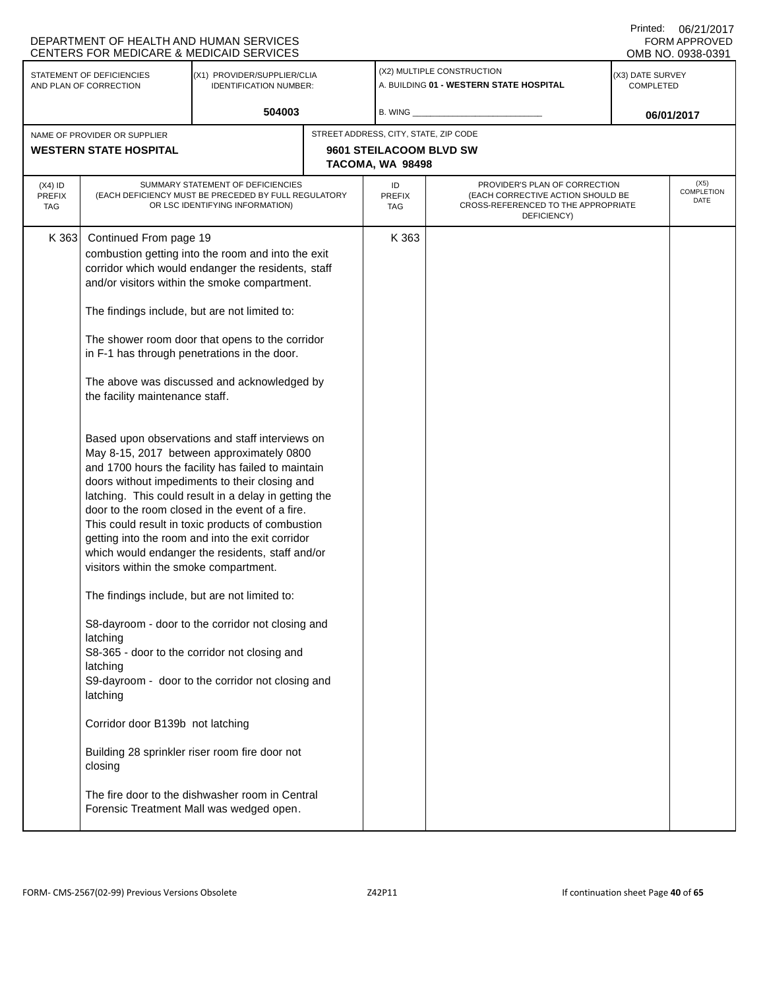|                                          | DEPARTMENT OF HEALTH AND HUMAN SERVICES<br>CENTERS FOR MEDICARE & MEDICAID SERVICES                                                                                                                                                                                                      |                                                                                                                                                                                                                                                                                                                                                                                                                                                                                                                                                                                                                                                                                                                                                                                                                                                                                                                                                                                                                                                              |  |                                             |                                                                                                                          | UU/Z UU U<br>FORM APPROVED<br>OMB NO. 0938-0391 |  |
|------------------------------------------|------------------------------------------------------------------------------------------------------------------------------------------------------------------------------------------------------------------------------------------------------------------------------------------|--------------------------------------------------------------------------------------------------------------------------------------------------------------------------------------------------------------------------------------------------------------------------------------------------------------------------------------------------------------------------------------------------------------------------------------------------------------------------------------------------------------------------------------------------------------------------------------------------------------------------------------------------------------------------------------------------------------------------------------------------------------------------------------------------------------------------------------------------------------------------------------------------------------------------------------------------------------------------------------------------------------------------------------------------------------|--|---------------------------------------------|--------------------------------------------------------------------------------------------------------------------------|-------------------------------------------------|--|
|                                          | STATEMENT OF DEFICIENCIES<br>AND PLAN OF CORRECTION                                                                                                                                                                                                                                      | (X1) PROVIDER/SUPPLIER/CLIA<br><b>IDENTIFICATION NUMBER:</b>                                                                                                                                                                                                                                                                                                                                                                                                                                                                                                                                                                                                                                                                                                                                                                                                                                                                                                                                                                                                 |  |                                             | (X2) MULTIPLE CONSTRUCTION<br>A. BUILDING 01 - WESTERN STATE HOSPITAL                                                    | (X3) DATE SURVEY<br><b>COMPLETED</b>            |  |
|                                          |                                                                                                                                                                                                                                                                                          | 504003                                                                                                                                                                                                                                                                                                                                                                                                                                                                                                                                                                                                                                                                                                                                                                                                                                                                                                                                                                                                                                                       |  | B. WING                                     |                                                                                                                          | 06/01/2017                                      |  |
|                                          | NAME OF PROVIDER OR SUPPLIER                                                                                                                                                                                                                                                             |                                                                                                                                                                                                                                                                                                                                                                                                                                                                                                                                                                                                                                                                                                                                                                                                                                                                                                                                                                                                                                                              |  | STREET ADDRESS, CITY, STATE, ZIP CODE       |                                                                                                                          |                                                 |  |
|                                          | <b>WESTERN STATE HOSPITAL</b>                                                                                                                                                                                                                                                            |                                                                                                                                                                                                                                                                                                                                                                                                                                                                                                                                                                                                                                                                                                                                                                                                                                                                                                                                                                                                                                                              |  | 9601 STEILACOOM BLVD SW<br>TACOMA, WA 98498 |                                                                                                                          |                                                 |  |
| $(X4)$ ID<br><b>PREFIX</b><br><b>TAG</b> |                                                                                                                                                                                                                                                                                          | SUMMARY STATEMENT OF DEFICIENCIES<br>(EACH DEFICIENCY MUST BE PRECEDED BY FULL REGULATORY<br>OR LSC IDENTIFYING INFORMATION)                                                                                                                                                                                                                                                                                                                                                                                                                                                                                                                                                                                                                                                                                                                                                                                                                                                                                                                                 |  | ID<br><b>PREFIX</b><br><b>TAG</b>           | PROVIDER'S PLAN OF CORRECTION<br>(EACH CORRECTIVE ACTION SHOULD BE<br>CROSS-REFERENCED TO THE APPROPRIATE<br>DEFICIENCY) | (X5)<br><b>COMPLETION</b><br>DATE               |  |
| K 363                                    | Continued From page 19<br>The findings include, but are not limited to:<br>the facility maintenance staff.<br>visitors within the smoke compartment.<br>The findings include, but are not limited to:<br>latching<br>latching<br>latching<br>Corridor door B139b not latching<br>closing | combustion getting into the room and into the exit<br>corridor which would endanger the residents, staff<br>and/or visitors within the smoke compartment.<br>The shower room door that opens to the corridor<br>in F-1 has through penetrations in the door.<br>The above was discussed and acknowledged by<br>Based upon observations and staff interviews on<br>May 8-15, 2017 between approximately 0800<br>and 1700 hours the facility has failed to maintain<br>doors without impediments to their closing and<br>latching. This could result in a delay in getting the<br>door to the room closed in the event of a fire.<br>This could result in toxic products of combustion<br>getting into the room and into the exit corridor<br>which would endanger the residents, staff and/or<br>S8-dayroom - door to the corridor not closing and<br>S8-365 - door to the corridor not closing and<br>S9-dayroom - door to the corridor not closing and<br>Building 28 sprinkler riser room fire door not<br>The fire door to the dishwasher room in Central |  | K 363                                       |                                                                                                                          |                                                 |  |
|                                          |                                                                                                                                                                                                                                                                                          | Forensic Treatment Mall was wedged open.                                                                                                                                                                                                                                                                                                                                                                                                                                                                                                                                                                                                                                                                                                                                                                                                                                                                                                                                                                                                                     |  |                                             |                                                                                                                          |                                                 |  |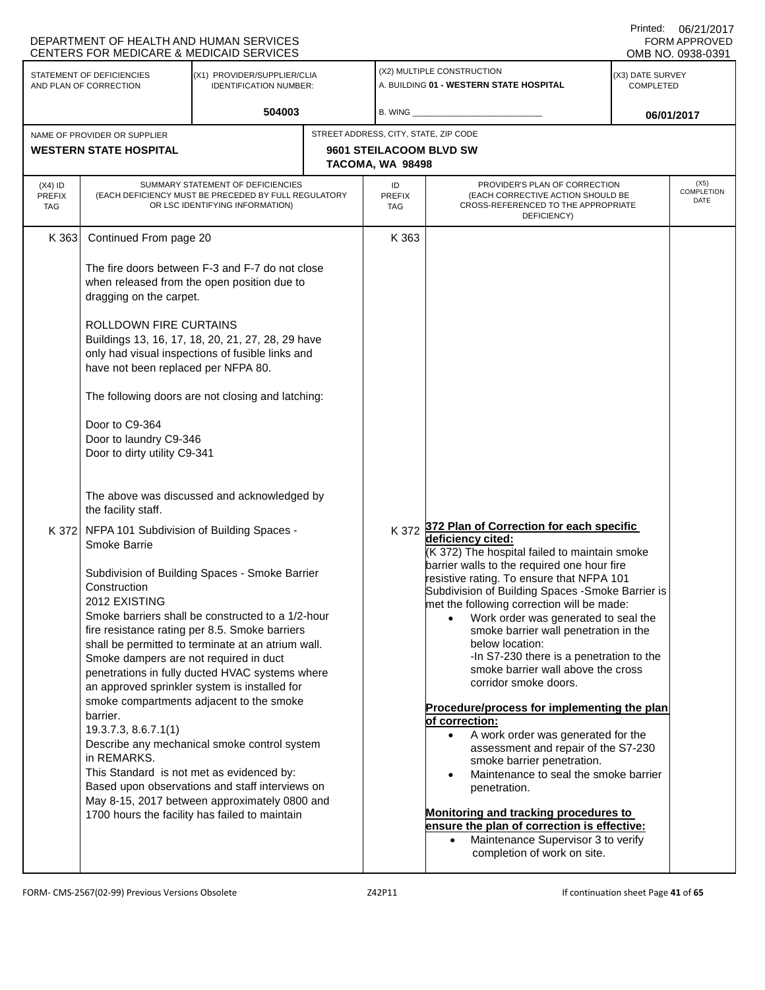|                                          | DEPARTMENT OF HEALTH AND HUMAN SERVICES<br><b>CENTERS FOR MEDICARE &amp; MEDICAID SERVICES</b>                                                                                                                        |                                                                                                                                                                                                                                                                                                                                                                                                                                                                                                                                                                                                                |                                                                                             |                                                                                                                                                                                                                                                                                                                                                                                                                                                                                                                                                                                                                                                                                                                                                                                                                                                                                                                                                                |                                      | <b>FORM APPROVED</b><br>OMB NO. 0938-0391 |
|------------------------------------------|-----------------------------------------------------------------------------------------------------------------------------------------------------------------------------------------------------------------------|----------------------------------------------------------------------------------------------------------------------------------------------------------------------------------------------------------------------------------------------------------------------------------------------------------------------------------------------------------------------------------------------------------------------------------------------------------------------------------------------------------------------------------------------------------------------------------------------------------------|---------------------------------------------------------------------------------------------|----------------------------------------------------------------------------------------------------------------------------------------------------------------------------------------------------------------------------------------------------------------------------------------------------------------------------------------------------------------------------------------------------------------------------------------------------------------------------------------------------------------------------------------------------------------------------------------------------------------------------------------------------------------------------------------------------------------------------------------------------------------------------------------------------------------------------------------------------------------------------------------------------------------------------------------------------------------|--------------------------------------|-------------------------------------------|
|                                          | STATEMENT OF DEFICIENCIES<br>AND PLAN OF CORRECTION                                                                                                                                                                   | (X1) PROVIDER/SUPPLIER/CLIA<br><b>IDENTIFICATION NUMBER:</b>                                                                                                                                                                                                                                                                                                                                                                                                                                                                                                                                                   |                                                                                             | (X2) MULTIPLE CONSTRUCTION<br>A. BUILDING 01 - WESTERN STATE HOSPITAL                                                                                                                                                                                                                                                                                                                                                                                                                                                                                                                                                                                                                                                                                                                                                                                                                                                                                          | (X3) DATE SURVEY<br><b>COMPLETED</b> |                                           |
|                                          |                                                                                                                                                                                                                       | 504003                                                                                                                                                                                                                                                                                                                                                                                                                                                                                                                                                                                                         | B. WING                                                                                     |                                                                                                                                                                                                                                                                                                                                                                                                                                                                                                                                                                                                                                                                                                                                                                                                                                                                                                                                                                |                                      | 06/01/2017                                |
|                                          | NAME OF PROVIDER OR SUPPLIER<br><b>WESTERN STATE HOSPITAL</b>                                                                                                                                                         |                                                                                                                                                                                                                                                                                                                                                                                                                                                                                                                                                                                                                | STREET ADDRESS, CITY, STATE, ZIP CODE<br><b>9601 STEILACOOM BLVD SW</b><br>TACOMA, WA 98498 |                                                                                                                                                                                                                                                                                                                                                                                                                                                                                                                                                                                                                                                                                                                                                                                                                                                                                                                                                                |                                      |                                           |
| $(X4)$ ID<br><b>PREFIX</b><br><b>TAG</b> |                                                                                                                                                                                                                       | SUMMARY STATEMENT OF DEFICIENCIES<br>(EACH DEFICIENCY MUST BE PRECEDED BY FULL REGULATORY<br>OR LSC IDENTIFYING INFORMATION)                                                                                                                                                                                                                                                                                                                                                                                                                                                                                   | ID<br><b>PREFIX</b><br><b>TAG</b>                                                           | PROVIDER'S PLAN OF CORRECTION<br>(EACH CORRECTIVE ACTION SHOULD BE<br>CROSS-REFERENCED TO THE APPROPRIATE<br>DEFICIENCY)                                                                                                                                                                                                                                                                                                                                                                                                                                                                                                                                                                                                                                                                                                                                                                                                                                       |                                      | (X5)<br><b>COMPLETION</b><br>DATE         |
| K 363                                    | Continued From page 20<br>dragging on the carpet.<br>ROLLDOWN FIRE CURTAINS<br>have not been replaced per NFPA 80.<br>Door to C9-364<br>Door to laundry C9-346<br>Door to dirty utility C9-341<br>the facility staff. | The fire doors between F-3 and F-7 do not close<br>when released from the open position due to<br>Buildings 13, 16, 17, 18, 20, 21, 27, 28, 29 have<br>only had visual inspections of fusible links and<br>The following doors are not closing and latching:<br>The above was discussed and acknowledged by                                                                                                                                                                                                                                                                                                    | K 363                                                                                       |                                                                                                                                                                                                                                                                                                                                                                                                                                                                                                                                                                                                                                                                                                                                                                                                                                                                                                                                                                |                                      |                                           |
|                                          | K 372 NFPA 101 Subdivision of Building Spaces -<br>Smoke Barrie<br>Construction<br>2012 EXISTING<br>Smoke dampers are not required in duct<br>barrier.<br>19.3.7.3, 8.6.7.1(1)<br>in REMARKS.                         | Subdivision of Building Spaces - Smoke Barrier<br>Smoke barriers shall be constructed to a 1/2-hour<br>fire resistance rating per 8.5. Smoke barriers<br>shall be permitted to terminate at an atrium wall.<br>penetrations in fully ducted HVAC systems where<br>an approved sprinkler system is installed for<br>smoke compartments adjacent to the smoke<br>Describe any mechanical smoke control system<br>This Standard is not met as evidenced by:<br>Based upon observations and staff interviews on<br>May 8-15, 2017 between approximately 0800 and<br>1700 hours the facility has failed to maintain |                                                                                             | K 372 372 Plan of Correction for each specific<br>deficiency cited:<br>(K 372) The hospital failed to maintain smoke<br>barrier walls to the required one hour fire<br>resistive rating. To ensure that NFPA 101<br>Subdivision of Building Spaces - Smoke Barrier is<br>met the following correction will be made:<br>Work order was generated to seal the<br>$\bullet$<br>smoke barrier wall penetration in the<br>below location:<br>-In S7-230 there is a penetration to the<br>smoke barrier wall above the cross<br>corridor smoke doors.<br>Procedure/process for implementing the plan<br>of correction:<br>A work order was generated for the<br>$\bullet$<br>assessment and repair of the S7-230<br>smoke barrier penetration.<br>Maintenance to seal the smoke barrier<br>penetration.<br>Monitoring and tracking procedures to<br>ensure the plan of correction is effective:<br>Maintenance Supervisor 3 to verify<br>completion of work on site. |                                      |                                           |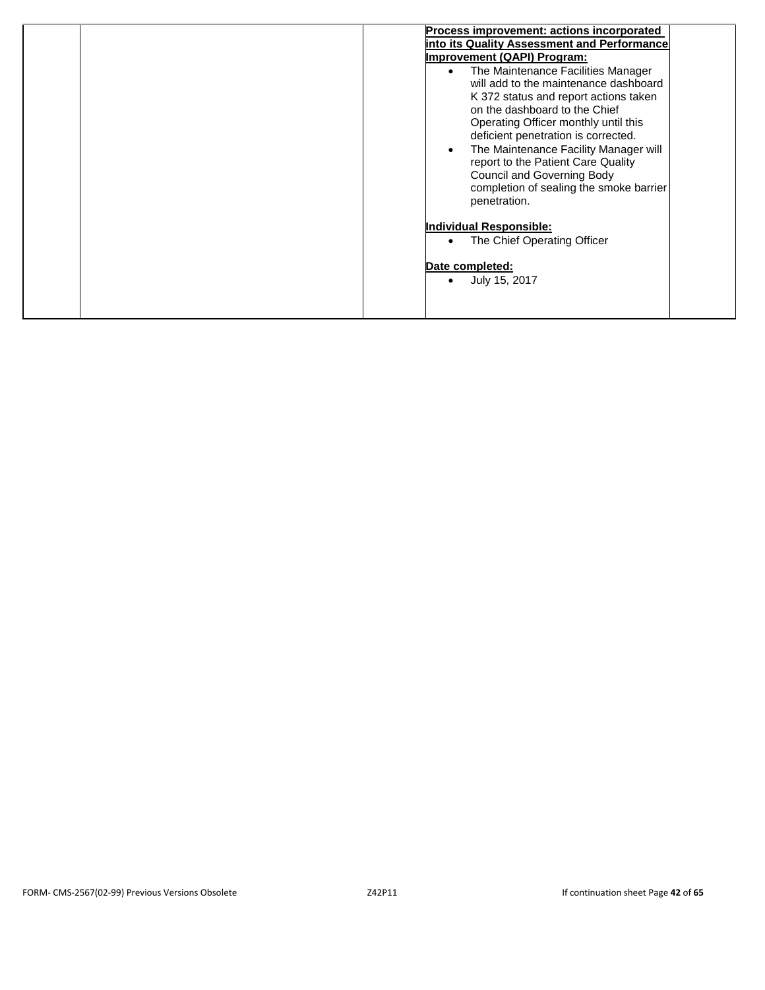| Process improvement: actions incorporated<br>into its Quality Assessment and Performance<br><b>Improvement (QAPI) Program:</b><br>The Maintenance Facilities Manager<br>$\bullet$<br>will add to the maintenance dashboard<br>K 372 status and report actions taken<br>on the dashboard to the Chief<br>Operating Officer monthly until this<br>deficient penetration is corrected.<br>The Maintenance Facility Manager will<br>$\bullet$<br>report to the Patient Care Quality<br><b>Council and Governing Body</b><br>completion of sealing the smoke barrier<br>penetration. |
|---------------------------------------------------------------------------------------------------------------------------------------------------------------------------------------------------------------------------------------------------------------------------------------------------------------------------------------------------------------------------------------------------------------------------------------------------------------------------------------------------------------------------------------------------------------------------------|
| <b>Individual Responsible:</b><br>The Chief Operating Officer<br>Date completed:<br>July 15, 2017                                                                                                                                                                                                                                                                                                                                                                                                                                                                               |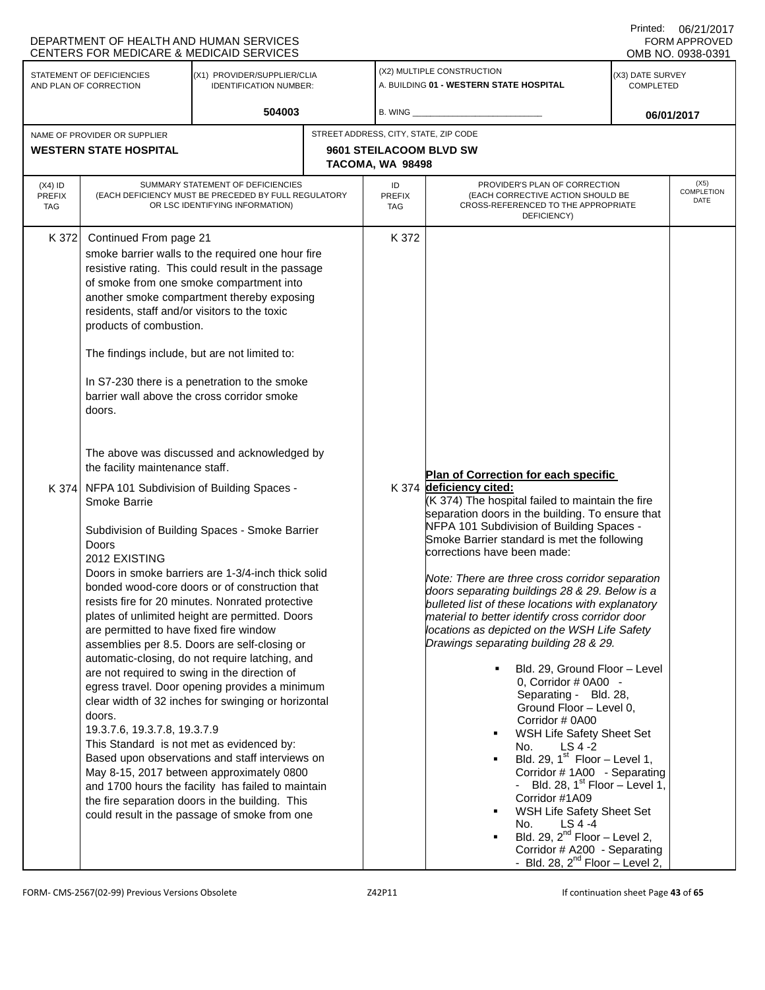|                                                                                                                     | DEPARTMENT OF HEALTH AND HUMAN SERVICES<br>CENTERS FOR MEDICARE & MEDICAID SERVICES                                                                                                                                                                                                                                                                                                                                                                                                                                                                                                                                                                                                                                                                                                                                                                                                                                                               |                                                                                                                                                                                                                                                                                                                                                  |  |                                                                                                                                                                                                                                                                                                                                                                                                                                                                                                                                                                                                                                                                                                                                                                                                                                                                                                                                |                                                                                                                                                                         | Printed: | 06/21/2017<br><b>FORM APPROVED</b><br>OMB NO. 0938-0391 |
|---------------------------------------------------------------------------------------------------------------------|---------------------------------------------------------------------------------------------------------------------------------------------------------------------------------------------------------------------------------------------------------------------------------------------------------------------------------------------------------------------------------------------------------------------------------------------------------------------------------------------------------------------------------------------------------------------------------------------------------------------------------------------------------------------------------------------------------------------------------------------------------------------------------------------------------------------------------------------------------------------------------------------------------------------------------------------------|--------------------------------------------------------------------------------------------------------------------------------------------------------------------------------------------------------------------------------------------------------------------------------------------------------------------------------------------------|--|--------------------------------------------------------------------------------------------------------------------------------------------------------------------------------------------------------------------------------------------------------------------------------------------------------------------------------------------------------------------------------------------------------------------------------------------------------------------------------------------------------------------------------------------------------------------------------------------------------------------------------------------------------------------------------------------------------------------------------------------------------------------------------------------------------------------------------------------------------------------------------------------------------------------------------|-------------------------------------------------------------------------------------------------------------------------------------------------------------------------|----------|---------------------------------------------------------|
| STATEMENT OF DEFICIENCIES<br>(X1) PROVIDER/SUPPLIER/CLIA<br>AND PLAN OF CORRECTION<br><b>IDENTIFICATION NUMBER:</b> |                                                                                                                                                                                                                                                                                                                                                                                                                                                                                                                                                                                                                                                                                                                                                                                                                                                                                                                                                   |                                                                                                                                                                                                                                                                                                                                                  |  | (X2) MULTIPLE CONSTRUCTION<br>A. BUILDING 01 - WESTERN STATE HOSPITAL                                                                                                                                                                                                                                                                                                                                                                                                                                                                                                                                                                                                                                                                                                                                                                                                                                                          | (X3) DATE SURVEY<br>COMPLETED                                                                                                                                           |          |                                                         |
|                                                                                                                     |                                                                                                                                                                                                                                                                                                                                                                                                                                                                                                                                                                                                                                                                                                                                                                                                                                                                                                                                                   | 504003                                                                                                                                                                                                                                                                                                                                           |  | B. WING                                                                                                                                                                                                                                                                                                                                                                                                                                                                                                                                                                                                                                                                                                                                                                                                                                                                                                                        |                                                                                                                                                                         |          | 06/01/2017                                              |
| NAME OF PROVIDER OR SUPPLIER<br><b>WESTERN STATE HOSPITAL</b>                                                       |                                                                                                                                                                                                                                                                                                                                                                                                                                                                                                                                                                                                                                                                                                                                                                                                                                                                                                                                                   |                                                                                                                                                                                                                                                                                                                                                  |  | STREET ADDRESS, CITY, STATE, ZIP CODE<br>9601 STEILACOOM BLVD SW<br>TACOMA, WA 98498                                                                                                                                                                                                                                                                                                                                                                                                                                                                                                                                                                                                                                                                                                                                                                                                                                           |                                                                                                                                                                         |          |                                                         |
| $(X4)$ ID<br><b>PREFIX</b><br>TAG                                                                                   |                                                                                                                                                                                                                                                                                                                                                                                                                                                                                                                                                                                                                                                                                                                                                                                                                                                                                                                                                   | SUMMARY STATEMENT OF DEFICIENCIES<br>(EACH DEFICIENCY MUST BE PRECEDED BY FULL REGULATORY<br>OR LSC IDENTIFYING INFORMATION)                                                                                                                                                                                                                     |  | ID<br><b>PREFIX</b><br><b>TAG</b>                                                                                                                                                                                                                                                                                                                                                                                                                                                                                                                                                                                                                                                                                                                                                                                                                                                                                              | PROVIDER'S PLAN OF CORRECTION<br>(EACH CORRECTIVE ACTION SHOULD BE<br>CROSS-REFERENCED TO THE APPROPRIATE<br>DEFICIENCY)                                                |          | (X5)<br>COMPLETION<br>DATE                              |
| K 372<br>K 374                                                                                                      | Continued From page 21<br>residents, staff and/or visitors to the toxic<br>products of combustion.<br>The findings include, but are not limited to:<br>doors.<br>the facility maintenance staff.<br>NFPA 101 Subdivision of Building Spaces -<br>Smoke Barrie                                                                                                                                                                                                                                                                                                                                                                                                                                                                                                                                                                                                                                                                                     | smoke barrier walls to the required one hour fire<br>resistive rating. This could result in the passage<br>of smoke from one smoke compartment into<br>another smoke compartment thereby exposing<br>In S7-230 there is a penetration to the smoke<br>barrier wall above the cross corridor smoke<br>The above was discussed and acknowledged by |  | K 372                                                                                                                                                                                                                                                                                                                                                                                                                                                                                                                                                                                                                                                                                                                                                                                                                                                                                                                          | Plan of Correction for each specific<br>K 374 deficiency cited:<br>(K 374) The hospital failed to maintain the fire<br>separation doors in the building. To ensure that |          |                                                         |
|                                                                                                                     | Subdivision of Building Spaces - Smoke Barrier<br>Doors<br>2012 EXISTING<br>Doors in smoke barriers are 1-3/4-inch thick solid<br>bonded wood-core doors or of construction that<br>resists fire for 20 minutes. Nonrated protective<br>plates of unlimited height are permitted. Doors<br>are permitted to have fixed fire window<br>assemblies per 8.5. Doors are self-closing or<br>automatic-closing, do not require latching, and<br>are not required to swing in the direction of<br>egress travel. Door opening provides a minimum<br>clear width of 32 inches for swinging or horizontal<br>doors.<br>19.3.7.6, 19.3.7.8, 19.3.7.9<br>This Standard is not met as evidenced by:<br>Based upon observations and staff interviews on<br>May 8-15, 2017 between approximately 0800<br>and 1700 hours the facility has failed to maintain<br>the fire separation doors in the building. This<br>could result in the passage of smoke from one |                                                                                                                                                                                                                                                                                                                                                  |  | NFPA 101 Subdivision of Building Spaces -<br>Smoke Barrier standard is met the following<br>corrections have been made:<br>Note: There are three cross corridor separation<br>doors separating buildings 28 & 29. Below is a<br>bulleted list of these locations with explanatory<br>material to better identify cross corridor door<br>locations as depicted on the WSH Life Safety<br>Drawings separating building 28 & 29.<br>Bld. 29, Ground Floor - Level<br>0, Corridor # 0A00 -<br>Separating - Bld. 28,<br>Ground Floor - Level 0,<br>Corridor # 0A00<br>WSH Life Safety Sheet Set<br>٠<br>$LS 4 -2$<br>No.<br>Bld. 29, $1st$ Floor - Level 1,<br>$\blacksquare$<br>Corridor #1A00 - Separating<br>Bld. 28, $1st$ Floor – Level 1,<br>Corridor #1A09<br>WSH Life Safety Sheet Set<br>٠<br>LS 4 -4<br>No.<br>Bld. 29, $2^{nd}$ Floor – Level 2,<br>Corridor # A200 - Separating<br>- Bld. 28, $2^{nd}$ Floor – Level 2, |                                                                                                                                                                         |          |                                                         |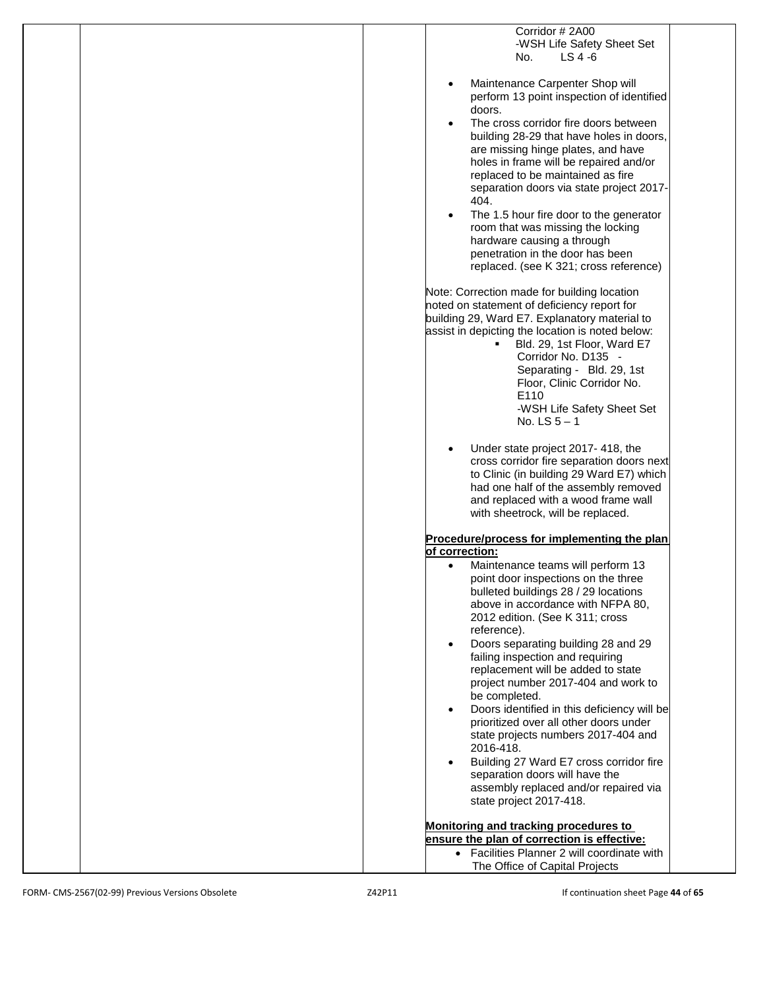| Corridor #2A00<br>-WSH Life Safety Sheet Set<br>$LS 4 -6$<br>No.                                                                                                                                                                                                                                                                                                                                                                                                                                                                                                                                                                                                                                                                                                                                                                                                                                                                                       |
|--------------------------------------------------------------------------------------------------------------------------------------------------------------------------------------------------------------------------------------------------------------------------------------------------------------------------------------------------------------------------------------------------------------------------------------------------------------------------------------------------------------------------------------------------------------------------------------------------------------------------------------------------------------------------------------------------------------------------------------------------------------------------------------------------------------------------------------------------------------------------------------------------------------------------------------------------------|
| Maintenance Carpenter Shop will<br>$\bullet$<br>perform 13 point inspection of identified<br>doors.<br>The cross corridor fire doors between<br>$\bullet$<br>building 28-29 that have holes in doors,<br>are missing hinge plates, and have<br>holes in frame will be repaired and/or<br>replaced to be maintained as fire<br>separation doors via state project 2017-<br>404.<br>The 1.5 hour fire door to the generator<br>$\bullet$<br>room that was missing the locking<br>hardware causing a through<br>penetration in the door has been<br>replaced. (see K 321; cross reference)<br>Note: Correction made for building location<br>noted on statement of deficiency report for<br>building 29, Ward E7. Explanatory material to<br>assist in depicting the location is noted below:<br>Bld. 29, 1st Floor, Ward E7<br>٠<br>Corridor No. D135 -<br>Separating - Bld. 29, 1st<br>Floor, Clinic Corridor No.<br>E110<br>-WSH Life Safety Sheet Set |
| No. LS $5 - 1$<br>Under state project 2017-418, the<br>cross corridor fire separation doors next<br>to Clinic (in building 29 Ward E7) which<br>had one half of the assembly removed<br>and replaced with a wood frame wall<br>with sheetrock, will be replaced.                                                                                                                                                                                                                                                                                                                                                                                                                                                                                                                                                                                                                                                                                       |
| Procedure/process for implementing the plan                                                                                                                                                                                                                                                                                                                                                                                                                                                                                                                                                                                                                                                                                                                                                                                                                                                                                                            |
| of correction:                                                                                                                                                                                                                                                                                                                                                                                                                                                                                                                                                                                                                                                                                                                                                                                                                                                                                                                                         |
| Maintenance teams will perform 13<br>$\bullet$<br>point door inspections on the three<br>bulleted buildings 28 / 29 locations<br>above in accordance with NFPA 80,<br>2012 edition. (See K 311; cross<br>reference).<br>Doors separating building 28 and 29<br>$\bullet$<br>failing inspection and requiring<br>replacement will be added to state<br>project number 2017-404 and work to<br>be completed.<br>Doors identified in this deficiency will be<br>$\bullet$<br>prioritized over all other doors under<br>state projects numbers 2017-404 and<br>2016-418.<br>Building 27 Ward E7 cross corridor fire<br>separation doors will have the<br>assembly replaced and/or repaired via                                                                                                                                                                                                                                                             |
| state project 2017-418.                                                                                                                                                                                                                                                                                                                                                                                                                                                                                                                                                                                                                                                                                                                                                                                                                                                                                                                                |
| Monitoring and tracking procedures to<br>ensure the plan of correction is effective:<br>• Facilities Planner 2 will coordinate with                                                                                                                                                                                                                                                                                                                                                                                                                                                                                                                                                                                                                                                                                                                                                                                                                    |
| The Office of Capital Projects                                                                                                                                                                                                                                                                                                                                                                                                                                                                                                                                                                                                                                                                                                                                                                                                                                                                                                                         |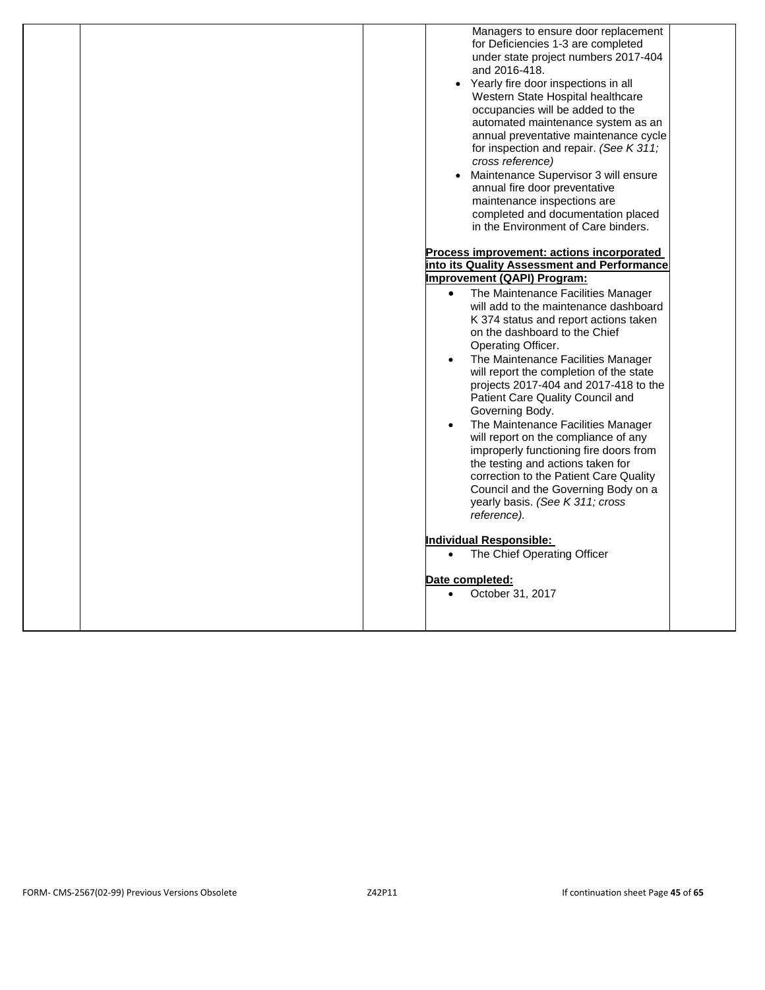|  | Managers to ensure door replacement<br>for Deficiencies 1-3 are completed<br>under state project numbers 2017-404<br>and 2016-418.<br>• Yearly fire door inspections in all<br>Western State Hospital healthcare<br>occupancies will be added to the<br>automated maintenance system as an<br>annual preventative maintenance cycle<br>for inspection and repair. (See K 311;<br>cross reference)<br>Maintenance Supervisor 3 will ensure<br>annual fire door preventative<br>maintenance inspections are<br>completed and documentation placed<br>in the Environment of Care binders.                                                                                    |
|--|---------------------------------------------------------------------------------------------------------------------------------------------------------------------------------------------------------------------------------------------------------------------------------------------------------------------------------------------------------------------------------------------------------------------------------------------------------------------------------------------------------------------------------------------------------------------------------------------------------------------------------------------------------------------------|
|  |                                                                                                                                                                                                                                                                                                                                                                                                                                                                                                                                                                                                                                                                           |
|  | Process improvement: actions incorporated                                                                                                                                                                                                                                                                                                                                                                                                                                                                                                                                                                                                                                 |
|  | into its Quality Assessment and Performance                                                                                                                                                                                                                                                                                                                                                                                                                                                                                                                                                                                                                               |
|  | Improvement (QAPI) Program:                                                                                                                                                                                                                                                                                                                                                                                                                                                                                                                                                                                                                                               |
|  | The Maintenance Facilities Manager<br>$\bullet$<br>will add to the maintenance dashboard<br>K 374 status and report actions taken<br>on the dashboard to the Chief<br>Operating Officer.<br>The Maintenance Facilities Manager<br>will report the completion of the state<br>projects 2017-404 and 2017-418 to the<br>Patient Care Quality Council and<br>Governing Body.<br>The Maintenance Facilities Manager<br>will report on the compliance of any<br>improperly functioning fire doors from<br>the testing and actions taken for<br>correction to the Patient Care Quality<br>Council and the Governing Body on a<br>yearly basis. (See K 311; cross<br>reference). |
|  | <b>Individual Responsible:</b><br>The Chief Operating Officer<br>$\bullet$                                                                                                                                                                                                                                                                                                                                                                                                                                                                                                                                                                                                |
|  | Date completed:<br>October 31, 2017<br>$\bullet$                                                                                                                                                                                                                                                                                                                                                                                                                                                                                                                                                                                                                          |
|  |                                                                                                                                                                                                                                                                                                                                                                                                                                                                                                                                                                                                                                                                           |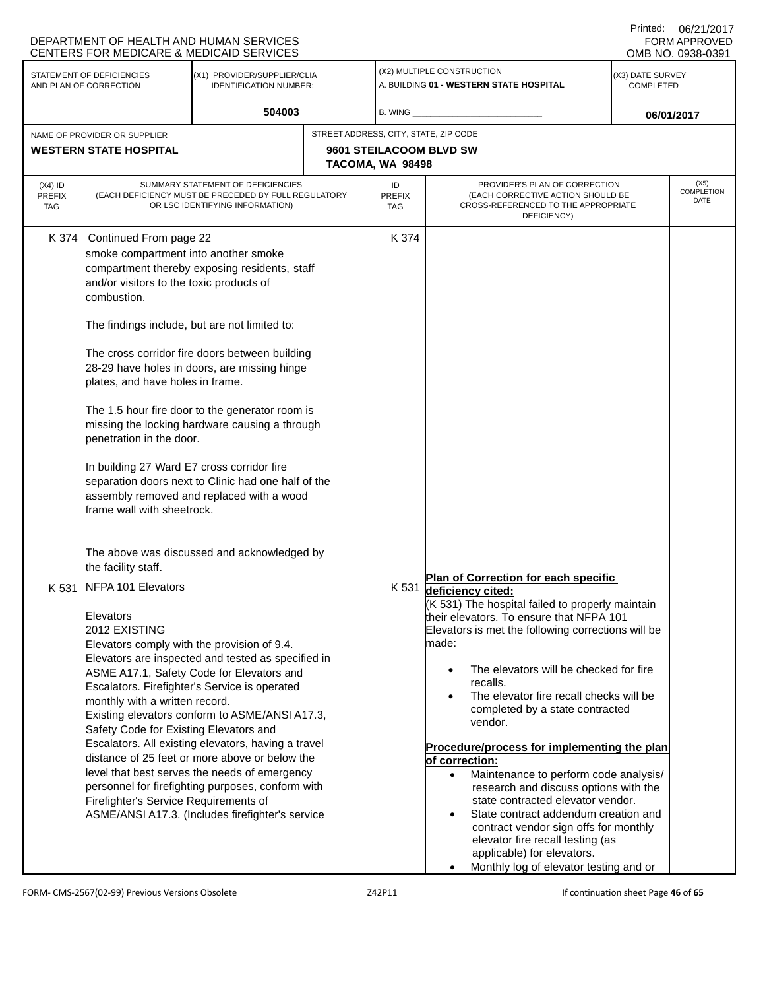|                                                                                                                     | DEPARTMENT OF HEALTH AND HUMAN SERVICES<br>CENTERS FOR MEDICARE & MEDICAID SERVICES                                                                                                                                                                                                                                                           |                                                                                                                                                                                                                                                                                                                                                                                                                                                                       |                  |                                                                       |                                                                                                                                                                                                                                                                                                                                                                                                                                                                                                                                                                                                                                                                                                                                                                   |  | <b>FORM APPROVED</b><br>OMB NO. 0938-0391 |
|---------------------------------------------------------------------------------------------------------------------|-----------------------------------------------------------------------------------------------------------------------------------------------------------------------------------------------------------------------------------------------------------------------------------------------------------------------------------------------|-----------------------------------------------------------------------------------------------------------------------------------------------------------------------------------------------------------------------------------------------------------------------------------------------------------------------------------------------------------------------------------------------------------------------------------------------------------------------|------------------|-----------------------------------------------------------------------|-------------------------------------------------------------------------------------------------------------------------------------------------------------------------------------------------------------------------------------------------------------------------------------------------------------------------------------------------------------------------------------------------------------------------------------------------------------------------------------------------------------------------------------------------------------------------------------------------------------------------------------------------------------------------------------------------------------------------------------------------------------------|--|-------------------------------------------|
| STATEMENT OF DEFICIENCIES<br>(X1) PROVIDER/SUPPLIER/CLIA<br><b>IDENTIFICATION NUMBER:</b><br>AND PLAN OF CORRECTION |                                                                                                                                                                                                                                                                                                                                               |                                                                                                                                                                                                                                                                                                                                                                                                                                                                       |                  | (X2) MULTIPLE CONSTRUCTION<br>A. BUILDING 01 - WESTERN STATE HOSPITAL | (X3) DATE SURVEY<br><b>COMPLETED</b>                                                                                                                                                                                                                                                                                                                                                                                                                                                                                                                                                                                                                                                                                                                              |  |                                           |
|                                                                                                                     |                                                                                                                                                                                                                                                                                                                                               | 504003                                                                                                                                                                                                                                                                                                                                                                                                                                                                |                  | B. WING                                                               |                                                                                                                                                                                                                                                                                                                                                                                                                                                                                                                                                                                                                                                                                                                                                                   |  | 06/01/2017                                |
| NAME OF PROVIDER OR SUPPLIER<br><b>WESTERN STATE HOSPITAL</b>                                                       |                                                                                                                                                                                                                                                                                                                                               | STREET ADDRESS, CITY, STATE, ZIP CODE                                                                                                                                                                                                                                                                                                                                                                                                                                 | TACOMA, WA 98498 | 9601 STEILACOOM BLVD SW                                               |                                                                                                                                                                                                                                                                                                                                                                                                                                                                                                                                                                                                                                                                                                                                                                   |  |                                           |
| $(X4)$ ID<br><b>PREFIX</b><br><b>TAG</b>                                                                            |                                                                                                                                                                                                                                                                                                                                               | SUMMARY STATEMENT OF DEFICIENCIES<br>(EACH DEFICIENCY MUST BE PRECEDED BY FULL REGULATORY<br>OR LSC IDENTIFYING INFORMATION)                                                                                                                                                                                                                                                                                                                                          |                  | ID<br>PREFIX<br>TAG                                                   | PROVIDER'S PLAN OF CORRECTION<br>(EACH CORRECTIVE ACTION SHOULD BE<br>CROSS-REFERENCED TO THE APPROPRIATE<br>DEFICIENCY)                                                                                                                                                                                                                                                                                                                                                                                                                                                                                                                                                                                                                                          |  | (X5)<br><b>COMPLETION</b><br>DATE         |
| K 374                                                                                                               | Continued From page 22<br>smoke compartment into another smoke<br>and/or visitors to the toxic products of<br>combustion.<br>The findings include, but are not limited to:<br>plates, and have holes in frame.<br>penetration in the door.<br>In building 27 Ward E7 cross corridor fire<br>frame wall with sheetrock.<br>the facility staff. | compartment thereby exposing residents, staff<br>The cross corridor fire doors between building<br>28-29 have holes in doors, are missing hinge<br>The 1.5 hour fire door to the generator room is<br>missing the locking hardware causing a through<br>separation doors next to Clinic had one half of the<br>assembly removed and replaced with a wood<br>The above was discussed and acknowledged by                                                               |                  | K 374                                                                 | Plan of Correction for each specific                                                                                                                                                                                                                                                                                                                                                                                                                                                                                                                                                                                                                                                                                                                              |  |                                           |
| K 531                                                                                                               | NFPA 101 Elevators<br>Elevators<br>2012 EXISTING<br>Elevators comply with the provision of 9.4.<br>monthly with a written record.<br>Safety Code for Existing Elevators and<br>Firefighter's Service Requirements of                                                                                                                          | Elevators are inspected and tested as specified in<br>ASME A17.1, Safety Code for Elevators and<br>Escalators. Firefighter's Service is operated<br>Existing elevators conform to ASME/ANSI A17.3,<br>Escalators. All existing elevators, having a travel<br>distance of 25 feet or more above or below the<br>level that best serves the needs of emergency<br>personnel for firefighting purposes, conform with<br>ASME/ANSI A17.3. (Includes firefighter's service |                  |                                                                       | K 531 deficiency cited:<br>(K 531) The hospital failed to properly maintain<br>their elevators. To ensure that NFPA 101<br>Elevators is met the following corrections will be<br>made:<br>The elevators will be checked for fire<br>$\bullet$<br>recalls.<br>The elevator fire recall checks will be<br>$\bullet$<br>completed by a state contracted<br>vendor.<br>Procedure/process for implementing the plan<br>of correction:<br>Maintenance to perform code analysis/<br>$\bullet$<br>research and discuss options with the<br>state contracted elevator vendor.<br>State contract addendum creation and<br>contract vendor sign offs for monthly<br>elevator fire recall testing (as<br>applicable) for elevators.<br>Monthly log of elevator testing and or |  |                                           |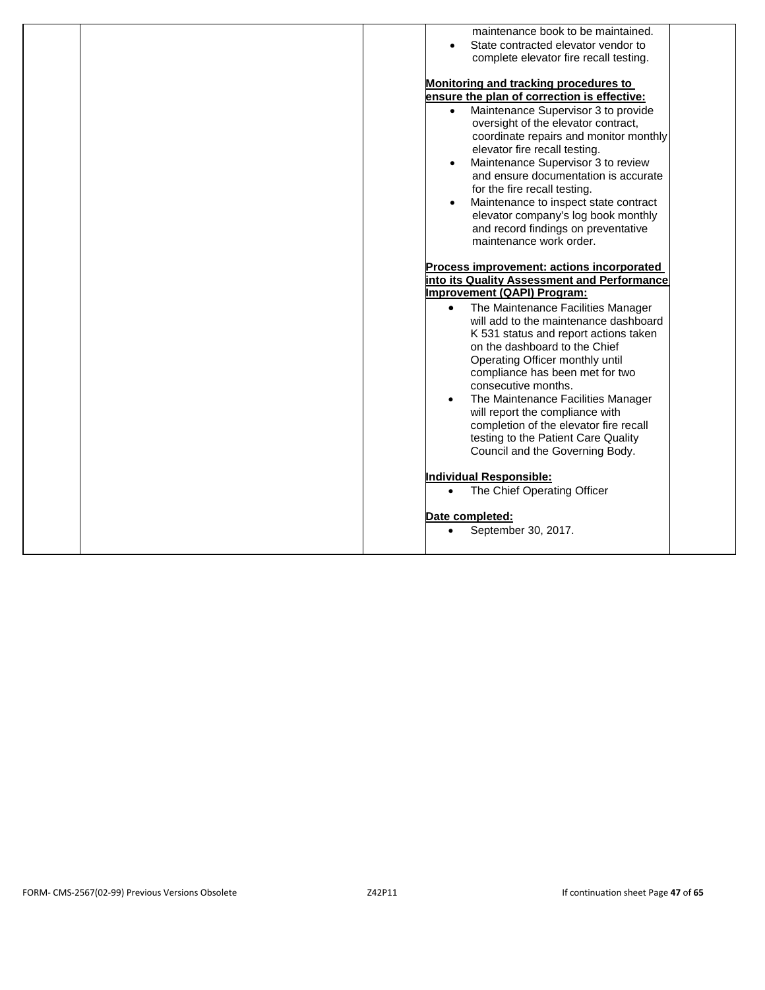| maintenance book to be maintained.<br>State contracted elevator vendor to                                                                                                                                                                                                                                                                                                                                                 |
|---------------------------------------------------------------------------------------------------------------------------------------------------------------------------------------------------------------------------------------------------------------------------------------------------------------------------------------------------------------------------------------------------------------------------|
| complete elevator fire recall testing.                                                                                                                                                                                                                                                                                                                                                                                    |
| Monitoring and tracking procedures to<br>ensure the plan of correction is effective:                                                                                                                                                                                                                                                                                                                                      |
| Maintenance Supervisor 3 to provide<br>$\bullet$<br>oversight of the elevator contract,<br>coordinate repairs and monitor monthly<br>elevator fire recall testing.<br>Maintenance Supervisor 3 to review                                                                                                                                                                                                                  |
| and ensure documentation is accurate<br>for the fire recall testing.                                                                                                                                                                                                                                                                                                                                                      |
| Maintenance to inspect state contract<br>elevator company's log book monthly<br>and record findings on preventative<br>maintenance work order.                                                                                                                                                                                                                                                                            |
| Process improvement: actions incorporated                                                                                                                                                                                                                                                                                                                                                                                 |
| into its Quality Assessment and Performance                                                                                                                                                                                                                                                                                                                                                                               |
| Improvement (QAPI) Program:                                                                                                                                                                                                                                                                                                                                                                                               |
| The Maintenance Facilities Manager<br>$\bullet$<br>will add to the maintenance dashboard<br>K 531 status and report actions taken<br>on the dashboard to the Chief<br>Operating Officer monthly until<br>compliance has been met for two<br>consecutive months.<br>The Maintenance Facilities Manager<br>will report the compliance with<br>completion of the elevator fire recall<br>testing to the Patient Care Quality |
| Council and the Governing Body.                                                                                                                                                                                                                                                                                                                                                                                           |
| Individual Responsible:<br>The Chief Operating Officer<br>$\bullet$                                                                                                                                                                                                                                                                                                                                                       |
| Date completed:<br>September 30, 2017.<br>$\bullet$                                                                                                                                                                                                                                                                                                                                                                       |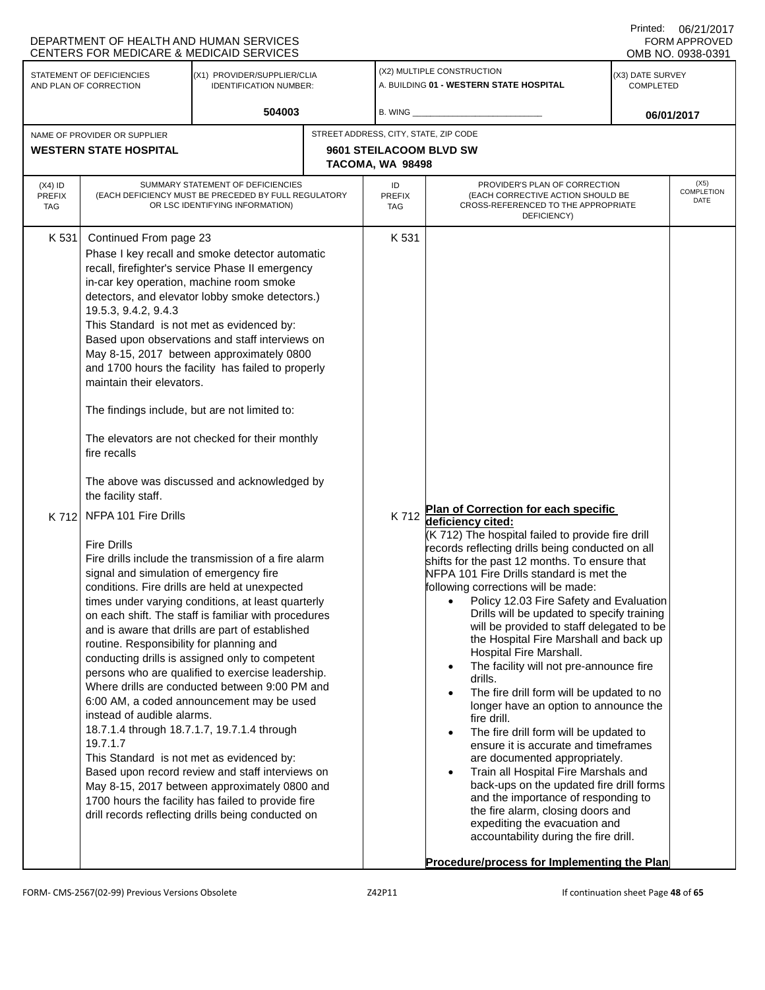|                                   | DEPARTMENT OF HEALTH AND HUMAN SERVICES<br><b>CENTERS FOR MEDICARE &amp; MEDICAID SERVICES</b>                                                                                                                    |                                                                                                                                                                                                                                                                                                                                                                                                                                                                                                                                                                                                                                                                                                                                                                                              |                                       |                            |                                                                                                                                                                                                                                                                                                                                                                                                                                                                                                                                                                                                                                                                                                                                                                                                                                                                                                                                                                                                                            |                                      | UU/Z UZU H<br><b>FORM APPROVED</b><br>OMB NO. 0938-0391 |
|-----------------------------------|-------------------------------------------------------------------------------------------------------------------------------------------------------------------------------------------------------------------|----------------------------------------------------------------------------------------------------------------------------------------------------------------------------------------------------------------------------------------------------------------------------------------------------------------------------------------------------------------------------------------------------------------------------------------------------------------------------------------------------------------------------------------------------------------------------------------------------------------------------------------------------------------------------------------------------------------------------------------------------------------------------------------------|---------------------------------------|----------------------------|----------------------------------------------------------------------------------------------------------------------------------------------------------------------------------------------------------------------------------------------------------------------------------------------------------------------------------------------------------------------------------------------------------------------------------------------------------------------------------------------------------------------------------------------------------------------------------------------------------------------------------------------------------------------------------------------------------------------------------------------------------------------------------------------------------------------------------------------------------------------------------------------------------------------------------------------------------------------------------------------------------------------------|--------------------------------------|---------------------------------------------------------|
|                                   | STATEMENT OF DEFICIENCIES<br>AND PLAN OF CORRECTION                                                                                                                                                               | (X1) PROVIDER/SUPPLIER/CLIA<br><b>IDENTIFICATION NUMBER:</b>                                                                                                                                                                                                                                                                                                                                                                                                                                                                                                                                                                                                                                                                                                                                 |                                       |                            | (X2) MULTIPLE CONSTRUCTION<br>A. BUILDING 01 - WESTERN STATE HOSPITAL                                                                                                                                                                                                                                                                                                                                                                                                                                                                                                                                                                                                                                                                                                                                                                                                                                                                                                                                                      | (X3) DATE SURVEY<br><b>COMPLETED</b> |                                                         |
|                                   |                                                                                                                                                                                                                   | 504003                                                                                                                                                                                                                                                                                                                                                                                                                                                                                                                                                                                                                                                                                                                                                                                       |                                       | B. WING                    |                                                                                                                                                                                                                                                                                                                                                                                                                                                                                                                                                                                                                                                                                                                                                                                                                                                                                                                                                                                                                            |                                      | 06/01/2017                                              |
|                                   | NAME OF PROVIDER OR SUPPLIER<br><b>WESTERN STATE HOSPITAL</b>                                                                                                                                                     |                                                                                                                                                                                                                                                                                                                                                                                                                                                                                                                                                                                                                                                                                                                                                                                              | STREET ADDRESS, CITY, STATE, ZIP CODE | TACOMA, WA 98498           | 9601 STEILACOOM BLVD SW                                                                                                                                                                                                                                                                                                                                                                                                                                                                                                                                                                                                                                                                                                                                                                                                                                                                                                                                                                                                    |                                      |                                                         |
| $(X4)$ ID<br><b>PREFIX</b><br>TAG |                                                                                                                                                                                                                   | SUMMARY STATEMENT OF DEFICIENCIES<br>(EACH DEFICIENCY MUST BE PRECEDED BY FULL REGULATORY<br>OR LSC IDENTIFYING INFORMATION)                                                                                                                                                                                                                                                                                                                                                                                                                                                                                                                                                                                                                                                                 |                                       | ID<br><b>PREFIX</b><br>TAG | PROVIDER'S PLAN OF CORRECTION<br>(EACH CORRECTIVE ACTION SHOULD BE<br>CROSS-REFERENCED TO THE APPROPRIATE<br>DEFICIENCY)                                                                                                                                                                                                                                                                                                                                                                                                                                                                                                                                                                                                                                                                                                                                                                                                                                                                                                   |                                      | (X5)<br>COMPLETION<br>DATE                              |
| K 531<br>K 712                    | Continued From page 23<br>19.5.3, 9.4.2, 9.4.3<br>maintain their elevators.<br>The findings include, but are not limited to:<br>fire recalls<br>the facility staff.<br>NFPA 101 Fire Drills<br><b>Fire Drills</b> | Phase I key recall and smoke detector automatic<br>recall, firefighter's service Phase II emergency<br>in-car key operation, machine room smoke<br>detectors, and elevator lobby smoke detectors.)<br>This Standard is not met as evidenced by:<br>Based upon observations and staff interviews on<br>May 8-15, 2017 between approximately 0800<br>and 1700 hours the facility has failed to properly<br>The elevators are not checked for their monthly<br>The above was discussed and acknowledged by                                                                                                                                                                                                                                                                                      |                                       | K 531<br>K712              | Plan of Correction for each specific<br>deficiency cited:<br>(K 712) The hospital failed to provide fire drill                                                                                                                                                                                                                                                                                                                                                                                                                                                                                                                                                                                                                                                                                                                                                                                                                                                                                                             |                                      |                                                         |
|                                   | signal and simulation of emergency fire<br>routine. Responsibility for planning and<br>instead of audible alarms.<br>19.7.1.7                                                                                     | Fire drills include the transmission of a fire alarm<br>conditions. Fire drills are held at unexpected<br>times under varying conditions, at least quarterly<br>on each shift. The staff is familiar with procedures<br>and is aware that drills are part of established<br>conducting drills is assigned only to competent<br>persons who are qualified to exercise leadership.<br>Where drills are conducted between 9:00 PM and<br>6:00 AM, a coded announcement may be used<br>18.7.1.4 through 18.7.1.7, 19.7.1.4 through<br>This Standard is not met as evidenced by:<br>Based upon record review and staff interviews on<br>May 8-15, 2017 between approximately 0800 and<br>1700 hours the facility has failed to provide fire<br>drill records reflecting drills being conducted on |                                       |                            | records reflecting drills being conducted on all<br>shifts for the past 12 months. To ensure that<br>NFPA 101 Fire Drills standard is met the<br>following corrections will be made:<br>Policy 12.03 Fire Safety and Evaluation<br>Drills will be updated to specify training<br>will be provided to staff delegated to be<br>the Hospital Fire Marshall and back up<br>Hospital Fire Marshall.<br>The facility will not pre-announce fire<br>$\bullet$<br>drills.<br>The fire drill form will be updated to no<br>$\bullet$<br>longer have an option to announce the<br>fire drill.<br>The fire drill form will be updated to<br>$\bullet$<br>ensure it is accurate and timeframes<br>are documented appropriately.<br>Train all Hospital Fire Marshals and<br>$\bullet$<br>back-ups on the updated fire drill forms<br>and the importance of responding to<br>the fire alarm, closing doors and<br>expediting the evacuation and<br>accountability during the fire drill.<br>Procedure/process for Implementing the Plan |                                      |                                                         |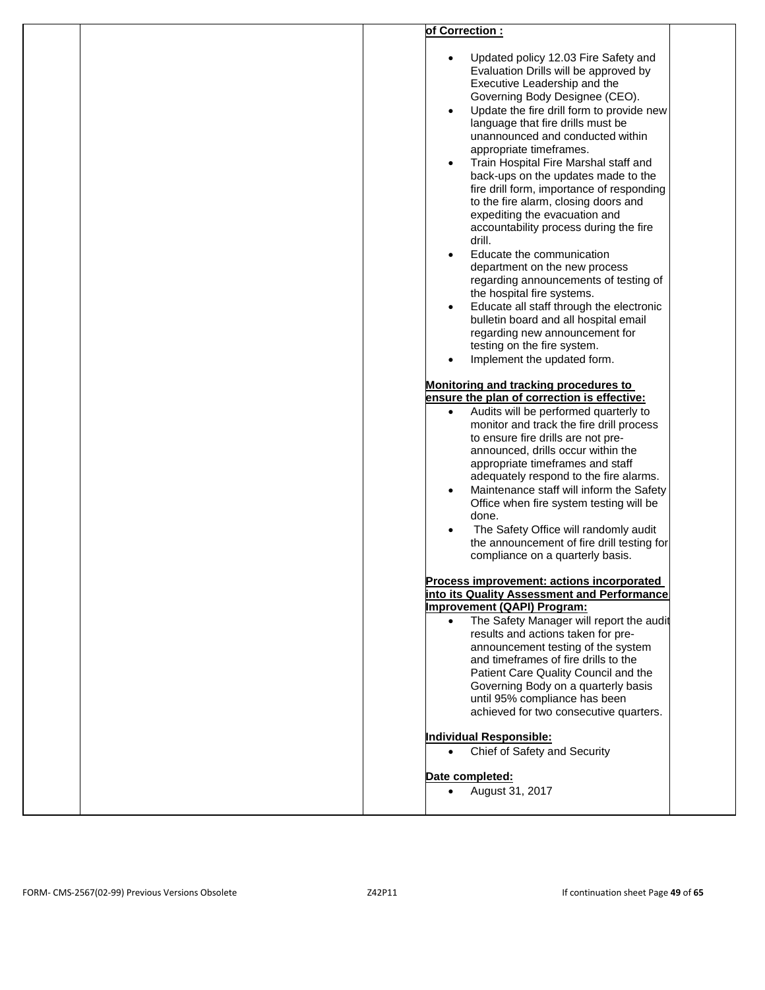| of Correction:<br>Updated policy 12.03 Fire Safety and<br>Evaluation Drills will be approved by<br>Executive Leadership and the<br>Governing Body Designee (CEO).<br>Update the fire drill form to provide new<br>$\bullet$<br>language that fire drills must be<br>unannounced and conducted within<br>appropriate timeframes.<br>Train Hospital Fire Marshal staff and<br>$\bullet$<br>back-ups on the updates made to the<br>fire drill form, importance of responding<br>to the fire alarm, closing doors and<br>expediting the evacuation and<br>accountability process during the fire<br>drill.<br>Educate the communication<br>$\bullet$<br>department on the new process<br>regarding announcements of testing of<br>the hospital fire systems.<br>Educate all staff through the electronic<br>$\bullet$<br>bulletin board and all hospital email<br>regarding new announcement for<br>testing on the fire system.<br>Implement the updated form.<br>$\bullet$<br>Monitoring and tracking procedures to<br>ensure the plan of correction is effective:<br>Audits will be performed quarterly to<br>$\bullet$<br>monitor and track the fire drill process<br>to ensure fire drills are not pre-<br>announced, drills occur within the<br>appropriate timeframes and staff<br>adequately respond to the fire alarms.<br>Maintenance staff will inform the Safety<br>$\bullet$<br>Office when fire system testing will be<br>done.<br>The Safety Office will randomly audit<br>the announcement of fire drill testing for<br>compliance on a quarterly basis.<br>Process improvement: actions incorporated<br>into its Quality Assessment and Performance<br><b>Improvement (QAPI) Program:</b><br>The Safety Manager will report the audit<br>$\bullet$<br>results and actions taken for pre-<br>announcement testing of the system<br>and timeframes of fire drills to the<br>Patient Care Quality Council and the<br>Governing Body on a quarterly basis<br>until 95% compliance has been<br>achieved for two consecutive quarters.<br><b>Individual Responsible:</b><br>Chief of Safety and Security<br>$\bullet$<br>Date completed:<br>$\bullet$ |
|-------------------------------------------------------------------------------------------------------------------------------------------------------------------------------------------------------------------------------------------------------------------------------------------------------------------------------------------------------------------------------------------------------------------------------------------------------------------------------------------------------------------------------------------------------------------------------------------------------------------------------------------------------------------------------------------------------------------------------------------------------------------------------------------------------------------------------------------------------------------------------------------------------------------------------------------------------------------------------------------------------------------------------------------------------------------------------------------------------------------------------------------------------------------------------------------------------------------------------------------------------------------------------------------------------------------------------------------------------------------------------------------------------------------------------------------------------------------------------------------------------------------------------------------------------------------------------------------------------------------------------------------------------------------------------------------------------------------------------------------------------------------------------------------------------------------------------------------------------------------------------------------------------------------------------------------------------------------------------------------------------------------------------------------------------------------------------------------------------------------------------------------------------------|
| August 31, 2017                                                                                                                                                                                                                                                                                                                                                                                                                                                                                                                                                                                                                                                                                                                                                                                                                                                                                                                                                                                                                                                                                                                                                                                                                                                                                                                                                                                                                                                                                                                                                                                                                                                                                                                                                                                                                                                                                                                                                                                                                                                                                                                                             |
|                                                                                                                                                                                                                                                                                                                                                                                                                                                                                                                                                                                                                                                                                                                                                                                                                                                                                                                                                                                                                                                                                                                                                                                                                                                                                                                                                                                                                                                                                                                                                                                                                                                                                                                                                                                                                                                                                                                                                                                                                                                                                                                                                             |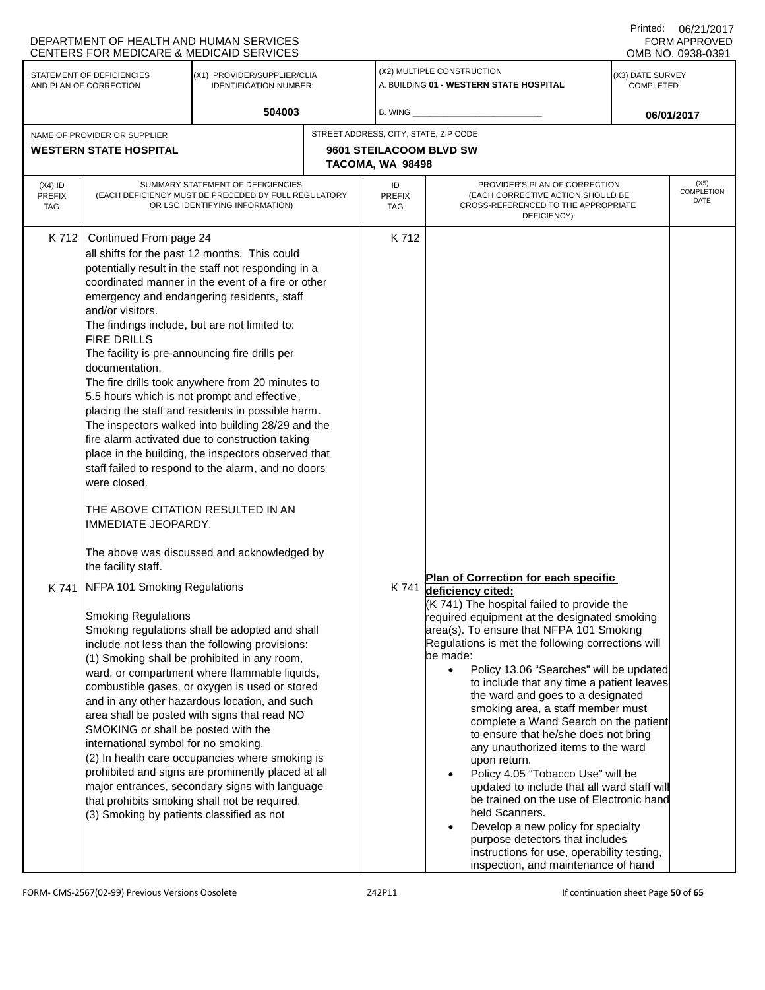|                                   | DEPARTMENT OF HEALTH AND HUMAN SERVICES<br><b>CENTERS FOR MEDICARE &amp; MEDICAID SERVICES</b>                                                                                   |                                                                                                                                                                                                                                                                                                                                                                                                                                                                                                                                                                                                                                                                                                                                                                               |  |                                                                       |                                                                                                                                                                                                                                                                                                                                                                                                                                                                                                                                                                                                                                                                                                                                                                                                                                                                    |  | <b>FORM APPROVED</b><br>OMB NO. 0938-0391 |
|-----------------------------------|----------------------------------------------------------------------------------------------------------------------------------------------------------------------------------|-------------------------------------------------------------------------------------------------------------------------------------------------------------------------------------------------------------------------------------------------------------------------------------------------------------------------------------------------------------------------------------------------------------------------------------------------------------------------------------------------------------------------------------------------------------------------------------------------------------------------------------------------------------------------------------------------------------------------------------------------------------------------------|--|-----------------------------------------------------------------------|--------------------------------------------------------------------------------------------------------------------------------------------------------------------------------------------------------------------------------------------------------------------------------------------------------------------------------------------------------------------------------------------------------------------------------------------------------------------------------------------------------------------------------------------------------------------------------------------------------------------------------------------------------------------------------------------------------------------------------------------------------------------------------------------------------------------------------------------------------------------|--|-------------------------------------------|
|                                   | STATEMENT OF DEFICIENCIES<br>(X1) PROVIDER/SUPPLIER/CLIA<br>AND PLAN OF CORRECTION<br><b>IDENTIFICATION NUMBER:</b>                                                              |                                                                                                                                                                                                                                                                                                                                                                                                                                                                                                                                                                                                                                                                                                                                                                               |  | (X2) MULTIPLE CONSTRUCTION<br>A. BUILDING 01 - WESTERN STATE HOSPITAL | (X3) DATE SURVEY<br>COMPLETED                                                                                                                                                                                                                                                                                                                                                                                                                                                                                                                                                                                                                                                                                                                                                                                                                                      |  |                                           |
|                                   |                                                                                                                                                                                  | 504003                                                                                                                                                                                                                                                                                                                                                                                                                                                                                                                                                                                                                                                                                                                                                                        |  | $B.$ WING $_{-}$                                                      |                                                                                                                                                                                                                                                                                                                                                                                                                                                                                                                                                                                                                                                                                                                                                                                                                                                                    |  | 06/01/2017                                |
|                                   | NAME OF PROVIDER OR SUPPLIER<br><b>WESTERN STATE HOSPITAL</b>                                                                                                                    |                                                                                                                                                                                                                                                                                                                                                                                                                                                                                                                                                                                                                                                                                                                                                                               |  | STREET ADDRESS, CITY, STATE, ZIP CODE<br>9601 STEILACOOM BLVD SW      |                                                                                                                                                                                                                                                                                                                                                                                                                                                                                                                                                                                                                                                                                                                                                                                                                                                                    |  |                                           |
|                                   |                                                                                                                                                                                  |                                                                                                                                                                                                                                                                                                                                                                                                                                                                                                                                                                                                                                                                                                                                                                               |  | TACOMA, WA 98498                                                      |                                                                                                                                                                                                                                                                                                                                                                                                                                                                                                                                                                                                                                                                                                                                                                                                                                                                    |  |                                           |
| $(X4)$ ID<br>PREFIX<br><b>TAG</b> |                                                                                                                                                                                  | SUMMARY STATEMENT OF DEFICIENCIES<br>(EACH DEFICIENCY MUST BE PRECEDED BY FULL REGULATORY<br>OR LSC IDENTIFYING INFORMATION)                                                                                                                                                                                                                                                                                                                                                                                                                                                                                                                                                                                                                                                  |  | ID<br>PREFIX<br><b>TAG</b>                                            | PROVIDER'S PLAN OF CORRECTION<br>(EACH CORRECTIVE ACTION SHOULD BE<br>CROSS-REFERENCED TO THE APPROPRIATE<br>DEFICIENCY)                                                                                                                                                                                                                                                                                                                                                                                                                                                                                                                                                                                                                                                                                                                                           |  | (X5)<br>COMPLETION<br>DATE                |
| K 712                             | Continued From page 24<br>and/or visitors.<br><b>FIRE DRILLS</b><br>documentation.<br>were closed.<br>IMMEDIATE JEOPARDY.<br>the facility staff.<br>NFPA 101 Smoking Regulations | all shifts for the past 12 months. This could<br>potentially result in the staff not responding in a<br>coordinated manner in the event of a fire or other<br>emergency and endangering residents, staff<br>The findings include, but are not limited to:<br>The facility is pre-announcing fire drills per<br>The fire drills took anywhere from 20 minutes to<br>5.5 hours which is not prompt and effective,<br>placing the staff and residents in possible harm.<br>The inspectors walked into building 28/29 and the<br>fire alarm activated due to construction taking<br>place in the building, the inspectors observed that<br>staff failed to respond to the alarm, and no doors<br>THE ABOVE CITATION RESULTED IN AN<br>The above was discussed and acknowledged by |  | K712                                                                  | Plan of Correction for each specific                                                                                                                                                                                                                                                                                                                                                                                                                                                                                                                                                                                                                                                                                                                                                                                                                               |  |                                           |
| K 741                             | <b>Smoking Regulations</b><br>SMOKING or shall be posted with the<br>international symbol for no smoking.<br>(3) Smoking by patients classified as not                           | Smoking regulations shall be adopted and shall<br>include not less than the following provisions:<br>(1) Smoking shall be prohibited in any room,<br>ward, or compartment where flammable liquids,<br>combustible gases, or oxygen is used or stored<br>and in any other hazardous location, and such<br>area shall be posted with signs that read NO<br>(2) In health care occupancies where smoking is<br>prohibited and signs are prominently placed at all<br>major entrances, secondary signs with language<br>that prohibits smoking shall not be required.                                                                                                                                                                                                             |  | K 741                                                                 | deficiency cited:<br>(K 741) The hospital failed to provide the<br>required equipment at the designated smoking<br>area(s). To ensure that NFPA 101 Smoking<br>Regulations is met the following corrections will<br>be made:<br>Policy 13.06 "Searches" will be updated<br>$\bullet$<br>to include that any time a patient leaves<br>the ward and goes to a designated<br>smoking area, a staff member must<br>complete a Wand Search on the patient<br>to ensure that he/she does not bring<br>any unauthorized items to the ward<br>upon return.<br>Policy 4.05 "Tobacco Use" will be<br>updated to include that all ward staff will<br>be trained on the use of Electronic hand<br>held Scanners.<br>Develop a new policy for specialty<br>purpose detectors that includes<br>instructions for use, operability testing,<br>inspection, and maintenance of hand |  |                                           |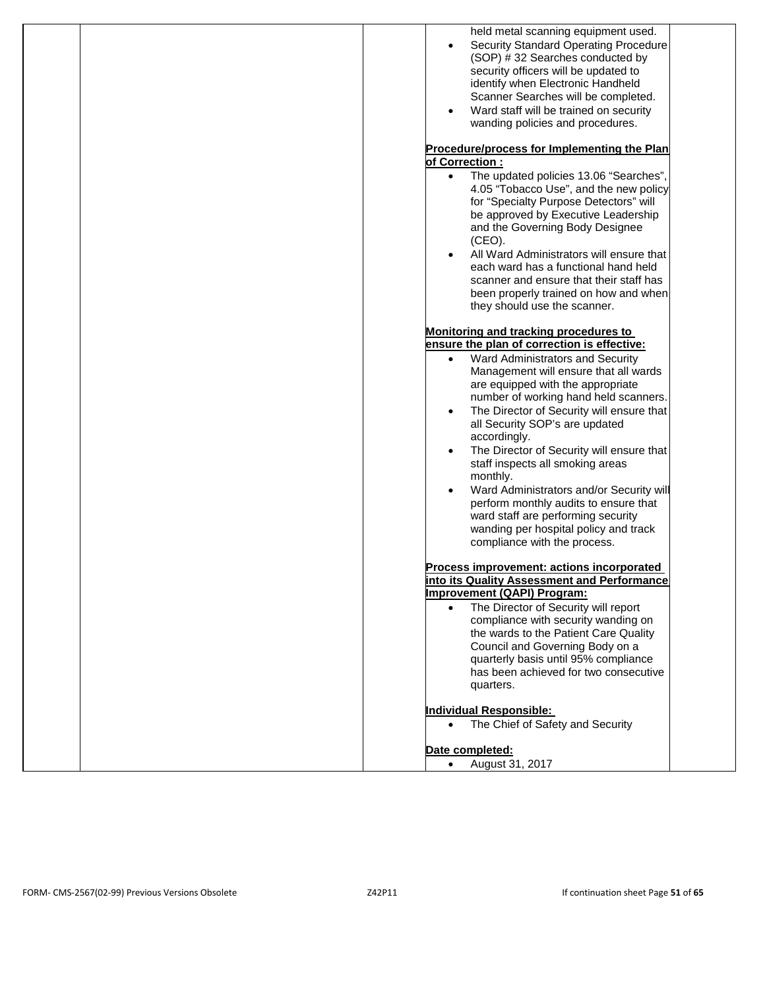| held metal scanning equipment used.<br><b>Security Standard Operating Procedure</b><br>(SOP) #32 Searches conducted by<br>security officers will be updated to<br>identify when Electronic Handheld<br>Scanner Searches will be completed.<br>Ward staff will be trained on security<br>$\bullet$<br>wanding policies and procedures.<br>Procedure/process for Implementing the Plan<br>of Correction:<br>• The updated policies 13.06 "Searches",<br>4.05 "Tobacco Use", and the new policy<br>for "Specialty Purpose Detectors" will<br>be approved by Executive Leadership<br>and the Governing Body Designee<br>(CEO).<br>All Ward Administrators will ensure that<br>each ward has a functional hand held<br>scanner and ensure that their staff has<br>been properly trained on how and when<br>they should use the scanner.<br>Monitoring and tracking procedures to<br>ensure the plan of correction is effective:<br>Ward Administrators and Security<br>$\bullet$<br>Management will ensure that all wards |
|----------------------------------------------------------------------------------------------------------------------------------------------------------------------------------------------------------------------------------------------------------------------------------------------------------------------------------------------------------------------------------------------------------------------------------------------------------------------------------------------------------------------------------------------------------------------------------------------------------------------------------------------------------------------------------------------------------------------------------------------------------------------------------------------------------------------------------------------------------------------------------------------------------------------------------------------------------------------------------------------------------------------|
| are equipped with the appropriate<br>number of working hand held scanners.<br>The Director of Security will ensure that<br>$\bullet$<br>all Security SOP's are updated<br>accordingly.<br>The Director of Security will ensure that<br>staff inspects all smoking areas<br>monthly.<br>Ward Administrators and/or Security will<br>$\bullet$<br>perform monthly audits to ensure that<br>ward staff are performing security<br>wanding per hospital policy and track<br>compliance with the process.<br>Process improvement: actions incorporated<br>into its Quality Assessment and Performance<br><b>Improvement (QAPI) Program:</b><br>The Director of Security will report<br>$\bullet$<br>compliance with security wanding on<br>the wards to the Patient Care Quality<br>Council and Governing Body on a<br>quarterly basis until 95% compliance                                                                                                                                                               |
| has been achieved for two consecutive<br>quarters.<br><b>Individual Responsible:</b><br>The Chief of Safety and Security<br>$\bullet$<br>Date completed:<br>August 31, 2017<br>$\bullet$                                                                                                                                                                                                                                                                                                                                                                                                                                                                                                                                                                                                                                                                                                                                                                                                                             |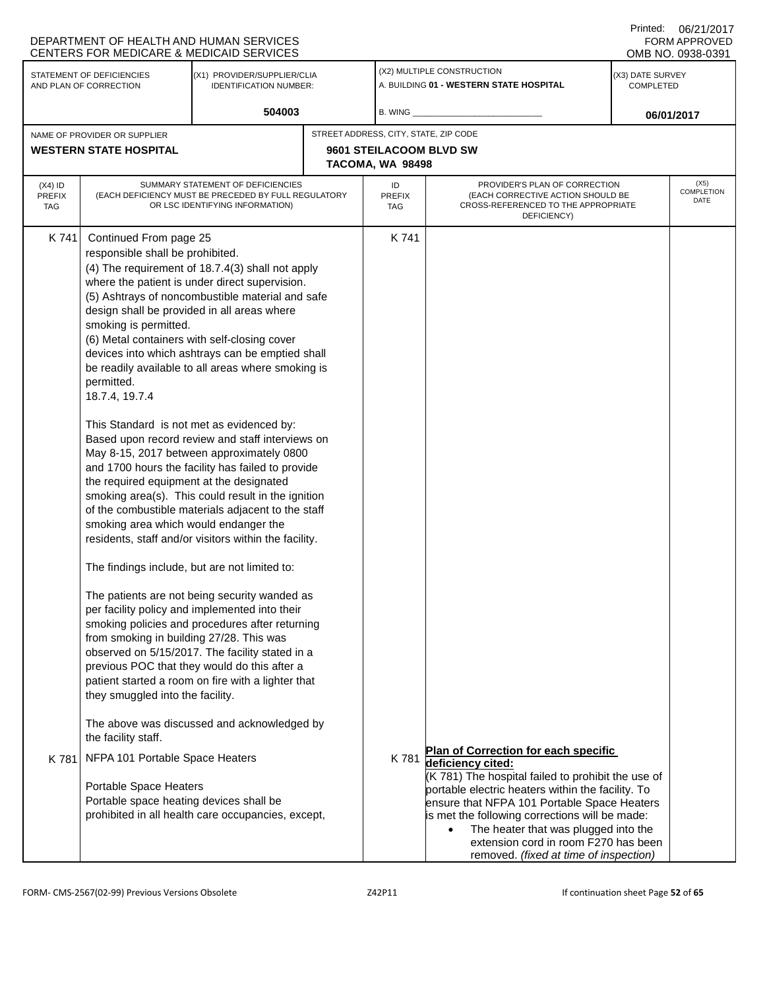|                                                                                                                     | DEPARTMENT OF HEALTH AND HUMAN SERVICES<br>CENTERS FOR MEDICARE & MEDICAID SERVICES                                                                                                                                                                                                                                                                                                                                                                                                                          |                                                                                                                                                                                                                                                                                                                                                                                                                                                                                                                                                                                                                                                                                                                                                                                                                                                                                                                                                           |                                                                       |                                                                                                                                                                                                                                                                                                                                                                                                       | Printed: | 06/21/2017<br>FORM APPROVED<br>OMB NO. 0938-0391 |
|---------------------------------------------------------------------------------------------------------------------|--------------------------------------------------------------------------------------------------------------------------------------------------------------------------------------------------------------------------------------------------------------------------------------------------------------------------------------------------------------------------------------------------------------------------------------------------------------------------------------------------------------|-----------------------------------------------------------------------------------------------------------------------------------------------------------------------------------------------------------------------------------------------------------------------------------------------------------------------------------------------------------------------------------------------------------------------------------------------------------------------------------------------------------------------------------------------------------------------------------------------------------------------------------------------------------------------------------------------------------------------------------------------------------------------------------------------------------------------------------------------------------------------------------------------------------------------------------------------------------|-----------------------------------------------------------------------|-------------------------------------------------------------------------------------------------------------------------------------------------------------------------------------------------------------------------------------------------------------------------------------------------------------------------------------------------------------------------------------------------------|----------|--------------------------------------------------|
| STATEMENT OF DEFICIENCIES<br>(X1) PROVIDER/SUPPLIER/CLIA<br>AND PLAN OF CORRECTION<br><b>IDENTIFICATION NUMBER:</b> |                                                                                                                                                                                                                                                                                                                                                                                                                                                                                                              |                                                                                                                                                                                                                                                                                                                                                                                                                                                                                                                                                                                                                                                                                                                                                                                                                                                                                                                                                           | (X2) MULTIPLE CONSTRUCTION<br>A. BUILDING 01 - WESTERN STATE HOSPITAL | (X3) DATE SURVEY<br><b>COMPLETED</b>                                                                                                                                                                                                                                                                                                                                                                  |          |                                                  |
|                                                                                                                     |                                                                                                                                                                                                                                                                                                                                                                                                                                                                                                              | 504003                                                                                                                                                                                                                                                                                                                                                                                                                                                                                                                                                                                                                                                                                                                                                                                                                                                                                                                                                    | B. WING                                                               |                                                                                                                                                                                                                                                                                                                                                                                                       |          | 06/01/2017                                       |
|                                                                                                                     | NAME OF PROVIDER OR SUPPLIER                                                                                                                                                                                                                                                                                                                                                                                                                                                                                 |                                                                                                                                                                                                                                                                                                                                                                                                                                                                                                                                                                                                                                                                                                                                                                                                                                                                                                                                                           | STREET ADDRESS, CITY, STATE, ZIP CODE                                 |                                                                                                                                                                                                                                                                                                                                                                                                       |          |                                                  |
|                                                                                                                     | <b>WESTERN STATE HOSPITAL</b>                                                                                                                                                                                                                                                                                                                                                                                                                                                                                |                                                                                                                                                                                                                                                                                                                                                                                                                                                                                                                                                                                                                                                                                                                                                                                                                                                                                                                                                           | 9601 STEILACOOM BLVD SW<br>TACOMA, WA 98498                           |                                                                                                                                                                                                                                                                                                                                                                                                       |          |                                                  |
| $(X4)$ ID<br><b>PREFIX</b><br><b>TAG</b>                                                                            |                                                                                                                                                                                                                                                                                                                                                                                                                                                                                                              | SUMMARY STATEMENT OF DEFICIENCIES<br>(EACH DEFICIENCY MUST BE PRECEDED BY FULL REGULATORY<br>OR LSC IDENTIFYING INFORMATION)                                                                                                                                                                                                                                                                                                                                                                                                                                                                                                                                                                                                                                                                                                                                                                                                                              | ID<br><b>PREFIX</b><br><b>TAG</b>                                     | PROVIDER'S PLAN OF CORRECTION<br>(EACH CORRECTIVE ACTION SHOULD BE<br>CROSS-REFERENCED TO THE APPROPRIATE<br>DEFICIENCY)                                                                                                                                                                                                                                                                              |          | (X5)<br>COMPLETION<br>DATE                       |
| K 741                                                                                                               | Continued From page 25<br>responsible shall be prohibited.<br>design shall be provided in all areas where<br>smoking is permitted.<br>(6) Metal containers with self-closing cover<br>permitted.<br>18.7.4, 19.7.4<br>This Standard is not met as evidenced by:<br>the required equipment at the designated<br>smoking area which would endanger the<br>The findings include, but are not limited to:<br>from smoking in building 27/28. This was<br>they smuggled into the facility.<br>the facility staff. | (4) The requirement of 18.7.4(3) shall not apply<br>where the patient is under direct supervision.<br>(5) Ashtrays of noncombustible material and safe<br>devices into which ashtrays can be emptied shall<br>be readily available to all areas where smoking is<br>Based upon record review and staff interviews on<br>May 8-15, 2017 between approximately 0800<br>and 1700 hours the facility has failed to provide<br>smoking area(s). This could result in the ignition<br>of the combustible materials adjacent to the staff<br>residents, staff and/or visitors within the facility.<br>The patients are not being security wanded as<br>per facility policy and implemented into their<br>smoking policies and procedures after returning<br>observed on 5/15/2017. The facility stated in a<br>previous POC that they would do this after a<br>patient started a room on fire with a lighter that<br>The above was discussed and acknowledged by | K 741                                                                 |                                                                                                                                                                                                                                                                                                                                                                                                       |          |                                                  |
| K 781                                                                                                               | NFPA 101 Portable Space Heaters<br>Portable Space Heaters<br>Portable space heating devices shall be                                                                                                                                                                                                                                                                                                                                                                                                         | prohibited in all health care occupancies, except,                                                                                                                                                                                                                                                                                                                                                                                                                                                                                                                                                                                                                                                                                                                                                                                                                                                                                                        |                                                                       | Plan of Correction for each specific<br>K 781 deficiency cited:<br>(K 781) The hospital failed to prohibit the use of<br>portable electric heaters within the facility. To<br>ensure that NFPA 101 Portable Space Heaters<br>is met the following corrections will be made:<br>The heater that was plugged into the<br>extension cord in room F270 has been<br>removed. (fixed at time of inspection) |          |                                                  |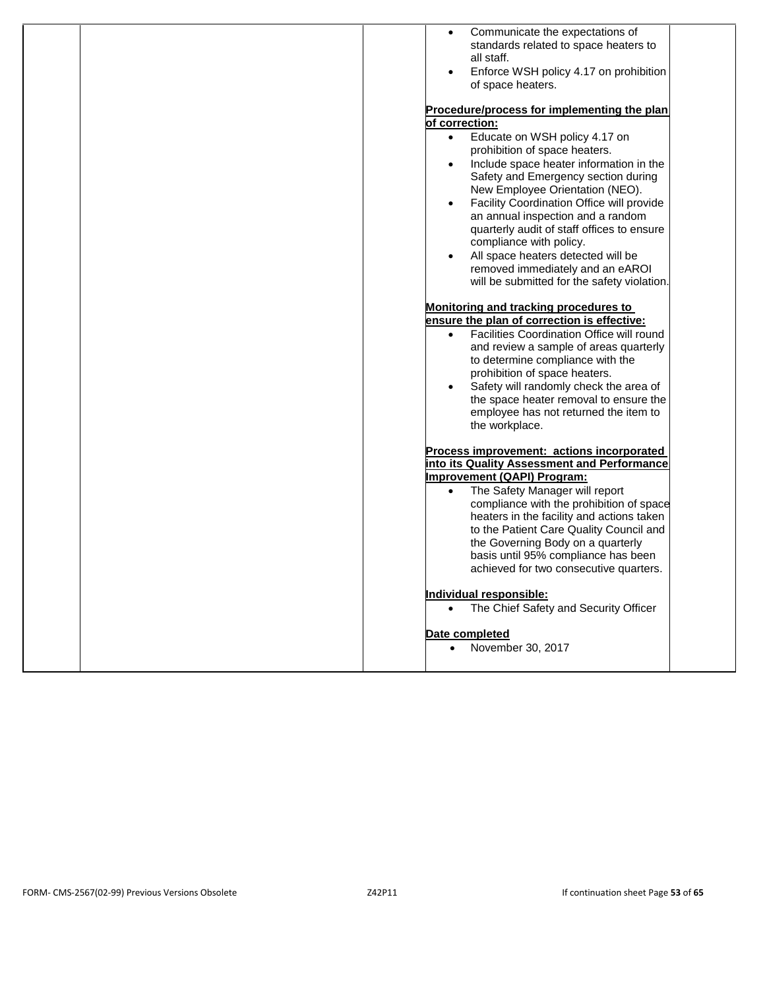| Communicate the expectations of<br>$\bullet$                                             |
|------------------------------------------------------------------------------------------|
| standards related to space heaters to                                                    |
| all staff.                                                                               |
| Enforce WSH policy 4.17 on prohibition<br>$\bullet$                                      |
| of space heaters.                                                                        |
| Procedure/process for implementing the plan                                              |
| of correction:                                                                           |
| Educate on WSH policy 4.17 on<br>$\bullet$<br>prohibition of space heaters.              |
| Include space heater information in the<br>$\bullet$                                     |
| Safety and Emergency section during                                                      |
| New Employee Orientation (NEO).                                                          |
| Facility Coordination Office will provide<br>$\bullet$                                   |
| an annual inspection and a random<br>quarterly audit of staff offices to ensure          |
| compliance with policy.                                                                  |
| All space heaters detected will be<br>$\bullet$                                          |
| removed immediately and an eAROI                                                         |
| will be submitted for the safety violation.                                              |
|                                                                                          |
| Monitoring and tracking procedures to                                                    |
| ensure the plan of correction is effective:                                              |
| Facilities Coordination Office will round<br>$\bullet$                                   |
| and review a sample of areas quarterly<br>to determine compliance with the               |
| prohibition of space heaters.                                                            |
| Safety will randomly check the area of<br>$\bullet$                                      |
| the space heater removal to ensure the                                                   |
| employee has not returned the item to                                                    |
| the workplace.                                                                           |
|                                                                                          |
| Process improvement: actions incorporated<br>into its Quality Assessment and Performance |
| Improvement (QAPI) Program:                                                              |
| The Safety Manager will report<br>$\bullet$                                              |
| compliance with the prohibition of space                                                 |
| heaters in the facility and actions taken                                                |
| to the Patient Care Quality Council and                                                  |
| the Governing Body on a quarterly                                                        |
| basis until 95% compliance has been                                                      |
| achieved for two consecutive quarters.                                                   |
| Individual responsible:                                                                  |
| The Chief Safety and Security Officer<br>$\bullet$                                       |
|                                                                                          |
| Date completed                                                                           |
| November 30, 2017<br>$\bullet$                                                           |
|                                                                                          |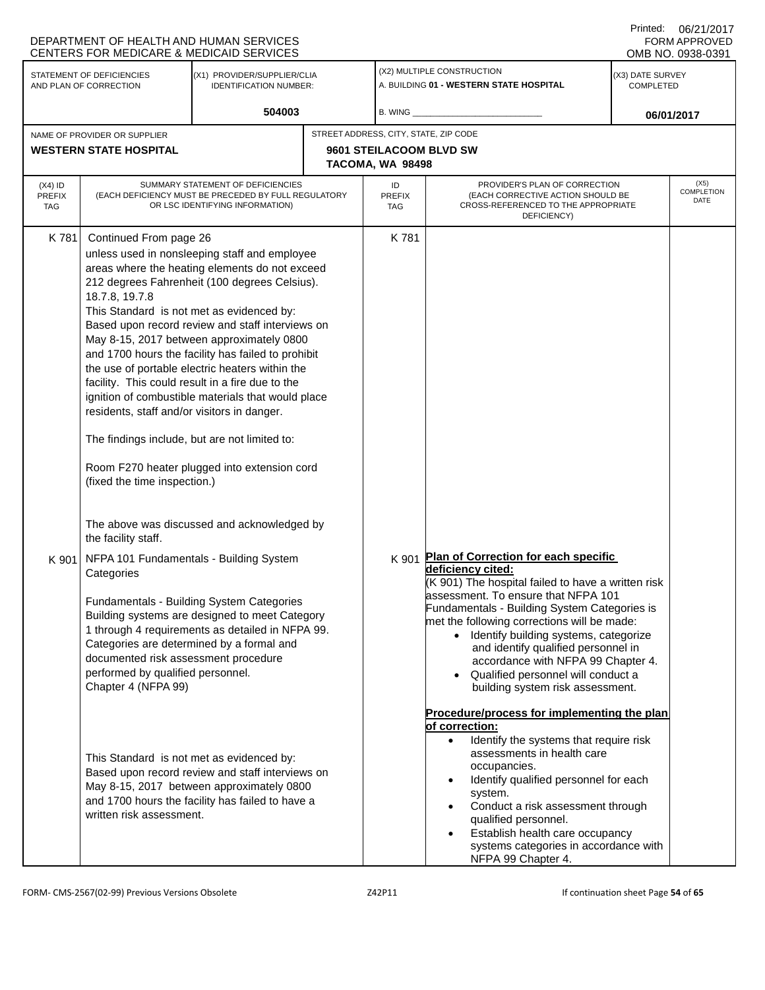| DEPARTMENT OF HEALTH AND HUMAN SERVICES<br><b>FORM APPROVED</b><br>CENTERS FOR MEDICARE & MEDICAID SERVICES<br>OMB NO. 0938-0391 |                                                                                                                                                                                                                                                                           |                                                                                                                                                                                                                                                                                                                                                                                                                                                                  |                                       |                                             |                                                                                                                                                                                                                                                                                                                                                                                                                                                            | <b>UULLE 174017</b> |                                                                       |                                      |  |
|----------------------------------------------------------------------------------------------------------------------------------|---------------------------------------------------------------------------------------------------------------------------------------------------------------------------------------------------------------------------------------------------------------------------|------------------------------------------------------------------------------------------------------------------------------------------------------------------------------------------------------------------------------------------------------------------------------------------------------------------------------------------------------------------------------------------------------------------------------------------------------------------|---------------------------------------|---------------------------------------------|------------------------------------------------------------------------------------------------------------------------------------------------------------------------------------------------------------------------------------------------------------------------------------------------------------------------------------------------------------------------------------------------------------------------------------------------------------|---------------------|-----------------------------------------------------------------------|--------------------------------------|--|
|                                                                                                                                  | STATEMENT OF DEFICIENCIES<br>(X1) PROVIDER/SUPPLIER/CLIA<br>AND PLAN OF CORRECTION<br><b>IDENTIFICATION NUMBER:</b>                                                                                                                                                       |                                                                                                                                                                                                                                                                                                                                                                                                                                                                  |                                       |                                             |                                                                                                                                                                                                                                                                                                                                                                                                                                                            |                     | (X2) MULTIPLE CONSTRUCTION<br>A. BUILDING 01 - WESTERN STATE HOSPITAL | (X3) DATE SURVEY<br><b>COMPLETED</b> |  |
|                                                                                                                                  | 504003                                                                                                                                                                                                                                                                    |                                                                                                                                                                                                                                                                                                                                                                                                                                                                  |                                       | B. WING                                     |                                                                                                                                                                                                                                                                                                                                                                                                                                                            |                     | 06/01/2017                                                            |                                      |  |
|                                                                                                                                  | NAME OF PROVIDER OR SUPPLIER                                                                                                                                                                                                                                              |                                                                                                                                                                                                                                                                                                                                                                                                                                                                  | STREET ADDRESS, CITY, STATE, ZIP CODE |                                             |                                                                                                                                                                                                                                                                                                                                                                                                                                                            |                     |                                                                       |                                      |  |
|                                                                                                                                  | <b>WESTERN STATE HOSPITAL</b>                                                                                                                                                                                                                                             |                                                                                                                                                                                                                                                                                                                                                                                                                                                                  |                                       | 9601 STEILACOOM BLVD SW<br>TACOMA, WA 98498 |                                                                                                                                                                                                                                                                                                                                                                                                                                                            |                     |                                                                       |                                      |  |
| $(X4)$ ID<br><b>PREFIX</b><br>TAG                                                                                                | SUMMARY STATEMENT OF DEFICIENCIES<br>(EACH DEFICIENCY MUST BE PRECEDED BY FULL REGULATORY<br>OR LSC IDENTIFYING INFORMATION)                                                                                                                                              |                                                                                                                                                                                                                                                                                                                                                                                                                                                                  |                                       | ID<br><b>PREFIX</b><br>TAG                  | PROVIDER'S PLAN OF CORRECTION<br>(EACH CORRECTIVE ACTION SHOULD BE<br>CROSS-REFERENCED TO THE APPROPRIATE<br>DEFICIENCY)                                                                                                                                                                                                                                                                                                                                   |                     | (X5)<br><b>COMPLETION</b><br>DATE                                     |                                      |  |
| K 781                                                                                                                            | Continued From page 26<br>18.7.8, 19.7.8<br>This Standard is not met as evidenced by:<br>facility. This could result in a fire due to the<br>residents, staff and/or visitors in danger.<br>The findings include, but are not limited to:<br>(fixed the time inspection.) | unless used in nonsleeping staff and employee<br>areas where the heating elements do not exceed<br>212 degrees Fahrenheit (100 degrees Celsius).<br>Based upon record review and staff interviews on<br>May 8-15, 2017 between approximately 0800<br>and 1700 hours the facility has failed to prohibit<br>the use of portable electric heaters within the<br>ignition of combustible materials that would place<br>Room F270 heater plugged into extension cord |                                       | K 781                                       |                                                                                                                                                                                                                                                                                                                                                                                                                                                            |                     |                                                                       |                                      |  |
| K 901                                                                                                                            | the facility staff.<br>NFPA 101 Fundamentals - Building System<br>Categories<br>Categories are determined by a formal and<br>documented risk assessment procedure<br>performed by qualified personnel.<br>Chapter 4 (NFPA 99)                                             | The above was discussed and acknowledged by<br>Fundamentals - Building System Categories<br>Building systems are designed to meet Category<br>1 through 4 requirements as detailed in NFPA 99.                                                                                                                                                                                                                                                                   |                                       | K 901                                       | Plan of Correction for each specific<br>deficiency cited:<br>(K 901) The hospital failed to have a written risk<br>lassessment. To ensure that NFPA 101<br>Fundamentals - Building System Categories is<br>met the following corrections will be made:<br>• Identify building systems, categorize<br>and identify qualified personnel in<br>accordance with NFPA 99 Chapter 4.<br>• Qualified personnel will conduct a<br>building system risk assessment. |                     |                                                                       |                                      |  |
|                                                                                                                                  | This Standard is not met as evidenced by:<br>written risk assessment.                                                                                                                                                                                                     | Based upon record review and staff interviews on<br>May 8-15, 2017 between approximately 0800<br>and 1700 hours the facility has failed to have a                                                                                                                                                                                                                                                                                                                |                                       |                                             | Procedure/process for implementing the plan<br>of correction:<br>Identify the systems that require risk<br>$\bullet$<br>assessments in health care<br>occupancies.<br>Identify qualified personnel for each<br>$\bullet$<br>system.<br>Conduct a risk assessment through<br>$\bullet$<br>qualified personnel.<br>Establish health care occupancy<br>$\bullet$<br>systems categories in accordance with<br>NFPA 99 Chapter 4.                               |                     |                                                                       |                                      |  |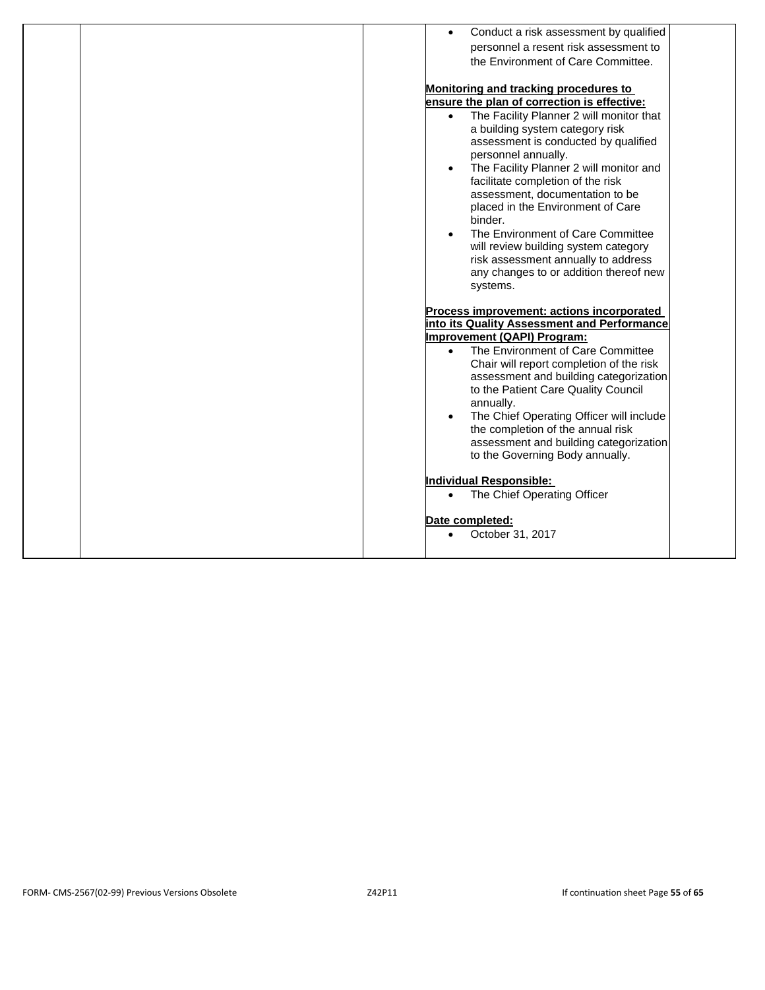|  | Conduct a risk assessment by qualified<br>$\bullet$<br>personnel a resent risk assessment to<br>the Environment of Care Committee.<br><b>Monitoring and tracking procedures to</b><br>ensure the plan of correction is effective:<br>The Facility Planner 2 will monitor that<br>a building system category risk<br>assessment is conducted by qualified<br>personnel annually.<br>The Facility Planner 2 will monitor and<br>$\bullet$<br>facilitate completion of the risk<br>assessment, documentation to be<br>placed in the Environment of Care<br>binder.<br>The Environment of Care Committee<br>$\bullet$<br>will review building system category<br>risk assessment annually to address<br>any changes to or addition thereof new<br>systems.<br>Process improvement: actions incorporated<br>into its Quality Assessment and Performance<br><b>Improvement (QAPI) Program:</b><br>The Environment of Care Committee<br>$\bullet$<br>Chair will report completion of the risk<br>assessment and building categorization<br>to the Patient Care Quality Council<br>annually.<br>The Chief Operating Officer will include<br>the completion of the annual risk<br>assessment and building categorization<br>to the Governing Body annually.<br><b>Individual Responsible:</b><br>The Chief Operating Officer<br>$\bullet$<br>Date completed:<br>October 31, 2017 |
|--|-------------------------------------------------------------------------------------------------------------------------------------------------------------------------------------------------------------------------------------------------------------------------------------------------------------------------------------------------------------------------------------------------------------------------------------------------------------------------------------------------------------------------------------------------------------------------------------------------------------------------------------------------------------------------------------------------------------------------------------------------------------------------------------------------------------------------------------------------------------------------------------------------------------------------------------------------------------------------------------------------------------------------------------------------------------------------------------------------------------------------------------------------------------------------------------------------------------------------------------------------------------------------------------------------------------------------------------------------------------------------|
|  |                                                                                                                                                                                                                                                                                                                                                                                                                                                                                                                                                                                                                                                                                                                                                                                                                                                                                                                                                                                                                                                                                                                                                                                                                                                                                                                                                                         |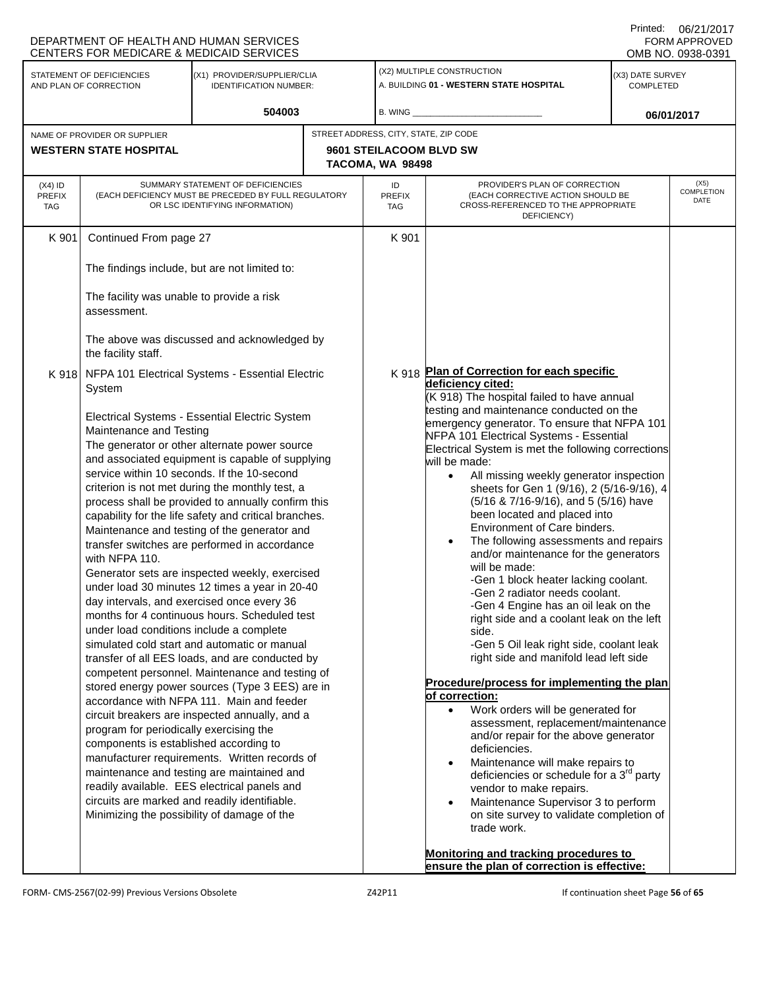|                                   | DEPARTMENT OF HEALTH AND HUMAN SERVICES<br><b>CENTERS FOR MEDICARE &amp; MEDICAID SERVICES</b>                                                                                                                                                                                    |                                                                                                                                                                                                                                                                                                                                                                                                                                                                                                                                                                                                                                                                                                                                                                                                                                                                                                                                                                                                                                                                                                                                                                                              |                            |                                                                                                                          |                                                                                                                                                                                                                                                                                                                                                                                                                                                                                                                                                                                                                                                                                                                                                                                                                                                                                                                                                                                                                                                                                                                                                                                                                                                                                                                                                                                                                                                 |                               | UU/Z UZ UU<br><b>FORM APPROVED</b><br>OMB NO. 0938-0391 |
|-----------------------------------|-----------------------------------------------------------------------------------------------------------------------------------------------------------------------------------------------------------------------------------------------------------------------------------|----------------------------------------------------------------------------------------------------------------------------------------------------------------------------------------------------------------------------------------------------------------------------------------------------------------------------------------------------------------------------------------------------------------------------------------------------------------------------------------------------------------------------------------------------------------------------------------------------------------------------------------------------------------------------------------------------------------------------------------------------------------------------------------------------------------------------------------------------------------------------------------------------------------------------------------------------------------------------------------------------------------------------------------------------------------------------------------------------------------------------------------------------------------------------------------------|----------------------------|--------------------------------------------------------------------------------------------------------------------------|-------------------------------------------------------------------------------------------------------------------------------------------------------------------------------------------------------------------------------------------------------------------------------------------------------------------------------------------------------------------------------------------------------------------------------------------------------------------------------------------------------------------------------------------------------------------------------------------------------------------------------------------------------------------------------------------------------------------------------------------------------------------------------------------------------------------------------------------------------------------------------------------------------------------------------------------------------------------------------------------------------------------------------------------------------------------------------------------------------------------------------------------------------------------------------------------------------------------------------------------------------------------------------------------------------------------------------------------------------------------------------------------------------------------------------------------------|-------------------------------|---------------------------------------------------------|
|                                   | STATEMENT OF DEFICIENCIES<br>(X1) PROVIDER/SUPPLIER/CLIA<br><b>IDENTIFICATION NUMBER:</b><br>AND PLAN OF CORRECTION                                                                                                                                                               |                                                                                                                                                                                                                                                                                                                                                                                                                                                                                                                                                                                                                                                                                                                                                                                                                                                                                                                                                                                                                                                                                                                                                                                              |                            |                                                                                                                          | (X2) MULTIPLE CONSTRUCTION<br>A. BUILDING 01 - WESTERN STATE HOSPITAL                                                                                                                                                                                                                                                                                                                                                                                                                                                                                                                                                                                                                                                                                                                                                                                                                                                                                                                                                                                                                                                                                                                                                                                                                                                                                                                                                                           | (X3) DATE SURVEY<br>COMPLETED |                                                         |
|                                   | NAME OF PROVIDER OR SUPPLIER<br><b>WESTERN STATE HOSPITAL</b>                                                                                                                                                                                                                     | 504003                                                                                                                                                                                                                                                                                                                                                                                                                                                                                                                                                                                                                                                                                                                                                                                                                                                                                                                                                                                                                                                                                                                                                                                       |                            | B. WING<br>STREET ADDRESS, CITY, STATE, ZIP CODE<br>9601 STEILACOOM BLVD SW<br>TACOMA, WA 98498                          |                                                                                                                                                                                                                                                                                                                                                                                                                                                                                                                                                                                                                                                                                                                                                                                                                                                                                                                                                                                                                                                                                                                                                                                                                                                                                                                                                                                                                                                 |                               | 06/01/2017                                              |
| $(X4)$ ID<br><b>PREFIX</b><br>TAG | SUMMARY STATEMENT OF DEFICIENCIES<br>(EACH DEFICIENCY MUST BE PRECEDED BY FULL REGULATORY<br>OR LSC IDENTIFYING INFORMATION)                                                                                                                                                      |                                                                                                                                                                                                                                                                                                                                                                                                                                                                                                                                                                                                                                                                                                                                                                                                                                                                                                                                                                                                                                                                                                                                                                                              | ID<br><b>PREFIX</b><br>TAG | PROVIDER'S PLAN OF CORRECTION<br>(EACH CORRECTIVE ACTION SHOULD BE<br>CROSS-REFERENCED TO THE APPROPRIATE<br>DEFICIENCY) |                                                                                                                                                                                                                                                                                                                                                                                                                                                                                                                                                                                                                                                                                                                                                                                                                                                                                                                                                                                                                                                                                                                                                                                                                                                                                                                                                                                                                                                 | (X5)<br>COMPLETION<br>DATE    |                                                         |
| K 901                             | Continued From page 27<br>The findings include, but are not limited to:<br>The facility was unable to provide a risk<br>assessment.<br>the facility staff.                                                                                                                        | The above was discussed and acknowledged by                                                                                                                                                                                                                                                                                                                                                                                                                                                                                                                                                                                                                                                                                                                                                                                                                                                                                                                                                                                                                                                                                                                                                  |                            | K 901                                                                                                                    |                                                                                                                                                                                                                                                                                                                                                                                                                                                                                                                                                                                                                                                                                                                                                                                                                                                                                                                                                                                                                                                                                                                                                                                                                                                                                                                                                                                                                                                 |                               |                                                         |
|                                   | System<br>Maintenance and Testing<br>with NFPA 110.<br>day intervals, and exercised once every 36<br>under load conditions include a complete<br>program for periodically exercising the<br>components is established according to<br>Minimizing the possibility of damage of the | K 918 NFPA 101 Electrical Systems - Essential Electric<br>Electrical Systems - Essential Electric System<br>The generator or other alternate power source<br>and associated equipment is capable of supplying<br>service within 10 seconds. If the 10-second<br>criterion is not met during the monthly test, a<br>process shall be provided to annually confirm this<br>capability for the life safety and critical branches.<br>Maintenance and testing of the generator and<br>transfer switches are performed in accordance<br>Generator sets are inspected weekly, exercised<br>under load 30 minutes 12 times a year in 20-40<br>months for 4 continuous hours. Scheduled test<br>simulated cold start and automatic or manual<br>transfer of all EES loads, and are conducted by<br>competent personnel. Maintenance and testing of<br>stored energy power sources (Type 3 EES) are in<br>accordance with NFPA 111. Main and feeder<br>circuit breakers are inspected annually, and a<br>manufacturer requirements. Written records of<br>maintenance and testing are maintained and<br>readily available. EES electrical panels and<br>circuits are marked and readily identifiable. |                            | K 918                                                                                                                    | Plan of Correction for each specific<br>deficiency cited:<br>(K 918) The hospital failed to have annual<br>testing and maintenance conducted on the<br>emergency generator. To ensure that NFPA 101<br>NFPA 101 Electrical Systems - Essential<br>Electrical System is met the following corrections<br>will be made:<br>All missing weekly generator inspection<br>$\bullet$<br>sheets for Gen 1 (9/16), 2 (5/16-9/16), 4<br>(5/16 & 7/16-9/16), and 5 (5/16) have<br>been located and placed into<br>Environment of Care binders.<br>The following assessments and repairs<br>and/or maintenance for the generators<br>will be made:<br>-Gen 1 block heater lacking coolant.<br>-Gen 2 radiator needs coolant.<br>-Gen 4 Engine has an oil leak on the<br>right side and a coolant leak on the left<br>side.<br>-Gen 5 Oil leak right side, coolant leak<br>right side and manifold lead left side<br>Procedure/process for implementing the plan<br>of correction:<br>Work orders will be generated for<br>$\bullet$<br>assessment, replacement/maintenance<br>and/or repair for the above generator<br>deficiencies.<br>Maintenance will make repairs to<br>$\bullet$<br>deficiencies or schedule for a $3^{rd}$ party<br>vendor to make repairs.<br>Maintenance Supervisor 3 to perform<br>on site survey to validate completion of<br>trade work.<br>Monitoring and tracking procedures to<br>ensure the plan of correction is effective: |                               |                                                         |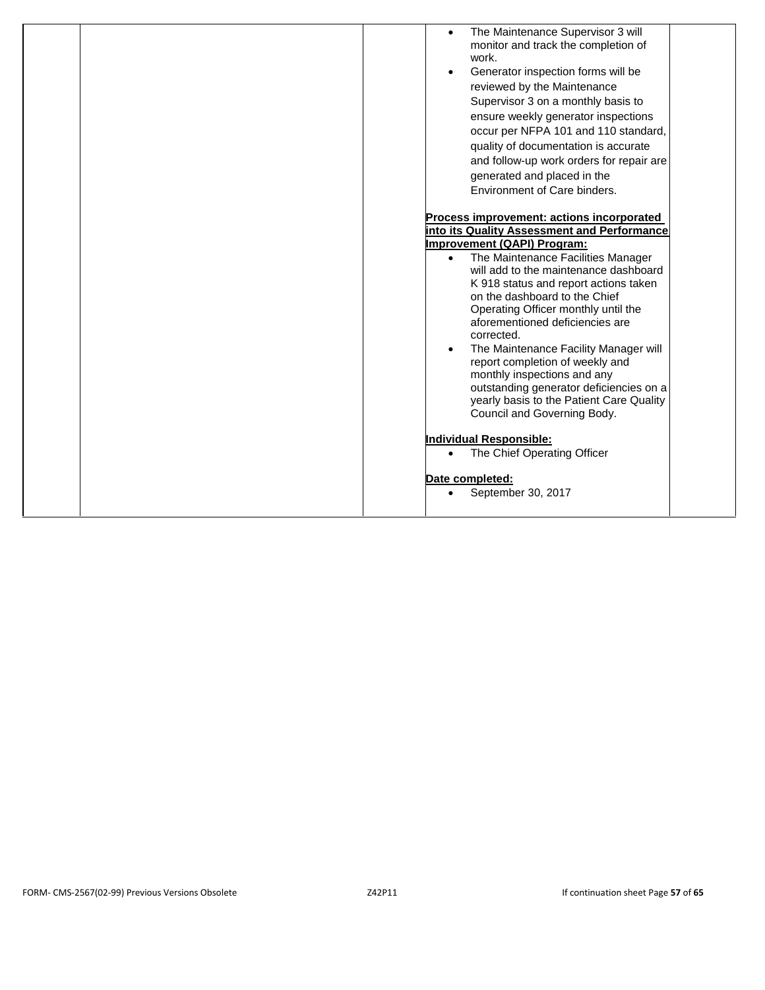| The Maintenance Supervisor 3 will<br>$\bullet$<br>monitor and track the completion of<br>work.<br>Generator inspection forms will be<br>$\bullet$<br>reviewed by the Maintenance<br>Supervisor 3 on a monthly basis to<br>ensure weekly generator inspections<br>occur per NFPA 101 and 110 standard,<br>quality of documentation is accurate<br>and follow-up work orders for repair are<br>generated and placed in the<br>Environment of Care binders.                                                                                                                                                               |
|------------------------------------------------------------------------------------------------------------------------------------------------------------------------------------------------------------------------------------------------------------------------------------------------------------------------------------------------------------------------------------------------------------------------------------------------------------------------------------------------------------------------------------------------------------------------------------------------------------------------|
| Process improvement: actions incorporated<br>into its Quality Assessment and Performance<br>Improvement (QAPI) Program:<br>The Maintenance Facilities Manager<br>$\bullet$<br>will add to the maintenance dashboard<br>K 918 status and report actions taken<br>on the dashboard to the Chief<br>Operating Officer monthly until the<br>aforementioned deficiencies are<br>corrected.<br>The Maintenance Facility Manager will<br>report completion of weekly and<br>monthly inspections and any<br>outstanding generator deficiencies on a<br>yearly basis to the Patient Care Quality<br>Council and Governing Body. |
| Individual Responsible:<br>The Chief Operating Officer<br>$\bullet$                                                                                                                                                                                                                                                                                                                                                                                                                                                                                                                                                    |
| Date completed:<br>September 30, 2017<br>$\bullet$                                                                                                                                                                                                                                                                                                                                                                                                                                                                                                                                                                     |
|                                                                                                                                                                                                                                                                                                                                                                                                                                                                                                                                                                                                                        |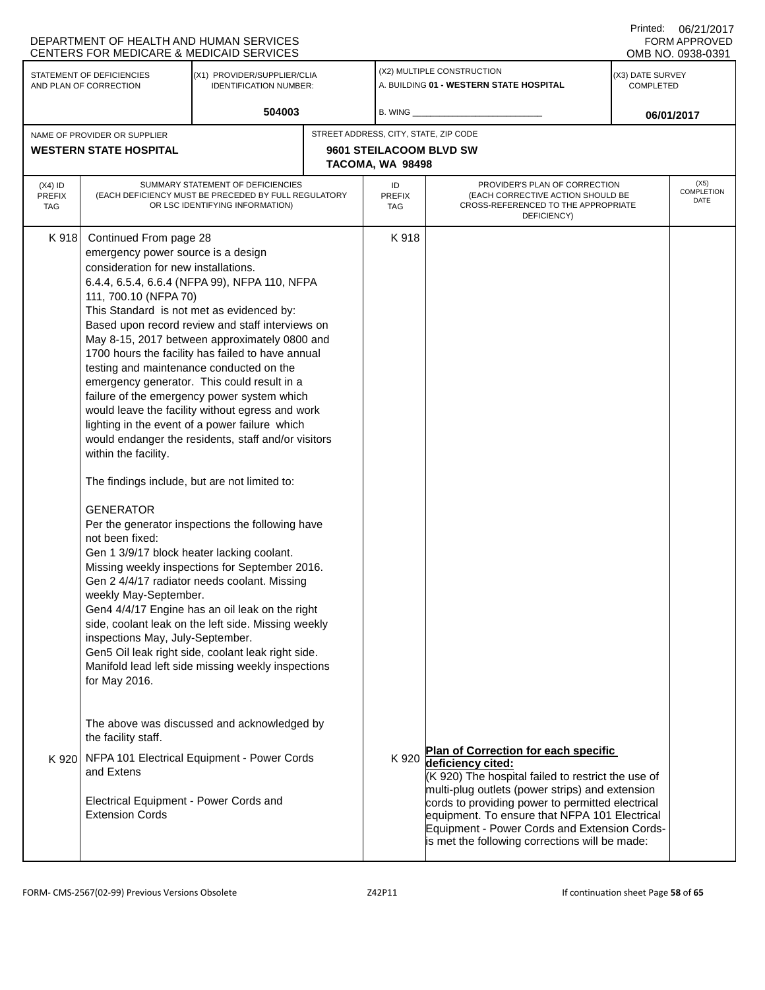| STATEMENT OF DEFICIENCIES<br>AND PLAN OF CORRECTION<br>NAME OF PROVIDER OR SUPPLIER<br><b>WESTERN STATE HOSPITAL</b><br>Continued From page 28<br>emergency power source is a design                                                   | (X1) PROVIDER/SUPPLIER/CLIA<br><b>IDENTIFICATION NUMBER:</b><br>504003<br>SUMMARY STATEMENT OF DEFICIENCIES<br>(EACH DEFICIENCY MUST BE PRECEDED BY FULL REGULATORY<br>OR LSC IDENTIFYING INFORMATION)  | STREET ADDRESS, CITY, STATE, ZIP CODE                                                                                                                                                                   | B. WING _<br>9601 STEILACOOM BLVD SW<br>TACOMA, WA 98498                                                                                                                                                                                                                                                                                                                                                                                                                                                                                                                             | (X2) MULTIPLE CONSTRUCTION<br>A. BUILDING 01 - WESTERN STATE HOSPITAL                                                    | (X3) DATE SURVEY<br><b>COMPLETED</b> | 06/01/2017                                                                                                                                    |
|----------------------------------------------------------------------------------------------------------------------------------------------------------------------------------------------------------------------------------------|---------------------------------------------------------------------------------------------------------------------------------------------------------------------------------------------------------|---------------------------------------------------------------------------------------------------------------------------------------------------------------------------------------------------------|--------------------------------------------------------------------------------------------------------------------------------------------------------------------------------------------------------------------------------------------------------------------------------------------------------------------------------------------------------------------------------------------------------------------------------------------------------------------------------------------------------------------------------------------------------------------------------------|--------------------------------------------------------------------------------------------------------------------------|--------------------------------------|-----------------------------------------------------------------------------------------------------------------------------------------------|
|                                                                                                                                                                                                                                        |                                                                                                                                                                                                         |                                                                                                                                                                                                         |                                                                                                                                                                                                                                                                                                                                                                                                                                                                                                                                                                                      |                                                                                                                          |                                      |                                                                                                                                               |
|                                                                                                                                                                                                                                        |                                                                                                                                                                                                         |                                                                                                                                                                                                         |                                                                                                                                                                                                                                                                                                                                                                                                                                                                                                                                                                                      |                                                                                                                          |                                      |                                                                                                                                               |
|                                                                                                                                                                                                                                        |                                                                                                                                                                                                         |                                                                                                                                                                                                         |                                                                                                                                                                                                                                                                                                                                                                                                                                                                                                                                                                                      |                                                                                                                          |                                      |                                                                                                                                               |
|                                                                                                                                                                                                                                        |                                                                                                                                                                                                         |                                                                                                                                                                                                         |                                                                                                                                                                                                                                                                                                                                                                                                                                                                                                                                                                                      |                                                                                                                          |                                      |                                                                                                                                               |
|                                                                                                                                                                                                                                        |                                                                                                                                                                                                         |                                                                                                                                                                                                         | ID<br><b>PREFIX</b><br>TAG                                                                                                                                                                                                                                                                                                                                                                                                                                                                                                                                                           | PROVIDER'S PLAN OF CORRECTION<br>(EACH CORRECTIVE ACTION SHOULD BE<br>CROSS-REFERENCED TO THE APPROPRIATE<br>DEFICIENCY) |                                      | (X5)<br>COMPLETION<br>DATE                                                                                                                    |
| consideration for new installations.<br>111, 700.10 (NFPA 70)<br>This Standard is not met as evidenced by:<br>testing and maintenance conducted on the<br>within the facility.<br><b>GENERATOR</b><br>not been fixed:<br>for May 2016. | 6.4.4, 6.5.4, 6.6.4 (NFPA 99), NFPA 110, NFPA<br>Based upon record review and staff interviews on<br>May 8-15, 2017 between approximately 0800 and<br>1700 hours the facility has failed to have annual |                                                                                                                                                                                                         | K 918                                                                                                                                                                                                                                                                                                                                                                                                                                                                                                                                                                                |                                                                                                                          |                                      |                                                                                                                                               |
| The above was discussed and acknowledged by<br>the facility staff.<br>NFPA 101 Electrical Equipment - Power Cords<br>and Extens<br>Electrical Equipment - Power Cords and<br><b>Extension Cords</b>                                    |                                                                                                                                                                                                         |                                                                                                                                                                                                         |                                                                                                                                                                                                                                                                                                                                                                                                                                                                                                                                                                                      |                                                                                                                          |                                      |                                                                                                                                               |
|                                                                                                                                                                                                                                        |                                                                                                                                                                                                         | emergency generator. This could result in a<br>The findings include, but are not limited to:<br>Gen 1 3/9/17 block heater lacking coolant.<br>weekly May-September.<br>inspections May, July-September. | failure of the emergency power system which<br>would leave the facility without egress and work<br>lighting in the event of a power failure which<br>would endanger the residents, staff and/or visitors<br>Per the generator inspections the following have<br>Missing weekly inspections for September 2016.<br>Gen 2 4/4/17 radiator needs coolant. Missing<br>Gen4 4/4/17 Engine has an oil leak on the right<br>side, coolant leak on the left side. Missing weekly<br>Gen5 Oil leak right side, coolant leak right side.<br>Manifold lead left side missing weekly inspections |                                                                                                                          | K 920 deficiency cited:              | Plan of Correction for each specific<br>(K 920) The hospital failed to restrict the use of<br>multi-plug outlets (power strips) and extension |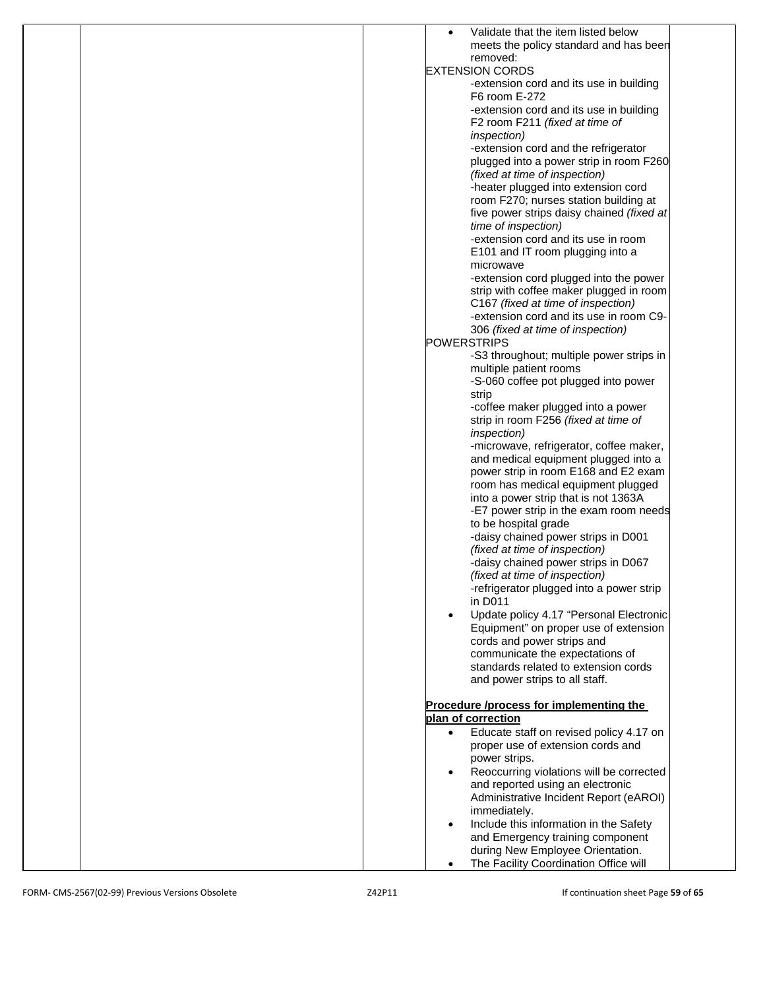| Validate that the item listed below                                 |
|---------------------------------------------------------------------|
| meets the policy standard and has been                              |
| removed:                                                            |
| <b>EXTENSION CORDS</b>                                              |
| -extension cord and its use in building<br>F6 room E-272            |
| -extension cord and its use in building                             |
| F2 room F211 (fixed at time of                                      |
| inspection)                                                         |
| -extension cord and the refrigerator                                |
| plugged into a power strip in room F260                             |
| (fixed at time of inspection)                                       |
| -heater plugged into extension cord                                 |
| room F270; nurses station building at                               |
| five power strips daisy chained (fixed at                           |
| time of inspection)                                                 |
| -extension cord and its use in room                                 |
| E101 and IT room plugging into a                                    |
| microwave                                                           |
| -extension cord plugged into the power                              |
| strip with coffee maker plugged in room                             |
| C167 (fixed at time of inspection)                                  |
| -extension cord and its use in room C9-                             |
| 306 (fixed at time of inspection)                                   |
| <b>POWERSTRIPS</b>                                                  |
| -S3 throughout; multiple power strips in                            |
| multiple patient rooms                                              |
| -S-060 coffee pot plugged into power                                |
| strip<br>-coffee maker plugged into a power                         |
| strip in room F256 (fixed at time of                                |
| <i>inspection</i> )                                                 |
| -microwave, refrigerator, coffee maker,                             |
| and medical equipment plugged into a                                |
| power strip in room E168 and E2 exam                                |
| room has medical equipment plugged                                  |
| into a power strip that is not 1363A                                |
| -E7 power strip in the exam room needs                              |
| to be hospital grade                                                |
| -daisy chained power strips in D001                                 |
| (fixed at time of inspection)                                       |
| -daisy chained power strips in D067                                 |
| (fixed at time of inspection)                                       |
| -refrigerator plugged into a power strip                            |
| in D011                                                             |
| Update policy 4.17 "Personal Electronic                             |
| Equipment" on proper use of extension<br>cords and power strips and |
| communicate the expectations of                                     |
| standards related to extension cords                                |
| and power strips to all staff.                                      |
|                                                                     |
| Procedure /process for implementing the                             |
| plan of correction                                                  |
| Educate staff on revised policy 4.17 on<br>$\bullet$                |
| proper use of extension cords and                                   |
| power strips.                                                       |
| Reoccurring violations will be corrected                            |
| and reported using an electronic                                    |
| Administrative Incident Report (eAROI)                              |
| immediately.                                                        |
| Include this information in the Safety                              |
| and Emergency training component                                    |
| during New Employee Orientation.                                    |
| The Facility Coordination Office will                               |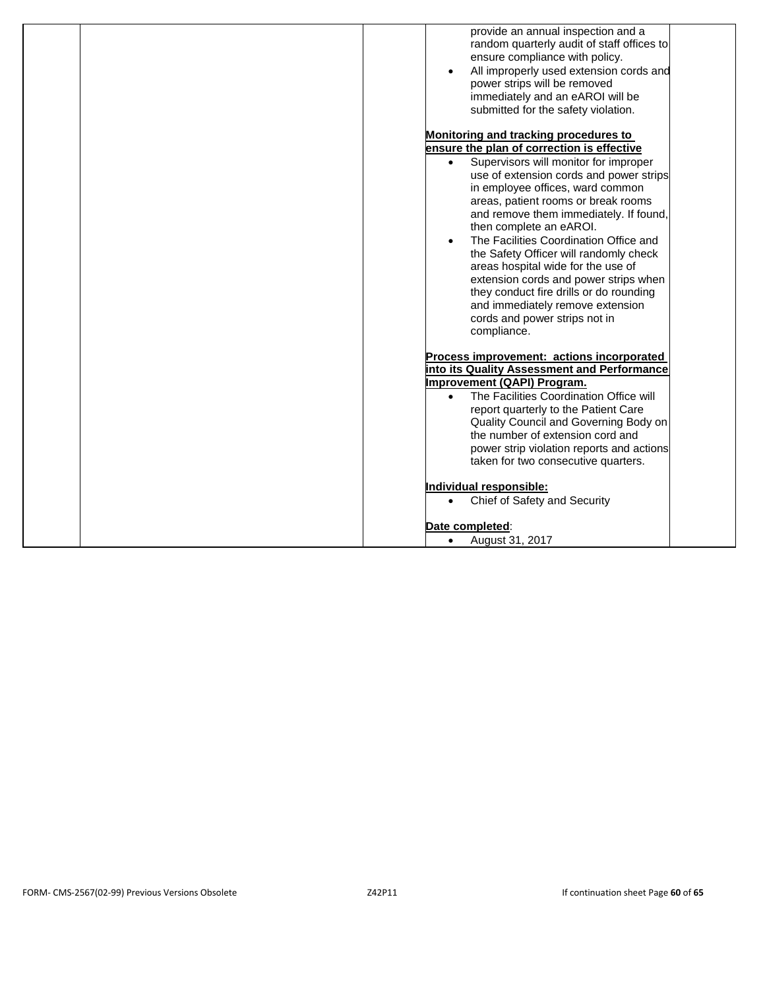| provide an annual inspection and a<br>random quarterly audit of staff offices to<br>ensure compliance with policy.<br>All improperly used extension cords and<br>power strips will be removed<br>immediately and an eAROI will be<br>submitted for the safety violation. |
|--------------------------------------------------------------------------------------------------------------------------------------------------------------------------------------------------------------------------------------------------------------------------|
| Monitoring and tracking procedures to                                                                                                                                                                                                                                    |
| ensure the plan of correction is effective                                                                                                                                                                                                                               |
| Supervisors will monitor for improper<br>$\bullet$<br>use of extension cords and power strips                                                                                                                                                                            |
| in employee offices, ward common<br>areas, patient rooms or break rooms<br>and remove them immediately. If found,<br>then complete an eAROI.                                                                                                                             |
| The Facilities Coordination Office and<br>the Safety Officer will randomly check<br>areas hospital wide for the use of<br>extension cords and power strips when<br>they conduct fire drills or do rounding                                                               |
| and immediately remove extension<br>cords and power strips not in<br>compliance.                                                                                                                                                                                         |
| Process improvement: actions incorporated<br>into its Quality Assessment and Performance                                                                                                                                                                                 |
| Improvement (QAPI) Program.                                                                                                                                                                                                                                              |
| The Facilities Coordination Office will<br>$\bullet$                                                                                                                                                                                                                     |
| report quarterly to the Patient Care                                                                                                                                                                                                                                     |
| Quality Council and Governing Body on                                                                                                                                                                                                                                    |
| the number of extension cord and                                                                                                                                                                                                                                         |
| power strip violation reports and actions                                                                                                                                                                                                                                |
| taken for two consecutive quarters.                                                                                                                                                                                                                                      |
| Individual responsible:                                                                                                                                                                                                                                                  |
| Chief of Safety and Security<br>$\bullet$                                                                                                                                                                                                                                |
| Date completed:                                                                                                                                                                                                                                                          |
| August 31, 2017<br>$\bullet$                                                                                                                                                                                                                                             |
|                                                                                                                                                                                                                                                                          |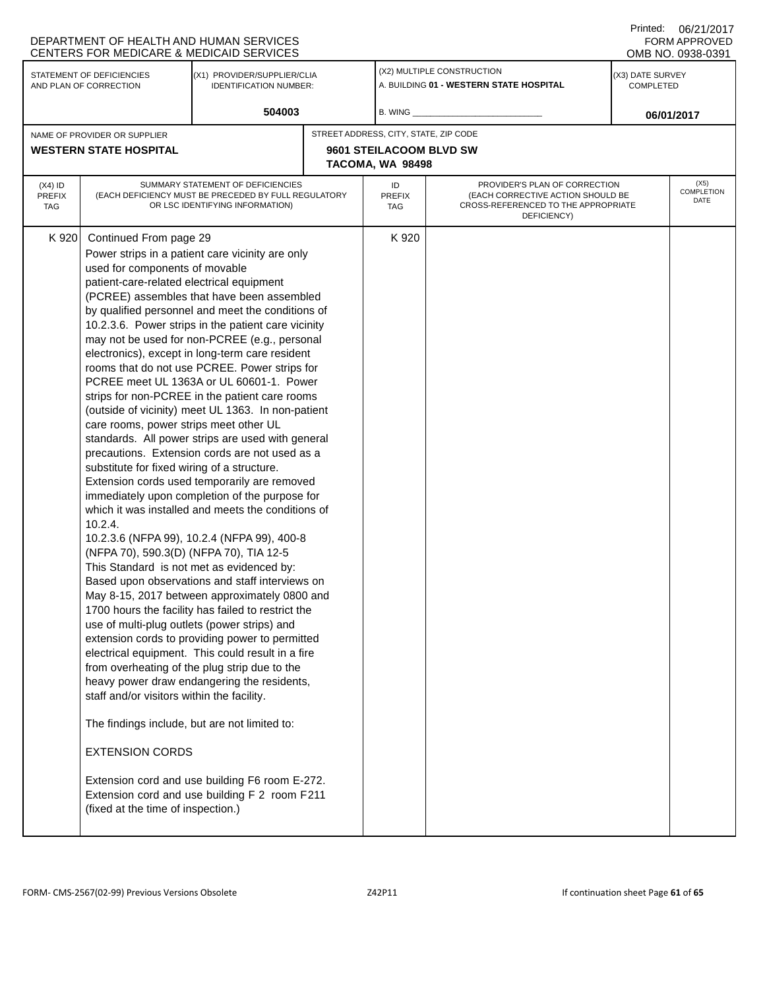|                                                     | DEPARTMENT OF HEALTH AND HUMAN SERVICES<br>CENTERS FOR MEDICARE & MEDICAID SERVICES                                                                                                                                                                                                                                                                                                                                                                                                                              |                                                                                                                                                                                                                                                                                                                                                                                                                                                                                                                                                                                                                                                                                                                                                                                                                                                                                                                                                                                                                                                                                                                                                                                                                                                                                                        |  |                                             |                                                                                                                          | Printed: | 06/21/2017<br><b>FORM APPROVED</b><br>OMB NO. 0938-0391 |  |
|-----------------------------------------------------|------------------------------------------------------------------------------------------------------------------------------------------------------------------------------------------------------------------------------------------------------------------------------------------------------------------------------------------------------------------------------------------------------------------------------------------------------------------------------------------------------------------|--------------------------------------------------------------------------------------------------------------------------------------------------------------------------------------------------------------------------------------------------------------------------------------------------------------------------------------------------------------------------------------------------------------------------------------------------------------------------------------------------------------------------------------------------------------------------------------------------------------------------------------------------------------------------------------------------------------------------------------------------------------------------------------------------------------------------------------------------------------------------------------------------------------------------------------------------------------------------------------------------------------------------------------------------------------------------------------------------------------------------------------------------------------------------------------------------------------------------------------------------------------------------------------------------------|--|---------------------------------------------|--------------------------------------------------------------------------------------------------------------------------|----------|---------------------------------------------------------|--|
| STATEMENT OF DEFICIENCIES<br>AND PLAN OF CORRECTION |                                                                                                                                                                                                                                                                                                                                                                                                                                                                                                                  | (X1) PROVIDER/SUPPLIER/CLIA<br><b>IDENTIFICATION NUMBER:</b>                                                                                                                                                                                                                                                                                                                                                                                                                                                                                                                                                                                                                                                                                                                                                                                                                                                                                                                                                                                                                                                                                                                                                                                                                                           |  |                                             | (X2) MULTIPLE CONSTRUCTION<br>A. BUILDING 01 - WESTERN STATE HOSPITAL                                                    |          | (X3) DATE SURVEY<br><b>COMPLETED</b>                    |  |
|                                                     |                                                                                                                                                                                                                                                                                                                                                                                                                                                                                                                  | 504003                                                                                                                                                                                                                                                                                                                                                                                                                                                                                                                                                                                                                                                                                                                                                                                                                                                                                                                                                                                                                                                                                                                                                                                                                                                                                                 |  | B. WING                                     |                                                                                                                          |          | 06/01/2017                                              |  |
|                                                     | NAME OF PROVIDER OR SUPPLIER                                                                                                                                                                                                                                                                                                                                                                                                                                                                                     |                                                                                                                                                                                                                                                                                                                                                                                                                                                                                                                                                                                                                                                                                                                                                                                                                                                                                                                                                                                                                                                                                                                                                                                                                                                                                                        |  | STREET ADDRESS, CITY, STATE, ZIP CODE       |                                                                                                                          |          |                                                         |  |
|                                                     | <b>WESTERN STATE HOSPITAL</b>                                                                                                                                                                                                                                                                                                                                                                                                                                                                                    |                                                                                                                                                                                                                                                                                                                                                                                                                                                                                                                                                                                                                                                                                                                                                                                                                                                                                                                                                                                                                                                                                                                                                                                                                                                                                                        |  | 9601 STEILACOOM BLVD SW<br>TACOMA, WA 98498 |                                                                                                                          |          |                                                         |  |
| $(X4)$ ID<br><b>PREFIX</b><br>TAG                   | SUMMARY STATEMENT OF DEFICIENCIES<br>(EACH DEFICIENCY MUST BE PRECEDED BY FULL REGULATORY<br>OR LSC IDENTIFYING INFORMATION)                                                                                                                                                                                                                                                                                                                                                                                     |                                                                                                                                                                                                                                                                                                                                                                                                                                                                                                                                                                                                                                                                                                                                                                                                                                                                                                                                                                                                                                                                                                                                                                                                                                                                                                        |  | ID<br><b>PREFIX</b><br>TAG                  | PROVIDER'S PLAN OF CORRECTION<br>(EACH CORRECTIVE ACTION SHOULD BE<br>CROSS-REFERENCED TO THE APPROPRIATE<br>DEFICIENCY) |          | (X5)<br>COMPLETION<br>DATE                              |  |
| K 920                                               | Continued From page 29<br>used for components of movable<br>patient-care-related electrical equipment<br>care rooms, power strips meet other UL<br>substitute for fixed wiring of a structure.<br>10.2.4.<br>(NFPA 70), 590.3(D) (NFPA 70), TIA 12-5<br>This Standard is not met as evidenced by:<br>use of multi-plug outlets (power strips) and<br>staff and/or visitors within the facility.<br>The findings include, but are not limited to:<br><b>EXTENSION CORDS</b><br>(fixed at the time of inspection.) | Power strips in a patient care vicinity are only<br>(PCREE) assembles that have been assembled<br>by qualified personnel and meet the conditions of<br>10.2.3.6. Power strips in the patient care vicinity<br>may not be used for non-PCREE (e.g., personal<br>electronics), except in long-term care resident<br>rooms that do not use PCREE. Power strips for<br>PCREE meet UL 1363A or UL 60601-1. Power<br>strips for non-PCREE in the patient care rooms<br>(outside of vicinity) meet UL 1363. In non-patient<br>standards. All power strips are used with general<br>precautions. Extension cords are not used as a<br>Extension cords used temporarily are removed<br>immediately upon completion of the purpose for<br>which it was installed and meets the conditions of<br>10.2.3.6 (NFPA 99), 10.2.4 (NFPA 99), 400-8<br>Based upon observations and staff interviews on<br>May 8-15, 2017 between approximately 0800 and<br>1700 hours the facility has failed to restrict the<br>extension cords to providing power to permitted<br>electrical equipment. This could result in a fire<br>from overheating of the plug strip due to the<br>heavy power draw endangering the residents,<br>Extension cord and use building F6 room E-272.<br>Extension cord and use building F 2 room F211 |  | K 920                                       |                                                                                                                          |          |                                                         |  |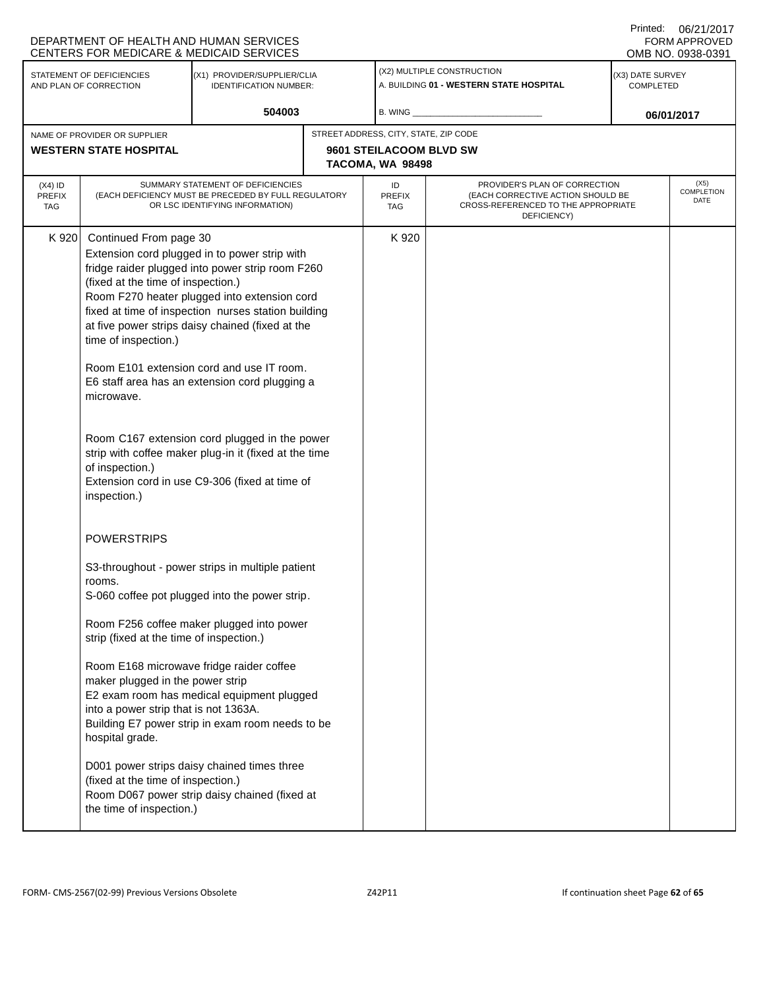|                                                     | DEPARTMENT OF HEALTH AND HUMAN SERVICES<br>CENTERS FOR MEDICARE & MEDICAID SERVICES                                                      |                                                                                                                                                          |  |                                                                       |                                                                                                                          | Printed: | 06/21/2017<br>FORM APPROVED<br>OMB NO. 0938-0391 |  |
|-----------------------------------------------------|------------------------------------------------------------------------------------------------------------------------------------------|----------------------------------------------------------------------------------------------------------------------------------------------------------|--|-----------------------------------------------------------------------|--------------------------------------------------------------------------------------------------------------------------|----------|--------------------------------------------------|--|
| STATEMENT OF DEFICIENCIES<br>AND PLAN OF CORRECTION |                                                                                                                                          | (X1) PROVIDER/SUPPLIER/CLIA<br><b>IDENTIFICATION NUMBER:</b>                                                                                             |  | (X2) MULTIPLE CONSTRUCTION<br>A. BUILDING 01 - WESTERN STATE HOSPITAL |                                                                                                                          |          | (X3) DATE SURVEY<br><b>COMPLETED</b>             |  |
|                                                     |                                                                                                                                          | 504003                                                                                                                                                   |  | B. WING _                                                             |                                                                                                                          |          | 06/01/2017                                       |  |
|                                                     | NAME OF PROVIDER OR SUPPLIER                                                                                                             |                                                                                                                                                          |  | STREET ADDRESS, CITY, STATE, ZIP CODE                                 |                                                                                                                          |          |                                                  |  |
|                                                     | <b>WESTERN STATE HOSPITAL</b>                                                                                                            |                                                                                                                                                          |  | 9601 STEILACOOM BLVD SW                                               |                                                                                                                          |          |                                                  |  |
|                                                     |                                                                                                                                          |                                                                                                                                                          |  | TACOMA, WA 98498                                                      |                                                                                                                          |          |                                                  |  |
| $(X4)$ ID<br><b>PREFIX</b><br><b>TAG</b>            | SUMMARY STATEMENT OF DEFICIENCIES<br>(EACH DEFICIENCY MUST BE PRECEDED BY FULL REGULATORY<br>OR LSC IDENTIFYING INFORMATION)             |                                                                                                                                                          |  | ID<br><b>PREFIX</b><br>TAG                                            | PROVIDER'S PLAN OF CORRECTION<br>(EACH CORRECTIVE ACTION SHOULD BE<br>CROSS-REFERENCED TO THE APPROPRIATE<br>DEFICIENCY) |          | (X5)<br>COMPLETION<br>DATE                       |  |
| K 920                                               | Continued From page 30                                                                                                                   |                                                                                                                                                          |  | K 920                                                                 |                                                                                                                          |          |                                                  |  |
|                                                     |                                                                                                                                          | Extension cord plugged in to power strip with                                                                                                            |  |                                                                       |                                                                                                                          |          |                                                  |  |
|                                                     | (fixed at the time of inspection.)                                                                                                       | fridge raider plugged into power strip room F260                                                                                                         |  |                                                                       |                                                                                                                          |          |                                                  |  |
|                                                     |                                                                                                                                          | Room F270 heater plugged into extension cord                                                                                                             |  |                                                                       |                                                                                                                          |          |                                                  |  |
|                                                     |                                                                                                                                          | fixed at time of inspection nurses station building                                                                                                      |  |                                                                       |                                                                                                                          |          |                                                  |  |
|                                                     |                                                                                                                                          | at five power strips daisy chained (fixed at the                                                                                                         |  |                                                                       |                                                                                                                          |          |                                                  |  |
|                                                     | time of inspection.)                                                                                                                     |                                                                                                                                                          |  |                                                                       |                                                                                                                          |          |                                                  |  |
|                                                     | Room E101 extension cord and use IT room.<br>E6 staff area has an extension cord plugging a<br>microwave.                                |                                                                                                                                                          |  |                                                                       |                                                                                                                          |          |                                                  |  |
|                                                     | of inspection.)<br>inspection.)                                                                                                          | Room C167 extension cord plugged in the power<br>strip with coffee maker plug-in it (fixed at the time<br>Extension cord in use C9-306 (fixed at time of |  |                                                                       |                                                                                                                          |          |                                                  |  |
|                                                     | <b>POWERSTRIPS</b><br>S3-throughout - power strips in multiple patient                                                                   |                                                                                                                                                          |  |                                                                       |                                                                                                                          |          |                                                  |  |
|                                                     |                                                                                                                                          |                                                                                                                                                          |  |                                                                       |                                                                                                                          |          |                                                  |  |
|                                                     | rooms.                                                                                                                                   |                                                                                                                                                          |  |                                                                       |                                                                                                                          |          |                                                  |  |
|                                                     | S-060 coffee pot plugged into the power strip.                                                                                           |                                                                                                                                                          |  |                                                                       |                                                                                                                          |          |                                                  |  |
|                                                     | strip (fixed at the time of inspection.)                                                                                                 | Room F256 coffee maker plugged into power                                                                                                                |  |                                                                       |                                                                                                                          |          |                                                  |  |
|                                                     | Room E168 microwave fridge raider coffee<br>maker plugged in the power strip<br>into a power strip that is not 1363A.<br>hospital grade. | E2 exam room has medical equipment plugged<br>Building E7 power strip in exam room needs to be                                                           |  |                                                                       |                                                                                                                          |          |                                                  |  |
|                                                     | (fixed at the time of inspection.)<br>the time of inspection.)                                                                           | D001 power strips daisy chained times three<br>Room D067 power strip daisy chained (fixed at                                                             |  |                                                                       |                                                                                                                          |          |                                                  |  |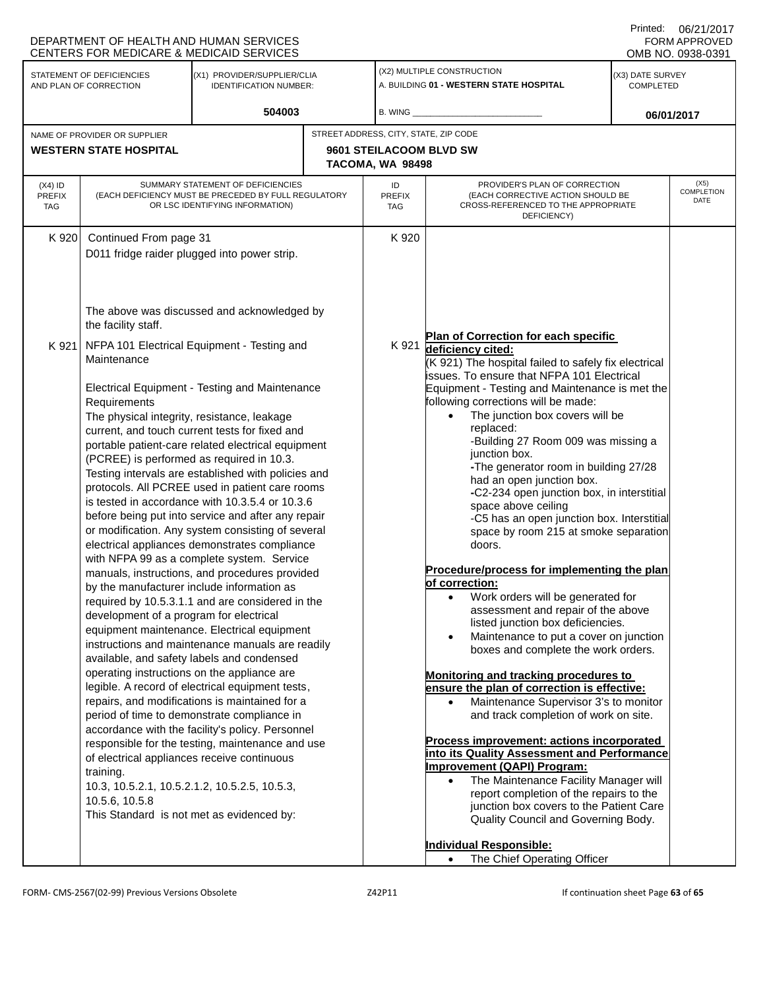|                                                                                                                     | DEPARTMENT OF HEALTH AND HUMAN SERVICES<br>CENTERS FOR MEDICARE & MEDICAID SERVICES                                                                                                                                                                                                    |                                                                                                                                                                                                                                                                                                                                                                                                                                                                                                                                                                                                                                                                                                                                                                                                                                                                                                                                                                                                                                                                                                                                                                                                                                                                                                                                                                                                                                                                                                                                                                                         |                                                                       |                  |                                                                                                                                                                                                                                                                                                                                                                                                                                                                                                                                                                                                                                                                                                                                                                                                                                                                                                                                                                                                                                                                                                                                                                                                                                                                                                                                                                                                                                                                                | Printed:                      | 06/21/2017<br><b>FORM APPROVED</b><br>OMB NO. 0938-0391 |
|---------------------------------------------------------------------------------------------------------------------|----------------------------------------------------------------------------------------------------------------------------------------------------------------------------------------------------------------------------------------------------------------------------------------|-----------------------------------------------------------------------------------------------------------------------------------------------------------------------------------------------------------------------------------------------------------------------------------------------------------------------------------------------------------------------------------------------------------------------------------------------------------------------------------------------------------------------------------------------------------------------------------------------------------------------------------------------------------------------------------------------------------------------------------------------------------------------------------------------------------------------------------------------------------------------------------------------------------------------------------------------------------------------------------------------------------------------------------------------------------------------------------------------------------------------------------------------------------------------------------------------------------------------------------------------------------------------------------------------------------------------------------------------------------------------------------------------------------------------------------------------------------------------------------------------------------------------------------------------------------------------------------------|-----------------------------------------------------------------------|------------------|--------------------------------------------------------------------------------------------------------------------------------------------------------------------------------------------------------------------------------------------------------------------------------------------------------------------------------------------------------------------------------------------------------------------------------------------------------------------------------------------------------------------------------------------------------------------------------------------------------------------------------------------------------------------------------------------------------------------------------------------------------------------------------------------------------------------------------------------------------------------------------------------------------------------------------------------------------------------------------------------------------------------------------------------------------------------------------------------------------------------------------------------------------------------------------------------------------------------------------------------------------------------------------------------------------------------------------------------------------------------------------------------------------------------------------------------------------------------------------|-------------------------------|---------------------------------------------------------|
| STATEMENT OF DEFICIENCIES<br>(X1) PROVIDER/SUPPLIER/CLIA<br>AND PLAN OF CORRECTION<br><b>IDENTIFICATION NUMBER:</b> |                                                                                                                                                                                                                                                                                        |                                                                                                                                                                                                                                                                                                                                                                                                                                                                                                                                                                                                                                                                                                                                                                                                                                                                                                                                                                                                                                                                                                                                                                                                                                                                                                                                                                                                                                                                                                                                                                                         | (X2) MULTIPLE CONSTRUCTION<br>A. BUILDING 01 - WESTERN STATE HOSPITAL |                  |                                                                                                                                                                                                                                                                                                                                                                                                                                                                                                                                                                                                                                                                                                                                                                                                                                                                                                                                                                                                                                                                                                                                                                                                                                                                                                                                                                                                                                                                                | (X3) DATE SURVEY<br>COMPLETED |                                                         |
|                                                                                                                     |                                                                                                                                                                                                                                                                                        | 504003                                                                                                                                                                                                                                                                                                                                                                                                                                                                                                                                                                                                                                                                                                                                                                                                                                                                                                                                                                                                                                                                                                                                                                                                                                                                                                                                                                                                                                                                                                                                                                                  |                                                                       | $B.$ WING $\_$   |                                                                                                                                                                                                                                                                                                                                                                                                                                                                                                                                                                                                                                                                                                                                                                                                                                                                                                                                                                                                                                                                                                                                                                                                                                                                                                                                                                                                                                                                                |                               | 06/01/2017                                              |
|                                                                                                                     | NAME OF PROVIDER OR SUPPLIER                                                                                                                                                                                                                                                           |                                                                                                                                                                                                                                                                                                                                                                                                                                                                                                                                                                                                                                                                                                                                                                                                                                                                                                                                                                                                                                                                                                                                                                                                                                                                                                                                                                                                                                                                                                                                                                                         |                                                                       |                  | STREET ADDRESS, CITY, STATE, ZIP CODE                                                                                                                                                                                                                                                                                                                                                                                                                                                                                                                                                                                                                                                                                                                                                                                                                                                                                                                                                                                                                                                                                                                                                                                                                                                                                                                                                                                                                                          |                               |                                                         |
|                                                                                                                     | <b>WESTERN STATE HOSPITAL</b>                                                                                                                                                                                                                                                          |                                                                                                                                                                                                                                                                                                                                                                                                                                                                                                                                                                                                                                                                                                                                                                                                                                                                                                                                                                                                                                                                                                                                                                                                                                                                                                                                                                                                                                                                                                                                                                                         |                                                                       | TACOMA, WA 98498 | 9601 STEILACOOM BLVD SW                                                                                                                                                                                                                                                                                                                                                                                                                                                                                                                                                                                                                                                                                                                                                                                                                                                                                                                                                                                                                                                                                                                                                                                                                                                                                                                                                                                                                                                        |                               |                                                         |
| $(X4)$ ID<br><b>PREFIX</b><br><b>TAG</b>                                                                            | PROVIDER'S PLAN OF CORRECTION<br>SUMMARY STATEMENT OF DEFICIENCIES<br>ID<br>(EACH DEFICIENCY MUST BE PRECEDED BY FULL REGULATORY<br>(EACH CORRECTIVE ACTION SHOULD BE<br>PREFIX<br>OR LSC IDENTIFYING INFORMATION)<br>CROSS-REFERENCED TO THE APPROPRIATE<br><b>TAG</b><br>DEFICIENCY) |                                                                                                                                                                                                                                                                                                                                                                                                                                                                                                                                                                                                                                                                                                                                                                                                                                                                                                                                                                                                                                                                                                                                                                                                                                                                                                                                                                                                                                                                                                                                                                                         |                                                                       |                  | (X5)<br>COMPLETION<br>DATE                                                                                                                                                                                                                                                                                                                                                                                                                                                                                                                                                                                                                                                                                                                                                                                                                                                                                                                                                                                                                                                                                                                                                                                                                                                                                                                                                                                                                                                     |                               |                                                         |
| K 920                                                                                                               | Continued From page 31                                                                                                                                                                                                                                                                 |                                                                                                                                                                                                                                                                                                                                                                                                                                                                                                                                                                                                                                                                                                                                                                                                                                                                                                                                                                                                                                                                                                                                                                                                                                                                                                                                                                                                                                                                                                                                                                                         |                                                                       | K 920            |                                                                                                                                                                                                                                                                                                                                                                                                                                                                                                                                                                                                                                                                                                                                                                                                                                                                                                                                                                                                                                                                                                                                                                                                                                                                                                                                                                                                                                                                                |                               |                                                         |
| K 921                                                                                                               | the facility staff.<br>Maintenance<br>Requirements<br>training.<br>10.5.6, 10.5.8                                                                                                                                                                                                      | D011 fridge raider plugged into power strip.<br>The above was discussed and acknowledged by<br>NFPA 101 Electrical Equipment - Testing and<br><b>Electrical Equipment - Testing and Maintenance</b><br>The physical integrity, resistance, leakage<br>current, and touch current tests for fixed and<br>portable patient-care related electrical equipment<br>(PCREE) is performed as required in 10.3.<br>Testing intervals are established with policies and<br>protocols. All PCREE used in patient care rooms<br>is tested in accordance with 10.3.5.4 or 10.3.6<br>before being put into service and after any repair<br>or modification. Any system consisting of several<br>electrical appliances demonstrates compliance<br>with NFPA 99 as a complete system. Service<br>manuals, instructions, and procedures provided<br>by the manufacturer include information as<br>required by 10.5.3.1.1 and are considered in the<br>development of a program for electrical<br>equipment maintenance. Electrical equipment<br>instructions and maintenance manuals are readily<br>available, and safety labels and condensed<br>operating instructions on the appliance are<br>legible. A record of electrical equipment tests,<br>repairs, and modifications is maintained for a<br>period of time to demonstrate compliance in<br>accordance with the facility's policy. Personnel<br>responsible for the testing, maintenance and use<br>of electrical appliances receive continuous<br>10.3, 10.5.2.1, 10.5.2.1.2, 10.5.2.5, 10.5.3,<br>This Standard is not met as evidenced by: |                                                                       | K 921            | Plan of Correction for each specific<br>deficiency cited:<br>(K 921) The hospital failed to safely fix electrical<br>issues. To ensure that NFPA 101 Electrical<br>Equipment - Testing and Maintenance is met the<br>following corrections will be made:<br>The junction box covers will be<br>$\bullet$<br>replaced:<br>-Building 27 Room 009 was missing a<br>junction box.<br>-The generator room in building 27/28<br>had an open junction box.<br>-C2-234 open junction box, in interstitial<br>space above ceiling<br>-C5 has an open junction box. Interstitial<br>space by room 215 at smoke separation<br>doors.<br>Procedure/process for implementing the plan<br>ot correction:<br>Work orders will be generated for<br>$\bullet$<br>assessment and repair of the above<br>listed junction box deficiencies.<br>Maintenance to put a cover on junction<br>$\bullet$<br>boxes and complete the work orders.<br>Monitoring and tracking procedures to<br>ensure the plan of correction is effective:<br>Maintenance Supervisor 3's to monitor<br>and track completion of work on site.<br>Process improvement: actions incorporated<br>into its Quality Assessment and Performance<br>Improvement (QAPI) Program:<br>The Maintenance Facility Manager will<br>$\bullet$<br>report completion of the repairs to the<br>junction box covers to the Patient Care<br>Quality Council and Governing Body.<br><b>Individual Responsible:</b><br>The Chief Operating Officer |                               |                                                         |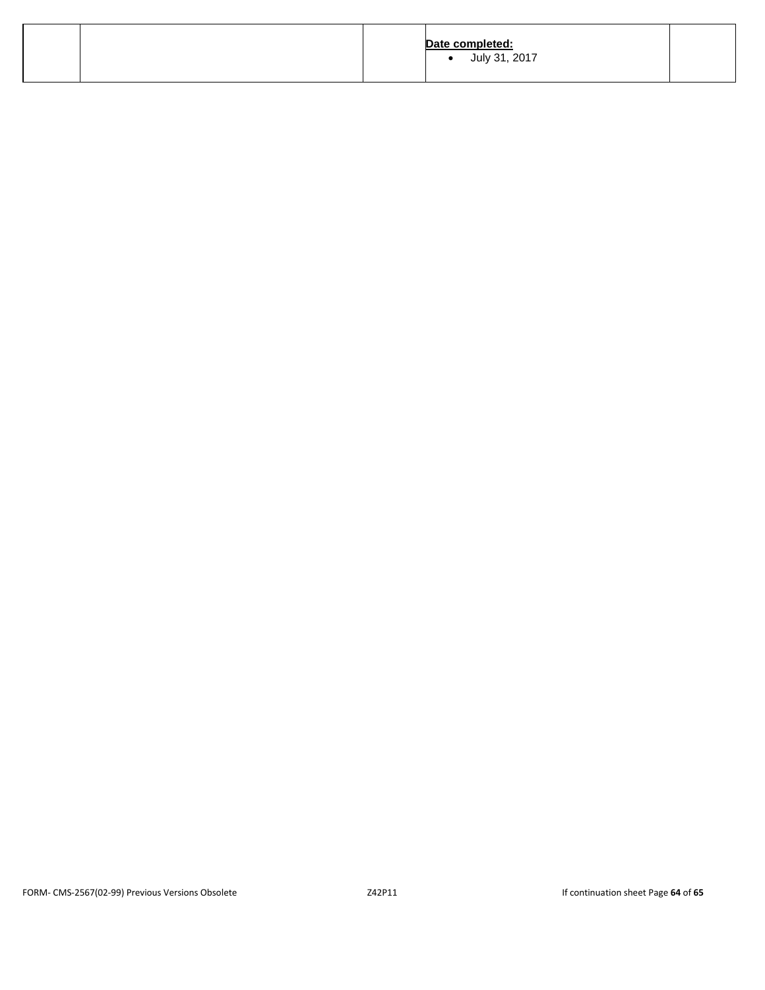|  | Date completed:<br>July 31, 2017 |  |
|--|----------------------------------|--|
|  |                                  |  |